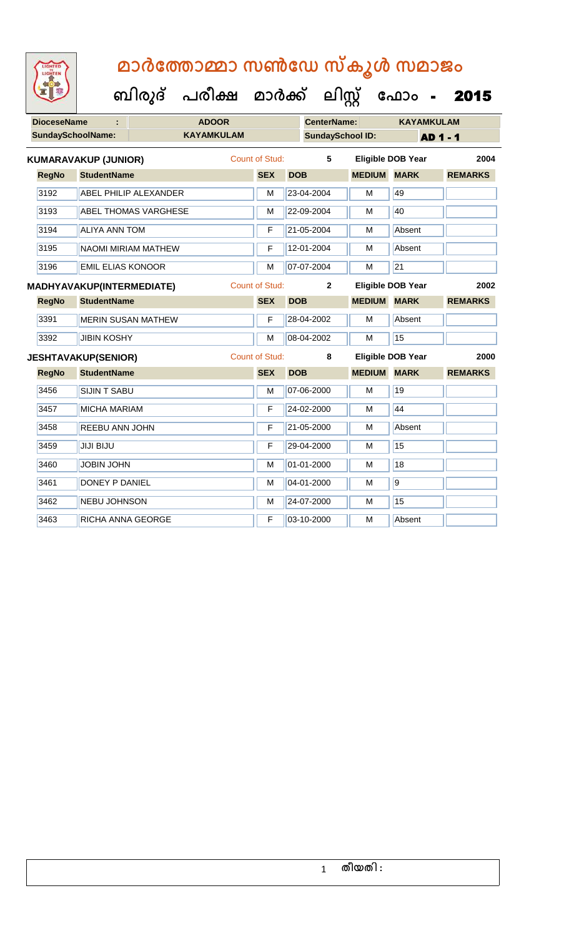| <b>IGHTED</b> |
|---------------|
|               |
|               |
|               |

| <b>DioceseName</b> |                          |                                  | <b>ADOOR</b>                 |                   |                       | <b>CenterName:</b> |                         | <b>KAYAMKULAM</b>  |                          |                |      |
|--------------------|--------------------------|----------------------------------|------------------------------|-------------------|-----------------------|--------------------|-------------------------|--------------------|--------------------------|----------------|------|
|                    | <b>SundaySchoolName:</b> |                                  |                              | <b>KAYAMKULAM</b> |                       |                    | <b>SundaySchool ID:</b> |                    |                          | AD 1 - 1       |      |
|                    |                          | <b>KUMARAVAKUP (JUNIOR)</b>      |                              |                   | <b>Count of Stud:</b> |                    | 5                       |                    | <b>Eligible DOB Year</b> |                | 2004 |
|                    | <b>RegNo</b>             | <b>StudentName</b>               |                              |                   | <b>SEX</b>            | <b>DOB</b>         |                         | <b>MEDIUM MARK</b> |                          | <b>REMARKS</b> |      |
|                    | 3192                     |                                  | <b>ABEL PHILIP ALEXANDER</b> |                   | M                     |                    | 23-04-2004              | M                  | 49                       |                |      |
|                    | 3193                     |                                  | <b>ABEL THOMAS VARGHESE</b>  |                   | M                     |                    | 22-09-2004              | М                  | 40                       |                |      |
|                    | 3194                     | <b>ALIYA ANN TOM</b>             |                              |                   | F                     |                    | 21-05-2004              | M                  | Absent                   |                |      |
|                    | 3195                     |                                  | <b>NAOMI MIRIAM MATHEW</b>   |                   | F                     |                    | 12-01-2004              | M                  | Absent                   |                |      |
|                    | 3196                     | <b>EMIL ELIAS KONOOR</b>         |                              |                   | M                     |                    | 07-07-2004              | M                  | $\overline{21}$          |                |      |
|                    |                          | <b>MADHYAVAKUP(INTERMEDIATE)</b> |                              |                   | <b>Count of Stud:</b> |                    | $\overline{2}$          |                    | <b>Eligible DOB Year</b> |                | 2002 |
|                    | <b>RegNo</b>             | <b>StudentName</b>               |                              |                   | <b>SEX</b>            | <b>DOB</b>         |                         | <b>MEDIUM MARK</b> |                          | <b>REMARKS</b> |      |
|                    | 3391                     |                                  | <b>MERIN SUSAN MATHEW</b>    |                   | F                     |                    | 28-04-2002              | M                  | Absent                   |                |      |
|                    | 3392                     | <b>JIBIN KOSHY</b>               |                              |                   | M                     |                    | 08-04-2002              | м                  | 15                       |                |      |
|                    |                          | <b>JESHTAVAKUP(SENIOR)</b>       |                              |                   | <b>Count of Stud:</b> |                    | 8                       |                    | <b>Eligible DOB Year</b> |                | 2000 |
|                    | <b>RegNo</b>             | <b>StudentName</b>               |                              |                   | <b>SEX</b>            | <b>DOB</b>         |                         | <b>MEDIUM</b>      | <b>MARK</b>              | <b>REMARKS</b> |      |
|                    | 3456                     | <b>SIJIN T SABU</b>              |                              |                   | M                     |                    | 07-06-2000              | M                  | 19                       |                |      |
|                    | 3457                     | <b>MICHA MARIAM</b>              |                              |                   | F                     |                    | 24-02-2000              | M                  | 44                       |                |      |
|                    | 3458                     | <b>REEBU ANN JOHN</b>            |                              |                   | F                     |                    | 21-05-2000              | M                  | Absent                   |                |      |
|                    | 3459                     | <b>JIJI BIJU</b>                 |                              |                   | F                     |                    | 29-04-2000              | M                  | 15                       |                |      |
|                    | 3460                     | <b>JOBIN JOHN</b>                |                              |                   | M                     |                    | 01-01-2000              | M                  | 18                       |                |      |
|                    | 3461                     | DONEY P DANIEL                   |                              |                   | М                     |                    | 04-01-2000              | M                  | $\overline{9}$           |                |      |
|                    | 3462                     | <b>NEBU JOHNSON</b>              |                              |                   | M                     |                    | 24-07-2000              | M                  | 15                       |                |      |
|                    | 3463                     | RICHA ANNA GEORGE                |                              |                   | F                     |                    | 03-10-2000              | M                  | Absent                   |                |      |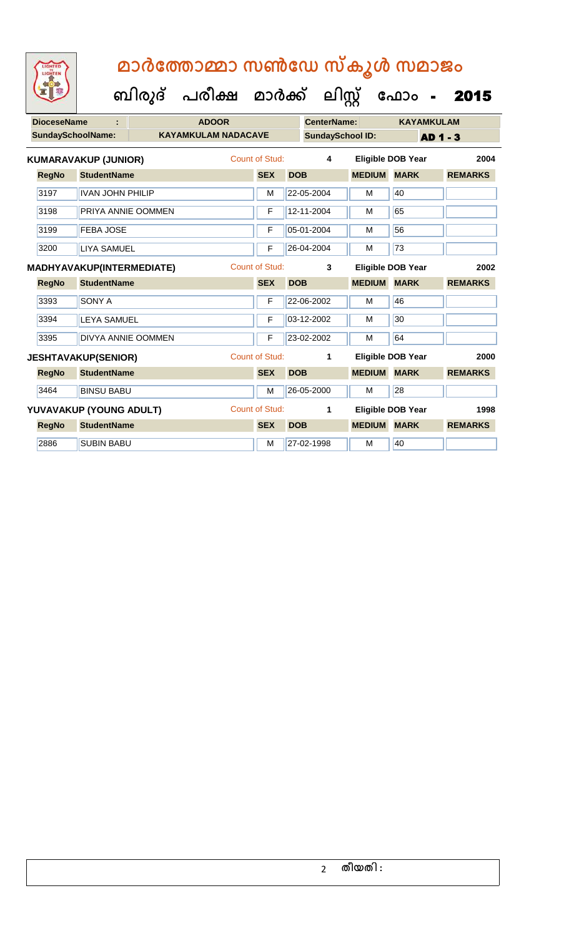| <b>IGHTED</b> |  |
|---------------|--|
|               |  |
|               |  |
|               |  |
|               |  |

| <b>DioceseName</b>       |                             | <b>ADOOR</b>               |                       |            | <b>CenterName:</b>      |                    | <b>KAYAMKULAM</b>        |          |                |
|--------------------------|-----------------------------|----------------------------|-----------------------|------------|-------------------------|--------------------|--------------------------|----------|----------------|
| <b>SundaySchoolName:</b> |                             | <b>KAYAMKULAM NADACAVE</b> |                       |            | <b>SundaySchool ID:</b> |                    |                          | AD 1 - 3 |                |
|                          | <b>KUMARAVAKUP (JUNIOR)</b> |                            | Count of Stud:        |            | 4                       |                    | <b>Eligible DOB Year</b> |          | 2004           |
| <b>RegNo</b>             | <b>StudentName</b>          |                            | <b>SEX</b>            | <b>DOB</b> |                         | <b>MEDIUM</b>      | <b>MARK</b>              |          | <b>REMARKS</b> |
| 3197                     | <b>IVAN JOHN PHILIP</b>     |                            | M                     |            | 22-05-2004              | M                  | 40                       |          |                |
| 3198                     | PRIYA ANNIE OOMMEN          |                            | F                     |            | 12-11-2004              | M                  | 65                       |          |                |
| 3199                     | <b>FEBA JOSE</b>            |                            | F                     |            | 05-01-2004              | м                  | 56                       |          |                |
| 3200                     | <b>LIYA SAMUEL</b>          |                            | F                     |            | 26-04-2004              | M                  | $\overline{73}$          |          |                |
|                          | MADHYAVAKUP(INTERMEDIATE)   |                            | Count of Stud:        |            | 3                       |                    | <b>Eligible DOB Year</b> |          | 2002           |
| <b>RegNo</b>             | <b>StudentName</b>          |                            | <b>SEX</b>            | <b>DOB</b> |                         | <b>MEDIUM MARK</b> |                          |          | <b>REMARKS</b> |
| 3393                     | <b>SONY A</b>               |                            | F                     |            | 22-06-2002              | M                  | 46                       |          |                |
| 3394                     | <b>LEYA SAMUEL</b>          |                            | F                     |            | 03-12-2002              | м                  | 30                       |          |                |
| 3395                     | <b>DIVYA ANNIE OOMMEN</b>   |                            | F                     |            | 23-02-2002              | M                  | 64                       |          |                |
|                          | <b>JESHTAVAKUP(SENIOR)</b>  |                            | <b>Count of Stud:</b> |            | 1                       |                    | <b>Eligible DOB Year</b> |          | 2000           |
| <b>RegNo</b>             | <b>StudentName</b>          |                            | <b>SEX</b>            | <b>DOB</b> |                         | <b>MEDIUM MARK</b> |                          |          | <b>REMARKS</b> |
| 3464                     | <b>BINSU BABU</b>           |                            | M                     |            | 26-05-2000              | M                  | 28                       |          |                |
|                          | YUVAVAKUP (YOUNG ADULT)     |                            | <b>Count of Stud:</b> |            | 1                       |                    | <b>Eligible DOB Year</b> |          | 1998           |
| <b>RegNo</b>             | <b>StudentName</b>          |                            | <b>SEX</b>            | <b>DOB</b> |                         | <b>MEDIUM MARK</b> |                          |          | <b>REMARKS</b> |
| 2886                     | <b>SUBIN BABU</b>           |                            | M                     |            | 27-02-1998              | M                  | 40                       |          |                |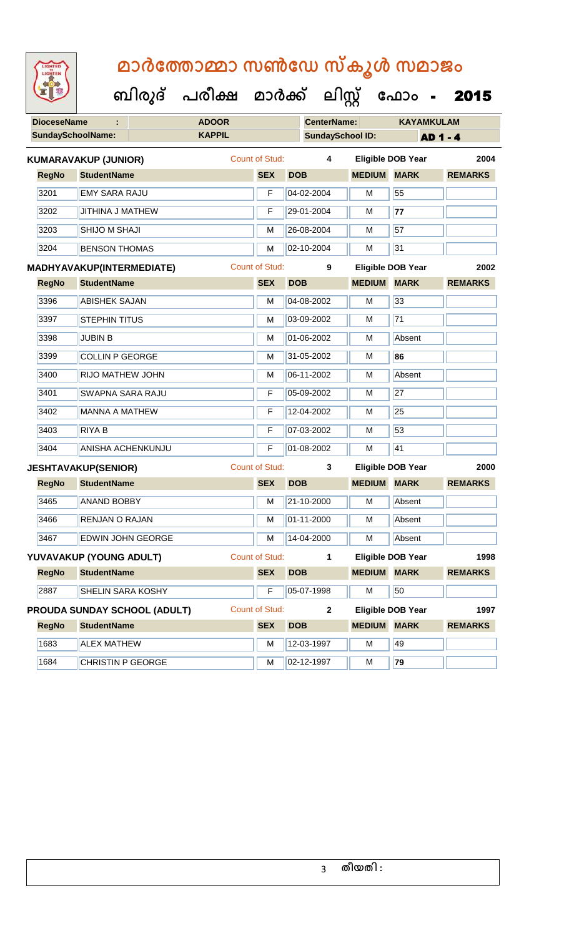| <b>IGHTED</b> |
|---------------|
|               |
|               |
|               |

|                          |                                     | ബിരുദ് പരീക്ഷ മാർക്ക് ലിസ്റ്റ് |                       |                         |               | ഫോം -                    | 2015           |
|--------------------------|-------------------------------------|--------------------------------|-----------------------|-------------------------|---------------|--------------------------|----------------|
| <b>DioceseName</b>       |                                     | <b>ADOOR</b>                   |                       | <b>CenterName:</b>      |               | <b>KAYAMKULAM</b>        |                |
| <b>SundaySchoolName:</b> |                                     | <b>KAPPIL</b>                  |                       | <b>SundaySchool ID:</b> |               |                          | <b>AD1-4</b>   |
|                          | <b>KUMARAVAKUP (JUNIOR)</b>         |                                | Count of Stud:        | 4                       |               | <b>Eligible DOB Year</b> | 2004           |
| <b>RegNo</b>             | <b>StudentName</b>                  |                                | <b>SEX</b>            | <b>DOB</b>              | <b>MEDIUM</b> | <b>MARK</b>              | <b>REMARKS</b> |
| 3201                     | <b>EMY SARA RAJU</b>                |                                | F                     | 04-02-2004              | M             | 55                       |                |
| 3202                     | JITHINA J MATHEW                    |                                | F                     | 29-01-2004              | M             | 77                       |                |
| 3203                     | SHIJO M SHAJI                       |                                | M                     | 26-08-2004              | м             | 57                       |                |
| 3204                     | <b>BENSON THOMAS</b>                |                                | M                     | 02-10-2004              | м             | 31                       |                |
|                          | <b>MADHYAVAKUP(INTERMEDIATE)</b>    |                                | <b>Count of Stud:</b> | 9                       |               | <b>Eligible DOB Year</b> | 2002           |
| <b>RegNo</b>             | <b>StudentName</b>                  |                                | <b>SEX</b>            | <b>DOB</b>              | <b>MEDIUM</b> | <b>MARK</b>              | <b>REMARKS</b> |
| 3396                     | <b>ABISHEK SAJAN</b>                |                                | м                     | 04-08-2002              | м             | 33                       |                |
| 3397                     | <b>STEPHIN TITUS</b>                |                                | M                     | 03-09-2002              | м             | 71                       |                |
| 3398                     | <b>JUBIN B</b>                      |                                | M                     | 01-06-2002              | м             | Absent                   |                |
| 3399                     | <b>COLLIN P GEORGE</b>              |                                | M                     | 31-05-2002              | M             | 86                       |                |
| 3400                     | RIJO MATHEW JOHN                    |                                | М                     | 06-11-2002              | м             | Absent                   |                |
| 3401                     | <b>SWAPNA SARA RAJU</b>             |                                | F                     | 05-09-2002              | м             | 27                       |                |
| 3402                     | <b>MANNA A MATHEW</b>               |                                | F                     | 12-04-2002              | M             | 25                       |                |
| 3403                     | <b>RIYA B</b>                       |                                | F                     | 07-03-2002              | м             | 53                       |                |
| 3404                     | ANISHA ACHENKUNJU                   |                                | F                     | 01-08-2002              | M             | 41                       |                |
|                          | <b>JESHTAVAKUP(SENIOR)</b>          |                                | <b>Count of Stud:</b> | 3                       |               | <b>Eligible DOB Year</b> | 2000           |
| <b>RegNo</b>             | <b>StudentName</b>                  |                                | <b>SEX</b>            | <b>DOB</b>              | <b>MEDIUM</b> | <b>MARK</b>              | <b>REMARKS</b> |
| 3465                     | <b>ANAND BOBBY</b>                  |                                | M                     | 21-10-2000              | M             | Absent                   |                |
| 3466                     | RENJAN O RAJAN                      |                                | M                     | 01-11-2000              | M             | Absent                   |                |
| 3467                     | <b>EDWIN JOHN GEORGE</b>            |                                | M                     | 14-04-2000              | M             | Absent                   |                |
|                          | YUVAVAKUP (YOUNG ADULT)             |                                | Count of Stud:        | $\mathbf{1}$            |               | <b>Eligible DOB Year</b> | 1998           |
| <b>RegNo</b>             | <b>StudentName</b>                  |                                | <b>SEX</b>            | <b>DOB</b>              | <b>MEDIUM</b> | <b>MARK</b>              | <b>REMARKS</b> |
| 2887                     | SHELIN SARA KOSHY                   |                                | F                     | 05-07-1998              | м             | 50                       |                |
|                          | <b>PROUDA SUNDAY SCHOOL (ADULT)</b> |                                | Count of Stud:        | $\mathbf{2}$            |               | <b>Eligible DOB Year</b> | 1997           |
| <b>RegNo</b>             | <b>StudentName</b>                  |                                | <b>SEX</b>            | <b>DOB</b>              | <b>MEDIUM</b> | <b>MARK</b>              | <b>REMARKS</b> |
| 1683                     | <b>ALEX MATHEW</b>                  |                                | M                     | 12-03-1997              | M             | 49                       |                |

1684 CHRISTIN P GEORGE M 02-12-1997 M **79**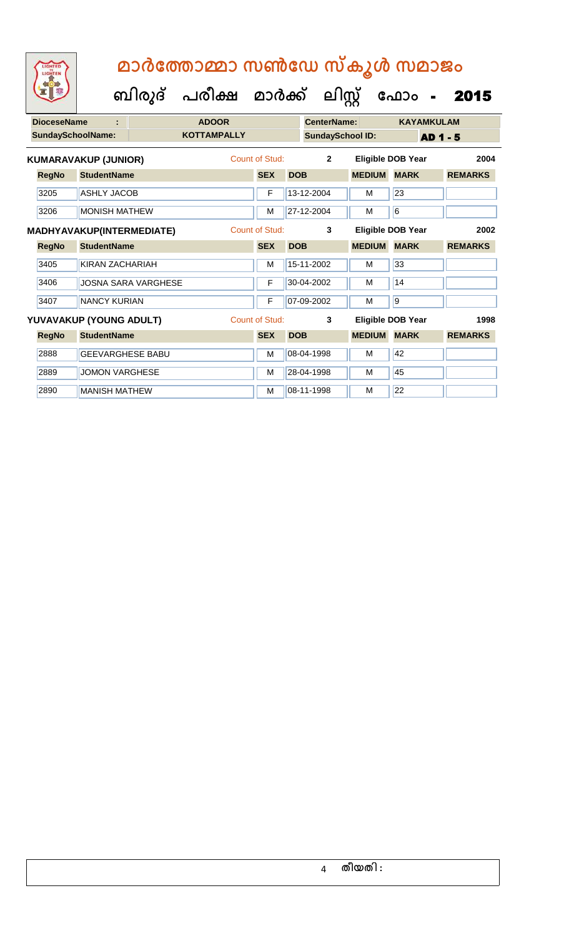| <b>DioceseName</b>       | ÷                                |                            | <b>ADOOR</b>       |                |            | CenterName:             |               | <b>KAYAMKULAM</b>        |                |
|--------------------------|----------------------------------|----------------------------|--------------------|----------------|------------|-------------------------|---------------|--------------------------|----------------|
| <b>SundaySchoolName:</b> |                                  |                            | <b>KOTTAMPALLY</b> |                |            | <b>SundaySchool ID:</b> |               | <b>AD 1 - 5</b>          |                |
|                          | <b>KUMARAVAKUP (JUNIOR)</b>      |                            |                    | Count of Stud: |            | $\overline{2}$          |               | <b>Eligible DOB Year</b> | 2004           |
| <b>RegNo</b>             | <b>StudentName</b>               |                            |                    | <b>SEX</b>     | <b>DOB</b> |                         | <b>MEDIUM</b> | <b>MARK</b>              | <b>REMARKS</b> |
| 3205                     | <b>ASHLY JACOB</b>               |                            |                    | F              |            | 13-12-2004              | М             | 23                       |                |
| 3206                     | <b>MONISH MATHEW</b>             |                            |                    | M              |            | 27-12-2004              | м             | $6\phantom{a}6$          |                |
|                          | <b>MADHYAVAKUP(INTERMEDIATE)</b> |                            |                    | Count of Stud: |            | 3                       |               | <b>Eligible DOB Year</b> | 2002           |
| <b>RegNo</b>             | <b>StudentName</b>               |                            |                    | <b>SEX</b>     | <b>DOB</b> |                         | <b>MEDIUM</b> | <b>MARK</b>              | <b>REMARKS</b> |
| 3405                     | KIRAN ZACHARIAH                  |                            |                    | M              |            | 15-11-2002              | M             | 33                       |                |
| 3406                     |                                  | <b>JOSNA SARA VARGHESE</b> |                    | F              |            | 30-04-2002              | M             | 14                       |                |
| 3407                     | <b>NANCY KURIAN</b>              |                            |                    | F              |            | 07-09-2002              | м             | $\overline{9}$           |                |
|                          | YUVAVAKUP (YOUNG ADULT)          |                            |                    | Count of Stud: |            | 3                       |               | <b>Eligible DOB Year</b> | 1998           |
| <b>RegNo</b>             | <b>StudentName</b>               |                            |                    | <b>SEX</b>     | <b>DOB</b> |                         | <b>MEDIUM</b> | <b>MARK</b>              | <b>REMARKS</b> |
| 2888                     | <b>GEEVARGHESE BABU</b>          |                            |                    | м              |            | 08-04-1998              | M             | 42                       |                |
| 2889                     | <b>JOMON VARGHESE</b>            |                            |                    | M              |            | 28-04-1998              | М             | 45                       |                |
| 2890                     | <b>MANISH MATHEW</b>             |                            |                    | M              |            | 08-11-1998              | M             | 22                       |                |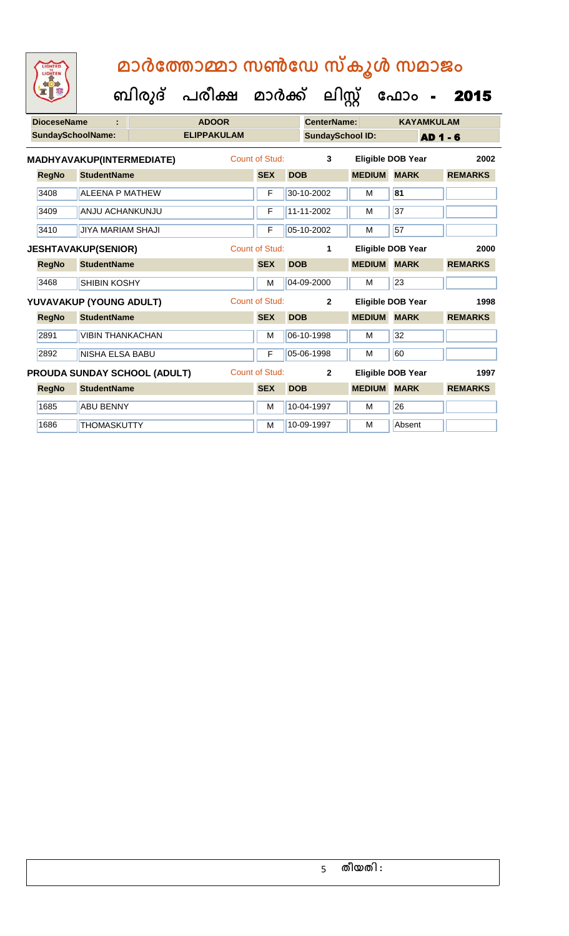| <b>DioceseName</b>       |                              | <b>ADOOR</b>       |                       |            | <b>CenterName:</b>      |               | <b>KAYAMKULAM</b>        |                 |
|--------------------------|------------------------------|--------------------|-----------------------|------------|-------------------------|---------------|--------------------------|-----------------|
| <b>SundaySchoolName:</b> |                              | <b>ELIPPAKULAM</b> |                       |            | <b>SundaySchool ID:</b> |               |                          | <b>AD 1 - 6</b> |
|                          | MADHYAVAKUP(INTERMEDIATE)    |                    | Count of Stud:        |            | 3                       |               | <b>Eligible DOB Year</b> | 2002            |
| <b>RegNo</b>             | <b>StudentName</b>           |                    | <b>SEX</b>            | <b>DOB</b> |                         | <b>MEDIUM</b> | <b>MARK</b>              | <b>REMARKS</b>  |
| 3408                     | <b>ALEENA P MATHEW</b>       |                    | F                     |            | 30-10-2002              | М             | 81                       |                 |
| 3409                     | <b>ANJU ACHANKUNJU</b>       |                    | F                     |            | 11-11-2002              | M             | 37                       |                 |
| 3410                     | <b>JIYA MARIAM SHAJI</b>     |                    | F                     |            | 05-10-2002              | М             | $\overline{57}$          |                 |
|                          | <b>JESHTAVAKUP(SENIOR)</b>   |                    | <b>Count of Stud:</b> |            | 1                       |               | <b>Eligible DOB Year</b> | 2000            |
| <b>RegNo</b>             | <b>StudentName</b>           |                    | <b>SEX</b>            | <b>DOB</b> |                         | <b>MEDIUM</b> | <b>MARK</b>              | <b>REMARKS</b>  |
| 3468                     | <b>SHIBIN KOSHY</b>          |                    | M                     |            | 04-09-2000              | M             | 23                       |                 |
|                          | YUVAVAKUP (YOUNG ADULT)      |                    | Count of Stud:        |            | $\mathbf{2}$            |               | <b>Eligible DOB Year</b> | 1998            |
| <b>RegNo</b>             | <b>StudentName</b>           |                    | <b>SEX</b>            | <b>DOB</b> |                         | <b>MEDIUM</b> | <b>MARK</b>              | <b>REMARKS</b>  |
| 2891                     | <b>VIBIN THANKACHAN</b>      |                    | M                     |            | 06-10-1998              | M             | 32                       |                 |
| 2892                     | NISHA ELSA BABU              |                    | F                     |            | 05-06-1998              | M             | 60                       |                 |
|                          | PROUDA SUNDAY SCHOOL (ADULT) |                    | <b>Count of Stud:</b> |            | $\overline{2}$          |               | <b>Eligible DOB Year</b> | 1997            |
| <b>RegNo</b>             | <b>StudentName</b>           |                    | <b>SEX</b>            | <b>DOB</b> |                         | <b>MEDIUM</b> | <b>MARK</b>              | <b>REMARKS</b>  |
| 1685                     | <b>ABU BENNY</b>             |                    | M                     |            | 10-04-1997              | M             | 26                       |                 |
| 1686                     | <b>THOMASKUTTY</b>           |                    | M                     |            | 10-09-1997              | M             | Absent                   |                 |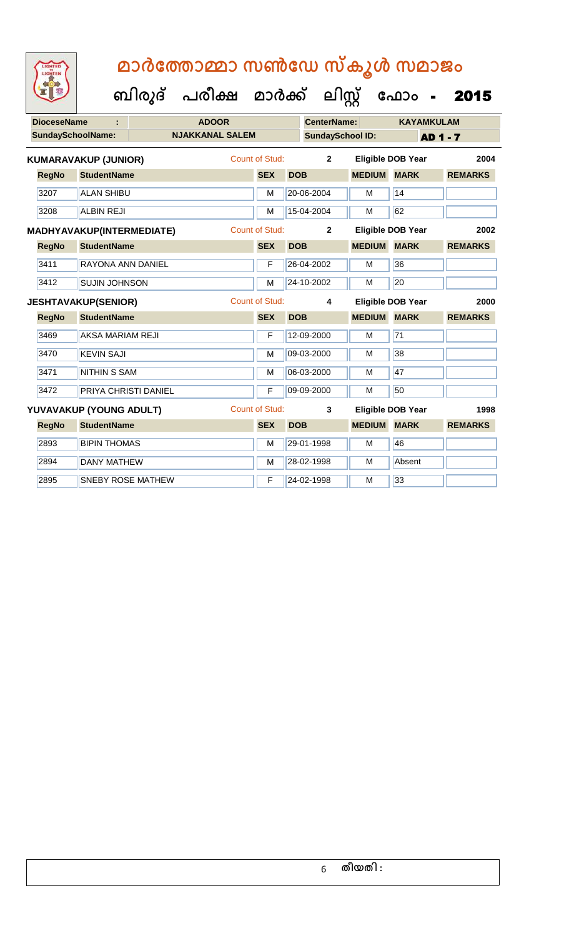| <b>DioceseName</b>       | ÷                           |                          | <b>ADOOR</b>           |                       |            | <b>CenterName:</b>      |               | <b>KAYAMKULAM</b>        |                 |
|--------------------------|-----------------------------|--------------------------|------------------------|-----------------------|------------|-------------------------|---------------|--------------------------|-----------------|
| <b>SundaySchoolName:</b> |                             |                          | <b>NJAKKANAL SALEM</b> |                       |            | <b>SundaySchool ID:</b> |               |                          | <b>AD 1 - 7</b> |
|                          | <b>KUMARAVAKUP (JUNIOR)</b> |                          |                        | Count of Stud:        |            | $\overline{2}$          |               | <b>Eligible DOB Year</b> | 2004            |
| <b>RegNo</b>             | <b>StudentName</b>          |                          |                        | <b>SEX</b>            | <b>DOB</b> |                         | <b>MEDIUM</b> | <b>MARK</b>              | <b>REMARKS</b>  |
| 3207                     | <b>ALAN SHIBU</b>           |                          |                        | M                     |            | 20-06-2004              | M             | 14                       |                 |
| 3208                     | <b>ALBIN REJI</b>           |                          |                        | M                     |            | 15-04-2004              | M             | 62                       |                 |
|                          | MADHYAVAKUP(INTERMEDIATE)   |                          |                        | <b>Count of Stud:</b> |            | $\mathbf{2}$            |               | <b>Eligible DOB Year</b> | 2002            |
| <b>RegNo</b>             | <b>StudentName</b>          |                          |                        | <b>SEX</b>            | <b>DOB</b> |                         | <b>MEDIUM</b> | <b>MARK</b>              | <b>REMARKS</b>  |
| 3411                     | RAYONA ANN DANIEL           |                          |                        | F                     |            | 26-04-2002              | M             | 36                       |                 |
| 3412                     | <b>SUJIN JOHNSON</b>        |                          |                        | M                     |            | 24-10-2002              | M             | 20                       |                 |
|                          | <b>JESHTAVAKUP(SENIOR)</b>  |                          |                        | <b>Count of Stud:</b> |            | 4                       |               | <b>Eligible DOB Year</b> | 2000            |
| <b>RegNo</b>             | <b>StudentName</b>          |                          |                        | <b>SEX</b>            | <b>DOB</b> |                         | <b>MEDIUM</b> | <b>MARK</b>              | <b>REMARKS</b>  |
| 3469                     | <b>AKSA MARIAM REJI</b>     |                          |                        | F                     |            | 12-09-2000              | M             | 71                       |                 |
| 3470                     | <b>KEVIN SAJI</b>           |                          |                        | M                     |            | 09-03-2000              | M             | 38                       |                 |
| 3471                     | <b>NITHIN S SAM</b>         |                          |                        | M                     |            | 06-03-2000              | M             | 47                       |                 |
| 3472                     |                             | PRIYA CHRISTI DANIEL     |                        | F                     |            | 09-09-2000              | M             | 50                       |                 |
|                          | YUVAVAKUP (YOUNG ADULT)     |                          |                        | <b>Count of Stud:</b> |            | 3                       |               | <b>Eligible DOB Year</b> | 1998            |
| <b>RegNo</b>             | <b>StudentName</b>          |                          |                        | <b>SEX</b>            | <b>DOB</b> |                         | <b>MEDIUM</b> | <b>MARK</b>              | <b>REMARKS</b>  |
| 2893                     | <b>BIPIN THOMAS</b>         |                          |                        | M                     |            | 29-01-1998              | M             | 46                       |                 |
| 2894                     | <b>DANY MATHEW</b>          |                          |                        | M                     |            | 28-02-1998              | M             | Absent                   |                 |
| 2895                     |                             | <b>SNEBY ROSE MATHEW</b> |                        | F                     |            | 24-02-1998              | M             | 33                       |                 |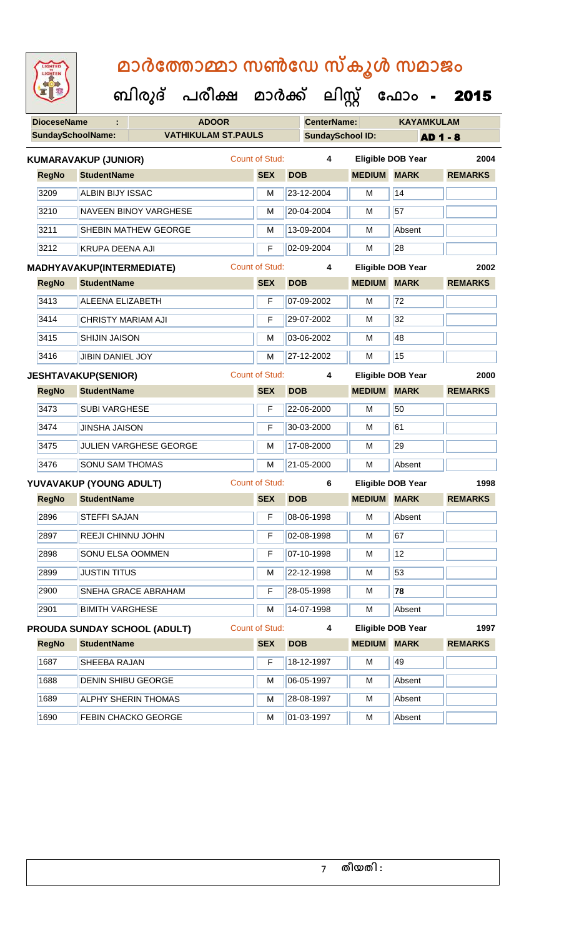| <b>IGHTED</b> |
|---------------|
|               |
|               |
|               |

| <b>DioceseName</b> |                                  | <b>ADOOR</b>                        |                       |                         | <b>CenterName:</b> |                          | <b>KAYAMKULAM</b> |
|--------------------|----------------------------------|-------------------------------------|-----------------------|-------------------------|--------------------|--------------------------|-------------------|
|                    | <b>SundaySchoolName:</b>         | <b>VATHIKULAM ST.PAULS</b>          |                       | <b>SundaySchool ID:</b> |                    |                          | <b>AD 1 - 8</b>   |
|                    | <b>KUMARAVAKUP (JUNIOR)</b>      |                                     | <b>Count of Stud:</b> | 4                       |                    | <b>Eligible DOB Year</b> | 2004              |
| <b>RegNo</b>       | <b>StudentName</b>               |                                     | <b>SEX</b>            | <b>DOB</b>              | <b>MEDIUM</b>      | <b>MARK</b>              | <b>REMARKS</b>    |
| 3209               | ALBIN BIJY ISSAC                 |                                     | M                     | 23-12-2004              | M                  | 14                       |                   |
| 3210               |                                  | <b>NAVEEN BINOY VARGHESE</b>        | M                     | 20-04-2004              | M                  | 57                       |                   |
| 3211               |                                  | <b>SHEBIN MATHEW GEORGE</b>         | M                     | 13-09-2004              | M                  | Absent                   |                   |
| 3212               | <b>KRUPA DEENA AJI</b>           |                                     | F                     | 02-09-2004              | M                  | 28                       |                   |
|                    | <b>MADHYAVAKUP(INTERMEDIATE)</b> |                                     | <b>Count of Stud:</b> | 4                       |                    | <b>Eligible DOB Year</b> | 2002              |
| <b>RegNo</b>       | <b>StudentName</b>               |                                     | <b>SEX</b>            | <b>DOB</b>              | <b>MEDIUM MARK</b> |                          | <b>REMARKS</b>    |
| 3413               | <b>ALEENA ELIZABETH</b>          |                                     | F                     | 07-09-2002              | M                  | 72                       |                   |
| 3414               | <b>CHRISTY MARIAM AJI</b>        |                                     | F                     | 29-07-2002              | м                  | 32                       |                   |
| 3415               | <b>SHIJIN JAISON</b>             |                                     | M                     | 03-06-2002              | M                  | 48                       |                   |
| 3416               | <b>JIBIN DANIEL JOY</b>          |                                     | M                     | 27-12-2002              | M                  | 15                       |                   |
|                    | <b>JESHTAVAKUP(SENIOR)</b>       |                                     | <b>Count of Stud:</b> | 4                       |                    | <b>Eligible DOB Year</b> | 2000              |
| <b>RegNo</b>       | <b>StudentName</b>               |                                     | <b>SEX</b>            | <b>DOB</b>              | <b>MEDIUM</b>      | <b>MARK</b>              | <b>REMARKS</b>    |
| 3473               | <b>SUBI VARGHESE</b>             |                                     | F                     | 22-06-2000              | M                  | 50                       |                   |
| 3474               | <b>JINSHA JAISON</b>             |                                     | F                     | 30-03-2000              | М                  | 61                       |                   |
| 3475               |                                  | JULIEN VARGHESE GEORGE              | M                     | 17-08-2000              | M                  | 29                       |                   |
| 3476               | <b>SONU SAM THOMAS</b>           |                                     | M                     | 21-05-2000              | M                  | Absent                   |                   |
|                    | YUVAVAKUP (YOUNG ADULT)          |                                     | <b>Count of Stud:</b> | 6                       |                    | Eligible DOB Year        | 1998              |
| <b>RegNo</b>       | <b>StudentName</b>               |                                     | <b>SEX</b>            | <b>DOB</b>              | <b>MEDIUM</b>      | <b>MARK</b>              | <b>REMARKS</b>    |
| 2896               | <b>STEFFI SAJAN</b>              |                                     | F                     | 08-06-1998              | M                  | Absent                   |                   |
| 2897               | REEJI CHINNU JOHN                |                                     | F                     | 02-08-1998              | M                  | 67                       |                   |
| 2898               | <b>SONU ELSA OOMMEN</b>          |                                     | F                     | 07-10-1998              | M                  | 12                       |                   |
| 2899               | <b>JUSTIN TITUS</b>              |                                     | М                     | 22-12-1998              | M                  | 53                       |                   |
| 2900               |                                  | <b>SNEHA GRACE ABRAHAM</b>          | F                     | 28-05-1998              | м                  | 78                       |                   |
| 2901               | <b>BIMITH VARGHESE</b>           |                                     | М                     | 14-07-1998              | м                  | Absent                   |                   |
|                    |                                  | <b>PROUDA SUNDAY SCHOOL (ADULT)</b> | <b>Count of Stud:</b> | 4                       |                    | <b>Eligible DOB Year</b> | 1997              |
| <b>RegNo</b>       | <b>StudentName</b>               |                                     | <b>SEX</b>            | <b>DOB</b>              | <b>MEDIUM MARK</b> |                          | <b>REMARKS</b>    |
| 1687               | SHEEBA RAJAN                     |                                     | F                     | 18-12-1997              | М                  | 49                       |                   |
| 1688               | <b>DENIN SHIBU GEORGE</b>        |                                     | М                     | 06-05-1997              | M                  | Absent                   |                   |
| 1689               |                                  | <b>ALPHY SHERIN THOMAS</b>          | М                     | 28-08-1997              | M                  | Absent                   |                   |
| 1690               |                                  | <b>FEBIN CHACKO GEORGE</b>          | M                     | 01-03-1997              | M                  | Absent                   |                   |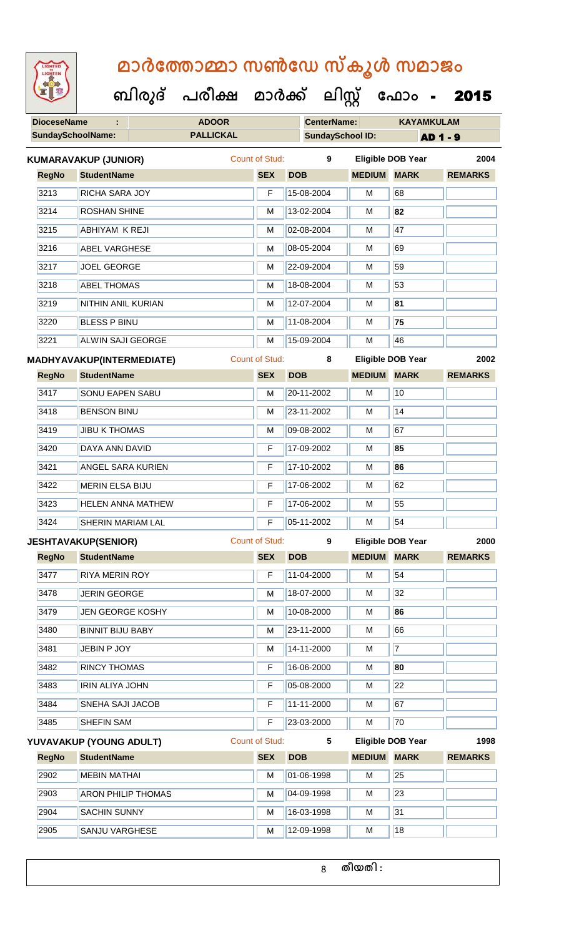| <b>IGHTED</b> |  |
|---------------|--|
|               |  |
|               |  |
|               |  |
|               |  |
|               |  |
|               |  |
|               |  |

**DioceseName : ADOOR CenterName: KAYAMKULAM SundaySchoolName: PALLICKAL SundaySchool ID: AD 1 - 9 ബിരുദ് പരീക്ഷ മാര്ക് ക ലിസ്റ്റ ക ഫ ാോം** - 2015 **RegNo StudentName SEX DOB MEDIUM MARK REMARKS KUMARAVAKUP (JUNIOR)** Count of Stud: **9 Eligible DOB Year 2004** 3213 RICHA SARA JOY F 15-08-2004 M 68 3214 ROSHAN SHINE M 13-02-2004 M **82** 3215 ABHIYAM K REJI M 02-08-2004 M 47 3216 ABEL VARGHESE M M 08-05-2004 M 69 3217 JOEL GEORGE M 22-09-2004 M 39 3218 ABEL THOMAS MEDICINE MEDICINE MEDICINE MEDICINE MEDICINE MEDICINE MEDICINE MEDICINE MEDICINE MEDICINE MEDICINE MEDICINE MEDICINE MEDICINE MEDICINE MEDICINE MEDICINE MEDICINE MEDICINE MEDICINE MEDICINE MEDICINE MEDICIN 3219 NITHIN ANIL KURIAN M 12-07-2004 M **81** 3220 BLESS P BINU M 11-08-2004 M **75** 3221 ALWIN SAJI GEORGE M 15-09-2004 M 15-09-2004 **RegNo StudentName SEX DOB MEDIUM MARK REMARKS MADHYAVAKUP(INTERMEDIATE)** Count of Stud: **8 Eligible DOB Year 2002** 3417 SONU EAPEN SABU M 20-11-2002 M 10 **3418 BENSON BINU M 23-11-2002 M** 14 3419 JJIBU K THOMAS M 2009-08-2002 M 67 3420 DAYA ANN DAVID F 17-09-2002 M **85** 3421 ANGEL SARA KURIEN F 17-10-2002 M **86** 3422 MERIN ELSA BIJU F 17-06-2002 M 62 3423 HELEN ANNA MATHEW **F** 17-06-2002 M 55 3424 SHERIN MARIAM LAL F 05-11-2002 M 54 **RegNo StudentName SEX DOB MEDIUM MARK REMARKS JESHTAVAKUP(SENIOR)** Count of Stud: **9 Eligible DOB Year 2000 3477 RIYA MERIN ROY F 11-04-2000 M 54** 3478 JERIN GEORGE M M 18-07-2000 M 32 3479 JEN GEORGE KOSHY M 10-08-2000 M **86** 3480 BINNIT BIJU BABY M 23-11-2000 M 66 3481 JEBIN P JOY M 14-11-2000 M 7 3482 RINCY THOMAS F 16-06-2000 M **80** 3483 **IRIN ALIYA JOHN F 05-08-2000 M** 22 3484 SNEHA SAJI JACOB **F 11-11-2000** M 67 3485 SHEFIN SAM F 23-03-2000 M 70 **RegNo StudentName SEX DOB MEDIUM MARK REMARKS YUVAVAKUP (YOUNG ADULT)** Count of Stud: **5 Eligible DOB Year 1998** 2902 MEBIN MATHAI M M 01-06-1998 M 2903 **ARON PHILIP THOMAS** M **M** 04-09-1998 M 23 2904 SACHIN SUNNY M 16-03-1998 M 31 2905 SANJU VARGHESE MARIA 12-09-1998 M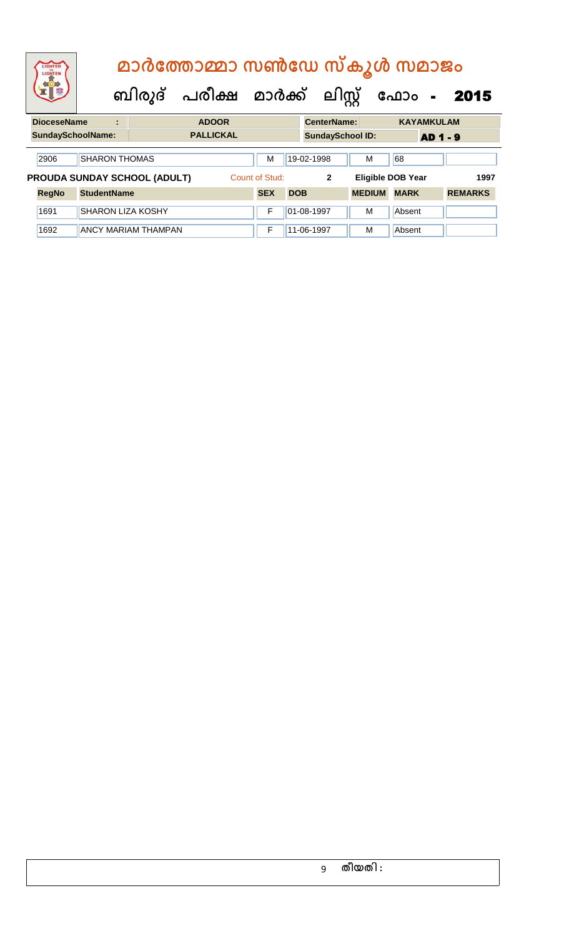| LIGHTED<br>LIGHTEN<br><b>DioceseName</b><br><b>SundaySchoolName:</b><br>2906<br>PROUDA SUNDAY SCHOOL (ADULT)<br><b>RegNo</b><br>1691<br>1692 |  | മാർത്തോമ്മാ സൺഡേ സ്കൂൾ സമാജം |                                |                  |                |            |                         |                       |                          |              |                |  |
|----------------------------------------------------------------------------------------------------------------------------------------------|--|------------------------------|--------------------------------|------------------|----------------|------------|-------------------------|-----------------------|--------------------------|--------------|----------------|--|
|                                                                                                                                              |  |                              | ബിരുദ് പരീക്ഷ മാർക്ക് ലിസ്റ്റ് |                  |                |            |                         | ഫോം<br>$\blacksquare$ |                          | 2015         |                |  |
|                                                                                                                                              |  | ÷                            |                                | <b>ADOOR</b>     |                |            | <b>CenterName:</b>      |                       | <b>KAYAMKULAM</b>        |              |                |  |
|                                                                                                                                              |  |                              |                                | <b>PALLICKAL</b> |                |            | <b>SundaySchool ID:</b> |                       |                          | <b>AD1-9</b> |                |  |
|                                                                                                                                              |  |                              |                                |                  |                |            |                         |                       |                          |              |                |  |
|                                                                                                                                              |  | <b>SHARON THOMAS</b>         |                                |                  | М              |            | 19-02-1998              | M                     | 68                       |              |                |  |
|                                                                                                                                              |  |                              |                                |                  | Count of Stud: |            | $\mathbf{2}$            |                       | <b>Eligible DOB Year</b> |              | 1997           |  |
|                                                                                                                                              |  | <b>StudentName</b>           |                                |                  | <b>SEX</b>     | <b>DOB</b> |                         | <b>MEDIUM</b>         | <b>MARK</b>              |              | <b>REMARKS</b> |  |
|                                                                                                                                              |  | <b>SHARON LIZA KOSHY</b>     |                                |                  | F              |            | 01-08-1997              | M                     | Absent                   |              |                |  |
|                                                                                                                                              |  |                              | <b>ANCY MARIAM THAMPAN</b>     |                  | F              |            | 11-06-1997              | M                     | Absent                   |              |                |  |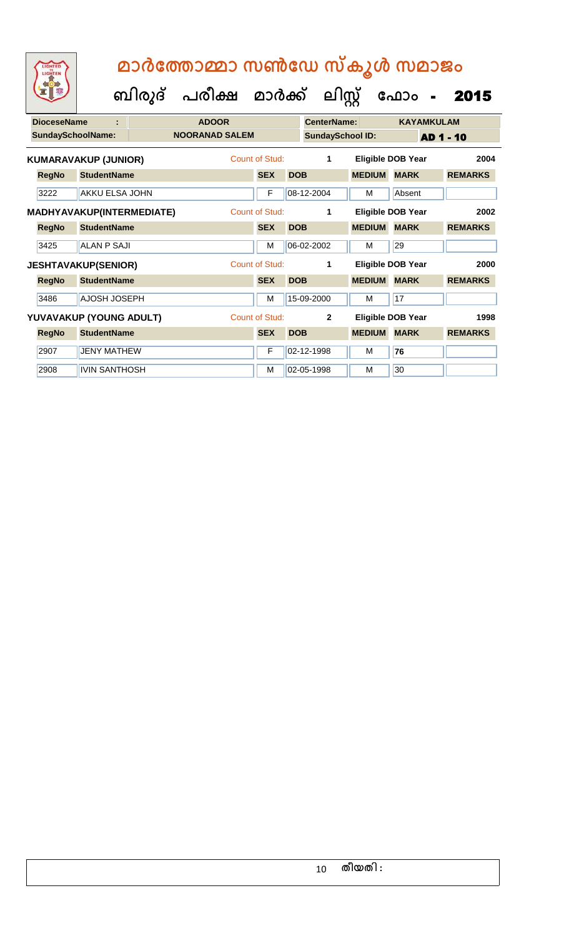| <b>DioceseName</b> | ÷                                | <b>ADOOR</b>          |                |            | <b>CenterName:</b>      |               |                          | <b>KAYAMKULAM</b> |                |      |
|--------------------|----------------------------------|-----------------------|----------------|------------|-------------------------|---------------|--------------------------|-------------------|----------------|------|
|                    | <b>SundaySchoolName:</b>         | <b>NOORANAD SALEM</b> |                |            | <b>SundaySchool ID:</b> |               |                          | <b>AD 1 - 10</b>  |                |      |
|                    | <b>KUMARAVAKUP (JUNIOR)</b>      |                       | Count of Stud: |            | 1                       |               | <b>Eligible DOB Year</b> |                   |                | 2004 |
| <b>RegNo</b>       | <b>StudentName</b>               |                       | <b>SEX</b>     | <b>DOB</b> |                         | <b>MEDIUM</b> | <b>MARK</b>              |                   | <b>REMARKS</b> |      |
| 3222               | AKKU ELSA JOHN                   |                       | F              |            | 08-12-2004              | м             | Absent                   |                   |                |      |
|                    | <b>MADHYAVAKUP(INTERMEDIATE)</b> |                       | Count of Stud: |            | 1                       |               | <b>Eligible DOB Year</b> |                   |                | 2002 |
| <b>RegNo</b>       | <b>StudentName</b>               |                       | <b>SEX</b>     | <b>DOB</b> |                         | <b>MEDIUM</b> | <b>MARK</b>              |                   | <b>REMARKS</b> |      |
| 3425               | <b>ALAN P SAJI</b>               |                       | M              |            | 06-02-2002              | м             | 29                       |                   |                |      |
|                    | <b>JESHTAVAKUP(SENIOR)</b>       |                       | Count of Stud: |            | 1                       |               | Eligible DOB Year        |                   |                | 2000 |
| <b>RegNo</b>       | <b>StudentName</b>               |                       | <b>SEX</b>     | <b>DOB</b> |                         | <b>MEDIUM</b> | <b>MARK</b>              |                   | <b>REMARKS</b> |      |
| 3486               | <b>AJOSH JOSEPH</b>              |                       | M              |            | 15-09-2000              | M             | 17                       |                   |                |      |
|                    | YUVAVAKUP (YOUNG ADULT)          |                       | Count of Stud: |            | $\mathbf{2}$            |               | Eligible DOB Year        |                   |                | 1998 |
| <b>RegNo</b>       | <b>StudentName</b>               |                       | <b>SEX</b>     | <b>DOB</b> |                         | <b>MEDIUM</b> | <b>MARK</b>              |                   | <b>REMARKS</b> |      |
| 2907               | <b>JENY MATHEW</b>               |                       | F              |            | 02-12-1998              | м             | 76                       |                   |                |      |
| 2908               | <b>IVIN SANTHOSH</b>             |                       | м              |            | 02-05-1998              | м             | 30                       |                   |                |      |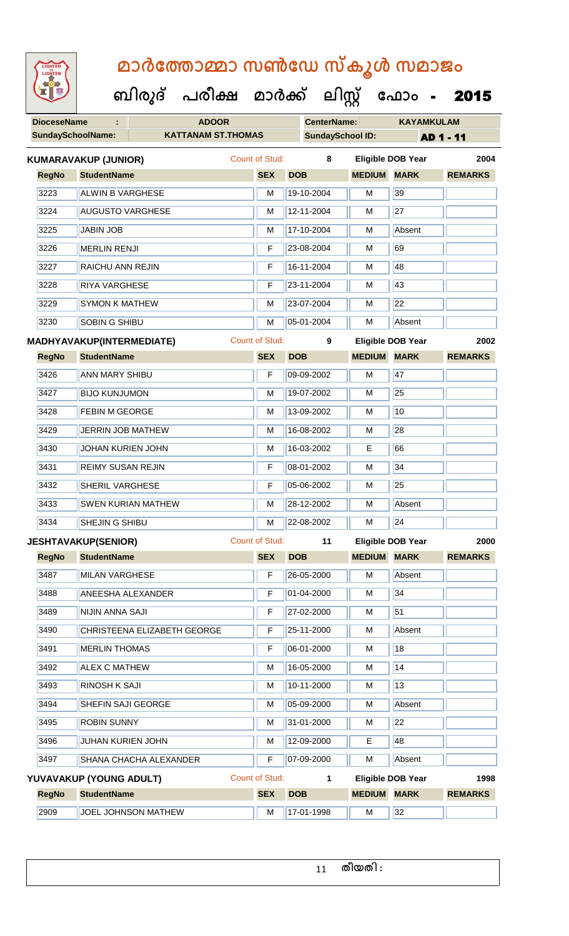| LIGHTED    |  |
|------------|--|
| <b>SHY</b> |  |
|            |  |
|            |  |
|            |  |

**DioceseName : ADOOR CenterName: KAYAMKULAM SundaySchoolName: KATTANAM ST.THOMAS SundaySchool ID: AD 1 - 11 ബിരുദ് പരീക്ഷ മാര്ക് ക ലിസ്റ്റ ക ഫ ാോം** - 2015 **RegNo StudentName SEX DOB MEDIUM MARK REMARKS KUMARAVAKUP (JUNIOR)** Count of Stud: **8 Eligible DOB Year 2004** 3223 ALWIN B VARGHESE M M 19-10-2004 M 39 3224 AUGUSTO VARGHESE M M 12-11-2004 M 27 3225 JJABIN JOB M 17-10-2004 M Absent 3226 MERLIN RENJI F 23-08-2004 M 69 3227 RAICHU ANN REJIN F 16-11-2004 M 48 3228 RIYA VARGHESE **F 23-11-2004** M 43 3229 SYMON K MATHEW M M 23-07-2004 M 22 3230 SOBIN G SHIBU M 05-01-2004 M Absent **RegNo StudentName SEX DOB MEDIUM MARK REMARKS MADHYAVAKUP(INTERMEDIATE)** Count of Stud: **9 Eligible DOB Year 2002** 3426 ANN MARY SHIBU F 09-09-2002 M 47 3427 BIJO KUNJUMON M M 19-07-2002 M 25 3428 FEBIN M GEORGE M 13-09-2002 M 13-09-2002 M 3429 JERRIN JOB MATHEW M 16-08-2002 M 28 3430 JOHAN KURIEN JOHN M 16-03-2002 E 66 3431 REIMY SUSAN REJIN F 08-01-2002 M 34 3432 SHERIL VARGHESE **F 05-06-2002** M 25 3433 SWEN KURIAN MATHEW M 28-12-2002 M Absent 3434 SHEJIN G SHIBU M 22-08-2002 M 24 **RegNo StudentName SEX DOB MEDIUM MARK REMARKS JESHTAVAKUP(SENIOR)** Count of Stud: **11 Eligible DOB Year 2000** 3487 MILAN VARGHESE **F 26-05-2000** M Absent 3488 ANEESHA ALEXANDER F 01-04-2000 M 34 3489 NIJIN ANNA SAJI F 27-02-2000 M 51 3490 CHRISTEENA ELIZABETH GEORGE F 25-11-2000 M Absent 3491 MERLIN THOMAS F C6-01-2000 M 18 3492 ALEX C MATHEW M 16-05-2000 M 14 3493 RINOSH K SAJI M 10-11-2000 M 13 3494 SHEFIN SAJI GEORGE M M 05-09-2000 M Absent 3495 **ROBIN SUNNY M 31-01-2000 M** 3495 **M** 22 3496 JUHAN KURIEN JOHN M 12-09-2000 E 48 3497 SHANA CHACHA ALEXANDER F 07-09-2000 M Absent **RegNo StudentName SEX DOB MEDIUM MARK REMARKS YUVAVAKUP (YOUNG ADULT)** Count of Stud: **1 Eligible DOB Year 1998** 2909 **JOEL JOHNSON MATHEW M 17-01-1998 M 32**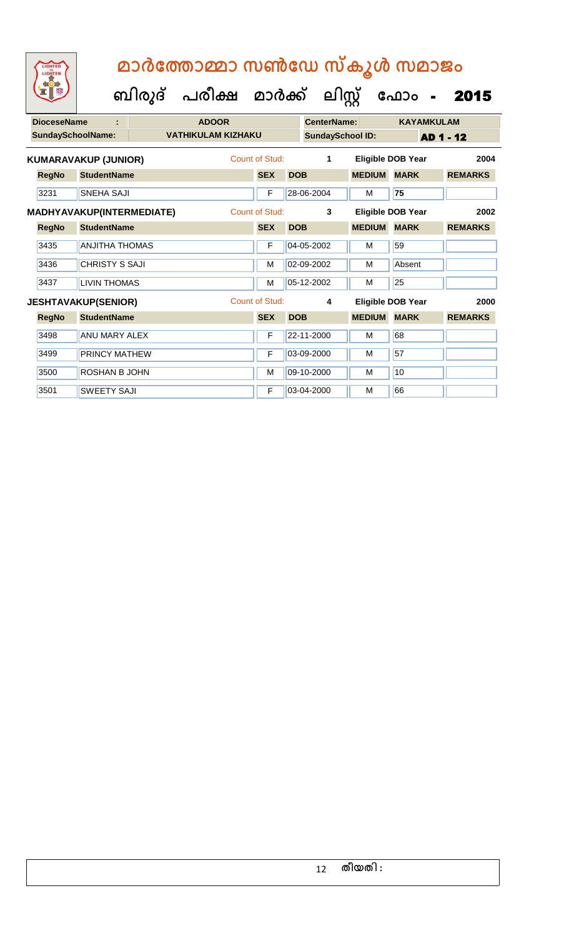| <b>DioceseName</b> | ÷                           | <b>ADOOR</b>              |                       |            | CenterName:<br><b>SundaySchool ID:</b> |               | <b>KAYAMKULAM</b>        |                |  |
|--------------------|-----------------------------|---------------------------|-----------------------|------------|----------------------------------------|---------------|--------------------------|----------------|--|
|                    | <b>SundaySchoolName:</b>    | <b>VATHIKULAM KIZHAKU</b> |                       |            |                                        |               |                          | AD 1 - 12      |  |
|                    | <b>KUMARAVAKUP (JUNIOR)</b> |                           | Count of Stud:        |            | 1                                      |               | <b>Eligible DOB Year</b> | 2004           |  |
| <b>RegNo</b>       | <b>StudentName</b>          |                           | <b>SEX</b>            | <b>DOB</b> |                                        | <b>MEDIUM</b> | <b>MARK</b>              | <b>REMARKS</b> |  |
| 3231               | <b>SNEHA SAJI</b>           |                           | F                     |            | 28-06-2004                             | M             | 75                       |                |  |
|                    | MADHYAVAKUP(INTERMEDIATE)   |                           | <b>Count of Stud:</b> |            | 3                                      |               | Eligible DOB Year        | 2002           |  |
| <b>RegNo</b>       | <b>StudentName</b>          |                           | <b>SEX</b>            | <b>DOB</b> |                                        | <b>MEDIUM</b> | <b>MARK</b>              | <b>REMARKS</b> |  |
| 3435               | <b>ANJITHA THOMAS</b>       |                           | F                     |            | 04-05-2002                             | м             | 59                       |                |  |
| 3436               | <b>CHRISTY S SAJI</b>       |                           | M                     |            | 02-09-2002                             | м             | Absent                   |                |  |
| 3437               | <b>LIVIN THOMAS</b>         |                           | M                     |            | 05-12-2002                             | м             | 25                       |                |  |
|                    | <b>JESHTAVAKUP(SENIOR)</b>  |                           | Count of Stud:        |            | 4                                      |               | <b>Eligible DOB Year</b> | 2000           |  |
| <b>RegNo</b>       | <b>StudentName</b>          |                           | <b>SEX</b>            | <b>DOB</b> |                                        | <b>MEDIUM</b> | <b>MARK</b>              | <b>REMARKS</b> |  |
| 3498               | <b>ANU MARY ALEX</b>        |                           | F                     |            | 22-11-2000                             | M             | 68                       |                |  |
| 3499               | <b>PRINCY MATHEW</b>        |                           | F                     |            | 03-09-2000                             | М             | 57                       |                |  |
| 3500               | <b>ROSHAN B JOHN</b>        |                           | M                     |            | 09-10-2000                             | М             | 10                       |                |  |
| 3501               | <b>SWEETY SAJI</b>          |                           | F                     |            | 03-04-2000                             | м             | 66                       |                |  |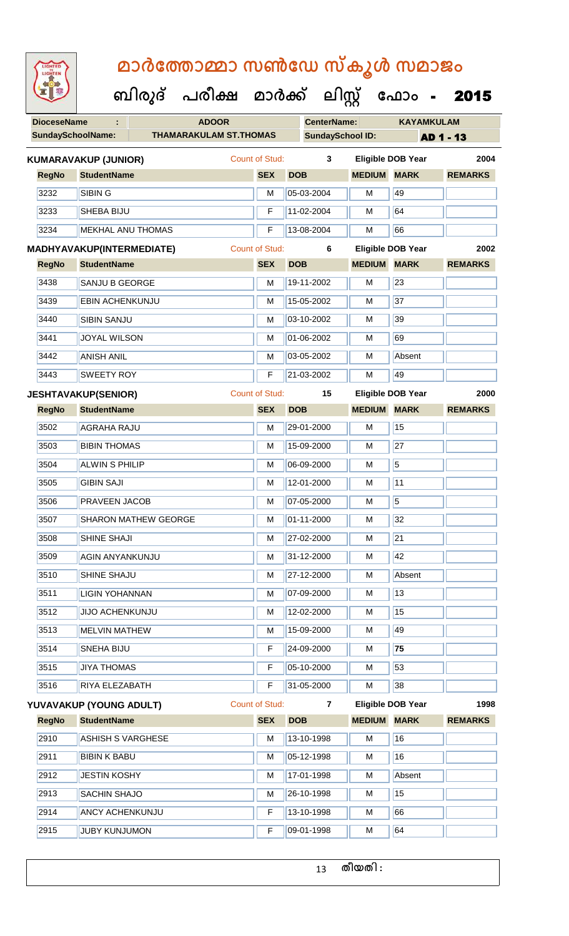| <b>IGHTED</b> |  |
|---------------|--|
|               |  |
|               |  |
|               |  |
|               |  |
|               |  |

### **മാര്കഫതാമ്മാ സണ്ഫേ സ്കൂള് സമാജോം**

**ക ലിസ്റ്റ**

| 95           |                                                                                                                                                                                                                                                                                                                                                                                                                                                                             |        | പരീക്ഷ                        | മാർക്ക്               | ലിസ്റ്റ്                 |                    | ഫോം<br>$\blacksquare$    | 2015           |
|--------------|-----------------------------------------------------------------------------------------------------------------------------------------------------------------------------------------------------------------------------------------------------------------------------------------------------------------------------------------------------------------------------------------------------------------------------------------------------------------------------|--------|-------------------------------|-----------------------|--------------------------|--------------------|--------------------------|----------------|
|              |                                                                                                                                                                                                                                                                                                                                                                                                                                                                             |        | <b>ADOOR</b>                  |                       | <b>CenterName:</b>       |                    | <b>KAYAMKULAM</b>        |                |
|              |                                                                                                                                                                                                                                                                                                                                                                                                                                                                             |        | <b>THAMARAKULAM ST.THOMAS</b> |                       | <b>SundaySchool ID:</b>  |                    |                          | AD 1 - 13      |
|              |                                                                                                                                                                                                                                                                                                                                                                                                                                                                             |        |                               | Count of Stud:        | 3                        |                    | <b>Eligible DOB Year</b> | 2004           |
| <b>RegNo</b> |                                                                                                                                                                                                                                                                                                                                                                                                                                                                             |        |                               | <b>SEX</b>            | <b>DOB</b>               | <b>MEDIUM</b>      | <b>MARK</b>              | <b>REMARKS</b> |
| 3232         | <b>SIBIN G</b>                                                                                                                                                                                                                                                                                                                                                                                                                                                              |        |                               | M                     | 05-03-2004               | М                  | 49                       |                |
| 3233         |                                                                                                                                                                                                                                                                                                                                                                                                                                                                             |        |                               | F                     | 11-02-2004               | м                  | 64                       |                |
| 3234         |                                                                                                                                                                                                                                                                                                                                                                                                                                                                             |        |                               | F                     | 13-08-2004               | M                  | 66                       |                |
|              | <b>DioceseName</b><br><b>SundaySchoolName:</b><br><b>KUMARAVAKUP (JUNIOR)</b><br><b>StudentName</b><br><b>SHEBA BIJU</b><br><b>MEKHAL ANU THOMAS</b><br>MADHYAVAKUP(INTERMEDIATE)<br><b>StudentName</b><br><b>SANJU B GEORGE</b><br><b>EBIN ACHENKUNJU</b><br><b>SIBIN SANJU</b><br><b>JOYAL WILSON</b><br><b>ANISH ANIL</b><br><b>SWEETY ROY</b><br><b>JESHTAVAKUP(SENIOR)</b><br><b>StudentName</b><br><b>AGRAHA RAJU</b><br><b>BIBIN THOMAS</b><br><b>ALWIN S PHILIP</b> |        | <b>Count of Stud:</b>         | 6                     | <b>Eligible DOB Year</b> | 2002               |                          |                |
| <b>RegNo</b> |                                                                                                                                                                                                                                                                                                                                                                                                                                                                             |        |                               | <b>SEX</b>            | <b>DOB</b>               | <b>MEDIUM MARK</b> |                          | <b>REMARKS</b> |
| 3438         |                                                                                                                                                                                                                                                                                                                                                                                                                                                                             |        |                               | M                     | 19-11-2002               | M                  | 23                       |                |
| 3439         |                                                                                                                                                                                                                                                                                                                                                                                                                                                                             |        |                               | M                     | 15-05-2002               | м                  | 37                       |                |
| 3440         |                                                                                                                                                                                                                                                                                                                                                                                                                                                                             | ബിരുദ് |                               | M                     | 03-10-2002               | M                  | 39                       |                |
| 3441         |                                                                                                                                                                                                                                                                                                                                                                                                                                                                             |        |                               | M                     | 01-06-2002               | M                  | 69                       |                |
| 3442         |                                                                                                                                                                                                                                                                                                                                                                                                                                                                             |        |                               | M                     | 03-05-2002               | M                  | Absent                   |                |
| 3443         |                                                                                                                                                                                                                                                                                                                                                                                                                                                                             |        |                               | F                     | 21-03-2002               | M                  | 49                       |                |
|              |                                                                                                                                                                                                                                                                                                                                                                                                                                                                             |        |                               | <b>Count of Stud:</b> | 15                       |                    | <b>Eligible DOB Year</b> | 2000           |
| <b>RegNo</b> |                                                                                                                                                                                                                                                                                                                                                                                                                                                                             |        |                               | <b>SEX</b>            | <b>DOB</b>               | <b>MEDIUM</b>      | <b>MARK</b>              | <b>REMARKS</b> |
| 3502         |                                                                                                                                                                                                                                                                                                                                                                                                                                                                             |        |                               | M                     | 29-01-2000               | M                  | 15                       |                |
| 3503         |                                                                                                                                                                                                                                                                                                                                                                                                                                                                             |        |                               | M                     | 15-09-2000               | M                  | $\overline{27}$          |                |
| 3504         |                                                                                                                                                                                                                                                                                                                                                                                                                                                                             |        |                               | M                     | 06-09-2000               | M                  | 5                        |                |
|              |                                                                                                                                                                                                                                                                                                                                                                                                                                                                             |        |                               |                       |                          |                    |                          |                |

| <b>RegNo</b> | <b>StudentName</b>          | <b>SEX</b>            | <b>DOB</b>     | <b>MEDIUM</b> | <b>MARK</b>              | <b>REMARKS</b> |
|--------------|-----------------------------|-----------------------|----------------|---------------|--------------------------|----------------|
|              | YUVAVAKUP (YOUNG ADULT)     | <b>Count of Stud:</b> | $\overline{7}$ |               | <b>Eligible DOB Year</b> | 1998           |
| 3516         | RIYA ELEZABATH              | F                     | 31-05-2000     | M             | 38                       |                |
| 3515         | <b>JIYA THOMAS</b>          | F                     | 05-10-2000     | M             | 53                       |                |
| 3514         | SNEHA BIJU                  | F                     | 24-09-2000     | M             | 75                       |                |
| 3513         | <b>MELVIN MATHEW</b>        | M                     | 15-09-2000     | M             | 49                       |                |
| 3512         | <b>JIJO ACHENKUNJU</b>      | M                     | 12-02-2000     | M             | 15                       |                |
| 3511         | LIGIN YOHANNAN              | M                     | 07-09-2000     | M             | 13                       |                |
| 3510         | SHINE SHAJU                 | M                     | 27-12-2000     | M             | Absent                   |                |
| 3509         | AGIN ANYANKUNJU             | M                     | 31-12-2000     | M             | 42                       |                |
| 3508         | SHINE SHAJI                 | M                     | 27-02-2000     | M             | 21                       |                |
| 3507         | <b>SHARON MATHEW GEORGE</b> | M                     | 01-11-2000     | м             | 32                       |                |
| 3506         | PRAVEEN JACOB               | M                     | 07-05-2000     | м             | 5                        |                |
| 3505         | <b>GIBIN SAJI</b>           | M                     | 12-01-2000     | M             | 11                       |                |
| 3504         | <b>ALWIN S PHILIP</b>       | M                     | 06-09-2000     | M             | $\overline{5}$           |                |
| აასა         | סאועוטח ו מוסוס             | IVI.                  | 19-09-2000     | IVI           | $\epsilon$               |                |

| <b>RegNo</b> | <b>StudentName</b>     | <b>SEX</b> | <b>DOB</b> | <b>MEDIUM</b> | <b>MARK</b> | <b>REMARKS</b> |
|--------------|------------------------|------------|------------|---------------|-------------|----------------|
| 2910         | ASHISH S VARGHESE      | M          | 13-10-1998 | M             | 16          |                |
| 2911         | <b>BIBIN K BABU</b>    | M          | 05-12-1998 | M             | 16          |                |
| 2912         | <b>JESTIN KOSHY</b>    | M          | 17-01-1998 | M             | Absent      |                |
| 2913         | <b>SACHIN SHAJO</b>    | M          | 26-10-1998 | M             | 15          |                |
| 2914         | <b>ANCY ACHENKUNJU</b> | F          | 13-10-1998 | M             | 66          |                |
| 2915         | <b>JUBY KUNJUMON</b>   | F          | 09-01-1998 | M             | 64          |                |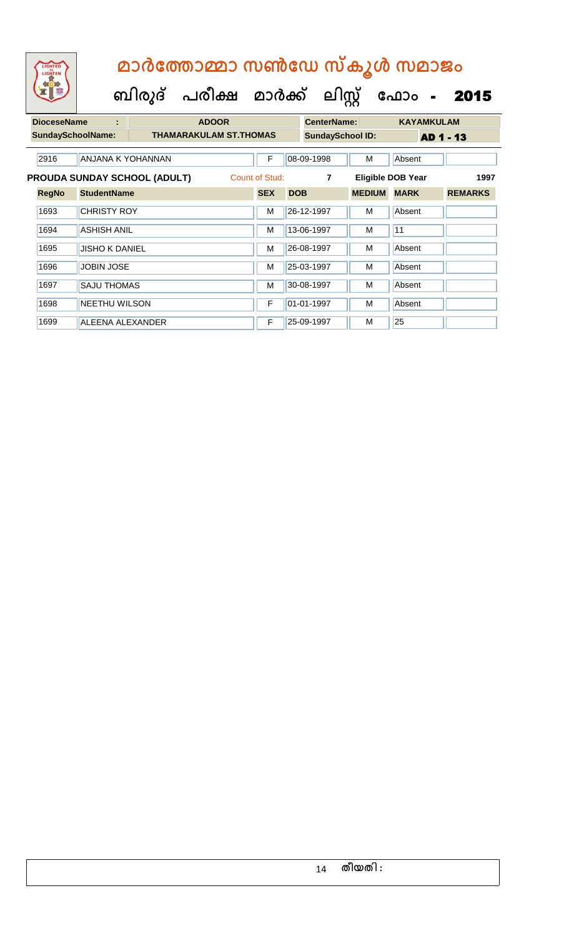| LIGHTED<br>LIGHTEN           |                    | മാർത്തോമ്മാ സൺഡേ സ്കൂൾ സമാജം |                               |                |                                |                    |                         |                          |                   |  |  |  |  |
|------------------------------|--------------------|------------------------------|-------------------------------|----------------|--------------------------------|--------------------|-------------------------|--------------------------|-------------------|--|--|--|--|
|                              |                    |                              |                               |                | ബിരുദ് പരീക്ഷ മാർക്ക് ലിസ്റ്റ് |                    |                         | ഫോം -                    | 2015              |  |  |  |  |
| <b>DioceseName</b>           |                    | ÷                            | <b>ADOOR</b>                  |                |                                | <b>CenterName:</b> |                         |                          | <b>KAYAMKULAM</b> |  |  |  |  |
| <b>SundaySchoolName:</b>     |                    |                              | <b>THAMARAKULAM ST.THOMAS</b> |                |                                |                    | <b>SundaySchool ID:</b> |                          | AD 1 - 13         |  |  |  |  |
| 2916                         |                    | <b>ANJANA K YOHANNAN</b>     |                               | F              |                                | 08-09-1998         | M                       | Absent                   |                   |  |  |  |  |
| PROUDA SUNDAY SCHOOL (ADULT) |                    |                              |                               | Count of Stud: |                                | 7                  |                         | <b>Eligible DOB Year</b> | 1997              |  |  |  |  |
| <b>RegNo</b>                 | <b>StudentName</b> |                              |                               | <b>SEX</b>     | <b>DOB</b>                     |                    | <b>MEDIUM</b>           | <b>MARK</b>              | <b>REMARKS</b>    |  |  |  |  |
| 1693                         | <b>CHRISTY ROY</b> |                              |                               | м              | 26-12-1997                     |                    | м                       | Absent                   |                   |  |  |  |  |

1694 | ASHISH ANIL M | 13-06-1997 | M | 11

1695 JUSHO K DANIEL M 26-08-1997 M Absent

1696 JJOBIN JOSE M 25-03-1997 M Absent 1697 SAJU THOMAS M 30-08-1997 M Absent

1698 NEETHU WILSON F 01-01-1997 M Absent

1699 | ALEENA ALEXANDER | F | 25-09-1997 | M | 25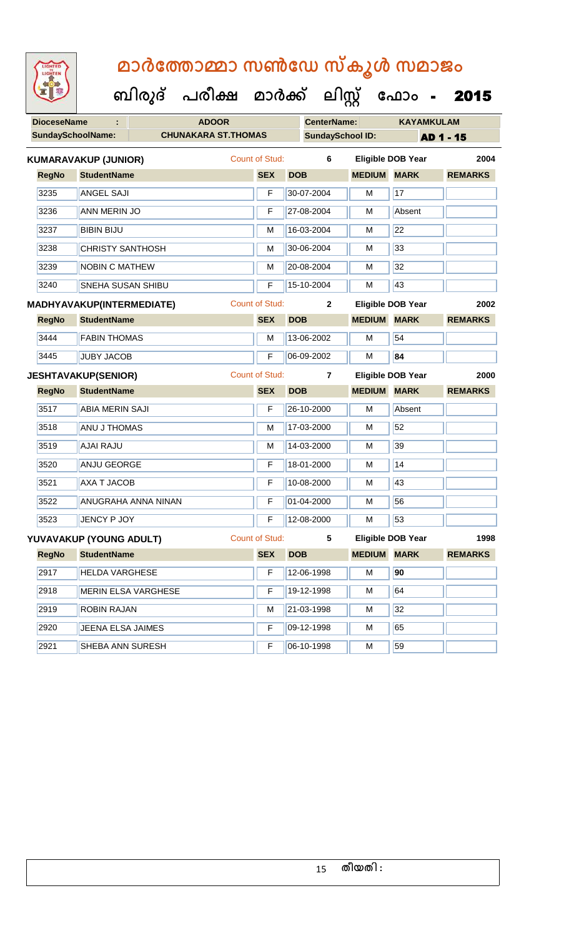| <b>IGHTED</b><br>HTE |
|----------------------|
|                      |
|                      |
|                      |

**DioceseName : ADOOR CenterName: KAYAMKULAM** SundaySchoolName: **CHUNAKARA ST.THOMAS** SundaySchool ID: **AD 1 - 15 ബിരുദ് പരീക്ഷ മാര്ക് ക ലിസ്റ്റ ക ഫ ാോം** - 2015 **RegNo StudentName SEX DOB MEDIUM MARK REMARKS KUMARAVAKUP (JUNIOR)** Count of Stud: **6 Eligible DOB Year 2004** 3235 ANGEL SAJI F 30-07-2004 M 17 3236 ANN MERIN JO F 27-08-2004 M Absent 3237 BIBIN BIJU M 16-03-2004 M 22 3238 CHRISTY SANTHOSH M 30-06-2004 M 33 3239 NOBIN C MATHEW M M 20-08-2004 M 32 3240 SNEHA SUSAN SHIBU F 15-10-2004 M 43 **RegNo StudentName SEX DOB MEDIUM MARK REMARKS MADHYAVAKUP(INTERMEDIATE)** Count of Stud: **2 Eligible DOB Year 2002** 3444 **FABIN THOMAS** M 13-06-2002 M 54 3445 JUBY JACOB F 06-09-2002 M **84 RegNo StudentName SEX DOB MEDIUM MARK REMARKS JESHTAVAKUP(SENIOR)** Count of Stud: **7 Eligible DOB Year 2000** 3517 ABIA MERIN SAJI F 26-10-2000 M Absent 3518 ANU J THOMAS M 17-03-2000 M 52 3519 AJAI RAJU M 14-03-2000 M 39 3520 ANJU GEORGE **F 18-01-2000** M 14 || 3521 || AXA T JACOB || F || 10-08-2000 || M || 43 3522 ANUGRAHA ANNA NINAN F 01-04-2000 M 56 3523 JENCY P JOY F 12-08-2000 M 53 **RegNo StudentName SEX DOB MEDIUM MARK REMARKS YUVAVAKUP (YOUNG ADULT)** Count of Stud: **5 Eligible DOB Year 1998** 2917 HELDA VARGHESE F 12-06-1998 M **90** 2918 MERIN ELSA VARGHESE F 19-12-1998 M 64 2919 ROBIN RAJAN M 21-03-1998 M 32 2920 JEENA ELSA JAIMES F 09-12-1998 M 65

2921 SHEBA ANN SURESH F 06-10-1998 M 59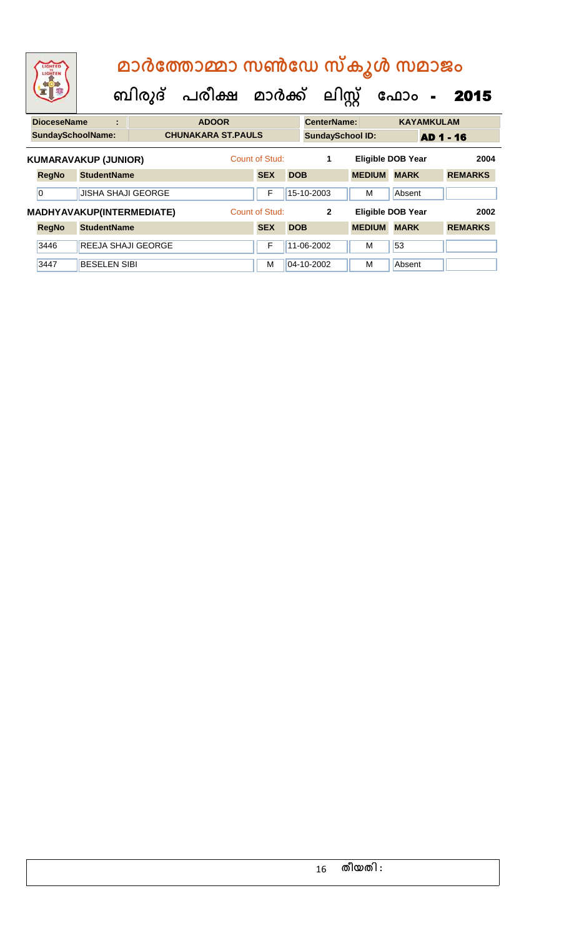| LIGHTED<br>LIGHTEN       |                             |                                  | മാർത്തോമ്മാ സൺഡേ സ്കൂൾ സമാജം<br>ബിരുദ് പരീക്ഷ മാർക്ക് ലിസ്റ്റ് |                |            |                         |               | ഫോം<br>$\blacksquare$    | 2015             |
|--------------------------|-----------------------------|----------------------------------|----------------------------------------------------------------|----------------|------------|-------------------------|---------------|--------------------------|------------------|
| <b>DioceseName</b>       | t                           |                                  | <b>ADOOR</b>                                                   |                |            | <b>CenterName:</b>      |               | <b>KAYAMKULAM</b>        |                  |
| <b>SundaySchoolName:</b> |                             |                                  | <b>CHUNAKARA ST.PAULS</b>                                      |                |            | <b>SundaySchool ID:</b> |               |                          | <b>AD 1 - 16</b> |
|                          | <b>KUMARAVAKUP (JUNIOR)</b> |                                  |                                                                | Count of Stud: |            | 1                       |               | <b>Eligible DOB Year</b> | 2004             |
| <b>RegNo</b>             | <b>StudentName</b>          |                                  |                                                                | <b>SEX</b>     | <b>DOB</b> |                         | <b>MEDIUM</b> | <b>MARK</b>              | <b>REMARKS</b>   |
| $\overline{0}$           | <b>JISHA SHAJI GEORGE</b>   |                                  |                                                                | F              |            | 15-10-2003              | м             | Absent                   |                  |
|                          |                             | <b>MADHYAVAKUP(INTERMEDIATE)</b> |                                                                | Count of Stud: |            | $\overline{2}$          |               | <b>Eligible DOB Year</b> | 2002             |
| <b>RegNo</b>             | <b>StudentName</b>          |                                  |                                                                | <b>SEX</b>     | <b>DOB</b> |                         | <b>MEDIUM</b> | <b>MARK</b>              | <b>REMARKS</b>   |
| 3446                     |                             | <b>REEJA SHAJI GEORGE</b>        |                                                                | F              |            | 11-06-2002              | M             | 53                       |                  |
| 3447                     | <b>BESELEN SIBI</b>         |                                  |                                                                | м              |            | 04-10-2002              | M             | Absent                   |                  |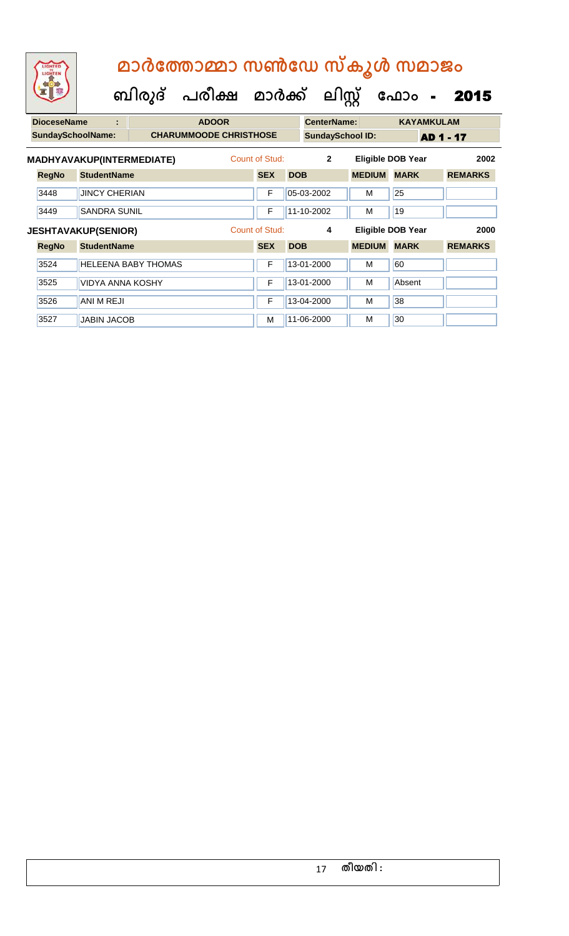| LIGHTED<br>LIGHTEN<br><b>DioceseName</b><br><b>SundaySchoolName:</b><br><b>RegNo</b><br>3448<br>3449<br><b>RegNo</b><br>3524<br>3525 |      | മാർത്തോമ്മാ സൺഡേ സ്കൂൾ സമാജം |                               |                |            |                         |               |                          |                   |                |
|--------------------------------------------------------------------------------------------------------------------------------------|------|------------------------------|-------------------------------|----------------|------------|-------------------------|---------------|--------------------------|-------------------|----------------|
|                                                                                                                                      |      | ബിരുദ്                       | പരീക്ഷ മാർക്ക്                |                |            | ലിസ്റ്റ്                |               | ഫോം                      | $\blacksquare$    | 2015           |
|                                                                                                                                      |      | ÷                            | <b>ADOOR</b>                  |                |            | CenterName:             |               |                          | <b>KAYAMKULAM</b> |                |
|                                                                                                                                      |      |                              | <b>CHARUMMOODE CHRISTHOSE</b> |                |            | <b>SundaySchool ID:</b> |               |                          | <b>AD 1 - 17</b>  |                |
|                                                                                                                                      |      | MADHYAVAKUP(INTERMEDIATE)    |                               | Count of Stud: |            | $\overline{2}$          |               | <b>Eligible DOB Year</b> |                   | 2002           |
|                                                                                                                                      |      | <b>StudentName</b>           |                               | <b>SEX</b>     | <b>DOB</b> |                         | <b>MEDIUM</b> | <b>MARK</b>              |                   | <b>REMARKS</b> |
|                                                                                                                                      |      | <b>JINCY CHERIAN</b>         |                               | F              |            | 05-03-2002              | м             | 25                       |                   |                |
|                                                                                                                                      |      | SANDRA SUNIL                 |                               | F              |            | 11-10-2002              | M             | 19                       |                   |                |
|                                                                                                                                      |      | <b>JESHTAVAKUP(SENIOR)</b>   |                               | Count of Stud: |            | 4                       |               | <b>Eligible DOB Year</b> |                   | 2000           |
|                                                                                                                                      |      | <b>StudentName</b>           |                               | <b>SEX</b>     | <b>DOB</b> |                         | <b>MEDIUM</b> | <b>MARK</b>              |                   | <b>REMARKS</b> |
|                                                                                                                                      |      | <b>HELEENA BABY THOMAS</b>   |                               | F              |            | 13-01-2000              | м             | 60                       |                   |                |
|                                                                                                                                      |      | <b>VIDYA ANNA KOSHY</b>      |                               | F              |            | 13-01-2000              | M             | Absent                   |                   |                |
|                                                                                                                                      | 3526 | <b>ANI M REJI</b>            |                               | F              |            | 13-04-2000              | м             | 38                       |                   |                |
|                                                                                                                                      | 3527 | <b>JABIN JACOB</b>           |                               | м              |            | 11-06-2000              | M             | 30                       |                   |                |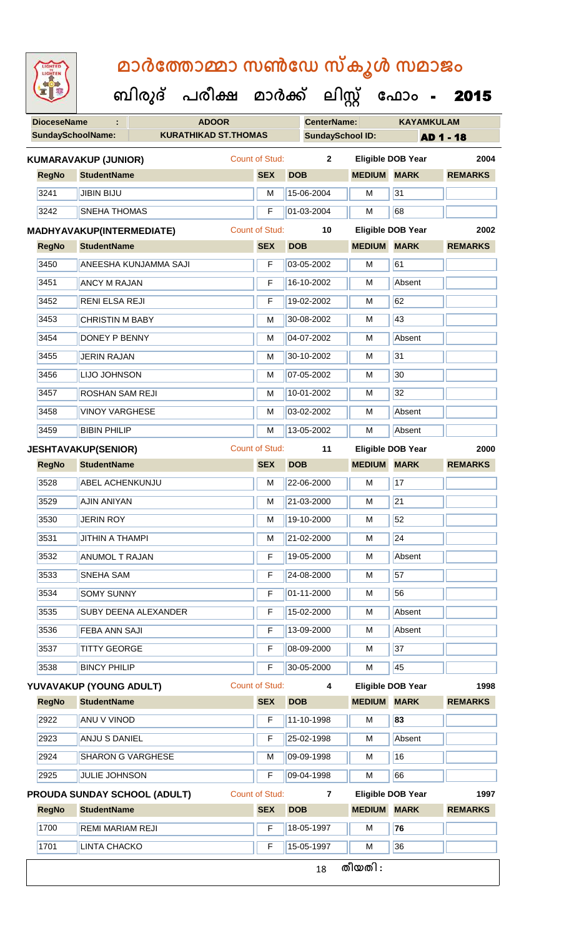| <b>IGHTED</b> |
|---------------|
|               |
|               |
|               |
|               |

| <b>DioceseName</b>       |                                                       | <b>ADOOR</b>                 |  |                       |            | <b>CenterName:</b>      |                                                                                       | <b>KAYAMKULAM</b>        |                  |  |
|--------------------------|-------------------------------------------------------|------------------------------|--|-----------------------|------------|-------------------------|---------------------------------------------------------------------------------------|--------------------------|------------------|--|
| <b>SundaySchoolName:</b> |                                                       | <b>KURATHIKAD ST.THOMAS</b>  |  |                       |            | <b>SundaySchool ID:</b> |                                                                                       |                          | <b>AD 1 - 18</b> |  |
|                          | <b>KUMARAVAKUP (JUNIOR)</b>                           |                              |  | Count of Stud:        |            | $\mathbf{2}$            |                                                                                       | <b>Eligible DOB Year</b> | 2004             |  |
| <b>RegNo</b>             | <b>StudentName</b>                                    |                              |  | <b>SEX</b>            | <b>DOB</b> |                         | <b>MEDIUM MARK</b>                                                                    |                          | <b>REMARKS</b>   |  |
| 3241                     | <b>JIBIN BIJU</b>                                     |                              |  | M                     | 15-06-2004 |                         | M                                                                                     | 31                       |                  |  |
| 3242                     | <b>SNEHA THOMAS</b>                                   |                              |  | F                     | 01-03-2004 |                         | M                                                                                     | 68                       |                  |  |
|                          | MADHYAVAKUP(INTERMEDIATE)                             |                              |  | <b>Count of Stud:</b> |            | 10                      |                                                                                       | <b>Eligible DOB Year</b> | 2002             |  |
| <b>RegNo</b>             | <b>StudentName</b>                                    |                              |  | <b>SEX</b>            | <b>DOB</b> |                         | <b>MEDIUM</b>                                                                         | <b>MARK</b>              | <b>REMARKS</b>   |  |
| 3450                     |                                                       | <b>ANEESHA KUNJAMMA SAJI</b> |  | F                     | 03-05-2002 |                         | M                                                                                     | 61                       |                  |  |
| 3451                     | <b>ANCY M RAJAN</b>                                   |                              |  | F                     | 16-10-2002 |                         | м                                                                                     | Absent                   |                  |  |
| 3452                     | <b>RENI ELSA REJI</b>                                 |                              |  | F                     | 19-02-2002 |                         | M                                                                                     | 62                       |                  |  |
| 3453                     | <b>CHRISTIN M BABY</b>                                |                              |  | M                     | 30-08-2002 |                         | м                                                                                     | 43                       |                  |  |
| 3454                     | DONEY P BENNY                                         |                              |  | M                     | 04-07-2002 |                         | M                                                                                     | Absent                   |                  |  |
| 3455                     | <b>JERIN RAJAN</b>                                    |                              |  | M                     | 30-10-2002 |                         | M                                                                                     | 31                       |                  |  |
| 3456                     | LIJO JOHNSON                                          |                              |  | M                     | 07-05-2002 |                         | M                                                                                     | 30                       |                  |  |
| 3457                     | <b>ROSHAN SAM REJI</b>                                |                              |  | M                     | 10-01-2002 |                         | M                                                                                     | 32                       |                  |  |
| 3458                     | <b>VINOY VARGHESE</b>                                 |                              |  | M                     | 03-02-2002 |                         | M                                                                                     | Absent                   |                  |  |
| 3459                     | <b>BIBIN PHILIP</b>                                   |                              |  | M                     | 13-05-2002 |                         | M                                                                                     | Absent                   |                  |  |
|                          | <b>JESHTAVAKUP(SENIOR)</b>                            |                              |  | <b>Count of Stud:</b> |            | 11                      |                                                                                       | Eligible DOB Year        | 2000             |  |
| <b>RegNo</b>             | <b>StudentName</b>                                    |                              |  | <b>SEX</b>            | <b>DOB</b> |                         | <b>MEDIUM</b>                                                                         | <b>MARK</b>              | <b>REMARKS</b>   |  |
| 3528                     | <b>ABEL ACHENKUNJU</b>                                |                              |  | M                     | 22-06-2000 |                         | M                                                                                     | 17                       |                  |  |
| 3529                     | <b>AJIN ANIYAN</b>                                    |                              |  | M                     | 21-03-2000 |                         | м                                                                                     | 21                       |                  |  |
| 3530                     | <b>JERIN ROY</b>                                      |                              |  | м                     | 19-10-2000 |                         | м                                                                                     | 52                       |                  |  |
| 3531                     | <b>JITHIN A THAMPI</b>                                |                              |  | M                     | 21-02-2000 |                         | $\mathsf{M}% _{T}=\mathsf{M}_{T}\!\left( a,b\right) ,\ \mathsf{M}_{T}=\mathsf{M}_{T}$ | $\overline{24}$          |                  |  |
| 3532                     | <b>ANUMOL T RAJAN</b>                                 |                              |  | F                     | 19-05-2000 |                         | M                                                                                     | Absent                   |                  |  |
| 3533                     | <b>SNEHA SAM</b>                                      |                              |  | F                     | 24-08-2000 |                         | м                                                                                     | 57                       |                  |  |
| 3534                     | <b>SOMY SUNNY</b>                                     |                              |  | F                     | 01-11-2000 |                         | M                                                                                     | 56                       |                  |  |
| 3535                     |                                                       | <b>SUBY DEENA ALEXANDER</b>  |  | F                     | 15-02-2000 |                         | м                                                                                     | Absent                   |                  |  |
| 3536                     | <b>FEBA ANN SAJI</b>                                  |                              |  | F                     | 13-09-2000 |                         | M                                                                                     | Absent                   |                  |  |
| 3537                     | <b>TITTY GEORGE</b>                                   |                              |  | F                     | 08-09-2000 |                         | M                                                                                     | 37                       |                  |  |
| 3538                     | <b>BINCY PHILIP</b>                                   |                              |  | F                     | 30-05-2000 |                         | м                                                                                     | 45                       |                  |  |
|                          | YUVAVAKUP (YOUNG ADULT)                               |                              |  | <b>Count of Stud:</b> |            | 4                       |                                                                                       | <b>Eligible DOB Year</b> | 1998             |  |
| <b>RegNo</b>             | <b>StudentName</b>                                    |                              |  | <b>SEX</b>            | <b>DOB</b> |                         | <b>MEDIUM MARK</b>                                                                    |                          | <b>REMARKS</b>   |  |
| 2922                     | ANU V VINOD                                           |                              |  | F                     | 11-10-1998 |                         | M                                                                                     | 83                       |                  |  |
| 2923                     | <b>ANJU S DANIEL</b>                                  |                              |  | F                     | 25-02-1998 |                         | M                                                                                     | Absent                   |                  |  |
| 2924                     | <b>SHARON G VARGHESE</b>                              |                              |  | M                     | 09-09-1998 |                         | M                                                                                     | 16                       |                  |  |
| 2925                     | <b>JULIE JOHNSON</b>                                  |                              |  | F                     | 09-04-1998 |                         | M                                                                                     | 66                       |                  |  |
|                          | <b>Count of Stud:</b><br>PROUDA SUNDAY SCHOOL (ADULT) |                              |  |                       |            | $\overline{7}$          |                                                                                       | <b>Eligible DOB Year</b> | 1997             |  |
| <b>RegNo</b>             | <b>StudentName</b>                                    |                              |  | <b>SEX</b>            | <b>DOB</b> |                         | <b>MEDIUM</b>                                                                         | <b>MARK</b>              | <b>REMARKS</b>   |  |
| 1700                     | <b>REMI MARIAM REJI</b>                               |                              |  | F                     | 18-05-1997 |                         | M                                                                                     | 76                       |                  |  |
| 1701                     | <b>LINTA CHACKO</b>                                   |                              |  | F                     | 15-05-1997 |                         | M                                                                                     | 36                       |                  |  |
|                          |                                                       |                              |  |                       |            | 18                      | തീയതി :                                                                               |                          |                  |  |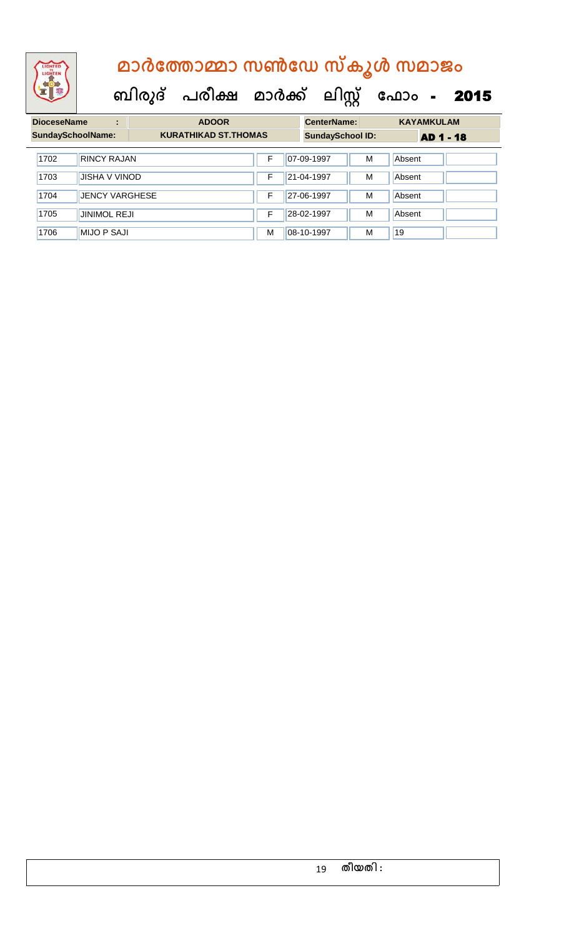| <b>DioceseName</b><br>÷  |                       | <b>ADOOR</b>                |    |  | <b>CenterName:</b>      |   | <b>KAYAMKULAM</b> |  |  |
|--------------------------|-----------------------|-----------------------------|----|--|-------------------------|---|-------------------|--|--|
| <b>SundaySchoolName:</b> |                       | <b>KURATHIKAD ST.THOMAS</b> |    |  | <b>SundaySchool ID:</b> |   | AD 1 - 18         |  |  |
| 1702                     | <b>RINCY RAJAN</b>    |                             | F  |  | 07-09-1997              | M | Absent            |  |  |
| 1703                     | <b>JISHA V VINOD</b>  |                             | F. |  | 21-04-1997              | M | Absent            |  |  |
| 1704                     | <b>JENCY VARGHESE</b> |                             | F  |  | 27-06-1997              | M | Absent            |  |  |
| 1705                     | <b>JINIMOL REJI</b>   |                             | F  |  | 28-02-1997              | M | Absent            |  |  |
| 1706                     | <b>MIJO P SAJI</b>    |                             | м  |  | 08-10-1997              | M | 19                |  |  |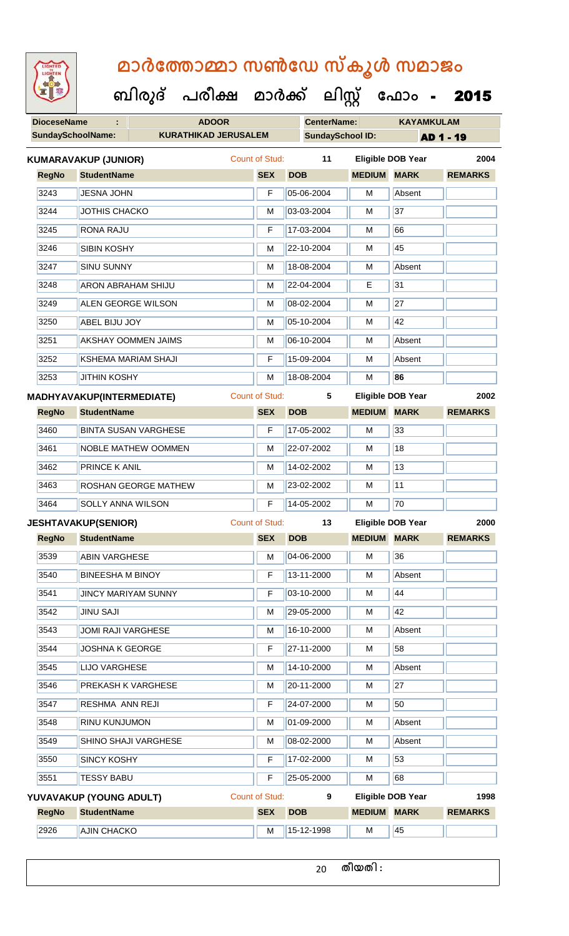| <b>IGHTED</b> |
|---------------|
|               |
|               |
|               |
|               |

**DioceseName : ADOOR CenterName: KAYAMKULAM** SundaySchoolName: **KURATHIKAD JERUSALEM** SundaySchool ID: **AD 1 - 19 ബിരുദ് പരീക്ഷ മാര്ക് ക ലിസ്റ്റ ക ഫ ാോം** - 2015 **RegNo StudentName SEX DOB MEDIUM MARK REMARKS KUMARAVAKUP (JUNIOR)** Count of Stud: **11 Eligible DOB Year 2004** 3243 JESNA JOHN F 05-06-2004 M Absent 3244 JJOTHIS CHACKO M 103-03-2004 M 37 3245 RONA RAJU F 17-03-2004 M 66 3246 SIBIN KOSHY M 22-10-2004 M 45 3247 SINU SUNNY M 18-08-2004 M Absent 3248 ARON ABRAHAM SHIJU M 22-04-2004 E 31 3249 ALEN GEORGE WILSON M M 08-02-2004 M 27 3250 ABEL BIJU JOY M 05-10-2004 M 42 3251 AKSHAY OOMMEN JAIMS M M 06-10-2004 M Absent 3252 KSHEMA MARIAM SHAJI F 15-09-2004 M Absent 3253 JITHIN KOSHY M 18-08-2004 M **86 RegNo StudentName SEX DOB MEDIUM MARK REMARKS MADHYAVAKUP(INTERMEDIATE)** Count of Stud: **5 Eligible DOB Year 2002** 3460 BINTA SUSAN VARGHESE **F** 17-05-2002 M 33 3461 NOBLE MATHEW OOMMEN M 22-07-2002 M 18 3462 PRINCE K ANIL M 14-02-2002 M 13 3463 ROSHAN GEORGE MATHEW M 23-02-2002 M 11 3464 SOLLY ANNA WILSON F 14-05-2002 M 70 **RegNo StudentName SEX DOB MEDIUM MARK REMARKS JESHTAVAKUP(SENIOR)** Count of Stud: **13 Eligible DOB Year 2000** 3539 ABIN VARGHESE M M 04-06-2000 M 36 3540 BINEESHA M BINOY F 13-11-2000 M Absent

3541 JINCY MARIYAM SUNNY F 03-10-2000 M 44 3542 JINU SAJI M 29-05-2000 M 42 3543 JJOMI RAJI VARGHESE M M 16-10-2000 M Absent 3544 JOSHNA K GEORGE F 27-11-2000 M 58 3545 LIJO VARGHESE M 14-10-2000 M Absent 3546 **PREKASH K VARGHESE** M 20-11-2000 M 27 3547 RESHMA ANN REJI F 24-07-2000 M 50 3548 **RINU KUNJUMON** M **M** 01-09-2000 **M** Absent 3549 SHINO SHAJI VARGHESE M M 08-02-2000 M Absent 3550 SINCY KOSHY **F** 17-02-2000 M 53 3551 TESSY BABU F 25-05-2000 M 68 **RegNo StudentName SEX DOB MEDIUM MARK REMARKS YUVAVAKUP (YOUNG ADULT)** Count of Stud: **9 Eligible DOB Year 1998** 2926 AJIN CHACKO M 15-12-1998 M 15-12-1998 M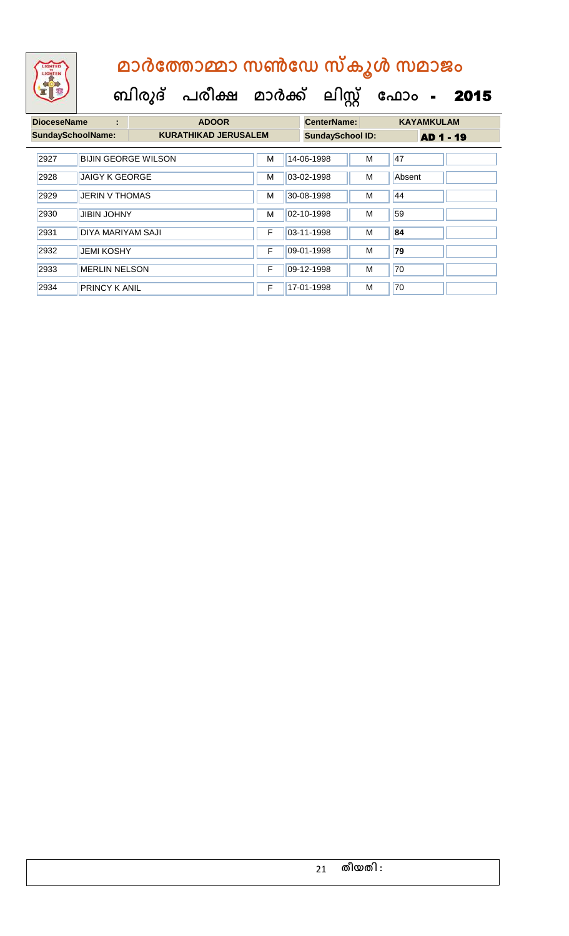| <b>DioceseName</b><br>÷  |                       | <b>ADOOR</b>                |   |  | <b>CenterName:</b>      |   | <b>KAYAMKULAM</b> |  |  |
|--------------------------|-----------------------|-----------------------------|---|--|-------------------------|---|-------------------|--|--|
| <b>SundaySchoolName:</b> |                       | <b>KURATHIKAD JERUSALEM</b> |   |  | <b>SundaySchool ID:</b> |   | <b>AD 1 - 19</b>  |  |  |
| 2927                     |                       | <b>BIJIN GEORGE WILSON</b>  | M |  | 14-06-1998              | M | 47                |  |  |
| 2928                     | <b>JAIGY K GEORGE</b> |                             | м |  | 03-02-1998              | М | Absent            |  |  |
| 2929                     | <b>JERIN V THOMAS</b> |                             | м |  | 30-08-1998              | м | 44                |  |  |
| 2930                     | <b>JIBIN JOHNY</b>    |                             | M |  | 02-10-1998              | M | 59                |  |  |
| 2931                     | DIYA MARIYAM SAJI     |                             | F |  | 03-11-1998              | M | 84                |  |  |
| 2932                     | <b>JEMI KOSHY</b>     |                             | F |  | 09-01-1998              | M | 79                |  |  |
| 2933                     | <b>MERLIN NELSON</b>  |                             | F |  | 09-12-1998              | М | 70                |  |  |
| 2934                     | <b>PRINCY K ANIL</b>  |                             |   |  | 17-01-1998              | M | 70                |  |  |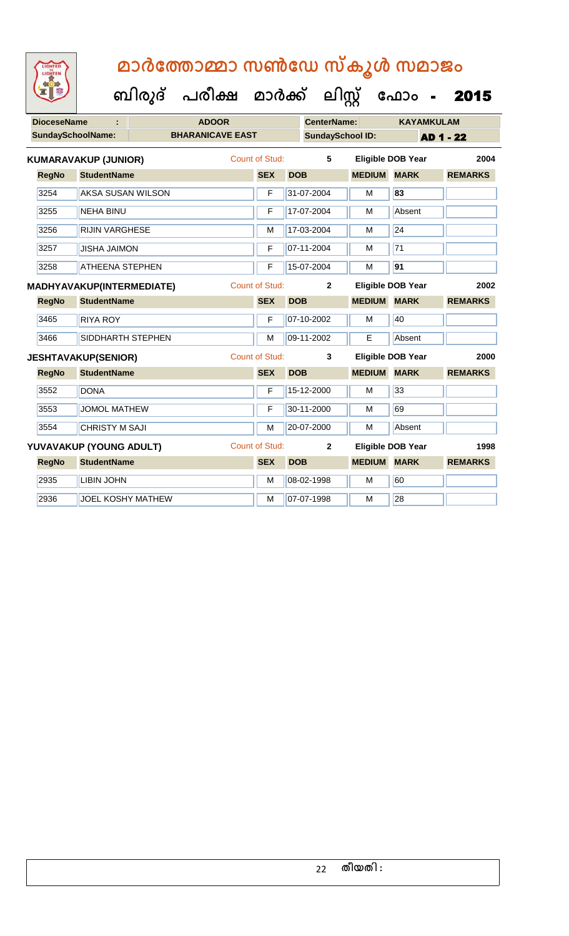| <b>DioceseName</b>                                                                                       |                                                                                                                                                                                                     |  | <b>ADOOR</b>            |                       |            | <b>CenterName:</b>      |                    | <b>KAYAMKULAM</b>        |                  |  |
|----------------------------------------------------------------------------------------------------------|-----------------------------------------------------------------------------------------------------------------------------------------------------------------------------------------------------|--|-------------------------|-----------------------|------------|-------------------------|--------------------|--------------------------|------------------|--|
|                                                                                                          | <b>SundaySchoolName:</b>                                                                                                                                                                            |  | <b>BHARANICAVE EAST</b> |                       |            | <b>SundaySchool ID:</b> |                    |                          | <b>AD 1 - 22</b> |  |
|                                                                                                          | <b>KUMARAVAKUP (JUNIOR)</b>                                                                                                                                                                         |  |                         | <b>Count of Stud:</b> |            | 5                       |                    | <b>Eligible DOB Year</b> | 2004             |  |
| <b>RegNo</b>                                                                                             | <b>StudentName</b>                                                                                                                                                                                  |  |                         | <b>SEX</b>            | <b>DOB</b> |                         | <b>MEDIUM</b>      | <b>MARK</b>              | <b>REMARKS</b>   |  |
| 3254                                                                                                     | <b>AKSA SUSAN WILSON</b>                                                                                                                                                                            |  |                         | F                     |            | 31-07-2004              | M                  | 83                       |                  |  |
| 3255                                                                                                     | <b>NEHA BINU</b>                                                                                                                                                                                    |  | F                       |                       | 17-07-2004 | M                       | Absent             |                          |                  |  |
| 3256                                                                                                     | <b>RIJIN VARGHESE</b>                                                                                                                                                                               |  |                         | M                     |            | 17-03-2004              | M                  | 24                       |                  |  |
| 3257                                                                                                     |                                                                                                                                                                                                     |  |                         | F                     |            | 07-11-2004              | M                  | 71                       |                  |  |
| 3258<br><b>ATHEENA STEPHEN</b><br><b>MADHYAVAKUP(INTERMEDIATE)</b><br><b>StudentName</b><br><b>RegNo</b> |                                                                                                                                                                                                     |  |                         | F                     |            | 15-07-2004              | M                  | 91                       |                  |  |
|                                                                                                          |                                                                                                                                                                                                     |  |                         | <b>Count of Stud:</b> |            | $\overline{2}$          |                    | <b>Eligible DOB Year</b> | 2002             |  |
|                                                                                                          |                                                                                                                                                                                                     |  |                         | <b>SEX</b>            | <b>DOB</b> |                         | <b>MEDIUM</b>      | <b>MARK</b>              | <b>REMARKS</b>   |  |
| 3465                                                                                                     | <b>RIYA ROY</b>                                                                                                                                                                                     |  |                         | F                     |            | 07-10-2002              | M                  | 40                       |                  |  |
| 3466                                                                                                     |                                                                                                                                                                                                     |  |                         | M                     |            | 09-11-2002              | E                  | Absent                   |                  |  |
|                                                                                                          | <b>JISHA JAIMON</b><br>SIDDHARTH STEPHEN<br><b>JESHTAVAKUP(SENIOR)</b><br><b>RegNo</b><br><b>StudentName</b><br>3552<br><b>DONA</b><br>3553<br><b>JOMOL MATHEW</b><br>3554<br><b>CHRISTY M SAJI</b> |  |                         | <b>Count of Stud:</b> |            | 3                       |                    | <b>Eligible DOB Year</b> | 2000             |  |
|                                                                                                          |                                                                                                                                                                                                     |  |                         | <b>SEX</b>            | <b>DOB</b> |                         | <b>MEDIUM MARK</b> |                          | <b>REMARKS</b>   |  |
|                                                                                                          |                                                                                                                                                                                                     |  |                         | F                     |            | 15-12-2000              | M                  | 33                       |                  |  |
|                                                                                                          |                                                                                                                                                                                                     |  |                         | F                     |            | 30-11-2000              | M                  | 69                       |                  |  |
|                                                                                                          |                                                                                                                                                                                                     |  |                         | M                     |            | 20-07-2000              | M                  | Absent                   |                  |  |
|                                                                                                          | YUVAVAKUP (YOUNG ADULT)                                                                                                                                                                             |  |                         | <b>Count of Stud:</b> |            | $\mathbf{2}$            |                    | <b>Eligible DOB Year</b> | 1998             |  |
| <b>RegNo</b>                                                                                             | <b>StudentName</b>                                                                                                                                                                                  |  |                         | <b>SEX</b>            | <b>DOB</b> |                         | <b>MEDIUM</b>      | <b>MARK</b>              | <b>REMARKS</b>   |  |
| 2935                                                                                                     | <b>LIBIN JOHN</b>                                                                                                                                                                                   |  |                         | M                     |            | 08-02-1998              | M                  | 60                       |                  |  |
| 2936                                                                                                     | <b>JOEL KOSHY MATHEW</b>                                                                                                                                                                            |  |                         | M                     |            | 07-07-1998              | M                  | 28                       |                  |  |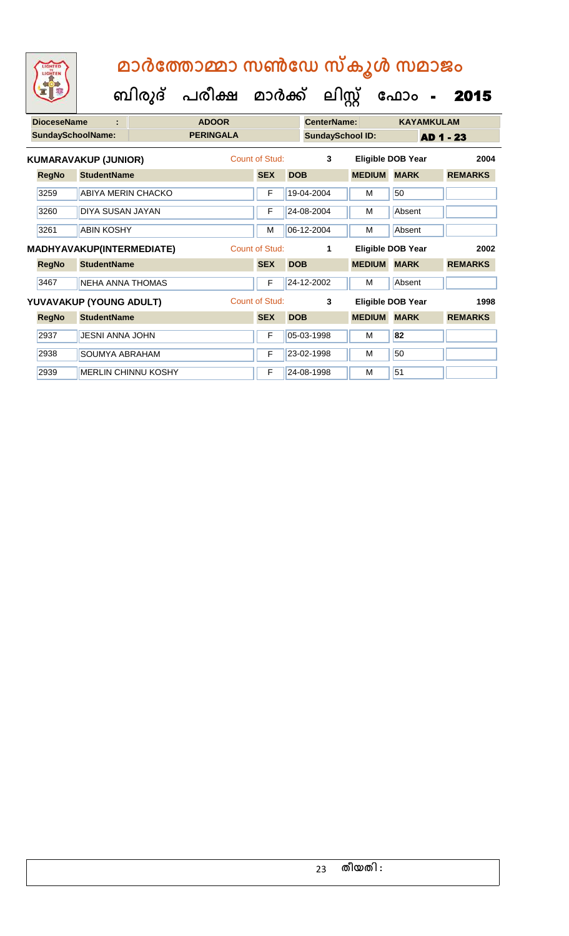| <b>DioceseName</b><br>÷                                                                                                                                                                                                                                                                                                                                          |                                                     |  | <b>ADOOR</b>     |                |                |            |                         | <b>CenterName:</b> |    |                          | <b>KAYAMKULAM</b> |                |  |
|------------------------------------------------------------------------------------------------------------------------------------------------------------------------------------------------------------------------------------------------------------------------------------------------------------------------------------------------------------------|-----------------------------------------------------|--|------------------|----------------|----------------|------------|-------------------------|--------------------|----|--------------------------|-------------------|----------------|--|
|                                                                                                                                                                                                                                                                                                                                                                  |                                                     |  | <b>PERINGALA</b> |                |                |            | <b>SundaySchool ID:</b> |                    |    | AD 1 - 23                |                   |                |  |
| <b>SundaySchoolName:</b><br><b>KUMARAVAKUP (JUNIOR)</b><br><b>StudentName</b><br><b>RegNo</b><br>3259<br>ABIYA MERIN CHACKO<br>3260<br>DIYA SUSAN JAYAN<br>3261<br><b>ABIN KOSHY</b><br><b>StudentName</b><br><b>RegNo</b><br><b>NEHA ANNA THOMAS</b><br>3467<br>YUVAVAKUP (YOUNG ADULT)<br><b>RegNo</b><br><b>StudentName</b><br>2937<br><b>JESNI ANNA JOHN</b> |                                                     |  |                  |                | Count of Stud: |            | 3                       |                    |    | <b>Eligible DOB Year</b> |                   | 2004           |  |
|                                                                                                                                                                                                                                                                                                                                                                  |                                                     |  |                  |                | <b>SEX</b>     | <b>DOB</b> |                         | <b>MEDIUM</b>      |    | <b>MARK</b>              |                   | <b>REMARKS</b> |  |
|                                                                                                                                                                                                                                                                                                                                                                  |                                                     |  |                  |                | F              |            | 19-04-2004              | м                  | 50 |                          |                   |                |  |
|                                                                                                                                                                                                                                                                                                                                                                  |                                                     |  |                  |                | F              |            | 24-08-2004              | M                  |    | Absent                   |                   |                |  |
|                                                                                                                                                                                                                                                                                                                                                                  |                                                     |  |                  |                | M              |            | 06-12-2004              | M                  |    | Absent                   |                   |                |  |
| <b>MADHYAVAKUP(INTERMEDIATE)</b>                                                                                                                                                                                                                                                                                                                                 |                                                     |  |                  | Count of Stud: | 1              |            | Eligible DOB Year       |                    |    | 2002                     |                   |                |  |
|                                                                                                                                                                                                                                                                                                                                                                  |                                                     |  |                  |                | <b>SEX</b>     | <b>DOB</b> |                         | <b>MEDIUM</b>      |    | <b>MARK</b>              |                   | <b>REMARKS</b> |  |
|                                                                                                                                                                                                                                                                                                                                                                  |                                                     |  |                  |                | F              |            | 24-12-2002              | м                  |    | Absent                   |                   |                |  |
|                                                                                                                                                                                                                                                                                                                                                                  |                                                     |  |                  |                | Count of Stud: |            | 3                       |                    |    | <b>Eligible DOB Year</b> |                   | 1998           |  |
|                                                                                                                                                                                                                                                                                                                                                                  |                                                     |  |                  |                | <b>SEX</b>     | <b>DOB</b> |                         | <b>MEDIUM MARK</b> |    |                          |                   | <b>REMARKS</b> |  |
|                                                                                                                                                                                                                                                                                                                                                                  |                                                     |  |                  |                | F              |            | 05-03-1998              | м                  | 82 |                          |                   |                |  |
| 2938                                                                                                                                                                                                                                                                                                                                                             | <b>SOUMYA ABRAHAM</b><br><b>MERLIN CHINNU KOSHY</b> |  |                  |                | F              |            | 23-02-1998              | M                  | 50 |                          |                   |                |  |
| 2939                                                                                                                                                                                                                                                                                                                                                             |                                                     |  |                  |                | F              |            | 24-08-1998              | М                  | 51 |                          |                   |                |  |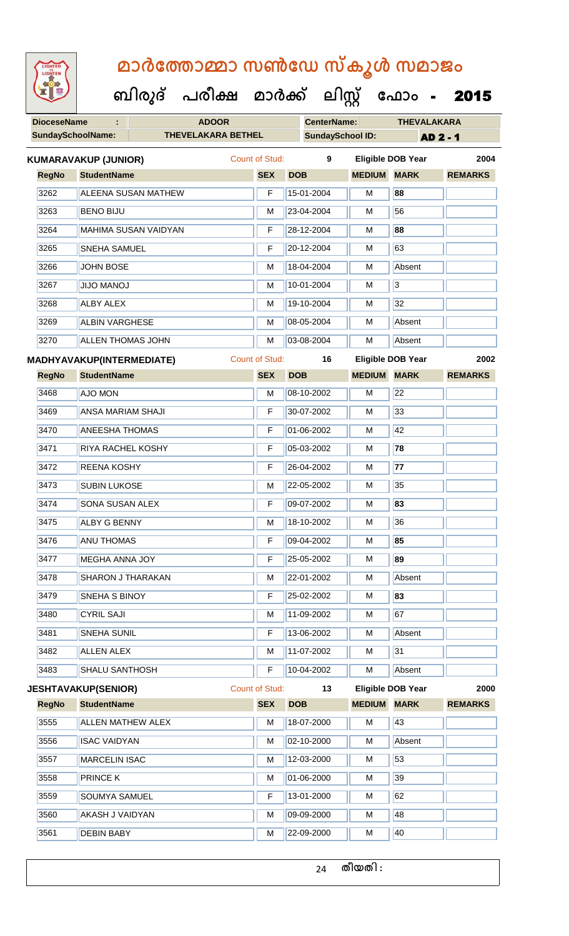| <b>IGHTED</b> |
|---------------|
|               |
|               |
|               |
|               |

 **ബിരുദ് പരീക്ഷ മാര്ക് ക ലിസ്റ്റ ക ഫ ാോം** - 2015

| <b>DioceseName</b>                                                                 |                             | <b>ADOOR</b>               |                       | <b>CenterName:</b> |                         | <b>THEVALAKARA</b>       |                 |  |  |
|------------------------------------------------------------------------------------|-----------------------------|----------------------------|-----------------------|--------------------|-------------------------|--------------------------|-----------------|--|--|
|                                                                                    | <b>SundaySchoolName:</b>    | <b>THEVELAKARA BETHEL</b>  |                       |                    | <b>SundaySchool ID:</b> |                          | <b>AD 2 - 1</b> |  |  |
|                                                                                    | <b>KUMARAVAKUP (JUNIOR)</b> |                            | <b>Count of Stud:</b> | 9                  |                         | <b>Eligible DOB Year</b> | 2004            |  |  |
| <b>RegNo</b>                                                                       | <b>StudentName</b>          |                            | <b>SEX</b>            | <b>DOB</b>         | <b>MEDIUM MARK</b>      |                          | <b>REMARKS</b>  |  |  |
| 3262                                                                               |                             | <b>ALEENA SUSAN MATHEW</b> | F                     | 15-01-2004         | М                       | 88                       |                 |  |  |
| 3263                                                                               | <b>BENO BIJU</b>            |                            | M                     | 23-04-2004         | M                       | 56                       |                 |  |  |
| 3264                                                                               |                             | MAHIMA SUSAN VAIDYAN       | F                     | 28-12-2004         | M                       | 88                       |                 |  |  |
| 3265                                                                               | <b>SNEHA SAMUEL</b>         |                            | F                     | 20-12-2004         | M                       | 63                       |                 |  |  |
| 3266                                                                               | <b>JOHN BOSE</b>            |                            | M                     | 18-04-2004         | M                       | Absent                   |                 |  |  |
| 3267                                                                               | <b>JIJO MANOJ</b>           |                            | M                     | 10-01-2004         | M                       | $\overline{3}$           |                 |  |  |
| 3268                                                                               | <b>ALBY ALEX</b>            |                            | М                     | 19-10-2004         | М                       | 32                       |                 |  |  |
| 3269                                                                               | <b>ALBIN VARGHESE</b>       |                            | M                     | 08-05-2004         | М                       | Absent                   |                 |  |  |
| 3270<br><b>RegNo</b><br>3468<br>AJO MON<br>3469                                    |                             |                            | M                     | 03-08-2004         | M                       | Absent                   |                 |  |  |
| <b>ALLEN THOMAS JOHN</b><br><b>MADHYAVAKUP(INTERMEDIATE)</b><br><b>StudentName</b> |                             |                            | <b>Count of Stud:</b> | 16                 |                         | <b>Eligible DOB Year</b> | 2002            |  |  |
|                                                                                    |                             |                            | <b>SEX</b>            | <b>DOB</b>         | <b>MEDIUM</b>           | <b>MARK</b>              | <b>REMARKS</b>  |  |  |
|                                                                                    |                             |                            | M                     | 08-10-2002         | M                       | $\overline{22}$          |                 |  |  |
|                                                                                    | <b>ANSA MARIAM SHAJI</b>    |                            | F                     | 30-07-2002         | M                       | 33                       |                 |  |  |
| 3470                                                                               | <b>ANEESHA THOMAS</b>       |                            | F                     | 01-06-2002         | M                       | 42                       |                 |  |  |
| 3471                                                                               | RIYA RACHEL KOSHY           |                            | F                     | 05-03-2002         | М                       | 78                       |                 |  |  |
| 3472                                                                               | REENA KOSHY                 |                            | F                     | 26-04-2002         | M                       | $\overline{77}$          |                 |  |  |
| 3473                                                                               | <b>SUBIN LUKOSE</b>         |                            | M                     | 22-05-2002         | M                       | 35                       |                 |  |  |
| 3474                                                                               | <b>SONA SUSAN ALEX</b>      |                            | F                     | 09-07-2002         | M                       | 83                       |                 |  |  |
| 3475                                                                               | <b>ALBY G BENNY</b>         |                            | M                     | 18-10-2002         | М                       | 36                       |                 |  |  |
| 3476                                                                               | <b>ANU THOMAS</b>           |                            | F                     | 09-04-2002         | M                       | 85                       |                 |  |  |
| 3477                                                                               | <b>MEGHA ANNA JOY</b>       |                            | F                     | 25-05-2002         | М                       | 89                       |                 |  |  |
| 3478                                                                               | <b>SHARON J THARAKAN</b>    |                            | М                     | 22-01-2002         | М                       | Absent                   |                 |  |  |
| 3479                                                                               | SNEHA S BINOY               |                            | F                     | 25-02-2002         | M                       | 83                       |                 |  |  |
| 3480                                                                               | <b>CYRIL SAJI</b>           |                            | м                     | 11-09-2002         | М                       | 67                       |                 |  |  |
| 3481                                                                               | <b>SNEHA SUNIL</b>          |                            | F                     | 13-06-2002         | М                       | Absent                   |                 |  |  |
| 3482                                                                               | <b>ALLEN ALEX</b>           |                            | М                     | 11-07-2002         | M                       | $\overline{31}$          |                 |  |  |
| 3483                                                                               | SHALU SANTHOSH              |                            | F                     | 10-04-2002         | М                       | Absent                   |                 |  |  |
|                                                                                    | <b>JESHTAVAKUP(SENIOR)</b>  |                            | <b>Count of Stud:</b> | 13                 |                         | <b>Eligible DOB Year</b> | 2000            |  |  |
| <b>RegNo</b>                                                                       | <b>StudentName</b>          |                            | <b>SEX</b>            | <b>DOB</b>         | <b>MEDIUM MARK</b>      |                          | <b>REMARKS</b>  |  |  |
| 3555                                                                               | ALLEN MATHEW ALEX           |                            | М                     | 18-07-2000         | M                       | 43                       |                 |  |  |
| 3556                                                                               | <b>ISAC VAIDYAN</b>         |                            | М                     | 02-10-2000         | M                       | Absent                   |                 |  |  |
| 3557                                                                               | <b>MARCELIN ISAC</b>        |                            | м                     | 12-03-2000         | М                       | 53                       |                 |  |  |
| 3558                                                                               | PRINCE K                    |                            | М                     | 01-06-2000         | М                       | 39                       |                 |  |  |
| 3559                                                                               | SOUMYA SAMUEL               |                            | F                     | 13-01-2000         | M                       | 62                       |                 |  |  |
| 3560                                                                               | AKASH J VAIDYAN             |                            | М                     | 09-09-2000         | М                       | 48                       |                 |  |  |
| 3561                                                                               | <b>DEBIN BABY</b>           |                            | М                     | 22-09-2000         | М                       | 40                       |                 |  |  |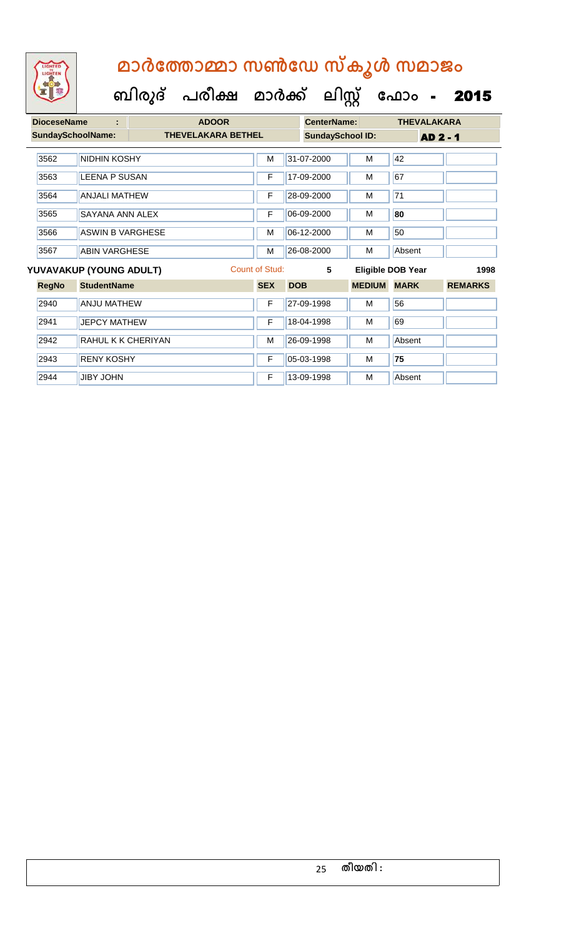

| <b>DioceseName</b>       | ÷                       | <b>ADOOR</b>              |                |            | <b>CenterName:</b>      |               | <b>THEVALAKARA</b>       |                |  |
|--------------------------|-------------------------|---------------------------|----------------|------------|-------------------------|---------------|--------------------------|----------------|--|
| <b>SundaySchoolName:</b> |                         | <b>THEVELAKARA BETHEL</b> |                |            | <b>SundaySchool ID:</b> |               | <b>AD 2 - 1</b>          |                |  |
|                          |                         |                           |                |            |                         |               |                          |                |  |
| 3562                     | NIDHIN KOSHY            |                           | M              |            | 31-07-2000              | M             | 42                       |                |  |
| 3563                     | <b>LEENA P SUSAN</b>    |                           | $\mathsf F$    |            | 17-09-2000              | M             | 67                       |                |  |
| 3564                     | <b>ANJALI MATHEW</b>    |                           | F              |            | 28-09-2000              | М             | 71                       |                |  |
| 3565                     | SAYANA ANN ALEX         |                           | $\mathsf F$    |            | 06-09-2000              | М             | 80                       |                |  |
| 3566                     | <b>ASWIN B VARGHESE</b> |                           | M              |            | 06-12-2000              | М             | 50                       |                |  |
| 3567                     | <b>ABIN VARGHESE</b>    |                           | M              |            | 26-08-2000              | M             | Absent                   |                |  |
|                          | YUVAVAKUP (YOUNG ADULT) |                           | Count of Stud: |            | 5                       |               | <b>Eligible DOB Year</b> | 1998           |  |
| <b>RegNo</b>             | <b>StudentName</b>      |                           | <b>SEX</b>     | <b>DOB</b> |                         | <b>MEDIUM</b> | <b>MARK</b>              | <b>REMARKS</b> |  |
| 2940                     | <b>ANJU MATHEW</b>      |                           | F              |            | 27-09-1998              | м             | 56                       |                |  |
| 2941                     | <b>JEPCY MATHEW</b>     |                           | $\mathsf{F}$   |            | 18-04-1998              | М             | 69                       |                |  |
| 2942                     | RAHUL K K CHERIYAN      |                           |                |            | 26-09-1998              | M             | Absent                   |                |  |
| 2943                     | <b>RENY KOSHY</b>       |                           |                |            | 05-03-1998              | М             | 75                       |                |  |
| 2944                     | <b>JIBY JOHN</b>        |                           | $\mathsf F$    |            | 13-09-1998              | M             | Absent                   |                |  |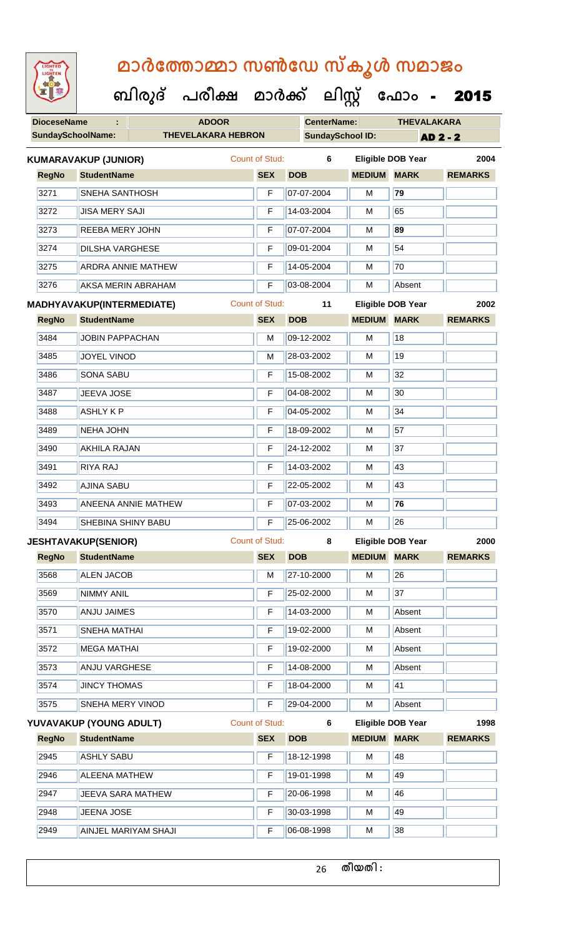| <b>IGHTED</b> |  |
|---------------|--|
|               |  |
|               |  |
|               |  |
|               |  |
|               |  |

**DioceseName : ADOOR CenterName: THEVALAKARA** SundaySchoolName: THEVELAKARA HEBRON **SundaySchool ID:** AD 2 - 2  **ബിരുദ് പരീക്ഷ മാര്ക് ക ലിസ്റ്റ ക ഫ ാോം** - 2015 **RegNo StudentName SEX DOB MEDIUM MARK REMARKS KUMARAVAKUP (JUNIOR)** Count of Stud: **6 Eligible DOB Year 2004** 3271 SNEHA SANTHOSH F 07-07-2004 M **79** 3272 JISA MERY SAJI F 14-03-2004 M 65 3273 REEBA MERY JOHN F 07-07-2004 M **89** 3274 DILSHA VARGHESE F 09-01-2004 M 54 3275 ARDRA ANNIE MATHEW **F** 14-05-2004 M 70 3276 AKSA MERIN ABRAHAM F 03-08-2004 M Absent **RegNo StudentName SEX DOB MEDIUM MARK REMARKS MADHYAVAKUP(INTERMEDIATE)** Count of Stud: **11 Eligible DOB Year 2002** 3484 JJOBIN PAPPACHAN M M 09-12-2002 M 18 3485 JJOYEL VINOD M 28-03-2002 M 19 3486 SONA SABU F 15-08-2002 M 32 3487 JJEEVA JOSE **F 04-08-2002 M** 30 3488 ASHLY K P F 04-05-2002 M 34 3489 NEHA JOHN F 18-09-2002 M 57 3490 AKHILA RAJAN F 24-12-2002 M 37 3491 RIYA RAJ F 14-03-2002 M 43 3492 AJINA SABU F 22-05-2002 M 43 3493 ANEENA ANNIE MATHEW F 07-03-2002 M **76** 3494 SHEBINA SHINY BABU F 25-06-2002 M 26 **RegNo StudentName SEX DOB MEDIUM MARK REMARKS JESHTAVAKUP(SENIOR)** Count of Stud: **8 Eligible DOB Year 2000** 3568 ALEN JACOB M 27-10-2000 M 27-10-2000 3569 NIMMY ANIL F 25-02-2000 M 37 3570 ANJU JAIMES F 14-03-2000 M Absent

3571 SNEHA MATHAI F 19-02-2000 M Absent 3572 MEGA MATHAI **F 19-02-2000** M Absent 3573 ANJU VARGHESE F 14-08-2000 M Absent 3574 JUNCY THOMAS F 18-04-2000 M 41 3575 SNEHA MERY VINOD F 29-04-2000 M Absent **RegNo StudentName SEX DOB MEDIUM MARK REMARKS YUVAVAKUP (YOUNG ADULT)** Count of Stud: **6 Eligible DOB Year 1998** 2945 ASHLY SABU **F 18-12-1998 M** 48 2946 ALEENA MATHEW F 19-01-1998 M 19 2947 JJEEVA SARA MATHEW F 20-06-1998 M 46

2948 JULENA JOSE **F 30-03-1998 M** M 49

2949 AINJEL MARIYAM SHAJI F 06-08-1998 M 38 26 **തീയതി :**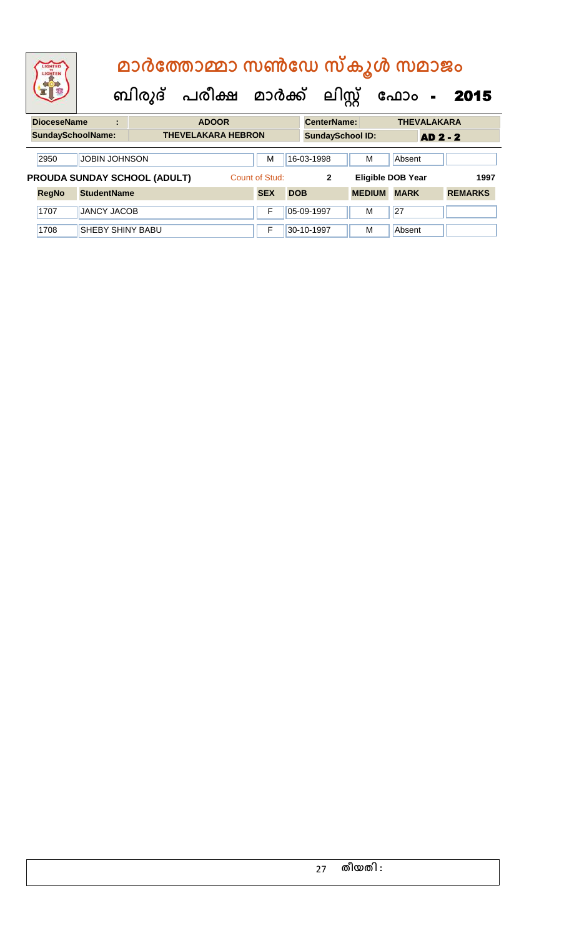|                                                                                            | <b>IGHTED</b><br>LIGHTEN |                    | മാർത്തോമ്മാ സൺഡേ സ്കൂൾ സമാജം |                           |                                      |            |            |                         |               |             |                    |                |  |  |
|--------------------------------------------------------------------------------------------|--------------------------|--------------------|------------------------------|---------------------------|--------------------------------------|------------|------------|-------------------------|---------------|-------------|--------------------|----------------|--|--|
|                                                                                            |                          |                    |                              |                           | ബിരുദ് പരീക്ഷ മാർക്ക് ലിസ്റ്റ് ഫോം - |            |            |                         |               |             |                    | 2015           |  |  |
|                                                                                            | <b>DioceseName</b>       |                    | ÷                            |                           | <b>ADOOR</b>                         |            |            | <b>CenterName:</b>      |               |             | <b>THEVALAKARA</b> |                |  |  |
|                                                                                            | <b>SundaySchoolName:</b> |                    |                              | <b>THEVELAKARA HEBRON</b> |                                      |            |            | <b>SundaySchool ID:</b> |               |             | <b>AD 2 - 2</b>    |                |  |  |
| <b>JOBIN JOHNSON</b><br>2950                                                               |                          |                    |                              |                           |                                      |            |            | 16-03-1998              | M             | Absent      |                    |                |  |  |
| PROUDA SUNDAY SCHOOL (ADULT)<br>Count of Stud:<br><b>Eligible DOB Year</b><br>$\mathbf{2}$ |                          |                    |                              |                           |                                      |            |            |                         |               | 1997        |                    |                |  |  |
|                                                                                            | <b>RegNo</b>             | <b>StudentName</b> |                              |                           |                                      | <b>SEX</b> | <b>DOB</b> |                         | <b>MEDIUM</b> | <b>MARK</b> |                    | <b>REMARKS</b> |  |  |

1707 JANCY JACOB F 05-09-1997 M 27

1708 SHEBY SHINY BABU **F** 30-10-1997 M Absent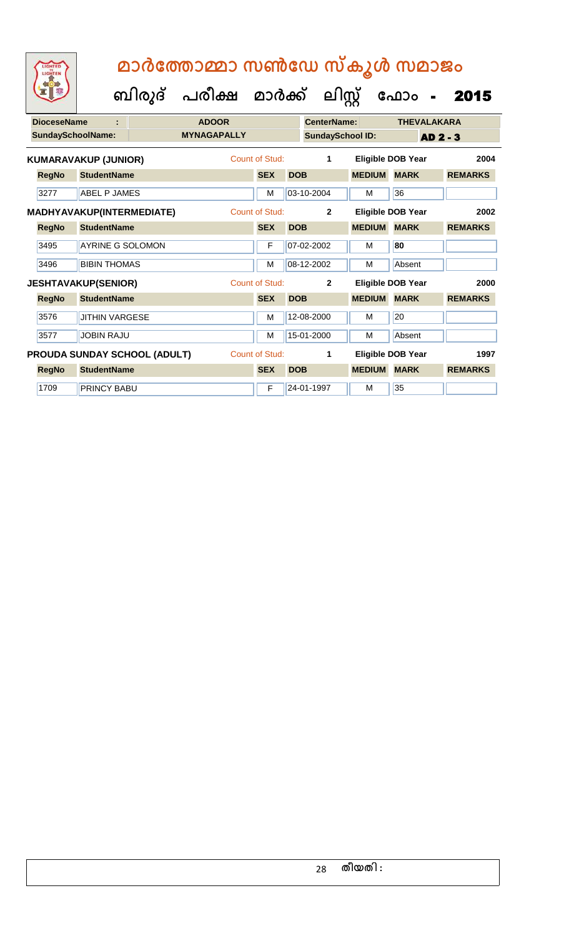| <b>DioceseName</b><br>t |              | <b>ADOOR</b>                 |                    |                | <b>CenterName:</b> |                         | <b>THEVALAKARA</b> |                          |                |
|-------------------------|--------------|------------------------------|--------------------|----------------|--------------------|-------------------------|--------------------|--------------------------|----------------|
|                         |              | <b>SundaySchoolName:</b>     | <b>MYNAGAPALLY</b> |                |                    | <b>SundaySchool ID:</b> |                    | <b>AD 2 - 3</b>          |                |
|                         |              | <b>KUMARAVAKUP (JUNIOR)</b>  |                    | Count of Stud: |                    | $\mathbf{1}$            |                    | <b>Eligible DOB Year</b> | 2004           |
|                         | <b>RegNo</b> | <b>StudentName</b>           |                    | <b>SEX</b>     | <b>DOB</b>         |                         | <b>MEDIUM</b>      | <b>MARK</b>              | <b>REMARKS</b> |
|                         | 3277         | <b>ABEL P JAMES</b>          |                    | M              |                    | 03-10-2004              | М                  | 36                       |                |
|                         |              | MADHYAVAKUP(INTERMEDIATE)    |                    | Count of Stud: |                    | $\overline{2}$          |                    | <b>Eligible DOB Year</b> | 2002           |
|                         | <b>RegNo</b> | <b>StudentName</b>           |                    | <b>SEX</b>     | <b>DOB</b>         |                         | <b>MEDIUM</b>      | <b>MARK</b>              | <b>REMARKS</b> |
|                         | 3495         | <b>AYRINE G SOLOMON</b>      |                    | F              |                    | 07-02-2002              | м                  | 80                       |                |
|                         | 3496         | <b>BIBIN THOMAS</b>          |                    | М              |                    | 08-12-2002              | м                  | Absent                   |                |
|                         |              | <b>JESHTAVAKUP(SENIOR)</b>   |                    | Count of Stud: |                    | $\overline{2}$          |                    | <b>Eligible DOB Year</b> | 2000           |
|                         | <b>RegNo</b> | <b>StudentName</b>           |                    | <b>SEX</b>     | <b>DOB</b>         |                         | <b>MEDIUM</b>      | <b>MARK</b>              | <b>REMARKS</b> |
|                         | 3576         | <b>JITHIN VARGESE</b>        |                    | M              |                    | 12-08-2000              | м                  | 20                       |                |
|                         | 3577         | <b>JOBIN RAJU</b>            |                    | M              |                    | 15-01-2000              | м                  | Absent                   |                |
|                         |              | PROUDA SUNDAY SCHOOL (ADULT) |                    | Count of Stud: |                    | 1                       |                    | <b>Eligible DOB Year</b> | 1997           |
|                         | <b>RegNo</b> | <b>StudentName</b>           |                    | <b>SEX</b>     | <b>DOB</b>         |                         | <b>MEDIUM</b>      | <b>MARK</b>              | <b>REMARKS</b> |
|                         | 1709         | <b>PRINCY BABU</b>           |                    | F              |                    | 24-01-1997              | м                  | 35                       |                |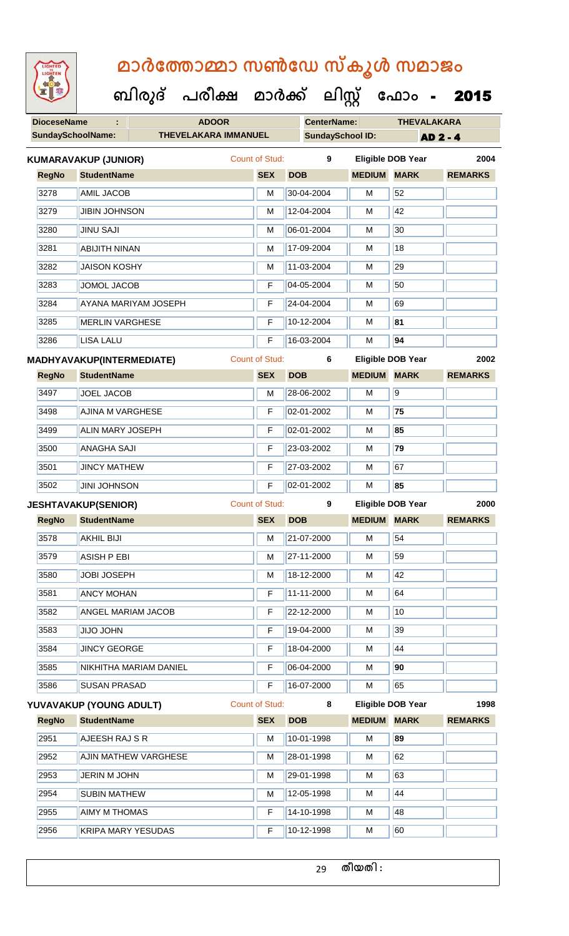| <b>IGHTED</b> |
|---------------|
|               |
|               |
|               |
|               |

 **ബിരുദ് പരീക്ഷ മാര്ക്**

**ക ഫ ാോം** - 2015

**DioceseName : ADOOR CenterName: THEVALAKARA** SundaySchoolName: **THEVELAKARA IMMANUEL** SundaySchool ID: **AD 2 - 4 ക ലിസ്റ്റ RegNo StudentName SEX DOB MEDIUM MARK REMARKS KUMARAVAKUP (JUNIOR)** Count of Stud: **9 Eligible DOB Year 2004** 3278 AMIL JACOB M 30-04-2004 M 52 3279 JJIBIN JOHNSON M 12-04-2004 M 42 3280 JINU SAJI M 06-01-2004 M 30 3281 ABIJITH NINAN M 17-09-2004 M 17-09-2004 M 3282 JAISON KOSHY M 11-03-2004 M 29 3283 JOMOL JACOB F 04-05-2004 M 50 3284 AYANA MARIYAM JOSEPH F 24-04-2004 M 69 3285 MERLIN VARGHESE F 10-12-2004 M **81** 3286 LISA LALU F 16-03-2004 M **94 RegNo StudentName SEX DOB MEDIUM MARK REMARKS MADHYAVAKUP(INTERMEDIATE)** Count of Stud: **6 Eligible DOB Year 2002** 3497 JOEL JACOB M 28-06-2002 M 9 3498 AJINA M VARGHESE F 02-01-2002 M **75** 3499 ALIN MARY JOSEPH F 02-01-2002 M **85** 3500 ANAGHA SAJI F 23-03-2002 M **79** 3501 JINCY MATHEW **F 27-03-2002** M 67 3502 JINI JOHNSON F 02-01-2002 M **85 RegNo StudentName SEX DOB MEDIUM MARK REMARKS JESHTAVAKUP(SENIOR)** Count of Stud: **9 Eligible DOB Year 2000** 3578 AKHIL BIJI M 21-07-2000 M 54 3579 ASISH P EBI M 27-11-2000 M 59 3580 JOBI JOSEPH M 18-12-2000 M 42 3581 | ANCY MOHAN | F | 11-11-2000 | M | 64 3582 ANGEL MARIAM JACOB F 22-12-2000 M 10

3583 JJJJO JOHN F 19-04-2000 M 39 3584 JINCY GEORGE **F 18-04-2000** M 44 3585 NIKHITHA MARIAM DANIEL F 06-04-2000 M **90** 3586 SUSAN PRASAD **F** 16-07-2000 M 65 **RegNo StudentName SEX DOB MEDIUM MARK REMARKS YUVAVAKUP (YOUNG ADULT)** Count of Stud: **8 Eligible DOB Year 1998** 2951 **AJEESH RAJ S R** M 10-01-1998 **M** 10-01-1998 M 2952 AJIN MATHEW VARGHESE M M 28-01-1998 M 62 2953 JERIN M JOHN M 29-01-1998 M 63 2954 SUBIN MATHEW M 12-05-1998 M 44

2955 **AIMY M THOMAS F 14-10-1998** M 48 2956 KRIPA MARY YESUDAS F 10-12-1998 M 60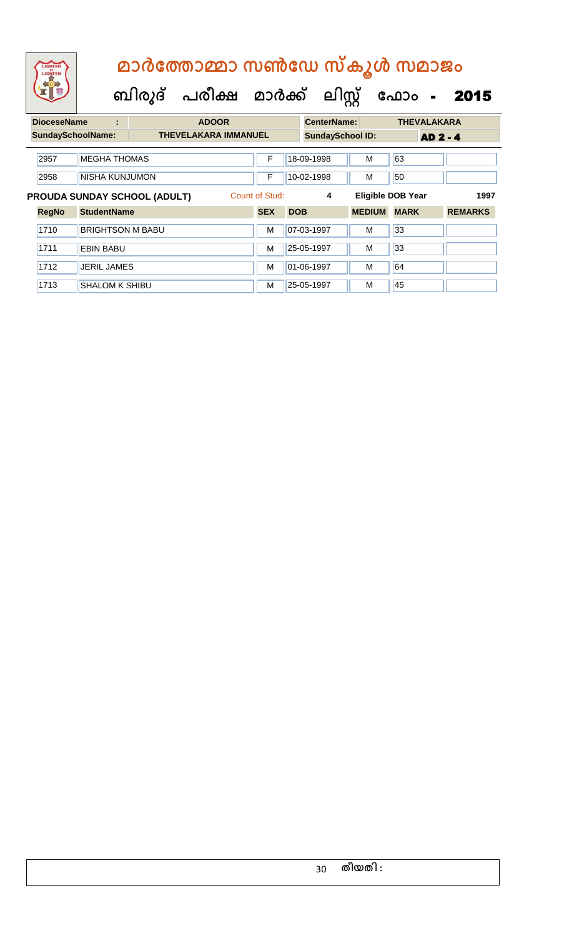### **DioceseName : ADOOR CenterName: THEVALAKARA ബിരുദ് പരീക്ഷ മാര്ക് ക ലിസ്റ്റ ക ഫ ാോം** - 2015  **മാര്കഫതാമ്മാ സണ്ഫേ സ്കൂള് സമാജോം**

|                          |                              |                         |   |                             |                | <u>viitvi i vallivi</u> |                         |               |                          |                 |  |  |
|--------------------------|------------------------------|-------------------------|---|-----------------------------|----------------|-------------------------|-------------------------|---------------|--------------------------|-----------------|--|--|
| <b>SundaySchoolName:</b> |                              |                         |   | <b>THEVELAKARA IMMANUEL</b> |                |                         | <b>SundaySchool ID:</b> |               |                          | <b>AD 2 - 4</b> |  |  |
|                          | 2957                         | <b>MEGHA THOMAS</b>     |   |                             | F              |                         | 18-09-1998              | м             | 63                       |                 |  |  |
|                          | 2958                         | NISHA KUNJUMON          |   |                             | F              |                         | 10-02-1998              | м             | 50                       |                 |  |  |
|                          | PROUDA SUNDAY SCHOOL (ADULT) |                         |   |                             | Count of Stud: |                         | 4                       |               | <b>Eligible DOB Year</b> | 1997            |  |  |
|                          | <b>RegNo</b>                 | <b>StudentName</b>      |   |                             | <b>SEX</b>     | <b>DOB</b>              |                         | <b>MEDIUM</b> | <b>MARK</b>              | <b>REMARKS</b>  |  |  |
|                          | 1710                         | <b>BRIGHTSON M BABU</b> |   |                             | M              |                         | 07-03-1997              | м             | 33                       |                 |  |  |
|                          | 1711<br><b>EBIN BABU</b>     |                         | M |                             | 25-05-1997     | м                       | 33                      |               |                          |                 |  |  |
|                          | 1712                         | <b>JERIL JAMES</b>      |   |                             | M              |                         | 01-06-1997              | M             | 64                       |                 |  |  |
|                          | 1713                         | <b>SHALOM K SHIBU</b>   |   |                             | M              |                         | 25-05-1997              | м             | 45                       |                 |  |  |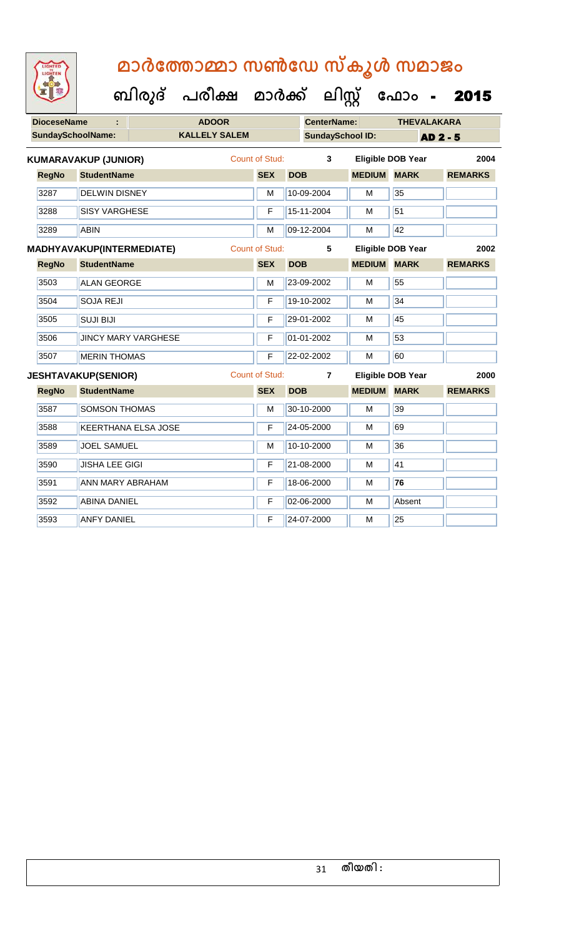| <b>DioceseName</b> |              | <b>ADOOR</b>                |                            |                      | <b>CenterName:</b>    |            | <b>THEVALAKARA</b>      |               |                          |                |
|--------------------|--------------|-----------------------------|----------------------------|----------------------|-----------------------|------------|-------------------------|---------------|--------------------------|----------------|
|                    |              | <b>SundaySchoolName:</b>    |                            | <b>KALLELY SALEM</b> |                       |            | <b>SundaySchool ID:</b> |               |                          | AD 2 - 5       |
|                    |              | <b>KUMARAVAKUP (JUNIOR)</b> |                            |                      | <b>Count of Stud:</b> |            | 3                       |               | <b>Eligible DOB Year</b> | 2004           |
|                    | <b>RegNo</b> | <b>StudentName</b>          |                            |                      | <b>SEX</b>            | <b>DOB</b> |                         | <b>MEDIUM</b> | <b>MARK</b>              | <b>REMARKS</b> |
|                    | 3287         | <b>DELWIN DISNEY</b>        |                            |                      | M                     |            | 10-09-2004              | М             | 35                       |                |
|                    | 3288         | <b>SISY VARGHESE</b>        |                            |                      | F                     |            | 15-11-2004              | M             | 51                       |                |
|                    | 3289         | <b>ABIN</b>                 |                            |                      | M                     |            | 09-12-2004              | M             | 42                       |                |
|                    |              | MADHYAVAKUP(INTERMEDIATE)   |                            |                      | <b>Count of Stud:</b> |            | 5                       |               | <b>Eligible DOB Year</b> | 2002           |
|                    | <b>RegNo</b> | <b>StudentName</b>          |                            |                      | <b>SEX</b>            | <b>DOB</b> |                         | <b>MEDIUM</b> | <b>MARK</b>              | <b>REMARKS</b> |
|                    | 3503         | <b>ALAN GEORGE</b>          |                            |                      | M                     |            | 23-09-2002              | M             | 55                       |                |
|                    | 3504         | <b>SOJA REJI</b>            |                            |                      | F                     |            | 19-10-2002              | M             | 34                       |                |
|                    | 3505         | <b>SUJI BIJI</b>            |                            |                      | F                     |            | 29-01-2002              | M             | 45                       |                |
|                    | 3506         |                             | <b>JINCY MARY VARGHESE</b> |                      | F                     |            | 01-01-2002              | M             | 53                       |                |
|                    | 3507         | <b>MERIN THOMAS</b>         |                            |                      | F                     |            | 22-02-2002              | M             | 60                       |                |
|                    |              | <b>JESHTAVAKUP(SENIOR)</b>  |                            |                      | <b>Count of Stud:</b> |            | 7                       |               | <b>Eligible DOB Year</b> | 2000           |
|                    | <b>RegNo</b> | <b>StudentName</b>          |                            |                      | <b>SEX</b>            | <b>DOB</b> |                         | <b>MEDIUM</b> | <b>MARK</b>              | <b>REMARKS</b> |
|                    | 3587         | <b>SOMSON THOMAS</b>        |                            |                      | M                     |            | 30-10-2000              | M             | 39                       |                |
|                    | 3588         |                             | <b>KEERTHANA ELSA JOSE</b> |                      | F                     |            | 24-05-2000              | M             | 69                       |                |
|                    | 3589         | <b>JOEL SAMUEL</b>          |                            |                      | M                     |            | 10-10-2000              | M             | 36                       |                |
|                    | 3590         | <b>JISHA LEE GIGI</b>       |                            |                      | F                     |            | 21-08-2000              | M             | 41                       |                |
|                    | 3591         | ANN MARY ABRAHAM            |                            |                      | F                     |            | 18-06-2000              | M             | $\overline{76}$          |                |
|                    | 3592         | <b>ABINA DANIEL</b>         |                            |                      | F                     |            | 02-06-2000              | M             | Absent                   |                |
|                    | 3593         | <b>ANFY DANIEL</b>          |                            |                      | F                     |            | 24-07-2000              | M             | $\overline{25}$          |                |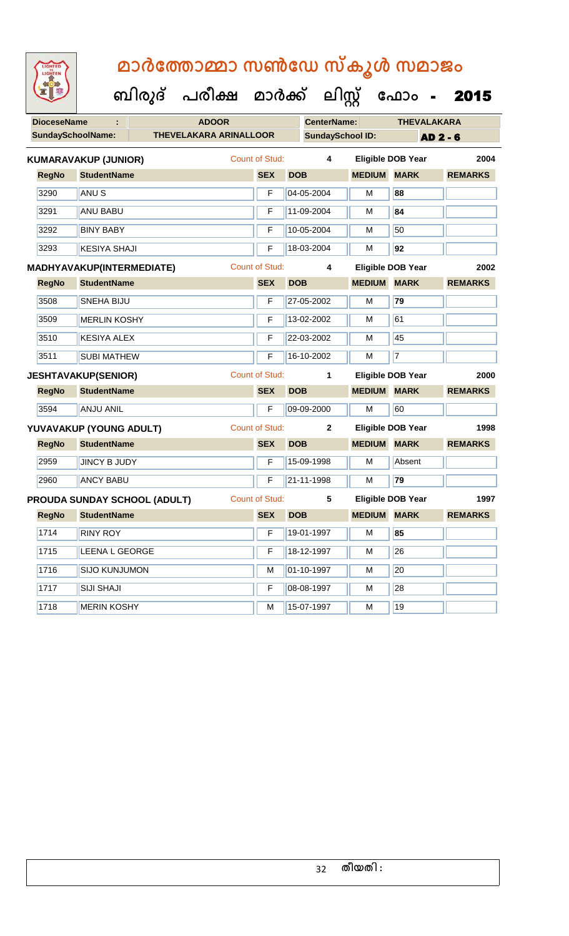| <b>IGHTED</b> |
|---------------|
|               |
|               |
|               |

| <b>SundaySchoolName:</b><br><b>THEVELAKARA ARINALLOOR</b><br><b>SundaySchool ID:</b><br><b>AD 2 - 6</b><br><b>Count of Stud:</b><br>2004<br>4<br><b>Eligible DOB Year</b><br><b>KUMARAVAKUP (JUNIOR)</b><br><b>RegNo</b><br><b>StudentName</b><br><b>SEX</b><br><b>DOB</b><br><b>MEDIUM</b><br><b>MARK</b><br><b>REMARKS</b><br>04-05-2004<br>3290<br>ANU <sub>S</sub><br>F<br>M<br>88<br>3291<br>84<br><b>ANU BABU</b><br>F<br>11-09-2004<br>M<br>50<br>3292<br>10-05-2004<br><b>BINY BABY</b><br>F<br>м<br>18-03-2004<br>92<br>3293<br><b>KESIYA SHAJI</b><br>F<br>M<br><b>Count of Stud:</b><br><b>Eligible DOB Year</b><br>4<br>2002<br><b>MEDIUM MARK</b><br><b>RegNo</b><br><b>StudentName</b><br><b>SEX</b><br><b>DOB</b><br><b>REMARKS</b><br>79<br>3508<br><b>SNEHA BIJU</b><br>F<br>27-05-2002<br>M<br>61<br>3509<br>13-02-2002<br><b>MERLIN KOSHY</b><br>M<br>F<br>3510<br>22-03-2002<br>45<br><b>KESIYA ALEX</b><br>F<br>M<br>$\overline{7}$<br>3511<br>16-10-2002<br><b>SUBI MATHEW</b><br>F<br>M<br><b>Count of Stud:</b><br>$\mathbf{1}$<br><b>Eligible DOB Year</b><br><b>JESHTAVAKUP(SENIOR)</b><br>2000<br><b>StudentName</b><br><b>DOB</b><br><b>MEDIUM MARK</b><br><b>RegNo</b><br><b>SEX</b><br><b>REMARKS</b><br><b>ANJU ANIL</b><br>3594<br>F<br>09-09-2000<br>60<br>M<br><b>Count of Stud:</b><br>Eligible DOB Year<br>1998<br>$\mathbf{2}$<br><b>MEDIUM MARK</b><br><b>RegNo</b><br><b>StudentName</b><br><b>SEX</b><br><b>REMARKS</b><br><b>DOB</b><br>2959<br>15-09-1998<br><b>JINCY B JUDY</b><br>$\mathsf F$<br>M<br>Absent<br>79<br>21-11-1998<br>2960<br><b>ANCY BABU</b><br>F<br>M<br><b>Count of Stud:</b><br>5<br><b>Eligible DOB Year</b><br><b>PROUDA SUNDAY SCHOOL (ADULT)</b><br>1997<br><b>SEX</b><br><b>MEDIUM</b><br><b>MARK</b><br><b>RegNo</b><br><b>StudentName</b><br><b>DOB</b><br><b>REMARKS</b><br><b>RINY ROY</b><br>1714<br>F<br>19-01-1997<br>85<br>М<br>26<br>1715<br>LEENA L GEORGE<br>F<br>M<br>18-12-1997<br>20<br>1716<br><b>SIJO KUNJUMON</b><br>01-10-1997<br>M<br>M<br>28<br>1717<br><b>SIJI SHAJI</b><br>$\mathsf F$<br>08-08-1997<br>M<br>1718<br><b>MERIN KOSHY</b><br>19<br>M<br>15-07-1997<br>м | <b>DioceseName</b> |  | <b>ADOOR</b> |  | <b>CenterName:</b> |  | <b>THEVALAKARA</b> |  |  |
|-----------------------------------------------------------------------------------------------------------------------------------------------------------------------------------------------------------------------------------------------------------------------------------------------------------------------------------------------------------------------------------------------------------------------------------------------------------------------------------------------------------------------------------------------------------------------------------------------------------------------------------------------------------------------------------------------------------------------------------------------------------------------------------------------------------------------------------------------------------------------------------------------------------------------------------------------------------------------------------------------------------------------------------------------------------------------------------------------------------------------------------------------------------------------------------------------------------------------------------------------------------------------------------------------------------------------------------------------------------------------------------------------------------------------------------------------------------------------------------------------------------------------------------------------------------------------------------------------------------------------------------------------------------------------------------------------------------------------------------------------------------------------------------------------------------------------------------------------------------------------------------------------------------------------------------------------------------------------------------------------------------------------------------------------------------------------------------------------------------------------------------------------------------------|--------------------|--|--------------|--|--------------------|--|--------------------|--|--|
| MADHYAVAKUP(INTERMEDIATE)<br>YUVAVAKUP (YOUNG ADULT)                                                                                                                                                                                                                                                                                                                                                                                                                                                                                                                                                                                                                                                                                                                                                                                                                                                                                                                                                                                                                                                                                                                                                                                                                                                                                                                                                                                                                                                                                                                                                                                                                                                                                                                                                                                                                                                                                                                                                                                                                                                                                                            |                    |  |              |  |                    |  |                    |  |  |
|                                                                                                                                                                                                                                                                                                                                                                                                                                                                                                                                                                                                                                                                                                                                                                                                                                                                                                                                                                                                                                                                                                                                                                                                                                                                                                                                                                                                                                                                                                                                                                                                                                                                                                                                                                                                                                                                                                                                                                                                                                                                                                                                                                 |                    |  |              |  |                    |  |                    |  |  |
|                                                                                                                                                                                                                                                                                                                                                                                                                                                                                                                                                                                                                                                                                                                                                                                                                                                                                                                                                                                                                                                                                                                                                                                                                                                                                                                                                                                                                                                                                                                                                                                                                                                                                                                                                                                                                                                                                                                                                                                                                                                                                                                                                                 |                    |  |              |  |                    |  |                    |  |  |
|                                                                                                                                                                                                                                                                                                                                                                                                                                                                                                                                                                                                                                                                                                                                                                                                                                                                                                                                                                                                                                                                                                                                                                                                                                                                                                                                                                                                                                                                                                                                                                                                                                                                                                                                                                                                                                                                                                                                                                                                                                                                                                                                                                 |                    |  |              |  |                    |  |                    |  |  |
|                                                                                                                                                                                                                                                                                                                                                                                                                                                                                                                                                                                                                                                                                                                                                                                                                                                                                                                                                                                                                                                                                                                                                                                                                                                                                                                                                                                                                                                                                                                                                                                                                                                                                                                                                                                                                                                                                                                                                                                                                                                                                                                                                                 |                    |  |              |  |                    |  |                    |  |  |
|                                                                                                                                                                                                                                                                                                                                                                                                                                                                                                                                                                                                                                                                                                                                                                                                                                                                                                                                                                                                                                                                                                                                                                                                                                                                                                                                                                                                                                                                                                                                                                                                                                                                                                                                                                                                                                                                                                                                                                                                                                                                                                                                                                 |                    |  |              |  |                    |  |                    |  |  |
|                                                                                                                                                                                                                                                                                                                                                                                                                                                                                                                                                                                                                                                                                                                                                                                                                                                                                                                                                                                                                                                                                                                                                                                                                                                                                                                                                                                                                                                                                                                                                                                                                                                                                                                                                                                                                                                                                                                                                                                                                                                                                                                                                                 |                    |  |              |  |                    |  |                    |  |  |
|                                                                                                                                                                                                                                                                                                                                                                                                                                                                                                                                                                                                                                                                                                                                                                                                                                                                                                                                                                                                                                                                                                                                                                                                                                                                                                                                                                                                                                                                                                                                                                                                                                                                                                                                                                                                                                                                                                                                                                                                                                                                                                                                                                 |                    |  |              |  |                    |  |                    |  |  |
|                                                                                                                                                                                                                                                                                                                                                                                                                                                                                                                                                                                                                                                                                                                                                                                                                                                                                                                                                                                                                                                                                                                                                                                                                                                                                                                                                                                                                                                                                                                                                                                                                                                                                                                                                                                                                                                                                                                                                                                                                                                                                                                                                                 |                    |  |              |  |                    |  |                    |  |  |
|                                                                                                                                                                                                                                                                                                                                                                                                                                                                                                                                                                                                                                                                                                                                                                                                                                                                                                                                                                                                                                                                                                                                                                                                                                                                                                                                                                                                                                                                                                                                                                                                                                                                                                                                                                                                                                                                                                                                                                                                                                                                                                                                                                 |                    |  |              |  |                    |  |                    |  |  |
|                                                                                                                                                                                                                                                                                                                                                                                                                                                                                                                                                                                                                                                                                                                                                                                                                                                                                                                                                                                                                                                                                                                                                                                                                                                                                                                                                                                                                                                                                                                                                                                                                                                                                                                                                                                                                                                                                                                                                                                                                                                                                                                                                                 |                    |  |              |  |                    |  |                    |  |  |
|                                                                                                                                                                                                                                                                                                                                                                                                                                                                                                                                                                                                                                                                                                                                                                                                                                                                                                                                                                                                                                                                                                                                                                                                                                                                                                                                                                                                                                                                                                                                                                                                                                                                                                                                                                                                                                                                                                                                                                                                                                                                                                                                                                 |                    |  |              |  |                    |  |                    |  |  |
|                                                                                                                                                                                                                                                                                                                                                                                                                                                                                                                                                                                                                                                                                                                                                                                                                                                                                                                                                                                                                                                                                                                                                                                                                                                                                                                                                                                                                                                                                                                                                                                                                                                                                                                                                                                                                                                                                                                                                                                                                                                                                                                                                                 |                    |  |              |  |                    |  |                    |  |  |
|                                                                                                                                                                                                                                                                                                                                                                                                                                                                                                                                                                                                                                                                                                                                                                                                                                                                                                                                                                                                                                                                                                                                                                                                                                                                                                                                                                                                                                                                                                                                                                                                                                                                                                                                                                                                                                                                                                                                                                                                                                                                                                                                                                 |                    |  |              |  |                    |  |                    |  |  |
|                                                                                                                                                                                                                                                                                                                                                                                                                                                                                                                                                                                                                                                                                                                                                                                                                                                                                                                                                                                                                                                                                                                                                                                                                                                                                                                                                                                                                                                                                                                                                                                                                                                                                                                                                                                                                                                                                                                                                                                                                                                                                                                                                                 |                    |  |              |  |                    |  |                    |  |  |
|                                                                                                                                                                                                                                                                                                                                                                                                                                                                                                                                                                                                                                                                                                                                                                                                                                                                                                                                                                                                                                                                                                                                                                                                                                                                                                                                                                                                                                                                                                                                                                                                                                                                                                                                                                                                                                                                                                                                                                                                                                                                                                                                                                 |                    |  |              |  |                    |  |                    |  |  |
|                                                                                                                                                                                                                                                                                                                                                                                                                                                                                                                                                                                                                                                                                                                                                                                                                                                                                                                                                                                                                                                                                                                                                                                                                                                                                                                                                                                                                                                                                                                                                                                                                                                                                                                                                                                                                                                                                                                                                                                                                                                                                                                                                                 |                    |  |              |  |                    |  |                    |  |  |
|                                                                                                                                                                                                                                                                                                                                                                                                                                                                                                                                                                                                                                                                                                                                                                                                                                                                                                                                                                                                                                                                                                                                                                                                                                                                                                                                                                                                                                                                                                                                                                                                                                                                                                                                                                                                                                                                                                                                                                                                                                                                                                                                                                 |                    |  |              |  |                    |  |                    |  |  |
|                                                                                                                                                                                                                                                                                                                                                                                                                                                                                                                                                                                                                                                                                                                                                                                                                                                                                                                                                                                                                                                                                                                                                                                                                                                                                                                                                                                                                                                                                                                                                                                                                                                                                                                                                                                                                                                                                                                                                                                                                                                                                                                                                                 |                    |  |              |  |                    |  |                    |  |  |
|                                                                                                                                                                                                                                                                                                                                                                                                                                                                                                                                                                                                                                                                                                                                                                                                                                                                                                                                                                                                                                                                                                                                                                                                                                                                                                                                                                                                                                                                                                                                                                                                                                                                                                                                                                                                                                                                                                                                                                                                                                                                                                                                                                 |                    |  |              |  |                    |  |                    |  |  |
|                                                                                                                                                                                                                                                                                                                                                                                                                                                                                                                                                                                                                                                                                                                                                                                                                                                                                                                                                                                                                                                                                                                                                                                                                                                                                                                                                                                                                                                                                                                                                                                                                                                                                                                                                                                                                                                                                                                                                                                                                                                                                                                                                                 |                    |  |              |  |                    |  |                    |  |  |
|                                                                                                                                                                                                                                                                                                                                                                                                                                                                                                                                                                                                                                                                                                                                                                                                                                                                                                                                                                                                                                                                                                                                                                                                                                                                                                                                                                                                                                                                                                                                                                                                                                                                                                                                                                                                                                                                                                                                                                                                                                                                                                                                                                 |                    |  |              |  |                    |  |                    |  |  |
|                                                                                                                                                                                                                                                                                                                                                                                                                                                                                                                                                                                                                                                                                                                                                                                                                                                                                                                                                                                                                                                                                                                                                                                                                                                                                                                                                                                                                                                                                                                                                                                                                                                                                                                                                                                                                                                                                                                                                                                                                                                                                                                                                                 |                    |  |              |  |                    |  |                    |  |  |
|                                                                                                                                                                                                                                                                                                                                                                                                                                                                                                                                                                                                                                                                                                                                                                                                                                                                                                                                                                                                                                                                                                                                                                                                                                                                                                                                                                                                                                                                                                                                                                                                                                                                                                                                                                                                                                                                                                                                                                                                                                                                                                                                                                 |                    |  |              |  |                    |  |                    |  |  |
|                                                                                                                                                                                                                                                                                                                                                                                                                                                                                                                                                                                                                                                                                                                                                                                                                                                                                                                                                                                                                                                                                                                                                                                                                                                                                                                                                                                                                                                                                                                                                                                                                                                                                                                                                                                                                                                                                                                                                                                                                                                                                                                                                                 |                    |  |              |  |                    |  |                    |  |  |
|                                                                                                                                                                                                                                                                                                                                                                                                                                                                                                                                                                                                                                                                                                                                                                                                                                                                                                                                                                                                                                                                                                                                                                                                                                                                                                                                                                                                                                                                                                                                                                                                                                                                                                                                                                                                                                                                                                                                                                                                                                                                                                                                                                 |                    |  |              |  |                    |  |                    |  |  |
|                                                                                                                                                                                                                                                                                                                                                                                                                                                                                                                                                                                                                                                                                                                                                                                                                                                                                                                                                                                                                                                                                                                                                                                                                                                                                                                                                                                                                                                                                                                                                                                                                                                                                                                                                                                                                                                                                                                                                                                                                                                                                                                                                                 |                    |  |              |  |                    |  |                    |  |  |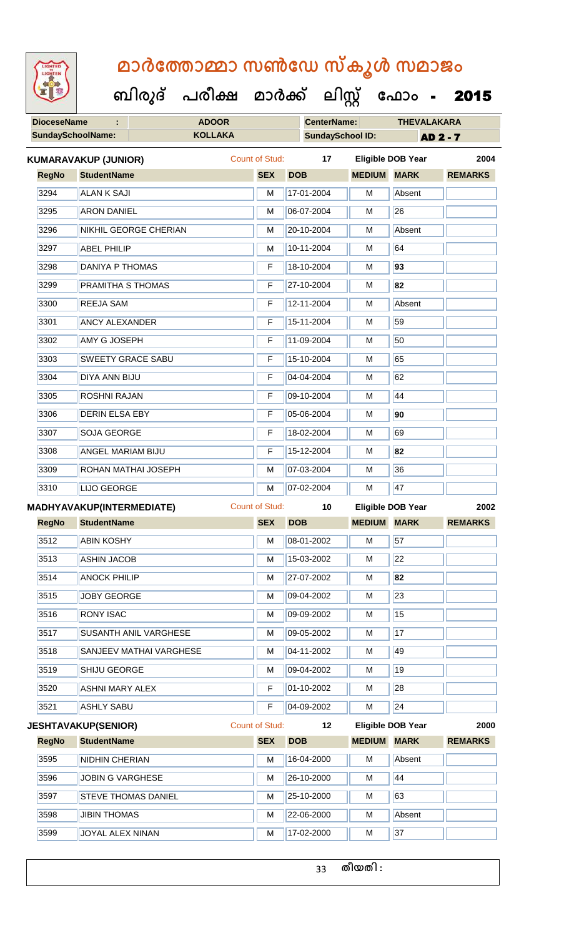

 **ബിരുദ് പരീക്ഷ മാര്ക് ക ലിസ്റ്റ ക ഫ ാോം** - 2015

| <b>DioceseName</b>       | <b>ADOOR</b>        | <b>CenterName:</b>                                                                                                                                                                                                                                                                                                                                                                                                                                                                                                                                                                                                                                                                                                                                                                   |            | <b>THEVALAKARA</b>                                   |                         |                                                                                                                                          |  |
|--------------------------|---------------------|--------------------------------------------------------------------------------------------------------------------------------------------------------------------------------------------------------------------------------------------------------------------------------------------------------------------------------------------------------------------------------------------------------------------------------------------------------------------------------------------------------------------------------------------------------------------------------------------------------------------------------------------------------------------------------------------------------------------------------------------------------------------------------------|------------|------------------------------------------------------|-------------------------|------------------------------------------------------------------------------------------------------------------------------------------|--|
| <b>SundaySchoolName:</b> | <b>KOLLAKA</b>      |                                                                                                                                                                                                                                                                                                                                                                                                                                                                                                                                                                                                                                                                                                                                                                                      |            |                                                      | <b>AD 2 - 7</b>         |                                                                                                                                          |  |
|                          |                     |                                                                                                                                                                                                                                                                                                                                                                                                                                                                                                                                                                                                                                                                                                                                                                                      | 17         |                                                      |                         | 2004                                                                                                                                     |  |
|                          |                     | <b>SEX</b>                                                                                                                                                                                                                                                                                                                                                                                                                                                                                                                                                                                                                                                                                                                                                                           | <b>DOB</b> |                                                      | <b>MARK</b>             | <b>REMARKS</b>                                                                                                                           |  |
|                          |                     | M                                                                                                                                                                                                                                                                                                                                                                                                                                                                                                                                                                                                                                                                                                                                                                                    | 17-01-2004 | M                                                    | Absent                  |                                                                                                                                          |  |
|                          |                     | M                                                                                                                                                                                                                                                                                                                                                                                                                                                                                                                                                                                                                                                                                                                                                                                    | 06-07-2004 | M                                                    | 26                      |                                                                                                                                          |  |
|                          |                     | M                                                                                                                                                                                                                                                                                                                                                                                                                                                                                                                                                                                                                                                                                                                                                                                    | 20-10-2004 | M                                                    | Absent                  |                                                                                                                                          |  |
|                          |                     | M                                                                                                                                                                                                                                                                                                                                                                                                                                                                                                                                                                                                                                                                                                                                                                                    | 10-11-2004 | M                                                    | 64                      |                                                                                                                                          |  |
|                          |                     | F                                                                                                                                                                                                                                                                                                                                                                                                                                                                                                                                                                                                                                                                                                                                                                                    | 18-10-2004 | М                                                    | 93                      |                                                                                                                                          |  |
|                          |                     | F                                                                                                                                                                                                                                                                                                                                                                                                                                                                                                                                                                                                                                                                                                                                                                                    | 27-10-2004 | M                                                    | 82                      |                                                                                                                                          |  |
|                          |                     | F                                                                                                                                                                                                                                                                                                                                                                                                                                                                                                                                                                                                                                                                                                                                                                                    | 12-11-2004 | M                                                    | Absent                  |                                                                                                                                          |  |
|                          |                     | F                                                                                                                                                                                                                                                                                                                                                                                                                                                                                                                                                                                                                                                                                                                                                                                    | 15-11-2004 | M                                                    | 59                      |                                                                                                                                          |  |
|                          |                     | F                                                                                                                                                                                                                                                                                                                                                                                                                                                                                                                                                                                                                                                                                                                                                                                    | 11-09-2004 | M                                                    | 50                      |                                                                                                                                          |  |
|                          |                     | F                                                                                                                                                                                                                                                                                                                                                                                                                                                                                                                                                                                                                                                                                                                                                                                    | 15-10-2004 | M                                                    | 65                      |                                                                                                                                          |  |
|                          |                     | F                                                                                                                                                                                                                                                                                                                                                                                                                                                                                                                                                                                                                                                                                                                                                                                    | 04-04-2004 | М                                                    | 62                      |                                                                                                                                          |  |
|                          |                     | F                                                                                                                                                                                                                                                                                                                                                                                                                                                                                                                                                                                                                                                                                                                                                                                    | 09-10-2004 | M                                                    | 44                      |                                                                                                                                          |  |
|                          |                     | F                                                                                                                                                                                                                                                                                                                                                                                                                                                                                                                                                                                                                                                                                                                                                                                    | 05-06-2004 | M                                                    | 90                      |                                                                                                                                          |  |
|                          |                     | F                                                                                                                                                                                                                                                                                                                                                                                                                                                                                                                                                                                                                                                                                                                                                                                    | 18-02-2004 | M                                                    | 69                      |                                                                                                                                          |  |
|                          |                     | F                                                                                                                                                                                                                                                                                                                                                                                                                                                                                                                                                                                                                                                                                                                                                                                    | 15-12-2004 | M                                                    | 82                      |                                                                                                                                          |  |
|                          |                     | M                                                                                                                                                                                                                                                                                                                                                                                                                                                                                                                                                                                                                                                                                                                                                                                    | 07-03-2004 | M                                                    | 36                      |                                                                                                                                          |  |
|                          |                     | M                                                                                                                                                                                                                                                                                                                                                                                                                                                                                                                                                                                                                                                                                                                                                                                    | 07-02-2004 | M                                                    | 47                      |                                                                                                                                          |  |
|                          |                     | <b>Count of Stud:</b>                                                                                                                                                                                                                                                                                                                                                                                                                                                                                                                                                                                                                                                                                                                                                                |            |                                                      |                         | 2002                                                                                                                                     |  |
|                          |                     | <b>SEX</b>                                                                                                                                                                                                                                                                                                                                                                                                                                                                                                                                                                                                                                                                                                                                                                           | <b>DOB</b> |                                                      |                         | <b>REMARKS</b>                                                                                                                           |  |
|                          |                     | M                                                                                                                                                                                                                                                                                                                                                                                                                                                                                                                                                                                                                                                                                                                                                                                    | 08-01-2002 | M                                                    | 57                      |                                                                                                                                          |  |
|                          |                     | M                                                                                                                                                                                                                                                                                                                                                                                                                                                                                                                                                                                                                                                                                                                                                                                    | 15-03-2002 | M                                                    | 22                      |                                                                                                                                          |  |
|                          |                     | M                                                                                                                                                                                                                                                                                                                                                                                                                                                                                                                                                                                                                                                                                                                                                                                    | 27-07-2002 | М                                                    | 82                      |                                                                                                                                          |  |
|                          |                     | M                                                                                                                                                                                                                                                                                                                                                                                                                                                                                                                                                                                                                                                                                                                                                                                    | 09-04-2002 | M                                                    | 23                      |                                                                                                                                          |  |
| <b>RONY ISAC</b>         |                     | м                                                                                                                                                                                                                                                                                                                                                                                                                                                                                                                                                                                                                                                                                                                                                                                    | 09-09-2002 | M                                                    | 15                      |                                                                                                                                          |  |
|                          |                     | M                                                                                                                                                                                                                                                                                                                                                                                                                                                                                                                                                                                                                                                                                                                                                                                    | 09-05-2002 | М                                                    | $\overline{17}$         |                                                                                                                                          |  |
|                          |                     | M                                                                                                                                                                                                                                                                                                                                                                                                                                                                                                                                                                                                                                                                                                                                                                                    | 04-11-2002 | м                                                    | 49                      |                                                                                                                                          |  |
|                          |                     | M                                                                                                                                                                                                                                                                                                                                                                                                                                                                                                                                                                                                                                                                                                                                                                                    | 09-04-2002 | M                                                    | 19                      |                                                                                                                                          |  |
|                          |                     | F                                                                                                                                                                                                                                                                                                                                                                                                                                                                                                                                                                                                                                                                                                                                                                                    | 01-10-2002 | М                                                    | 28                      |                                                                                                                                          |  |
|                          |                     | F                                                                                                                                                                                                                                                                                                                                                                                                                                                                                                                                                                                                                                                                                                                                                                                    | 04-09-2002 | М                                                    | 24                      |                                                                                                                                          |  |
|                          |                     |                                                                                                                                                                                                                                                                                                                                                                                                                                                                                                                                                                                                                                                                                                                                                                                      | 12         |                                                      |                         | 2000                                                                                                                                     |  |
|                          |                     | <b>SEX</b>                                                                                                                                                                                                                                                                                                                                                                                                                                                                                                                                                                                                                                                                                                                                                                           | <b>DOB</b> |                                                      | <b>MARK</b>             | <b>REMARKS</b>                                                                                                                           |  |
| <b>NIDHIN CHERIAN</b>    |                     | M                                                                                                                                                                                                                                                                                                                                                                                                                                                                                                                                                                                                                                                                                                                                                                                    | 16-04-2000 | M                                                    | Absent                  |                                                                                                                                          |  |
|                          |                     |                                                                                                                                                                                                                                                                                                                                                                                                                                                                                                                                                                                                                                                                                                                                                                                      |            |                                                      |                         |                                                                                                                                          |  |
| <b>JOBIN G VARGHESE</b>  |                     | M                                                                                                                                                                                                                                                                                                                                                                                                                                                                                                                                                                                                                                                                                                                                                                                    | 26-10-2000 | M                                                    | 44                      |                                                                                                                                          |  |
|                          | STEVE THOMAS DANIEL | M                                                                                                                                                                                                                                                                                                                                                                                                                                                                                                                                                                                                                                                                                                                                                                                    | 25-10-2000 | М                                                    | 63                      |                                                                                                                                          |  |
| <b>JIBIN THOMAS</b>      |                     | M                                                                                                                                                                                                                                                                                                                                                                                                                                                                                                                                                                                                                                                                                                                                                                                    | 22-06-2000 | M                                                    | Absent                  |                                                                                                                                          |  |
|                          |                     | <b>KUMARAVAKUP (JUNIOR)</b><br><b>StudentName</b><br><b>ALAN K SAJI</b><br><b>ARON DANIEL</b><br>NIKHIL GEORGE CHERIAN<br><b>ABEL PHILIP</b><br><b>DANIYA P THOMAS</b><br>PRAMITHA S THOMAS<br><b>REEJA SAM</b><br><b>ANCY ALEXANDER</b><br><b>AMY G JOSEPH</b><br><b>SWEETY GRACE SABU</b><br><b>DIYA ANN BIJU</b><br>ROSHNI RAJAN<br><b>DERIN ELSA EBY</b><br><b>SOJA GEORGE</b><br><b>ANGEL MARIAM BIJU</b><br>ROHAN MATHAI JOSEPH<br><b>LIJO GEORGE</b><br><b>MADHYAVAKUP(INTERMEDIATE)</b><br><b>StudentName</b><br><b>ABIN KOSHY</b><br><b>ASHIN JACOB</b><br><b>ANOCK PHILIP</b><br><b>JOBY GEORGE</b><br>SUSANTH ANIL VARGHESE<br>SANJEEV MATHAI VARGHESE<br>SHIJU GEORGE<br><b>ASHNI MARY ALEX</b><br><b>ASHLY SABU</b><br><b>JESHTAVAKUP(SENIOR)</b><br><b>StudentName</b> |            | <b>Count of Stud:</b><br>10<br><b>Count of Stud:</b> | <b>SundaySchool ID:</b> | <b>Eligible DOB Year</b><br><b>MEDIUM</b><br><b>Eligible DOB Year</b><br><b>MEDIUM MARK</b><br><b>Eligible DOB Year</b><br><b>MEDIUM</b> |  |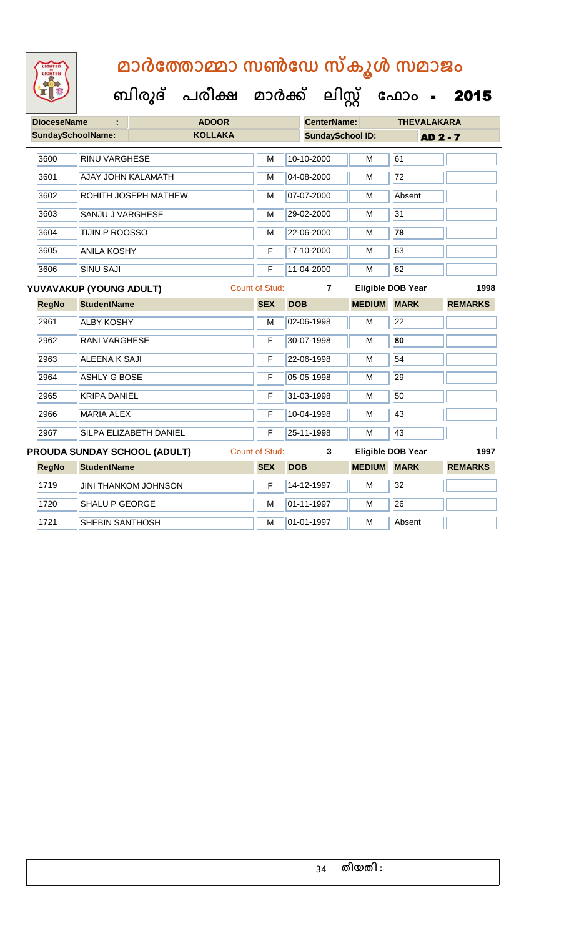| <b>DioceseName</b><br>÷      |                           | <b>ADOOR</b>                |                       | <b>CenterName:</b>      |                    | <b>THEVALAKARA</b>       |                 |  |
|------------------------------|---------------------------|-----------------------------|-----------------------|-------------------------|--------------------|--------------------------|-----------------|--|
| SundaySchoolName:            |                           | <b>KOLLAKA</b>              |                       | <b>SundaySchool ID:</b> |                    |                          | <b>AD 2 - 7</b> |  |
| 3600                         | <b>RINU VARGHESE</b>      |                             | M                     | 10-10-2000              | M                  | 61                       |                 |  |
| 3601                         | <b>AJAY JOHN KALAMATH</b> |                             | M                     | 04-08-2000              | M                  | $\overline{72}$          |                 |  |
| 3602                         |                           | ROHITH JOSEPH MATHEW        | M                     | 07-07-2000              | M                  | Absent                   |                 |  |
| 3603                         | <b>SANJU J VARGHESE</b>   |                             | M                     | 29-02-2000              | M                  | 31                       |                 |  |
| 3604                         | <b>TIJIN P ROOSSO</b>     |                             | M                     | 22-06-2000              | M                  | 78                       |                 |  |
| 3605                         | <b>ANILA KOSHY</b>        |                             | F                     | 17-10-2000              | M                  | 63                       |                 |  |
| 3606                         | <b>SINU SAJI</b>          |                             | F                     | 11-04-2000              | M                  | 62                       |                 |  |
|                              | YUVAVAKUP (YOUNG ADULT)   |                             | <b>Count of Stud:</b> | 7                       |                    | Eligible DOB Year        | 1998            |  |
| <b>RegNo</b>                 | <b>StudentName</b>        |                             | <b>SEX</b>            | <b>DOB</b>              | <b>MEDIUM</b>      | <b>MARK</b>              | <b>REMARKS</b>  |  |
| 2961                         | <b>ALBY KOSHY</b>         |                             | M                     | 02-06-1998              | M                  | 22                       |                 |  |
| 2962                         | <b>RANI VARGHESE</b>      |                             | F                     | 30-07-1998              | M                  | 80                       |                 |  |
| 2963                         | <b>ALEENA K SAJI</b>      |                             | F                     | 22-06-1998              | M                  | 54                       |                 |  |
| 2964                         | <b>ASHLY G BOSE</b>       |                             | F                     | 05-05-1998              | M                  | 29                       |                 |  |
| 2965                         | <b>KRIPA DANIEL</b>       |                             | F                     | 31-03-1998              | M                  | 50                       |                 |  |
| 2966                         | <b>MARIA ALEX</b>         |                             | F                     | 10-04-1998              | M                  | 43                       |                 |  |
| 2967                         |                           | SILPA ELIZABETH DANIEL      | F                     | 25-11-1998              | M                  | 43                       |                 |  |
| PROUDA SUNDAY SCHOOL (ADULT) |                           |                             | <b>Count of Stud:</b> | 3                       |                    | <b>Eligible DOB Year</b> | 1997            |  |
| <b>RegNo</b>                 | <b>StudentName</b>        |                             | <b>SEX</b>            | <b>DOB</b>              | <b>MEDIUM MARK</b> |                          | <b>REMARKS</b>  |  |
| 1719                         |                           | <b>JINI THANKOM JOHNSON</b> | F                     | 14-12-1997              | M                  | 32                       |                 |  |
| 1720                         | <b>SHALU P GEORGE</b>     |                             | M                     | 01-11-1997              | M                  | 26                       |                 |  |
| 1721                         | SHEBIN SANTHOSH           |                             | M                     | 01-01-1997              | M                  | Absent                   |                 |  |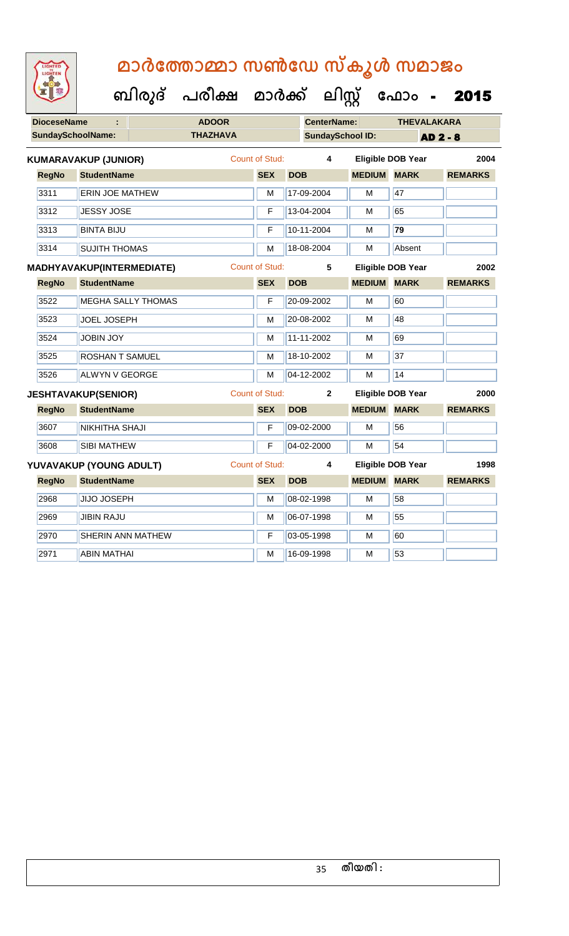**DioceseName : ADOOR CenterName: THEVALAKARA** SundaySchoolName: THAZHAVA **SundaySchool ID:** AD 2 - 8  **ബിരുദ് പരീക്ഷ മാര്ക് ക ലിസ്റ്റ ക ഫ ാോം** - 2015 **RegNo StudentName SEX DOB MEDIUM MARK REMARKS KUMARAVAKUP (JUNIOR)** Count of Stud: **4 Eligible DOB Year 2004** 3311 **ERIN JOE MATHEW M 17-09-2004 M** 47 3312 JESSY JOSE **F 13-04-2004** M 65 3313 BINTA BIJU F 10-11-2004 M **79** 3314 SUJITH THOMAS M 18-08-2004 M Absent **RegNo StudentName SEX DOB MEDIUM MARK REMARKS MADHYAVAKUP(INTERMEDIATE)** Count of Stud: **5 Eligible DOB Year 2002** 3522 MEGHA SALLY THOMAS F 20-09-2002 M 60 3523 JJOEL JOSEPH M 20-08-2002 M 48 3524 JJOBIN JOY M 11-11-2002 M 69 3525 ROSHAN T SAMUEL M M 18-10-2002 M 37 3526 ALWYN V GEORGE M M 04-12-2002 M 14 **RegNo StudentName SEX DOB MEDIUM MARK REMARKS JESHTAVAKUP(SENIOR)** Count of Stud: **2 Eligible DOB Year 2000** 3607 NIKHITHA SHAJI **F 09-02-2000** M 56 3608 SIBI MATHEW F 04-02-2000 M 54 **RegNo StudentName SEX DOB MEDIUM MARK REMARKS YUVAVAKUP (YOUNG ADULT)** Count of Stud: **4 Eligible DOB Year 1998** 2968 JJJJO JOSEPH M 08-02-1998 M 58 2969 JIBIN RAJU M 06-07-1998 M 55 2970 SHERIN ANN MATHEW **F** 03-05-1998 M 60 2971 | ABIN MATHAI M | M | 16-09-1998 | M | 53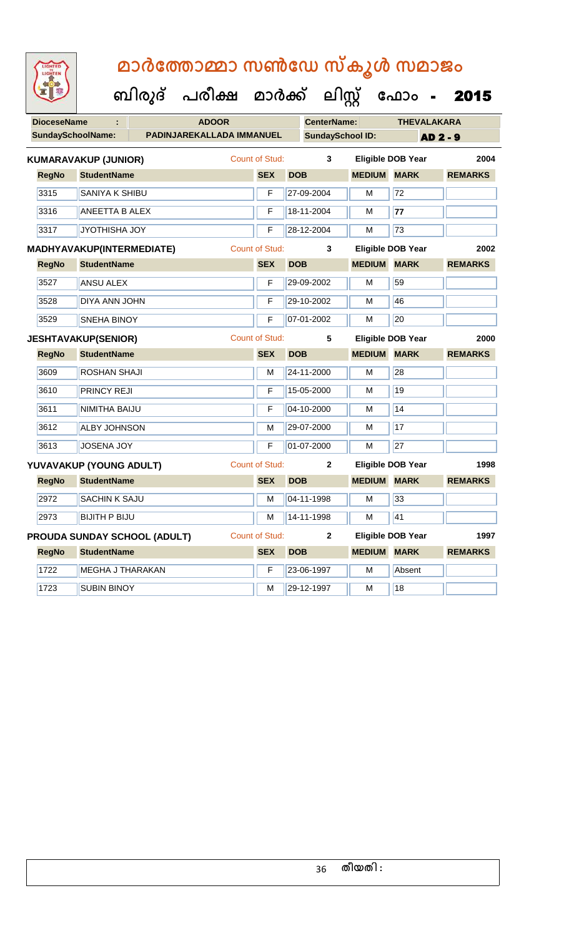| <b>IGHTED</b> |
|---------------|
|               |
|               |
|               |

| <b>DioceseName</b><br>÷ |              |                             | <b>ADOOR</b>                        |  |                       | <b>CenterName:</b> | <b>THEVALAKARA</b>      |                          |                 |                 |                |
|-------------------------|--------------|-----------------------------|-------------------------------------|--|-----------------------|--------------------|-------------------------|--------------------------|-----------------|-----------------|----------------|
|                         |              | <b>SundaySchoolName:</b>    | PADINJAREKALLADA IMMANUEL           |  |                       |                    | <b>SundaySchool ID:</b> |                          |                 | <b>AD 2 - 9</b> |                |
|                         |              | <b>KUMARAVAKUP (JUNIOR)</b> |                                     |  | Count of Stud:        |                    | 3                       | <b>Eligible DOB Year</b> |                 |                 | 2004           |
|                         | <b>RegNo</b> | <b>StudentName</b>          |                                     |  | <b>SEX</b>            | <b>DOB</b>         |                         | <b>MEDIUM MARK</b>       |                 |                 | <b>REMARKS</b> |
|                         | 3315         | SANIYA K SHIBU              |                                     |  | F                     |                    | 27-09-2004              | м                        | 72              |                 |                |
|                         | 3316         | <b>ANEETTA B ALEX</b>       |                                     |  | F                     |                    | 18-11-2004              | м                        | 77              |                 |                |
|                         | 3317         | <b>JYOTHISHA JOY</b>        |                                     |  | F                     |                    | 28-12-2004              | M                        | 73              |                 |                |
|                         |              | MADHYAVAKUP(INTERMEDIATE)   |                                     |  | <b>Count of Stud:</b> |                    | 3                       | <b>Eligible DOB Year</b> |                 |                 | 2002           |
|                         | <b>RegNo</b> | <b>StudentName</b>          |                                     |  | <b>SEX</b>            | <b>DOB</b>         |                         | <b>MEDIUM MARK</b>       |                 |                 | <b>REMARKS</b> |
|                         | 3527         | <b>ANSU ALEX</b>            |                                     |  | F                     |                    | 29-09-2002              | М                        | 59              |                 |                |
|                         | 3528         | DIYA ANN JOHN               |                                     |  | F                     |                    | 29-10-2002              | м                        | 46              |                 |                |
|                         | 3529         | <b>SNEHA BINOY</b>          |                                     |  | F                     |                    | 07-01-2002              | M                        | 20              |                 |                |
|                         |              | <b>JESHTAVAKUP(SENIOR)</b>  |                                     |  | Count of Stud:        |                    | 5                       | <b>Eligible DOB Year</b> |                 |                 | 2000           |
|                         | <b>RegNo</b> | <b>StudentName</b>          |                                     |  | <b>SEX</b>            | <b>DOB</b>         |                         | <b>MEDIUM</b>            | <b>MARK</b>     |                 | <b>REMARKS</b> |
|                         | 3609         | ROSHAN SHAJI                |                                     |  | М                     |                    | 24-11-2000              | M                        | 28              |                 |                |
|                         | 3610         | <b>PRINCY REJI</b>          |                                     |  | F                     |                    | 15-05-2000              | M                        | 19              |                 |                |
|                         | 3611         | NIMITHA BAIJU               |                                     |  | F                     |                    | 04-10-2000              | М                        | 14              |                 |                |
|                         | 3612         | <b>ALBY JOHNSON</b>         |                                     |  | М                     |                    | 29-07-2000              | M                        | 17              |                 |                |
|                         | 3613         | <b>JOSENA JOY</b>           |                                     |  | F                     |                    | 01-07-2000              | M                        | $\overline{27}$ |                 |                |
|                         |              | YUVAVAKUP (YOUNG ADULT)     |                                     |  | <b>Count of Stud:</b> |                    | $\mathbf{2}$            | <b>Eligible DOB Year</b> |                 |                 | 1998           |
|                         | <b>RegNo</b> | <b>StudentName</b>          |                                     |  | <b>SEX</b>            | <b>DOB</b>         |                         | <b>MEDIUM MARK</b>       |                 |                 | <b>REMARKS</b> |
|                         | 2972         | <b>SACHIN K SAJU</b>        |                                     |  | м                     |                    | 04-11-1998              | м                        | 33              |                 |                |
|                         | 2973         | <b>BIJITH P BIJU</b>        |                                     |  | M                     |                    | 14-11-1998              | м                        | 41              |                 |                |
|                         |              |                             | <b>PROUDA SUNDAY SCHOOL (ADULT)</b> |  | <b>Count of Stud:</b> |                    | $\mathbf{2}$            | <b>Eligible DOB Year</b> |                 |                 | 1997           |
|                         | <b>RegNo</b> | <b>StudentName</b>          |                                     |  | <b>SEX</b>            | <b>DOB</b>         |                         | <b>MEDIUM MARK</b>       |                 |                 | <b>REMARKS</b> |
|                         | 1722         | <b>MEGHA J THARAKAN</b>     |                                     |  | F                     |                    | 23-06-1997              | M                        | Absent          |                 |                |
|                         | 1723         | <b>SUBIN BINOY</b>          |                                     |  | м                     |                    | 29-12-1997              | м                        | 18              |                 |                |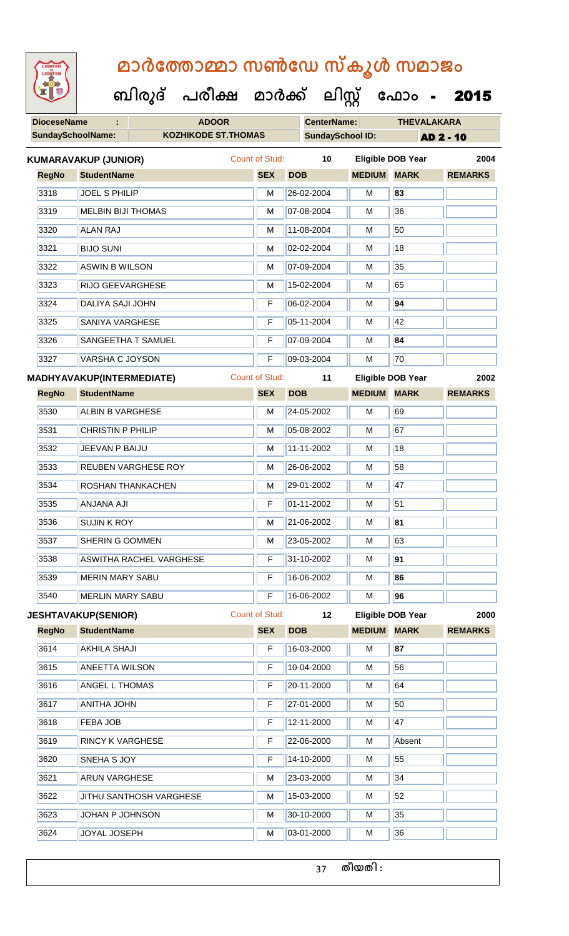| <b>IGHTED</b> |
|---------------|
|               |
|               |
|               |
|               |

 **ബിരുദ് പരീക്ഷ മാര്ക്**

**ക ലിസ്റ്റ ക ഫ ാോം** - 2015

**DioceseName : ADOOR CenterName: THEVALAKARA**

|              | <b>SundaySchoolName:</b><br><b>KOZHIKODE ST.THOMAS</b> |                       |            | <b>SundaySchool ID:</b><br><b>AD 2 - 10</b> |                          |                |  |  |  |
|--------------|--------------------------------------------------------|-----------------------|------------|---------------------------------------------|--------------------------|----------------|--|--|--|
|              | <b>KUMARAVAKUP (JUNIOR)</b>                            | <b>Count of Stud:</b> | 10         |                                             | <b>Eligible DOB Year</b> | 2004           |  |  |  |
| <b>RegNo</b> | <b>StudentName</b>                                     | <b>SEX</b>            | <b>DOB</b> | <b>MEDIUM MARK</b>                          |                          | <b>REMARKS</b> |  |  |  |
| 3318         | JOEL S PHILIP                                          | M                     | 26-02-2004 | М                                           | 83                       |                |  |  |  |
| 3319         | <b>MELBIN BIJI THOMAS</b>                              | M                     | 07-08-2004 | М                                           | 36                       |                |  |  |  |
| 3320         | <b>ALAN RAJ</b>                                        | M                     | 11-08-2004 | М                                           | 50                       |                |  |  |  |
| 3321         | <b>BIJO SUNI</b>                                       | м                     | 02-02-2004 | M                                           | 18                       |                |  |  |  |
| 3322         | <b>ASWIN B WILSON</b>                                  | M                     | 07-09-2004 | M                                           | 35                       |                |  |  |  |
| 3323         | RIJO GEEVARGHESE                                       | м                     | 15-02-2004 | м                                           | 65                       |                |  |  |  |
| 3324         | DALIYA SAJI JOHN                                       | F                     | 06-02-2004 | М                                           | 94                       |                |  |  |  |
| 3325         | <b>SANIYA VARGHESE</b>                                 | F                     | 05-11-2004 | M                                           | 42                       |                |  |  |  |
| 3326         | SANGEETHA T SAMUEL                                     | F                     | 07-09-2004 | М                                           | 84                       |                |  |  |  |
| 3327         | <b>VARSHA C JOYSON</b>                                 | F                     | 09-03-2004 | M                                           | 70                       |                |  |  |  |
|              | MADHYAVAKUP(INTERMEDIATE)                              | <b>Count of Stud:</b> | 11         |                                             | <b>Eligible DOB Year</b> | 2002           |  |  |  |
| <b>RegNo</b> | <b>StudentName</b>                                     | <b>SEX</b>            | <b>DOB</b> | <b>MEDIUM</b>                               | <b>MARK</b>              | <b>REMARKS</b> |  |  |  |
| 3530         | <b>ALBIN B VARGHESE</b>                                | м                     | 24-05-2002 | М                                           | 69                       |                |  |  |  |
| 3531         | <b>CHRISTIN P PHILIP</b>                               | M                     | 05-08-2002 | М                                           | 67                       |                |  |  |  |
| 3532         | JEEVAN P BAIJU                                         | M                     | 11-11-2002 | М                                           | 18                       |                |  |  |  |
| 3533         | REUBEN VARGHESE ROY                                    | M                     | 26-06-2002 | M                                           | 58                       |                |  |  |  |
| 3534         | ROSHAN THANKACHEN                                      | M                     | 29-01-2002 | M                                           | 47                       |                |  |  |  |
| 3535         | <b>ANJANA AJI</b>                                      | F                     | 01-11-2002 | М                                           | 51                       |                |  |  |  |
| 3536         | <b>SUJIN K ROY</b>                                     | M                     | 21-06-2002 | М                                           | 81                       |                |  |  |  |
| 3537         | SHERIN G OOMMEN                                        | м                     | 23-05-2002 | М                                           | 63                       |                |  |  |  |
| 3538         | <b>ASWITHA RACHEL VARGHESE</b>                         | F                     | 31-10-2002 | M                                           | 91                       |                |  |  |  |
| 3539         | <b>MERIN MARY SABU</b>                                 | F                     | 16-06-2002 | М                                           | 86                       |                |  |  |  |
| 3540         | <b>MERLIN MARY SABU</b>                                | F                     | 16-06-2002 | M                                           | 96                       |                |  |  |  |
|              | <b>JESHTAVAKUP(SENIOR)</b>                             | <b>Count of Stud:</b> | 12         |                                             | <b>Eligible DOB Year</b> | 2000           |  |  |  |
| <b>RegNo</b> | <b>StudentName</b>                                     | <b>SEX</b>            | <b>DOB</b> | <b>MEDIUM</b>                               | <b>MARK</b>              | <b>REMARKS</b> |  |  |  |
| 3614         | <b>AKHILA SHAJI</b>                                    | F                     | 16-03-2000 | М                                           | 87                       |                |  |  |  |
| 3615         | <b>ANEETTA WILSON</b>                                  | F                     | 10-04-2000 | М                                           | 56                       |                |  |  |  |
| 3616         | <b>ANGEL L THOMAS</b>                                  | F                     | 20-11-2000 | М                                           | 64                       |                |  |  |  |
| 3617         | ANITHA JOHN                                            | F                     | 27-01-2000 | М                                           | 50                       |                |  |  |  |
| 3618         | FEBA JOB                                               | F                     | 12-11-2000 | М                                           | 47                       |                |  |  |  |
| 3619         | <b>RINCY K VARGHESE</b>                                | F                     | 22-06-2000 | М                                           | Absent                   |                |  |  |  |
| 3620         | SNEHA S JOY                                            | F                     | 14-10-2000 | М                                           | 55                       |                |  |  |  |
| 3621         | <b>ARUN VARGHESE</b>                                   | М                     | 23-03-2000 | M                                           | 34                       |                |  |  |  |
| 3622         | JITHU SANTHOSH VARGHESE                                | М                     | 15-03-2000 | M                                           | 52                       |                |  |  |  |
| 3623         | JOHAN P JOHNSON                                        | M                     | 30-10-2000 | М                                           | 35                       |                |  |  |  |
| 3624         | JOYAL JOSEPH                                           | М                     | 03-01-2000 | М                                           | 36                       |                |  |  |  |

**തീയതി :**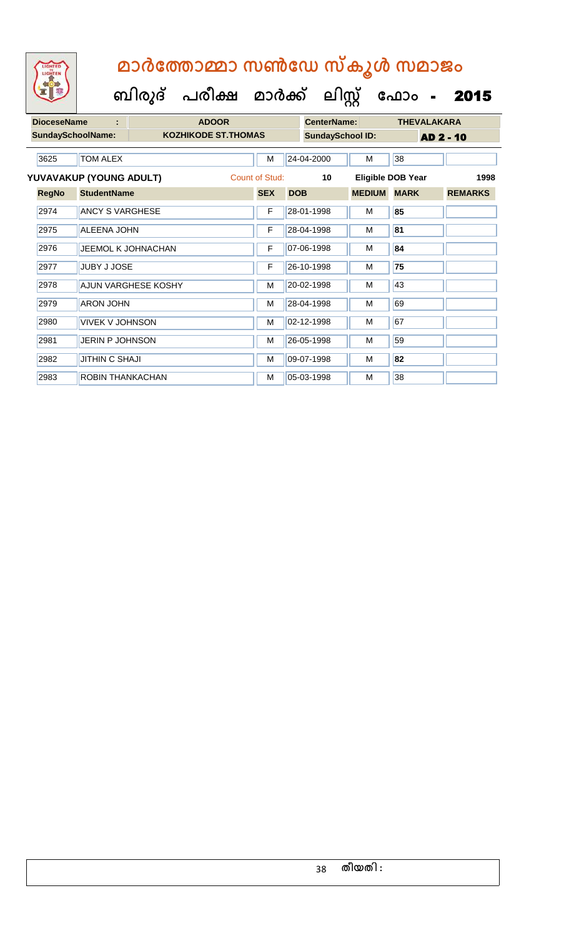| <b>DioceseName</b>       | ÷                       |                     | <b>ADOOR</b>                |                | <b>CenterName:</b>      |               | <b>THEVALAKARA</b> |                |  |
|--------------------------|-------------------------|---------------------|-----------------------------|----------------|-------------------------|---------------|--------------------|----------------|--|
| <b>SundaySchoolName:</b> |                         |                     | <b>KOZHIKODE ST. THOMAS</b> |                | <b>SundaySchool ID:</b> |               | <b>AD 2 - 10</b>   |                |  |
| 3625                     | <b>TOM ALEX</b>         |                     |                             | M              | 24-04-2000              | M             | 38                 |                |  |
|                          | YUVAVAKUP (YOUNG ADULT) |                     |                             | Count of Stud: | 10                      |               | Eligible DOB Year  | 1998           |  |
| <b>RegNo</b>             | <b>StudentName</b>      |                     |                             | <b>SEX</b>     | <b>DOB</b>              | <b>MEDIUM</b> | <b>MARK</b>        | <b>REMARKS</b> |  |
| 2974                     | <b>ANCY S VARGHESE</b>  |                     |                             | F              | 28-01-1998              | M             | 85                 |                |  |
| 2975                     | <b>ALEENA JOHN</b>      |                     |                             | F              | 28-04-1998              | M             | 81                 |                |  |
| 2976                     |                         | JEEMOL K JOHNACHAN  |                             | F              | 07-06-1998              | M             | 84                 |                |  |
| 2977                     | <b>JUBY J JOSE</b>      |                     |                             | F              | 26-10-1998              | м             | 75                 |                |  |
| 2978                     |                         | AJUN VARGHESE KOSHY |                             | M              | 20-02-1998              | M             | 43                 |                |  |
| 2979                     | <b>ARON JOHN</b>        |                     |                             | M              | 28-04-1998              | м             | 69                 |                |  |
| 2980                     | <b>VIVEK V JOHNSON</b>  |                     |                             | M              | 02-12-1998              | M             | 67                 |                |  |
| 2981                     | <b>JERIN P JOHNSON</b>  |                     |                             | M              | 26-05-1998              | M             | 59                 |                |  |
| 2982                     | <b>JITHIN C SHAJI</b>   |                     |                             | м              | 09-07-1998              | м             | 82                 |                |  |
| 2983                     | <b>ROBIN THANKACHAN</b> |                     |                             | M              | 05-03-1998              | м             | 38                 |                |  |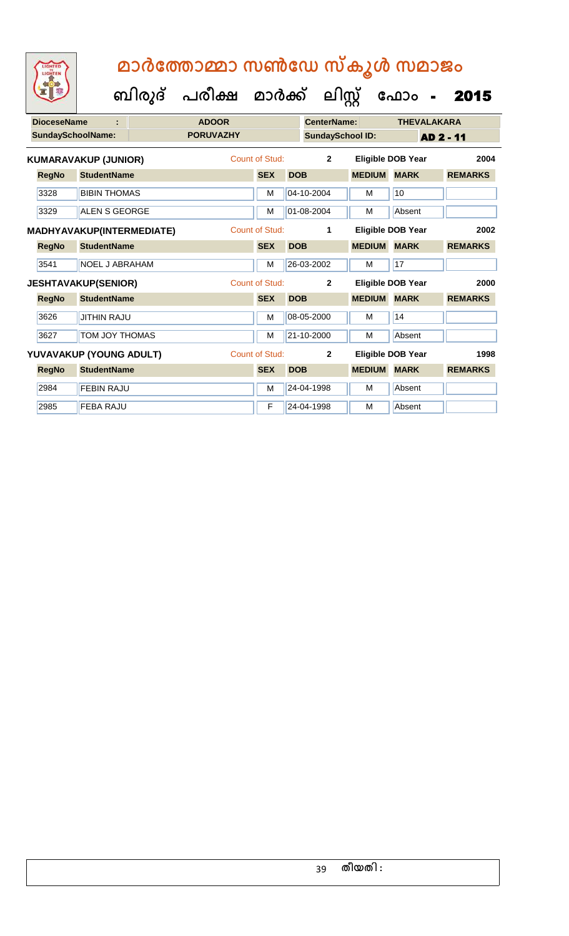|                   | <b>DioceseName</b>               |  |                  | <b>CenterName:</b>    |            | <b>THEVALAKARA</b>      |               |                          |                |
|-------------------|----------------------------------|--|------------------|-----------------------|------------|-------------------------|---------------|--------------------------|----------------|
| SundaySchoolName: |                                  |  | <b>PORUVAZHY</b> |                       |            | <b>SundaySchool ID:</b> |               | AD 2 - 11                |                |
|                   | <b>KUMARAVAKUP (JUNIOR)</b>      |  |                  | <b>Count of Stud:</b> |            | $\mathbf{2}$            |               | <b>Eligible DOB Year</b> | 2004           |
| <b>RegNo</b>      | <b>StudentName</b>               |  |                  | <b>SEX</b>            | <b>DOB</b> |                         | <b>MEDIUM</b> | <b>MARK</b>              | <b>REMARKS</b> |
| 3328              | <b>BIBIN THOMAS</b>              |  |                  | M                     |            | 04-10-2004              | M             | 10                       |                |
| 3329              | <b>ALEN S GEORGE</b>             |  |                  | M                     |            | 01-08-2004              | M             | Absent                   |                |
|                   | <b>MADHYAVAKUP(INTERMEDIATE)</b> |  |                  | Count of Stud:        |            | 1                       |               | <b>Eligible DOB Year</b> | 2002           |
| <b>RegNo</b>      | <b>StudentName</b>               |  |                  | <b>SEX</b>            | <b>DOB</b> |                         | <b>MEDIUM</b> | <b>MARK</b>              | <b>REMARKS</b> |
| 3541              | <b>NOEL J ABRAHAM</b>            |  |                  | M                     |            | 26-03-2002              | M             | 17                       |                |
|                   | <b>JESHTAVAKUP(SENIOR)</b>       |  |                  | <b>Count of Stud:</b> |            | $\mathbf{2}$            |               | <b>Eligible DOB Year</b> | 2000           |
| <b>RegNo</b>      | <b>StudentName</b>               |  |                  | <b>SEX</b>            | <b>DOB</b> |                         | <b>MEDIUM</b> | <b>MARK</b>              | <b>REMARKS</b> |
| 3626              | <b>JITHIN RAJU</b>               |  |                  | M                     |            | 08-05-2000              | M             | 14                       |                |
| 3627              | <b>TOM JOY THOMAS</b>            |  |                  | M                     |            | 21-10-2000              | M             | Absent                   |                |
|                   | YUVAVAKUP (YOUNG ADULT)          |  |                  | Count of Stud:        |            | $\mathbf{2}$            |               | Eligible DOB Year        | 1998           |
| <b>RegNo</b>      | <b>StudentName</b>               |  |                  | <b>SEX</b>            | <b>DOB</b> |                         | <b>MEDIUM</b> | <b>MARK</b>              | <b>REMARKS</b> |
| 2984              | <b>FEBIN RAJU</b>                |  |                  | M                     |            | 24-04-1998              | M             | Absent                   |                |
| 2985              | <b>FEBA RAJU</b>                 |  |                  | F                     |            | 24-04-1998              | M             | Absent                   |                |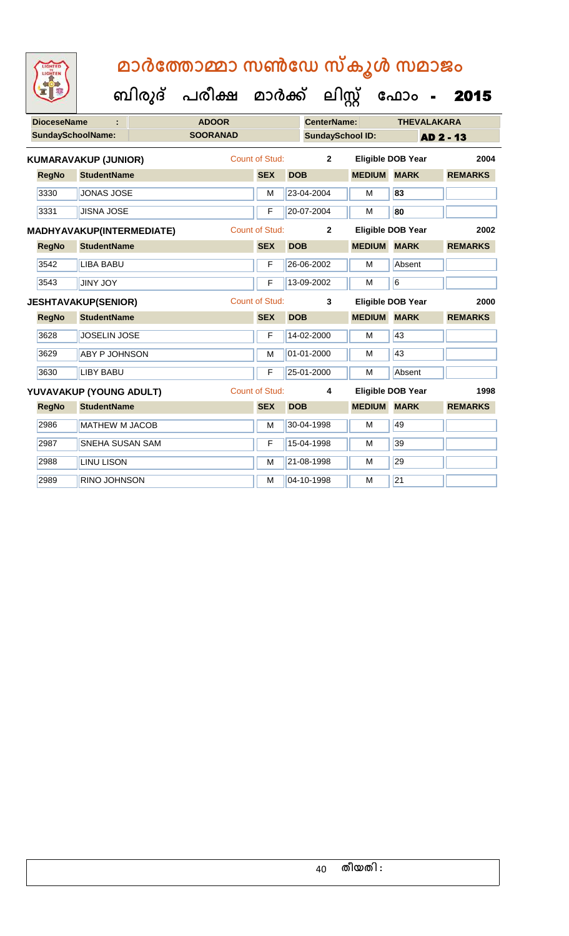| <b>DioceseName</b><br>t |                                  | <b>ADOOR</b>    |                       |            | <b>CenterName:</b>      |               | <b>THEVALAKARA</b>       |                  |
|-------------------------|----------------------------------|-----------------|-----------------------|------------|-------------------------|---------------|--------------------------|------------------|
|                         | <b>SundaySchoolName:</b>         | <b>SOORANAD</b> |                       |            | <b>SundaySchool ID:</b> |               |                          | <b>AD 2 - 13</b> |
|                         | <b>KUMARAVAKUP (JUNIOR)</b>      |                 | Count of Stud:        |            | $\overline{2}$          |               | <b>Eligible DOB Year</b> | 2004             |
| <b>RegNo</b>            | <b>StudentName</b>               |                 | <b>SEX</b>            | <b>DOB</b> |                         | <b>MEDIUM</b> | <b>MARK</b>              | <b>REMARKS</b>   |
| 3330                    | <b>JONAS JOSE</b>                |                 | M                     |            | 23-04-2004              | M             | 83                       |                  |
| 3331                    | <b>JISNA JOSE</b>                |                 | F                     |            | 20-07-2004              | M             | 80                       |                  |
|                         | <b>MADHYAVAKUP(INTERMEDIATE)</b> |                 | <b>Count of Stud:</b> |            | $\overline{2}$          |               | <b>Eligible DOB Year</b> | 2002             |
| <b>RegNo</b>            | <b>StudentName</b>               |                 | <b>SEX</b>            | <b>DOB</b> |                         | <b>MEDIUM</b> | <b>MARK</b>              | <b>REMARKS</b>   |
| 3542                    | <b>LIBA BABU</b>                 |                 | F                     |            | 26-06-2002              | M             | Absent                   |                  |
| 3543                    | <b>JINY JOY</b>                  |                 | F                     |            | 13-09-2002              | M             | $\overline{6}$           |                  |
|                         | <b>JESHTAVAKUP(SENIOR)</b>       |                 | <b>Count of Stud:</b> |            | 3                       |               | <b>Eligible DOB Year</b> | 2000             |
| <b>RegNo</b>            | <b>StudentName</b>               |                 | <b>SEX</b>            | <b>DOB</b> |                         | <b>MEDIUM</b> | <b>MARK</b>              | <b>REMARKS</b>   |
| 3628                    | <b>JOSELIN JOSE</b>              |                 | F                     |            | 14-02-2000              | M             | 43                       |                  |
| 3629                    | <b>ABY P JOHNSON</b>             |                 | M                     |            | 01-01-2000              | M             | 43                       |                  |
| 3630                    | <b>LIBY BABU</b>                 |                 | F                     |            | 25-01-2000              | M             | Absent                   |                  |
|                         | YUVAVAKUP (YOUNG ADULT)          |                 | <b>Count of Stud:</b> |            | 4                       |               | <b>Eligible DOB Year</b> | 1998             |
| <b>RegNo</b>            | <b>StudentName</b>               |                 | <b>SEX</b>            | <b>DOB</b> |                         | <b>MEDIUM</b> | <b>MARK</b>              | <b>REMARKS</b>   |
| 2986                    | <b>MATHEW M JACOB</b>            |                 | M                     |            | 30-04-1998              | M             | 49                       |                  |
| 2987                    | <b>SNEHA SUSAN SAM</b>           |                 | F                     |            | 15-04-1998              | M             | 39                       |                  |
| 2988                    | <b>LINU LISON</b>                |                 | M                     |            | 21-08-1998              | M             | 29                       |                  |
| 2989                    | RINO JOHNSON                     |                 | M                     |            | 04-10-1998              | M             | $\overline{21}$          |                  |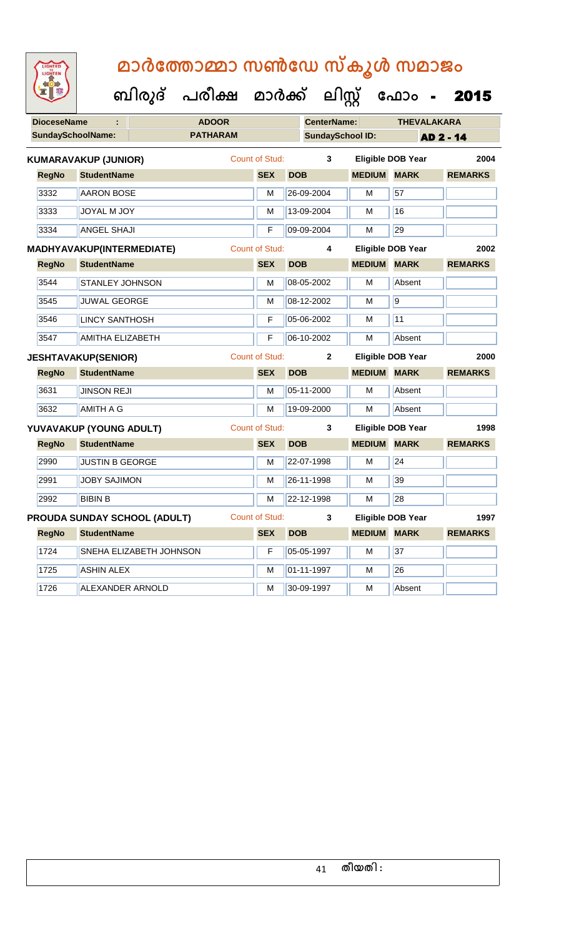| <b>DioceseName</b> |                             |                              | <b>ADOOR</b>    |                       |            | <b>CenterName:</b>      |                    | <b>THEVALAKARA</b>       |                |  |
|--------------------|-----------------------------|------------------------------|-----------------|-----------------------|------------|-------------------------|--------------------|--------------------------|----------------|--|
|                    | <b>SundaySchoolName:</b>    |                              | <b>PATHARAM</b> |                       |            | <b>SundaySchool ID:</b> |                    |                          | AD 2 - 14      |  |
|                    | <b>KUMARAVAKUP (JUNIOR)</b> |                              |                 | Count of Stud:        |            | 3                       |                    | <b>Eligible DOB Year</b> | 2004           |  |
| <b>RegNo</b>       | <b>StudentName</b>          |                              |                 | <b>SEX</b>            | <b>DOB</b> |                         | <b>MEDIUM</b>      | <b>MARK</b>              | <b>REMARKS</b> |  |
| 3332               | <b>AARON BOSE</b>           |                              |                 | м                     |            | 26-09-2004              | М                  | 57                       |                |  |
| 3333               | JOYAL M JOY                 |                              |                 | м                     |            | 13-09-2004              | М                  | 16                       |                |  |
| 3334               | <b>ANGEL SHAJI</b>          |                              |                 | F                     |            | 09-09-2004              | M                  | 29                       |                |  |
|                    | MADHYAVAKUP(INTERMEDIATE)   |                              |                 | Count of Stud:        |            | 4                       |                    | <b>Eligible DOB Year</b> | 2002           |  |
| <b>RegNo</b>       | <b>StudentName</b>          |                              |                 | <b>SEX</b>            | <b>DOB</b> |                         | <b>MEDIUM MARK</b> |                          | <b>REMARKS</b> |  |
| 3544               | <b>STANLEY JOHNSON</b>      |                              |                 | м                     |            | 08-05-2002              | м                  | Absent                   |                |  |
| 3545               | <b>JUWAL GEORGE</b>         |                              |                 | M                     |            | 08-12-2002              | М                  | $\overline{9}$           |                |  |
| 3546               | <b>LINCY SANTHOSH</b>       |                              |                 | F                     |            | 05-06-2002              | M                  | 11                       |                |  |
| 3547               | <b>AMITHA ELIZABETH</b>     |                              |                 | F                     |            | 06-10-2002              | М                  | Absent                   |                |  |
|                    | <b>JESHTAVAKUP(SENIOR)</b>  |                              |                 | Count of Stud:        |            | $\mathbf{2}$            |                    | <b>Eligible DOB Year</b> | 2000           |  |
| <b>RegNo</b>       |                             | <b>StudentName</b>           |                 | <b>SEX</b>            | <b>DOB</b> |                         | <b>MEDIUM MARK</b> |                          | <b>REMARKS</b> |  |
| 3631               | <b>JINSON REJI</b>          |                              |                 | м                     | 05-11-2000 |                         | м                  | Absent                   |                |  |
| 3632               | <b>AMITH A G</b>            |                              |                 | M                     |            | 19-09-2000              | M                  | Absent                   |                |  |
|                    | YUVAVAKUP (YOUNG ADULT)     |                              |                 | <b>Count of Stud:</b> |            | 3                       |                    | Eligible DOB Year        | 1998           |  |
| <b>RegNo</b>       | <b>StudentName</b>          |                              |                 | <b>SEX</b>            | <b>DOB</b> |                         | <b>MEDIUM</b>      | <b>MARK</b>              | <b>REMARKS</b> |  |
| 2990               | <b>JUSTIN B GEORGE</b>      |                              |                 | м                     |            | 22-07-1998              | M                  | 24                       |                |  |
| 2991               | <b>JOBY SAJIMON</b>         |                              |                 | М                     |            | 26-11-1998              | м                  | 39                       |                |  |
| 2992               | <b>BIBIN B</b>              |                              |                 | M                     |            | 22-12-1998              | M                  | 28                       |                |  |
|                    |                             | PROUDA SUNDAY SCHOOL (ADULT) |                 | <b>Count of Stud:</b> |            | 3                       |                    | <b>Eligible DOB Year</b> | 1997           |  |
| <b>RegNo</b>       | <b>StudentName</b>          |                              |                 | <b>SEX</b>            | <b>DOB</b> |                         | <b>MEDIUM</b>      | <b>MARK</b>              | <b>REMARKS</b> |  |
| 1724               | SNEHA ELIZABETH JOHNSON     |                              |                 | F                     |            | 05-05-1997              | M                  | 37                       |                |  |
| 1725               | <b>ASHIN ALEX</b>           |                              |                 | м                     |            | 01-11-1997              | м                  | 26                       |                |  |
| 1726               | ALEXANDER ARNOLD            |                              |                 | м                     |            | 30-09-1997              | М                  | Absent                   |                |  |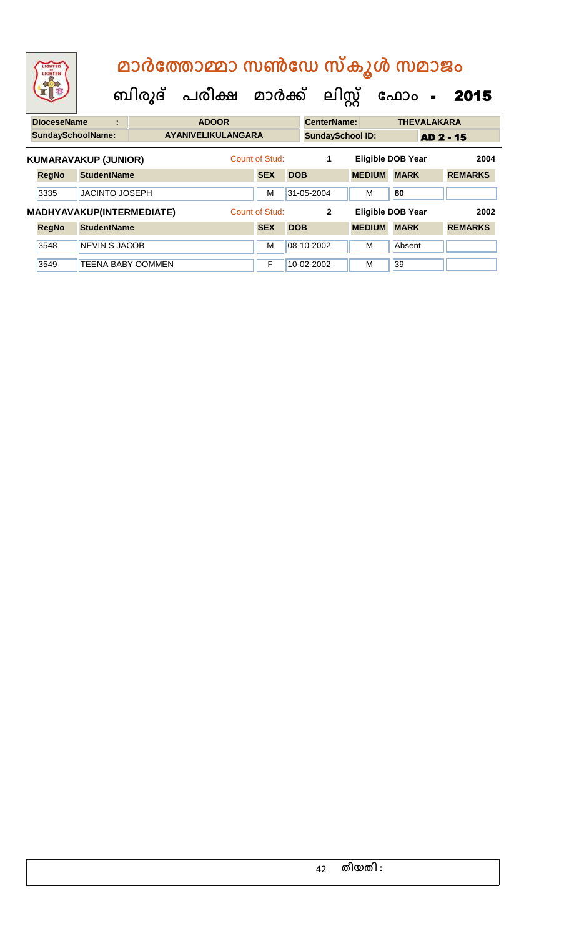| LIGHTED<br>LIGHTEN       |                             |                           | മാർത്തോമ്മാ സൺഡേ സ്കൂൾ സമാജം<br>ബിരുദ് പരീക്ഷ മാർക്ക് |                |            | ലിസ്റ്റ്                |               | ഫോം<br>$\sim$            | 2015             |  |
|--------------------------|-----------------------------|---------------------------|-------------------------------------------------------|----------------|------------|-------------------------|---------------|--------------------------|------------------|--|
| <b>DioceseName</b>       | ÷                           |                           | <b>ADOOR</b>                                          |                |            | <b>CenterName:</b>      |               | <b>THEVALAKARA</b>       |                  |  |
| <b>SundaySchoolName:</b> |                             |                           | <b>AYANIVELIKULANGARA</b>                             |                |            | <b>SundaySchool ID:</b> |               |                          | <b>AD 2 - 15</b> |  |
|                          | <b>KUMARAVAKUP (JUNIOR)</b> |                           |                                                       | Count of Stud: |            | 1                       |               | <b>Eligible DOB Year</b> | 2004             |  |
| <b>RegNo</b>             | <b>StudentName</b>          |                           |                                                       | <b>SEX</b>     | <b>DOB</b> |                         | <b>MEDIUM</b> | <b>MARK</b>              | <b>REMARKS</b>   |  |
| 3335                     | <b>JACINTO JOSEPH</b>       |                           |                                                       | M              |            | 31-05-2004              | м             | 80                       |                  |  |
|                          |                             | MADHYAVAKUP(INTERMEDIATE) |                                                       | Count of Stud: |            | $\mathbf{2}$            |               | <b>Eligible DOB Year</b> | 2002             |  |
| <b>RegNo</b>             | <b>StudentName</b>          |                           |                                                       | <b>SEX</b>     | <b>DOB</b> |                         | <b>MEDIUM</b> | <b>MARK</b>              | <b>REMARKS</b>   |  |
| 3548                     | <b>NEVIN S JACOB</b>        |                           |                                                       | M              |            | 08-10-2002              | м             | Absent                   |                  |  |
| 3549                     |                             | TEENA BABY OOMMEN         |                                                       | F              |            | 10-02-2002              | м             | 39                       |                  |  |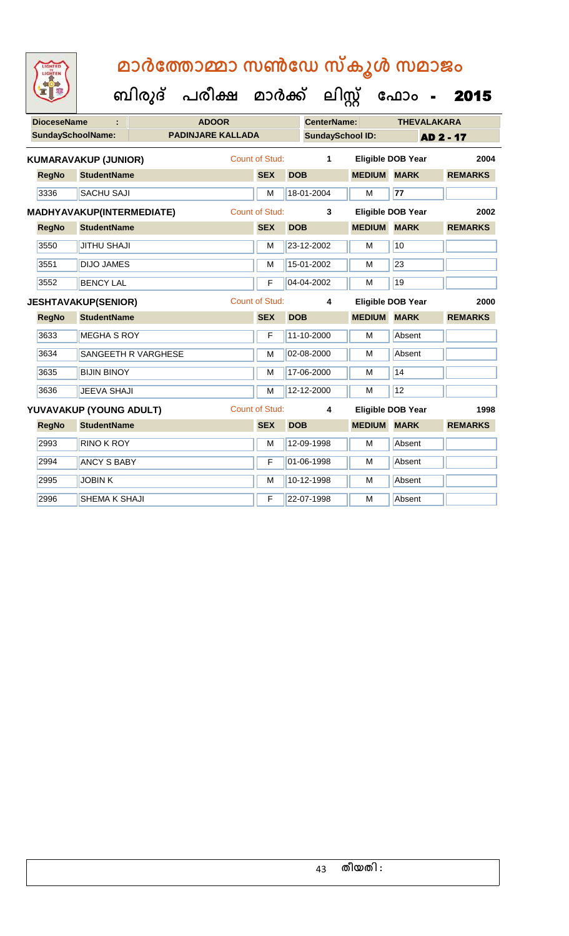| <b>IGHTED</b> |  |
|---------------|--|
| <b>SHTEI</b>  |  |
|               |  |
|               |  |
|               |  |
|               |  |

| <b>DioceseName</b> |                             |                     | <b>ADOOR</b>             |                       |            | <b>CenterName:</b>      |                    | <b>THEVALAKARA</b>       |                  |
|--------------------|-----------------------------|---------------------|--------------------------|-----------------------|------------|-------------------------|--------------------|--------------------------|------------------|
|                    | <b>SundaySchoolName:</b>    |                     | <b>PADINJARE KALLADA</b> |                       |            | <b>SundaySchool ID:</b> |                    |                          | <b>AD 2 - 17</b> |
|                    | <b>KUMARAVAKUP (JUNIOR)</b> |                     |                          | Count of Stud:        |            | 1                       |                    | <b>Eligible DOB Year</b> | 2004             |
| <b>RegNo</b>       | <b>StudentName</b>          |                     |                          | <b>SEX</b>            | <b>DOB</b> |                         | <b>MEDIUM</b>      | <b>MARK</b>              | <b>REMARKS</b>   |
| 3336               | <b>SACHU SAJI</b>           |                     |                          | M                     |            | 18-01-2004              | M                  | 77                       |                  |
|                    | MADHYAVAKUP(INTERMEDIATE)   |                     |                          | <b>Count of Stud:</b> |            | 3                       |                    | <b>Eligible DOB Year</b> | 2002             |
| <b>RegNo</b>       | <b>StudentName</b>          |                     |                          | <b>SEX</b>            | <b>DOB</b> |                         | <b>MEDIUM MARK</b> |                          | <b>REMARKS</b>   |
| 3550               | <b>JITHU SHAJI</b>          |                     |                          | M                     |            | 23-12-2002              | M                  | 10                       |                  |
| 3551               | <b>DIJO JAMES</b>           |                     |                          | M                     |            | 15-01-2002              | M                  | 23                       |                  |
| 3552               | <b>BENCY LAL</b>            |                     |                          | F                     |            | 04-04-2002              | M                  | 19                       |                  |
|                    | <b>JESHTAVAKUP(SENIOR)</b>  |                     |                          | <b>Count of Stud:</b> |            | 4                       |                    | <b>Eligible DOB Year</b> | 2000             |
| <b>RegNo</b>       | <b>StudentName</b>          |                     |                          | <b>SEX</b>            | <b>DOB</b> |                         | <b>MEDIUM</b>      | <b>MARK</b>              | <b>REMARKS</b>   |
| 3633               | <b>MEGHA S ROY</b>          |                     |                          | F                     |            | 11-10-2000              | M                  | Absent                   |                  |
| 3634               |                             | SANGEETH R VARGHESE |                          | M                     |            | 02-08-2000              | M                  | Absent                   |                  |
| 3635               | <b>BIJIN BINOY</b>          |                     |                          | M                     |            | 17-06-2000              | M                  | 14                       |                  |
| 3636               | <b>JEEVA SHAJI</b>          |                     |                          | M                     |            | 12-12-2000              | M                  | 12                       |                  |
|                    | YUVAVAKUP (YOUNG ADULT)     |                     |                          | <b>Count of Stud:</b> |            | 4                       |                    | <b>Eligible DOB Year</b> | 1998             |
| <b>RegNo</b>       | <b>StudentName</b>          |                     |                          | <b>SEX</b>            | <b>DOB</b> |                         | <b>MEDIUM MARK</b> |                          | <b>REMARKS</b>   |
| 2993               | RINO K ROY                  |                     |                          | M                     |            | 12-09-1998              | M                  | Absent                   |                  |
| 2994               | <b>ANCY S BABY</b>          |                     |                          | F                     |            | 01-06-1998              | M                  | Absent                   |                  |
| 2995               | <b>JOBINK</b>               |                     |                          | M                     |            | 10-12-1998              | M                  | Absent                   |                  |
| 2996               | SHEMA K SHAJI               |                     |                          | F                     |            | 22-07-1998              | м                  | Absent                   |                  |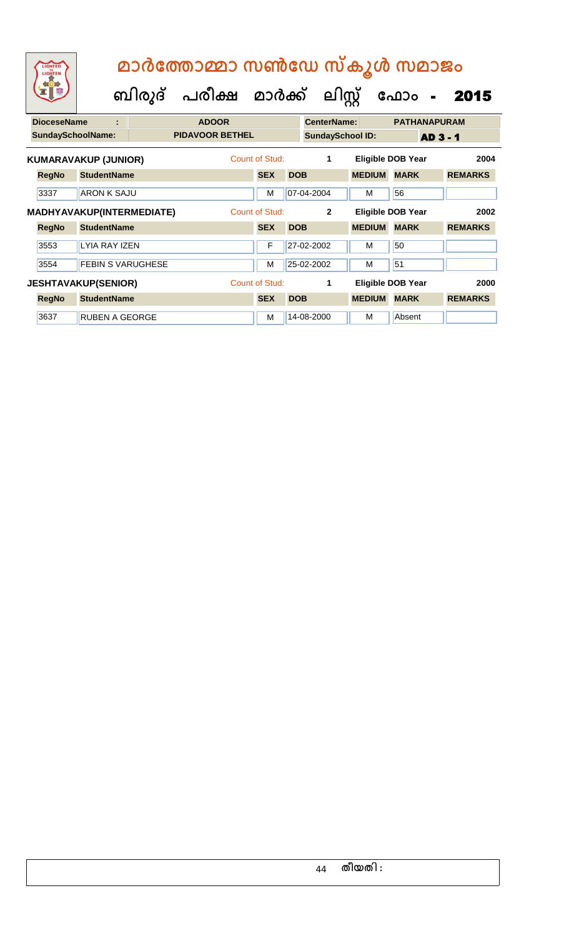| LIGHTED<br>LIGHTEN       |                             |        | മാർത്തോമ്മാ സൺഡേ സ്കൂൾ സമാജം |                       |            |                         |               |                          |                |
|--------------------------|-----------------------------|--------|------------------------------|-----------------------|------------|-------------------------|---------------|--------------------------|----------------|
|                          |                             | ബിരുദ് | പരീക്ഷ മാർക്ക്               |                       |            | ലിസ്റ്റ്                |               | ഫോം<br>$\blacksquare$    | 2015           |
| <b>DioceseName</b>       | ÷                           |        | <b>ADOOR</b>                 |                       |            | <b>CenterName:</b>      |               | <b>PATHANAPURAM</b>      |                |
| <b>SundaySchoolName:</b> |                             |        | <b>PIDAVOOR BETHEL</b>       |                       |            | <b>SundaySchool ID:</b> |               | <b>AD 3 - 1</b>          |                |
|                          | <b>KUMARAVAKUP (JUNIOR)</b> |        |                              | Count of Stud:        |            | 1                       |               | <b>Eligible DOB Year</b> | 2004           |
| <b>RegNo</b>             | <b>StudentName</b>          |        |                              | <b>SEX</b>            | <b>DOB</b> |                         | <b>MEDIUM</b> | <b>MARK</b>              | <b>REMARKS</b> |
| 3337                     | ARON K SA.IU                |        |                              | м                     |            | 07-04-2004              | м             | 56                       |                |
|                          | MADHYAVAKUP(INTERMEDIATE)   |        |                              | <b>Count of Stud:</b> |            | $\mathbf{2}$            |               | <b>Eligible DOB Year</b> | 2002           |
| <b>RegNo</b>             | <b>StudentName</b>          |        |                              | <b>SEX</b>            | <b>DOB</b> |                         | <b>MEDIUM</b> | <b>MARK</b>              | <b>REMARKS</b> |
| 3553                     | LYIA RAY IZEN               |        |                              | F                     |            | 27-02-2002              | м             | 50                       |                |
| 3554                     | <b>FEBIN S VARUGHESE</b>    |        |                              | м                     |            | 25-02-2002              | м             | 51                       |                |
|                          | <b>JESHTAVAKUP(SENIOR)</b>  |        |                              | Count of Stud:        |            | 1                       |               | <b>Eligible DOB Year</b> | 2000           |
| <b>RegNo</b>             | <b>StudentName</b>          |        |                              | <b>SEX</b>            | <b>DOB</b> |                         | <b>MEDIUM</b> | <b>MARK</b>              | <b>REMARKS</b> |
| 3637                     | <b>RUBEN A GEORGE</b>       |        |                              | M                     |            | 14-08-2000              | м             | Absent                   |                |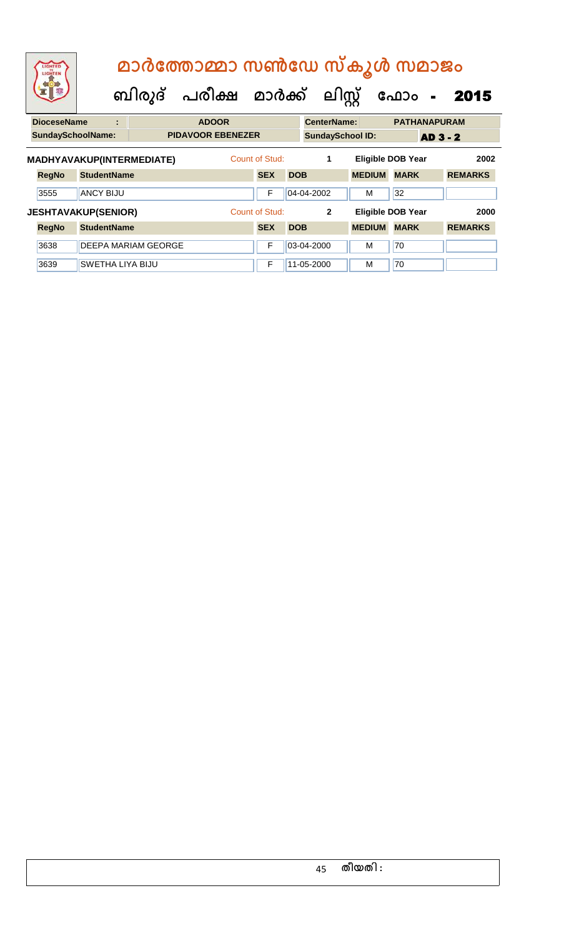| LIGHTED<br>LIGHTEN         |                         |   |                           | ബിരുദ് പരീക്ഷ മാർക്ക് ലിസ്റ്റ് |                              |            |                         |               | മാർത്തോമ്മാ സൺഡേ സ്കൂൾ സമാജം<br>ഫോം<br>$\blacksquare$ | 2015                   |
|----------------------------|-------------------------|---|---------------------------|--------------------------------|------------------------------|------------|-------------------------|---------------|-------------------------------------------------------|------------------------|
| <b>DioceseName</b>         |                         | ÷ |                           | <b>ADOOR</b>                   |                              |            | <b>CenterName:</b>      |               | <b>PATHANAPURAM</b>                                   |                        |
| <b>SundaySchoolName:</b>   |                         |   |                           | <b>PIDAVOOR EBENEZER</b>       |                              |            | <b>SundaySchool ID:</b> |               | <b>AD 3 - 2</b>                                       |                        |
| <b>RegNo</b>               | <b>StudentName</b>      |   | MADHYAVAKUP(INTERMEDIATE) |                                | Count of Stud:<br><b>SEX</b> | <b>DOB</b> | 1                       | <b>MEDIUM</b> | <b>Eligible DOB Year</b><br><b>MARK</b>               | 2002<br><b>REMARKS</b> |
| 3555                       | <b>ANCY BIJU</b>        |   |                           |                                | F                            |            | 04-04-2002              | M             | 32                                                    |                        |
| <b>JESHTAVAKUP(SENIOR)</b> |                         |   |                           |                                | Count of Stud:               |            | $\mathbf{2}$            |               | <b>Eligible DOB Year</b>                              | 2000                   |
| <b>RegNo</b>               | <b>StudentName</b>      |   |                           |                                | <b>SEX</b>                   | <b>DOB</b> |                         | <b>MEDIUM</b> | <b>MARK</b>                                           | <b>REMARKS</b>         |
| 3638                       |                         |   | DEEPA MARIAM GEORGE       |                                | F                            |            | 03-04-2000              | M             | 70                                                    |                        |
| 3639                       | <b>SWETHA LIYA BIJU</b> |   |                           |                                | F                            |            | 11-05-2000              | M             | 70                                                    |                        |

### 45 **തീയതി :**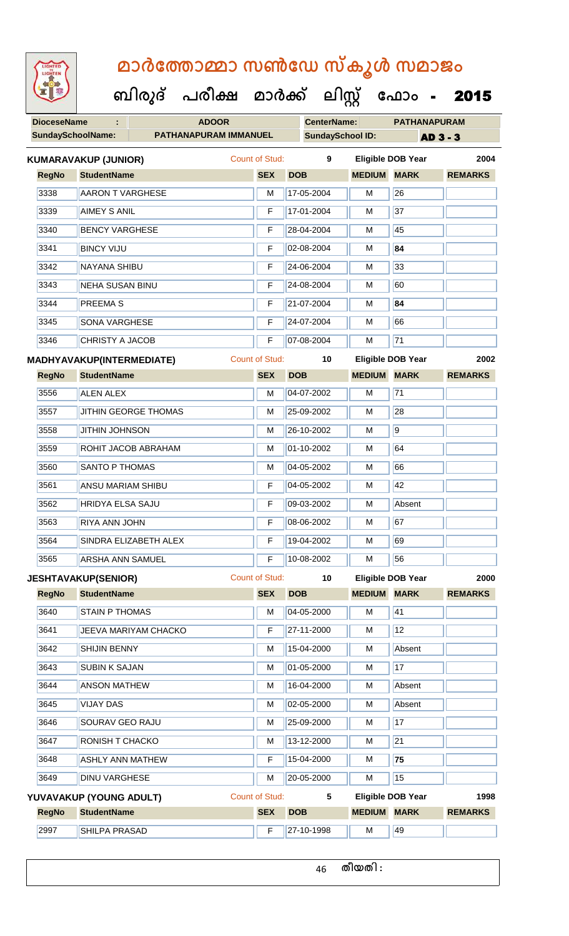| <b>IGHTED</b> |
|---------------|
|               |
|               |
|               |
|               |
|               |

**DioceseName : ADOOR CenterName: PATHANAPURAM ബിരുദ് പരീക്ഷ മാര്ക് ക ലിസ്റ്റ ക ഫ ാോം** - 2015

|              | <b>SundaySchoolName:</b><br>PATHANAPURAM IMMANUEL |                       |            | <b>SundaySchool ID:</b> |                    | <b>AD 3 - 3</b>          |                |  |
|--------------|---------------------------------------------------|-----------------------|------------|-------------------------|--------------------|--------------------------|----------------|--|
|              | <b>KUMARAVAKUP (JUNIOR)</b>                       | <b>Count of Stud:</b> |            | 9                       |                    | <b>Eligible DOB Year</b> | 2004           |  |
| <b>RegNo</b> | <b>StudentName</b>                                |                       | <b>SEX</b> | <b>DOB</b>              | <b>MEDIUM MARK</b> |                          | <b>REMARKS</b> |  |
| 3338         | <b>AARON T VARGHESE</b>                           |                       | M          | 17-05-2004              | M                  | $\overline{26}$          |                |  |
| 3339         | <b>AIMEY S ANIL</b>                               |                       | F          | 17-01-2004              | M                  | $\overline{37}$          |                |  |
| 3340         | <b>BENCY VARGHESE</b>                             |                       | F          | 28-04-2004              | М                  | 45                       |                |  |
| 3341         | <b>BINCY VIJU</b>                                 |                       | F          | 02-08-2004              | М                  | 84                       |                |  |
| 3342         | <b>NAYANA SHIBU</b>                               |                       | F          | 24-06-2004              | M                  | 33                       |                |  |
| 3343         | <b>NEHA SUSAN BINU</b>                            |                       |            | 24-08-2004              | М                  | 60                       |                |  |
| 3344         | <b>PREEMAS</b>                                    |                       | F          | 21-07-2004              | М                  | 84                       |                |  |
| 3345         | <b>SONA VARGHESE</b>                              |                       | F          | 24-07-2004              | M                  | 66                       |                |  |
| 3346         | <b>CHRISTY A JACOB</b>                            |                       | F          | 07-08-2004              | М                  | $\overline{71}$          |                |  |
|              | <b>MADHYAVAKUP(INTERMEDIATE)</b>                  | <b>Count of Stud:</b> |            | 10                      |                    | <b>Eligible DOB Year</b> | 2002           |  |
| <b>RegNo</b> | <b>StudentName</b>                                |                       | <b>SEX</b> | <b>DOB</b>              | <b>MEDIUM MARK</b> |                          | <b>REMARKS</b> |  |
| 3556         | <b>ALEN ALEX</b>                                  |                       | M          | 04-07-2002              | M                  | $\overline{71}$          |                |  |
| 3557         | JITHIN GEORGE THOMAS                              |                       | M          | 25-09-2002              | M                  | $\overline{28}$          |                |  |
| 3558         | <b>JITHIN JOHNSON</b>                             |                       | M          | 26-10-2002              | М                  | 9                        |                |  |
| 3559         | ROHIT JACOB ABRAHAM                               |                       | M          | 01-10-2002              | М                  | 64                       |                |  |
| 3560         | <b>SANTO P THOMAS</b>                             |                       | M          | 04-05-2002              | M                  | 66                       |                |  |
| 3561         | ANSU MARIAM SHIBU                                 |                       | F          | 04-05-2002              | М                  | 42                       |                |  |
| 3562         | HRIDYA ELSA SAJU                                  |                       | F          | 09-03-2002              | М                  | Absent                   |                |  |
| 3563         | RIYA ANN JOHN                                     |                       | F          | 08-06-2002              | M                  | 67                       |                |  |
| 3564         | SINDRA ELIZABETH ALEX                             |                       |            | F                       | 19-04-2002         | М                        | 69             |  |
| 3565         | ARSHA ANN SAMUEL                                  |                       | F          | 10-08-2002              | М                  | 56                       |                |  |
|              | <b>JESHTAVAKUP(SENIOR)</b>                        | <b>Count of Stud:</b> |            | 10                      |                    | <b>Eligible DOB Year</b> | 2000           |  |
| <b>RegNo</b> | <b>StudentName</b>                                |                       | <b>SEX</b> | <b>DOB</b>              | <b>MEDIUM MARK</b> |                          | <b>REMARKS</b> |  |
| 3640         | <b>STAIN P THOMAS</b>                             |                       | М          | 04-05-2000              | M                  | 41                       |                |  |
| 3641         | JEEVA MARIYAM CHACKO                              |                       | F          | 27-11-2000              | М                  | 12                       |                |  |
| 3642         | <b>SHIJIN BENNY</b>                               |                       | M          | 15-04-2000              | М                  | Absent                   |                |  |
| 3643         | <b>SUBIN K SAJAN</b>                              |                       | М          | 01-05-2000              | М                  | 17                       |                |  |
| 3644         | <b>ANSON MATHEW</b>                               |                       | M          | 16-04-2000              | М                  | Absent                   |                |  |
| 3645         | <b>VIJAY DAS</b>                                  |                       | М          | 02-05-2000              | M                  | Absent                   |                |  |
| 3646         | SOURAV GEO RAJU                                   |                       | М          | 25-09-2000              | М                  | 17                       |                |  |
| 3647         | RONISH T CHACKO                                   |                       | М          | 13-12-2000              | М                  | $\overline{21}$          |                |  |
| 3648         | <b>ASHLY ANN MATHEW</b>                           |                       | F          | 15-04-2000              | М                  | 75                       |                |  |
| 3649         | <b>DINU VARGHESE</b>                              |                       | M          | 20-05-2000              | M                  | 15                       |                |  |
|              | YUVAVAKUP (YOUNG ADULT)                           | Count of Stud:        |            | 5                       |                    | <b>Eligible DOB Year</b> | 1998           |  |
| <b>RegNo</b> | <b>StudentName</b>                                |                       | <b>SEX</b> | <b>DOB</b>              | <b>MEDIUM</b>      | <b>MARK</b>              | <b>REMARKS</b> |  |
| 2997         | SHILPA PRASAD                                     |                       | F          | 27-10-1998              | M                  | 49                       |                |  |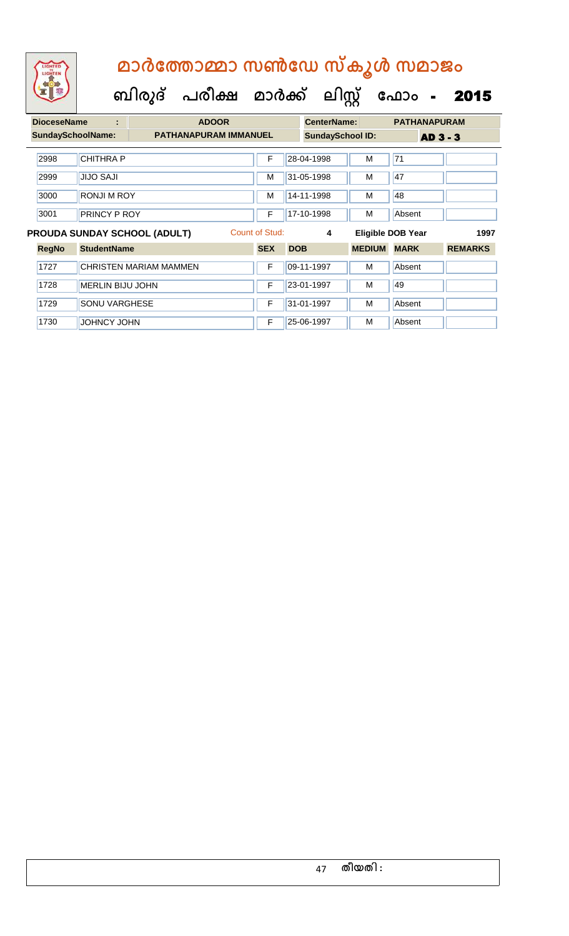| <b>DioceseName</b>                  | ÷                        |                        | <b>ADOOR</b>                 |                      |                         | <b>CenterName:</b> | <b>PATHANAPURAM</b>      |                |
|-------------------------------------|--------------------------|------------------------|------------------------------|----------------------|-------------------------|--------------------|--------------------------|----------------|
|                                     | <b>SundaySchoolName:</b> |                        | <b>PATHANAPURAM IMMANUEL</b> |                      | <b>SundaySchool ID:</b> |                    | <b>AD 3 - 3</b>          |                |
| 2998                                | <b>CHITHRA P</b>         |                        | F                            |                      | 28-04-1998              | M                  | 71                       |                |
| 2999                                | <b>JIJO SAJI</b>         |                        | M                            |                      | 31-05-1998              | м                  | 47                       |                |
| 3000                                | <b>RONJI M ROY</b>       |                        | M                            |                      | 14-11-1998              | м                  | 48                       |                |
| 3001                                | PRINCY P ROY             |                        |                              | 17-10-1998<br>F<br>м |                         |                    | Absent                   |                |
| <b>PROUDA SUNDAY SCHOOL (ADULT)</b> |                          |                        |                              |                      |                         |                    |                          |                |
|                                     |                          |                        | Count of Stud:               |                      | 4                       |                    | <b>Eligible DOB Year</b> | 1997           |
| <b>RegNo</b>                        | <b>StudentName</b>       |                        | <b>SEX</b>                   | <b>DOB</b>           |                         | <b>MEDIUM</b>      | <b>MARK</b>              | <b>REMARKS</b> |
| 1727                                |                          | CHRISTEN MARIAM MAMMEN | F                            |                      | 09-11-1997              | м                  | Absent                   |                |
| 1728                                | <b>MERLIN BIJU JOHN</b>  |                        | F                            |                      | 23-01-1997              | м                  | 49                       |                |
| 1729                                | <b>SONU VARGHESE</b>     |                        | F                            |                      | 31-01-1997              | м                  | Absent                   |                |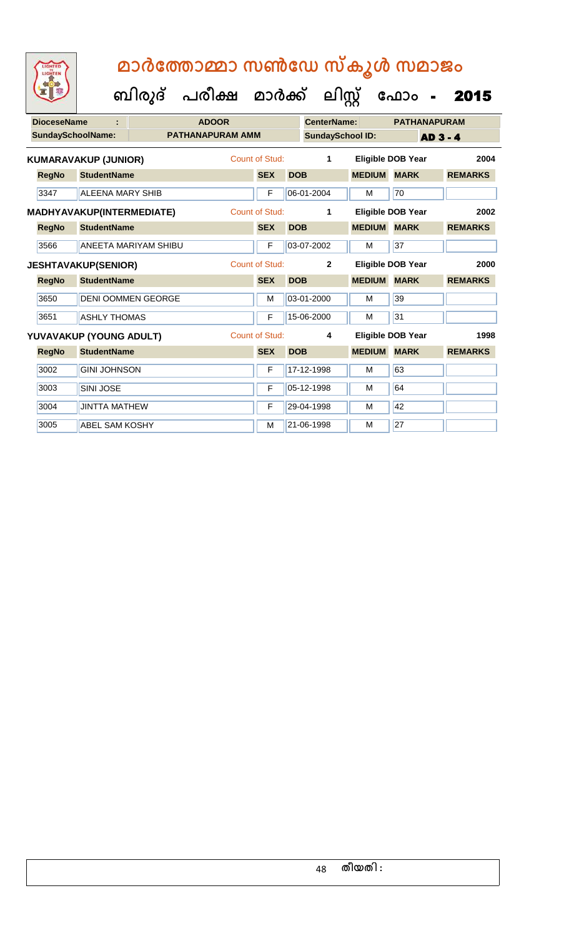| <b>DioceseName</b> |                             | <b>ADOOR</b>                |                         |                       | <b>CenterName:</b> |                         | <b>PATHANAPURAM</b> |                          |                 |
|--------------------|-----------------------------|-----------------------------|-------------------------|-----------------------|--------------------|-------------------------|---------------------|--------------------------|-----------------|
| SundaySchoolName:  |                             |                             | <b>PATHANAPURAM AMM</b> |                       |                    | <b>SundaySchool ID:</b> |                     |                          | <b>AD 3 - 4</b> |
|                    | <b>KUMARAVAKUP (JUNIOR)</b> |                             |                         | Count of Stud:        |                    | 1                       |                     | <b>Eligible DOB Year</b> | 2004            |
| <b>RegNo</b>       | <b>StudentName</b>          |                             |                         | <b>SEX</b>            | <b>DOB</b>         |                         | <b>MEDIUM</b>       | <b>MARK</b>              | <b>REMARKS</b>  |
| 3347               | ALFENA MARY SHIB            |                             |                         | F                     |                    | 06-01-2004              | M                   | 70                       |                 |
|                    | MADHYAVAKUP(INTERMEDIATE)   |                             |                         | Count of Stud:        |                    | 1                       |                     | <b>Eligible DOB Year</b> | 2002            |
| <b>RegNo</b>       | <b>StudentName</b>          |                             |                         | <b>SEX</b>            | <b>DOB</b>         |                         | <b>MEDIUM</b>       | <b>MARK</b>              | <b>REMARKS</b>  |
| 3566               |                             | <b>ANEETA MARIYAM SHIBU</b> |                         | F                     |                    | 03-07-2002              | M                   | 37                       |                 |
|                    | <b>JESHTAVAKUP(SENIOR)</b>  |                             |                         | <b>Count of Stud:</b> |                    | $\mathbf{2}$            |                     | <b>Eligible DOB Year</b> | 2000            |
| <b>RegNo</b>       | <b>StudentName</b>          |                             |                         | <b>SEX</b>            | <b>DOB</b>         |                         | <b>MEDIUM</b>       | <b>MARK</b>              | <b>REMARKS</b>  |
| 3650               |                             | <b>DENI OOMMEN GEORGE</b>   |                         | M                     |                    | 03-01-2000              | М                   | 39                       |                 |
| 3651               | <b>ASHLY THOMAS</b>         |                             |                         | F                     |                    | 15-06-2000              | M                   | 31                       |                 |
|                    | YUVAVAKUP (YOUNG ADULT)     |                             |                         | Count of Stud:        |                    | 4                       |                     | <b>Eligible DOB Year</b> | 1998            |
| <b>RegNo</b>       | <b>StudentName</b>          |                             |                         | <b>SEX</b>            | <b>DOB</b>         |                         | <b>MEDIUM</b>       | <b>MARK</b>              | <b>REMARKS</b>  |
| 3002               | <b>GINI JOHNSON</b>         |                             |                         | F                     |                    | 17-12-1998              | M                   | 63                       |                 |
| 3003               | <b>SINI JOSE</b>            |                             |                         | F                     |                    | 05-12-1998              | М                   | 64                       |                 |
| 3004               | <b>JINTTA MATHEW</b>        |                             |                         | F                     |                    | 29-04-1998              | M                   | 42                       |                 |
| 3005               | <b>ABEL SAM KOSHY</b>       |                             |                         | M                     |                    | 21-06-1998              | М                   | 27                       |                 |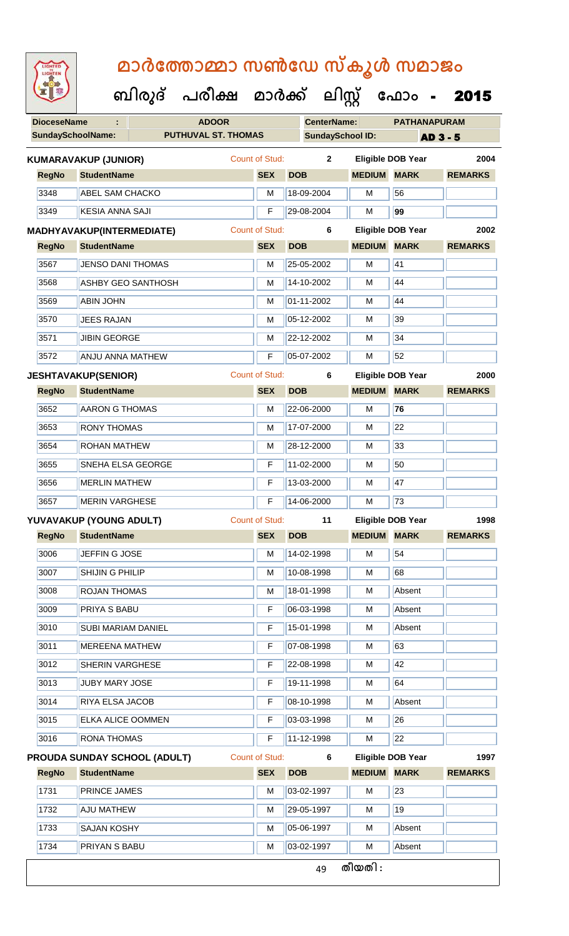| <b>IGHTED</b> |
|---------------|
|               |
|               |
|               |
|               |

| <b>DioceseName</b>       | <b>ADOOR</b> |                                                                                                                                                                                                                                                                                                                                                                                                                                                                                                                                                                                                                                                                                                                                                                                                                                          |             | <b>CenterName:</b>         |                                                                                                                                  | <b>PATHANAPURAM</b>                     |                                                                                                                                                                                                                                          |
|--------------------------|--------------|------------------------------------------------------------------------------------------------------------------------------------------------------------------------------------------------------------------------------------------------------------------------------------------------------------------------------------------------------------------------------------------------------------------------------------------------------------------------------------------------------------------------------------------------------------------------------------------------------------------------------------------------------------------------------------------------------------------------------------------------------------------------------------------------------------------------------------------|-------------|----------------------------|----------------------------------------------------------------------------------------------------------------------------------|-----------------------------------------|------------------------------------------------------------------------------------------------------------------------------------------------------------------------------------------------------------------------------------------|
| <b>SundaySchoolName:</b> |              |                                                                                                                                                                                                                                                                                                                                                                                                                                                                                                                                                                                                                                                                                                                                                                                                                                          |             |                            |                                                                                                                                  |                                         | <b>AD 3 - 5</b>                                                                                                                                                                                                                          |
|                          |              |                                                                                                                                                                                                                                                                                                                                                                                                                                                                                                                                                                                                                                                                                                                                                                                                                                          |             |                            |                                                                                                                                  |                                         | 2004                                                                                                                                                                                                                                     |
|                          |              |                                                                                                                                                                                                                                                                                                                                                                                                                                                                                                                                                                                                                                                                                                                                                                                                                                          | <b>SEX</b>  | <b>DOB</b>                 |                                                                                                                                  |                                         | <b>REMARKS</b>                                                                                                                                                                                                                           |
|                          |              |                                                                                                                                                                                                                                                                                                                                                                                                                                                                                                                                                                                                                                                                                                                                                                                                                                          | M           | 18-09-2004                 | M                                                                                                                                | 56                                      |                                                                                                                                                                                                                                          |
|                          |              |                                                                                                                                                                                                                                                                                                                                                                                                                                                                                                                                                                                                                                                                                                                                                                                                                                          | F           | 29-08-2004                 | M                                                                                                                                | 99                                      |                                                                                                                                                                                                                                          |
|                          |              |                                                                                                                                                                                                                                                                                                                                                                                                                                                                                                                                                                                                                                                                                                                                                                                                                                          |             | 6                          |                                                                                                                                  |                                         | 2002                                                                                                                                                                                                                                     |
|                          |              |                                                                                                                                                                                                                                                                                                                                                                                                                                                                                                                                                                                                                                                                                                                                                                                                                                          | <b>SEX</b>  | <b>DOB</b>                 |                                                                                                                                  |                                         | <b>REMARKS</b>                                                                                                                                                                                                                           |
|                          |              |                                                                                                                                                                                                                                                                                                                                                                                                                                                                                                                                                                                                                                                                                                                                                                                                                                          | M           | 25-05-2002                 | M                                                                                                                                | 41                                      |                                                                                                                                                                                                                                          |
|                          |              |                                                                                                                                                                                                                                                                                                                                                                                                                                                                                                                                                                                                                                                                                                                                                                                                                                          | M           | 14-10-2002                 | м                                                                                                                                | 44                                      |                                                                                                                                                                                                                                          |
| <b>ABIN JOHN</b>         |              |                                                                                                                                                                                                                                                                                                                                                                                                                                                                                                                                                                                                                                                                                                                                                                                                                                          | M           | 01-11-2002                 | M                                                                                                                                | 44                                      |                                                                                                                                                                                                                                          |
|                          |              |                                                                                                                                                                                                                                                                                                                                                                                                                                                                                                                                                                                                                                                                                                                                                                                                                                          | M           | 05-12-2002                 | м                                                                                                                                | 39                                      |                                                                                                                                                                                                                                          |
|                          |              |                                                                                                                                                                                                                                                                                                                                                                                                                                                                                                                                                                                                                                                                                                                                                                                                                                          | M           | 22-12-2002                 | M                                                                                                                                | 34                                      |                                                                                                                                                                                                                                          |
|                          |              |                                                                                                                                                                                                                                                                                                                                                                                                                                                                                                                                                                                                                                                                                                                                                                                                                                          | F           | 05-07-2002                 | M                                                                                                                                | 52                                      |                                                                                                                                                                                                                                          |
|                          |              |                                                                                                                                                                                                                                                                                                                                                                                                                                                                                                                                                                                                                                                                                                                                                                                                                                          |             | 6                          |                                                                                                                                  |                                         | 2000                                                                                                                                                                                                                                     |
|                          |              |                                                                                                                                                                                                                                                                                                                                                                                                                                                                                                                                                                                                                                                                                                                                                                                                                                          | <b>SEX</b>  | <b>DOB</b>                 |                                                                                                                                  |                                         | <b>REMARKS</b>                                                                                                                                                                                                                           |
|                          |              |                                                                                                                                                                                                                                                                                                                                                                                                                                                                                                                                                                                                                                                                                                                                                                                                                                          | M           | 22-06-2000                 | M                                                                                                                                | 76                                      |                                                                                                                                                                                                                                          |
|                          |              |                                                                                                                                                                                                                                                                                                                                                                                                                                                                                                                                                                                                                                                                                                                                                                                                                                          | M           | 17-07-2000                 | м                                                                                                                                | 22                                      |                                                                                                                                                                                                                                          |
|                          |              |                                                                                                                                                                                                                                                                                                                                                                                                                                                                                                                                                                                                                                                                                                                                                                                                                                          | M           | 28-12-2000                 | M                                                                                                                                | 33                                      |                                                                                                                                                                                                                                          |
|                          |              |                                                                                                                                                                                                                                                                                                                                                                                                                                                                                                                                                                                                                                                                                                                                                                                                                                          | $\mathsf F$ | 11-02-2000                 | M                                                                                                                                | 50                                      |                                                                                                                                                                                                                                          |
|                          |              |                                                                                                                                                                                                                                                                                                                                                                                                                                                                                                                                                                                                                                                                                                                                                                                                                                          | F           | 13-03-2000                 | M                                                                                                                                | 47                                      |                                                                                                                                                                                                                                          |
|                          |              |                                                                                                                                                                                                                                                                                                                                                                                                                                                                                                                                                                                                                                                                                                                                                                                                                                          | $\mathsf F$ | 14-06-2000                 | м                                                                                                                                | 73                                      |                                                                                                                                                                                                                                          |
|                          |              |                                                                                                                                                                                                                                                                                                                                                                                                                                                                                                                                                                                                                                                                                                                                                                                                                                          |             | 11                         |                                                                                                                                  |                                         | 1998                                                                                                                                                                                                                                     |
|                          |              |                                                                                                                                                                                                                                                                                                                                                                                                                                                                                                                                                                                                                                                                                                                                                                                                                                          |             | <b>DOB</b>                 |                                                                                                                                  |                                         | <b>REMARKS</b>                                                                                                                                                                                                                           |
|                          |              |                                                                                                                                                                                                                                                                                                                                                                                                                                                                                                                                                                                                                                                                                                                                                                                                                                          | M           | 14-02-1998                 | M                                                                                                                                | 54                                      |                                                                                                                                                                                                                                          |
|                          |              |                                                                                                                                                                                                                                                                                                                                                                                                                                                                                                                                                                                                                                                                                                                                                                                                                                          | M           | 10-08-1998                 | M                                                                                                                                | 68                                      |                                                                                                                                                                                                                                          |
|                          |              |                                                                                                                                                                                                                                                                                                                                                                                                                                                                                                                                                                                                                                                                                                                                                                                                                                          | М           | 18-01-1998                 | M                                                                                                                                | Absent                                  |                                                                                                                                                                                                                                          |
|                          |              |                                                                                                                                                                                                                                                                                                                                                                                                                                                                                                                                                                                                                                                                                                                                                                                                                                          | F           | 06-03-1998                 | M                                                                                                                                | Absent                                  |                                                                                                                                                                                                                                          |
|                          |              |                                                                                                                                                                                                                                                                                                                                                                                                                                                                                                                                                                                                                                                                                                                                                                                                                                          | F           | 15-01-1998                 | M                                                                                                                                | Absent                                  |                                                                                                                                                                                                                                          |
|                          |              |                                                                                                                                                                                                                                                                                                                                                                                                                                                                                                                                                                                                                                                                                                                                                                                                                                          | $\mathsf F$ | 07-08-1998                 | M                                                                                                                                | 63                                      |                                                                                                                                                                                                                                          |
|                          |              |                                                                                                                                                                                                                                                                                                                                                                                                                                                                                                                                                                                                                                                                                                                                                                                                                                          | F           | 22-08-1998                 | M                                                                                                                                | 42                                      |                                                                                                                                                                                                                                          |
|                          |              |                                                                                                                                                                                                                                                                                                                                                                                                                                                                                                                                                                                                                                                                                                                                                                                                                                          | F           | 19-11-1998                 | M                                                                                                                                | 64                                      |                                                                                                                                                                                                                                          |
|                          |              |                                                                                                                                                                                                                                                                                                                                                                                                                                                                                                                                                                                                                                                                                                                                                                                                                                          | F           | 08-10-1998                 | M                                                                                                                                | Absent                                  |                                                                                                                                                                                                                                          |
|                          |              |                                                                                                                                                                                                                                                                                                                                                                                                                                                                                                                                                                                                                                                                                                                                                                                                                                          | F           | 03-03-1998                 | M                                                                                                                                | 26                                      |                                                                                                                                                                                                                                          |
|                          |              |                                                                                                                                                                                                                                                                                                                                                                                                                                                                                                                                                                                                                                                                                                                                                                                                                                          | F           | 11-12-1998                 | M                                                                                                                                | 22                                      |                                                                                                                                                                                                                                          |
|                          |              |                                                                                                                                                                                                                                                                                                                                                                                                                                                                                                                                                                                                                                                                                                                                                                                                                                          |             | 6                          |                                                                                                                                  |                                         | 1997                                                                                                                                                                                                                                     |
| <b>StudentName</b>       |              |                                                                                                                                                                                                                                                                                                                                                                                                                                                                                                                                                                                                                                                                                                                                                                                                                                          | <b>SEX</b>  | <b>DOB</b>                 |                                                                                                                                  |                                         | <b>REMARKS</b>                                                                                                                                                                                                                           |
|                          |              |                                                                                                                                                                                                                                                                                                                                                                                                                                                                                                                                                                                                                                                                                                                                                                                                                                          | M           | 03-02-1997                 | M                                                                                                                                | 23                                      |                                                                                                                                                                                                                                          |
| PRINCE JAMES             |              |                                                                                                                                                                                                                                                                                                                                                                                                                                                                                                                                                                                                                                                                                                                                                                                                                                          |             |                            |                                                                                                                                  |                                         |                                                                                                                                                                                                                                          |
| <b>AJU MATHEW</b>        |              |                                                                                                                                                                                                                                                                                                                                                                                                                                                                                                                                                                                                                                                                                                                                                                                                                                          | M           | 29-05-1997                 | м                                                                                                                                | 19                                      |                                                                                                                                                                                                                                          |
| <b>SAJAN KOSHY</b>       |              |                                                                                                                                                                                                                                                                                                                                                                                                                                                                                                                                                                                                                                                                                                                                                                                                                                          | M           | 05-06-1997                 | M                                                                                                                                | Absent                                  |                                                                                                                                                                                                                                          |
| PRIYAN S BABU            |              |                                                                                                                                                                                                                                                                                                                                                                                                                                                                                                                                                                                                                                                                                                                                                                                                                                          | M           | 03-02-1997                 | M                                                                                                                                | Absent                                  |                                                                                                                                                                                                                                          |
|                          |              | <b>KUMARAVAKUP (JUNIOR)</b><br><b>StudentName</b><br><b>ABEL SAM CHACKO</b><br><b>KESIA ANNA SAJI</b><br>MADHYAVAKUP(INTERMEDIATE)<br><b>StudentName</b><br><b>JENSO DANI THOMAS</b><br><b>ASHBY GEO SANTHOSH</b><br><b>JEES RAJAN</b><br><b>JIBIN GEORGE</b><br><b>ANJU ANNA MATHEW</b><br><b>JESHTAVAKUP(SENIOR)</b><br><b>StudentName</b><br><b>AARON G THOMAS</b><br><b>RONY THOMAS</b><br><b>ROHAN MATHEW</b><br>SNEHA ELSA GEORGE<br><b>MERLIN MATHEW</b><br><b>MERIN VARGHESE</b><br>YUVAVAKUP (YOUNG ADULT)<br>RegNo StudentName<br>JEFFIN G JOSE<br>SHIJIN G PHILIP<br><b>ROJAN THOMAS</b><br><b>PRIYA S BABU</b><br><b>SUBI MARIAM DANIEL</b><br><b>MEREENA MATHEW</b><br>SHERIN VARGHESE<br><b>JUBY MARY JOSE</b><br>RIYA ELSA JACOB<br><b>ELKA ALICE OOMMEN</b><br><b>RONA THOMAS</b><br><b>PROUDA SUNDAY SCHOOL (ADULT)</b> |             | <b>PUTHUVAL ST. THOMAS</b> | Count of Stud:<br><b>Count of Stud:</b><br><b>Count of Stud:</b><br><b>Count of Stud:</b><br><b>SEX</b><br><b>Count of Stud:</b> | <b>SundaySchool ID:</b><br>$\mathbf{2}$ | <b>Eligible DOB Year</b><br><b>MEDIUM MARK</b><br>Eligible DOB Year<br><b>MEDIUM MARK</b><br><b>Eligible DOB Year</b><br><b>MEDIUM MARK</b><br>Eligible DOB Year<br><b>MEDIUM MARK</b><br><b>Eligible DOB Year</b><br><b>MEDIUM MARK</b> |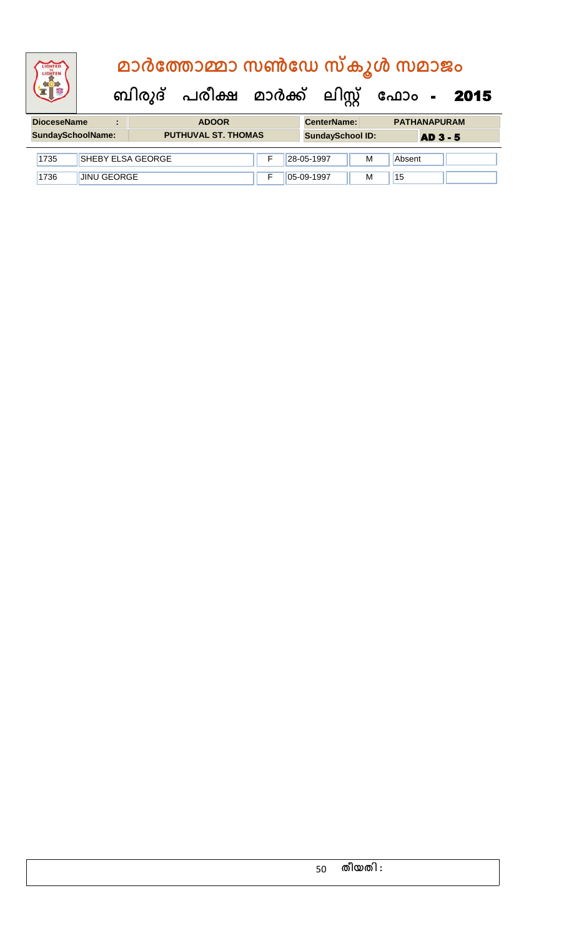|                    |   | മാർത്തോമ്മാ സൺഡേ സ്കൂൾ സമാജം |                    |                                           |
|--------------------|---|------------------------------|--------------------|-------------------------------------------|
|                    |   |                              |                    | ബിരുദ് പരീക്ഷ മാർക്ക് ലിസ്റ്റ് ഫോം - 2015 |
| <b>DioceseName</b> | ÷ | <b>ADOOR</b>                 | <b>CenterName:</b> | <b>PATHANAPURAM</b>                       |

| SundaySchoolName: |                          | <b>PUTHUVAL ST. THOMAS</b> | <b>SundaySchool ID:</b> |               | <b>AD 3 - 5</b> |        |  |
|-------------------|--------------------------|----------------------------|-------------------------|---------------|-----------------|--------|--|
| 1735              | <b>SHEBY ELSA GEORGE</b> |                            |                         | 28-05-1997    | M               | Absent |  |
| 1736              | <b>JINU GEORGE</b>       |                            |                         | $105-09-1997$ | M               | 15     |  |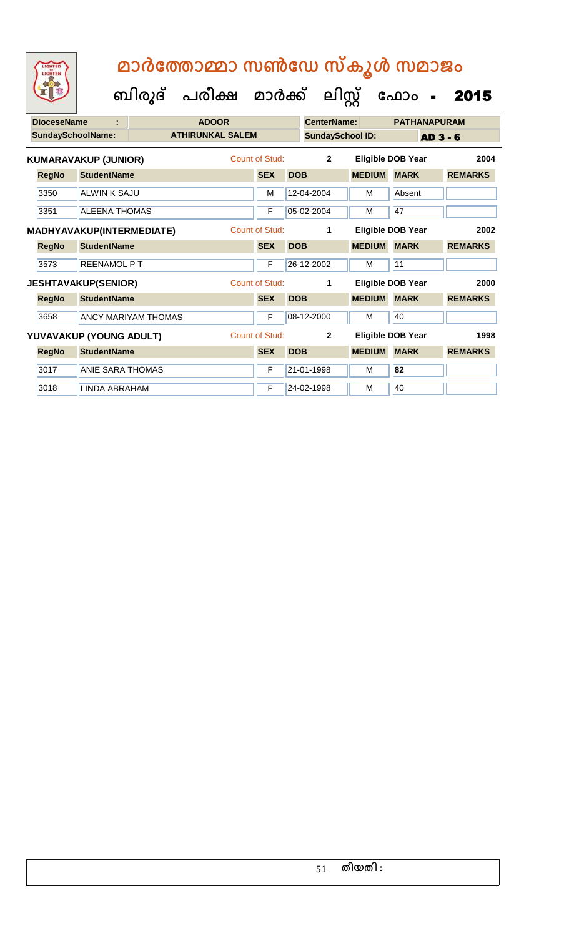| <b>DioceseName</b><br>÷ |              |                             | <b>ADOOR</b>               |                         |                | <b>CenterName:</b> |                         | <b>PATHANAPURAM</b>      |                          |                 |
|-------------------------|--------------|-----------------------------|----------------------------|-------------------------|----------------|--------------------|-------------------------|--------------------------|--------------------------|-----------------|
|                         |              | <b>SundaySchoolName:</b>    |                            | <b>ATHIRUNKAL SALEM</b> |                |                    | <b>SundaySchool ID:</b> |                          |                          | <b>AD 3 - 6</b> |
|                         |              | <b>KUMARAVAKUP (JUNIOR)</b> |                            | Count of Stud:          |                | $\overline{2}$     |                         | <b>Eligible DOB Year</b> | 2004                     |                 |
|                         | <b>RegNo</b> | <b>StudentName</b>          |                            |                         | <b>SEX</b>     | <b>DOB</b>         |                         | <b>MEDIUM</b>            | <b>MARK</b>              | <b>REMARKS</b>  |
|                         | 3350         | <b>ALWIN K SAJU</b>         |                            |                         | м              |                    | 12-04-2004              | M                        | Absent                   |                 |
|                         | 3351         | <b>ALEENA THOMAS</b>        |                            |                         | F              |                    | 05-02-2004              | м                        | 47                       |                 |
|                         |              | MADHYAVAKUP(INTERMEDIATE)   |                            |                         | Count of Stud: |                    | 1                       |                          | Eligible DOB Year        | 2002            |
|                         | <b>RegNo</b> | <b>StudentName</b>          |                            |                         | <b>SEX</b>     | <b>DOB</b>         |                         | <b>MEDIUM</b>            | <b>MARK</b>              | <b>REMARKS</b>  |
|                         | 3573         | <b>REENAMOL P T</b>         |                            |                         | F              |                    | 26-12-2002              | м                        | 11                       |                 |
|                         |              | <b>JESHTAVAKUP(SENIOR)</b>  |                            |                         | Count of Stud: |                    | 1                       |                          | Eligible DOB Year        | 2000            |
|                         | <b>RegNo</b> | <b>StudentName</b>          |                            |                         | <b>SEX</b>     | <b>DOB</b>         |                         | <b>MEDIUM</b>            | <b>MARK</b>              | <b>REMARKS</b>  |
|                         | 3658         |                             | <b>ANCY MARIYAM THOMAS</b> |                         | F              |                    | 08-12-2000              | M                        | 40                       |                 |
|                         |              | YUVAVAKUP (YOUNG ADULT)     |                            |                         | Count of Stud: |                    | $\overline{2}$          |                          | <b>Eligible DOB Year</b> | 1998            |
|                         | <b>RegNo</b> | <b>StudentName</b>          |                            |                         | <b>SEX</b>     | <b>DOB</b>         |                         | <b>MEDIUM</b>            | <b>MARK</b>              | <b>REMARKS</b>  |
|                         | 3017         | <b>ANIE SARA THOMAS</b>     |                            |                         | F              |                    | 21-01-1998              | м                        | 82                       |                 |
|                         | 3018         | LINDA ABRAHAM               |                            |                         | F              |                    | 24-02-1998              | M                        | 40                       |                 |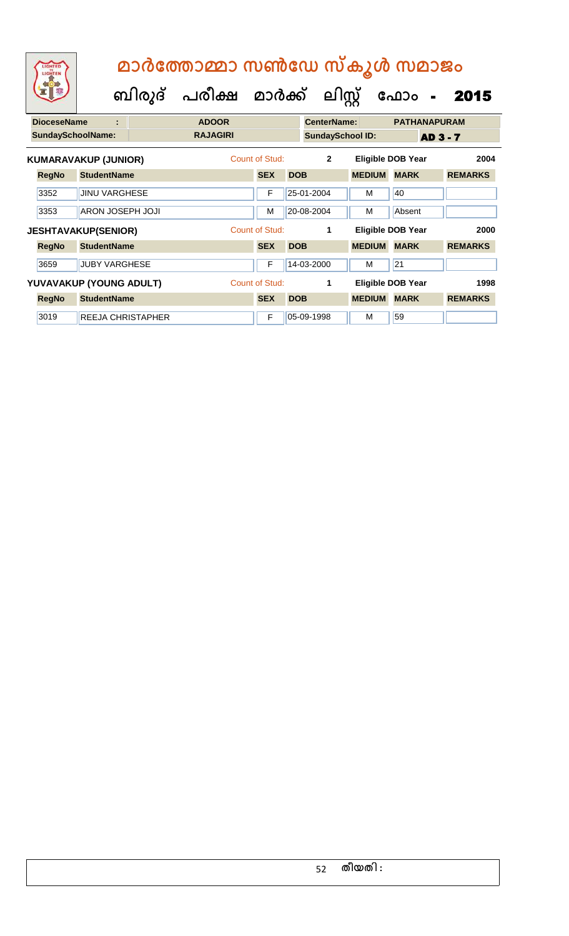|                             | LIGHTED<br>LIGHTEN       |                            | മാർത്തോമ്മാ സൺഡേ സ്കൂൾ സമാജം |                |                |                         |                          |                          |                 |  |  |  |
|-----------------------------|--------------------------|----------------------------|------------------------------|----------------|----------------|-------------------------|--------------------------|--------------------------|-----------------|--|--|--|
|                             |                          |                            | ബിരുദ് പരീക്ഷ മാർക്ക്        |                |                | ലിസ്റ്റ്                |                          | ഫോം                      | 2015            |  |  |  |
|                             | <b>DioceseName</b>       |                            | <b>ADOOR</b>                 |                |                | <b>CenterName:</b>      |                          | <b>PATHANAPURAM</b>      |                 |  |  |  |
|                             | <b>SundaySchoolName:</b> |                            | <b>RAJAGIRI</b>              |                |                | <b>SundaySchool ID:</b> |                          |                          | <b>AD 3 - 7</b> |  |  |  |
| <b>KUMARAVAKUP (JUNIOR)</b> |                          |                            | Count of Stud:               |                | $\overline{2}$ |                         | <b>Eligible DOB Year</b> | 2004                     |                 |  |  |  |
|                             | <b>RegNo</b>             | <b>StudentName</b>         |                              | <b>SEX</b>     | <b>DOB</b>     |                         | <b>MEDIUM</b>            | <b>MARK</b>              | <b>REMARKS</b>  |  |  |  |
|                             | 3352                     | <b>JINU VARGHESE</b>       |                              | F              |                | 25-01-2004              | м                        | 40                       |                 |  |  |  |
|                             | 3353                     | ARON JOSEPH JOJI           |                              | M              |                | 20-08-2004              | м                        | Absent                   |                 |  |  |  |
|                             |                          | <b>JESHTAVAKUP(SENIOR)</b> |                              | Count of Stud: |                | 1                       |                          | <b>Eligible DOB Year</b> | 2000            |  |  |  |
|                             | <b>RegNo</b>             | <b>StudentName</b>         |                              | <b>SEX</b>     | <b>DOB</b>     |                         | <b>MEDIUM</b>            | <b>MARK</b>              | <b>REMARKS</b>  |  |  |  |
|                             | 3659                     | <b>JUBY VARGHESE</b>       |                              | F              |                | 14-03-2000              | М                        | 21                       |                 |  |  |  |
|                             |                          | YUVAVAKUP (YOUNG ADULT)    |                              | Count of Stud: |                | 1                       |                          | <b>Eligible DOB Year</b> | 1998            |  |  |  |
|                             | <b>RegNo</b>             | <b>StudentName</b>         |                              | <b>SEX</b>     | <b>DOB</b>     |                         | <b>MEDIUM</b>            | <b>MARK</b>              | <b>REMARKS</b>  |  |  |  |
|                             | 3019                     | <b>REEJA CHRISTAPHER</b>   |                              | F              |                | 05-09-1998              | м                        | 59                       |                 |  |  |  |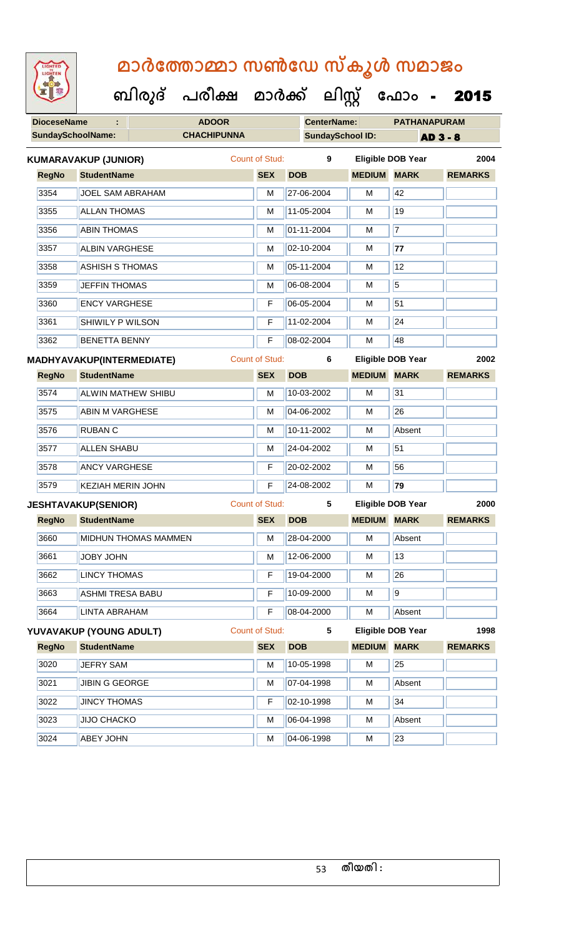| <b>IGHTED</b> |
|---------------|
|               |
|               |
|               |
|               |

| <b>DioceseName</b> |                                  | <b>ADOOR</b>                | <b>CenterName:</b>    |                         | <b>PATHANAPURAM</b> |                          |                 |
|--------------------|----------------------------------|-----------------------------|-----------------------|-------------------------|---------------------|--------------------------|-----------------|
|                    | <b>SundaySchoolName:</b>         | <b>CHACHIPUNNA</b>          |                       | <b>SundaySchool ID:</b> |                     |                          | <b>AD 3 - 8</b> |
|                    | <b>KUMARAVAKUP (JUNIOR)</b>      |                             | <b>Count of Stud:</b> | 9                       |                     | <b>Eligible DOB Year</b> | 2004            |
| <b>RegNo</b>       | <b>StudentName</b>               |                             | <b>SEX</b>            | <b>DOB</b>              | <b>MEDIUM MARK</b>  |                          | <b>REMARKS</b>  |
| 3354               | <b>JOEL SAM ABRAHAM</b>          |                             | M                     | 27-06-2004              | М                   | 42                       |                 |
| 3355               | <b>ALLAN THOMAS</b>              |                             | M                     | 11-05-2004              | М                   | 19                       |                 |
| 3356               | <b>ABIN THOMAS</b>               |                             | M                     | 01-11-2004              | M                   | $\overline{7}$           |                 |
| 3357               | <b>ALBIN VARGHESE</b>            |                             | M                     | 02-10-2004              | М                   | 77                       |                 |
| 3358               | <b>ASHISH S THOMAS</b>           |                             | M                     | 05-11-2004              | М                   | 12                       |                 |
| 3359               | <b>JEFFIN THOMAS</b>             |                             | M                     | 06-08-2004              | M                   | 5                        |                 |
| 3360               | <b>ENCY VARGHESE</b>             |                             | F                     | 06-05-2004              | м                   | 51                       |                 |
| 3361               | SHIWILY P WILSON                 |                             | F                     | 11-02-2004              | М                   | $\overline{24}$          |                 |
| 3362               | <b>BENETTA BENNY</b>             |                             | $\overline{F}$        | 08-02-2004              | M                   | 48                       |                 |
|                    | <b>MADHYAVAKUP(INTERMEDIATE)</b> |                             | <b>Count of Stud:</b> | 6                       |                     | <b>Eligible DOB Year</b> | 2002            |
| <b>RegNo</b>       | <b>StudentName</b>               |                             | <b>SEX</b>            | <b>DOB</b>              | <b>MEDIUM MARK</b>  |                          | <b>REMARKS</b>  |
| 3574               | ALWIN MATHEW SHIBU               |                             | M                     | 10-03-2002              | М                   | 31                       |                 |
| 3575               | <b>ABIN M VARGHESE</b>           |                             | M                     | 04-06-2002              | М                   | 26                       |                 |
| 3576               | <b>RUBAN C</b>                   |                             | M                     | 10-11-2002              | M                   | Absent                   |                 |
| 3577               | <b>ALLEN SHABU</b>               |                             | м                     | 24-04-2002              | M                   |                          |                 |
| 3578               | <b>ANCY VARGHESE</b>             |                             | F                     | 20-02-2002              | м                   | 56                       |                 |
| 3579               | <b>KEZIAH MERIN JOHN</b>         |                             | F                     | 24-08-2002              | М                   | $\overline{79}$          |                 |
|                    | <b>JESHTAVAKUP(SENIOR)</b>       |                             | <b>Count of Stud:</b> | 5                       |                     | <b>Eligible DOB Year</b> | 2000            |
| <b>RegNo</b>       | <b>StudentName</b>               |                             | <b>SEX</b>            | <b>DOB</b>              | <b>MEDIUM MARK</b>  |                          | <b>REMARKS</b>  |
| 3660               |                                  | <b>MIDHUN THOMAS MAMMEN</b> |                       | $M$ 28-04-2000          | M                   | Absent                   |                 |
| 3661               | <b>JOBY JOHN</b>                 |                             | M                     | 12-06-2000              | М                   | 13                       |                 |
| 3662               | <b>LINCY THOMAS</b>              |                             | F                     | 19-04-2000              | М                   | 26                       |                 |
| 3663               | <b>ASHMI TRESA BABU</b>          |                             | F                     | 10-09-2000              | М                   | $\overline{9}$           |                 |
| 3664               | <b>LINTA ABRAHAM</b>             |                             | F                     | 08-04-2000              | м                   | Absent                   |                 |
|                    | YUVAVAKUP (YOUNG ADULT)          |                             | Count of Stud:        | 5                       |                     | <b>Eligible DOB Year</b> | 1998            |
| <b>RegNo</b>       | <b>StudentName</b>               |                             | <b>SEX</b>            | <b>DOB</b>              | <b>MEDIUM MARK</b>  |                          | <b>REMARKS</b>  |
| 3020               | <b>JEFRY SAM</b>                 |                             | M                     | 10-05-1998              | М                   | $\overline{25}$          |                 |
| 3021               | <b>JIBIN G GEORGE</b>            |                             | М                     | 07-04-1998              | М                   | Absent                   |                 |
| 3022               | <b>JINCY THOMAS</b>              |                             | F                     | 02-10-1998              | М                   |                          |                 |
| 3023               | <b>JIJO CHACKO</b>               |                             | М                     | 06-04-1998              | М                   | Absent                   |                 |
| 3024               | <b>ABEY JOHN</b>                 |                             | М                     | 04-06-1998              | М                   | 23                       |                 |
|                    |                                  |                             |                       |                         |                     |                          |                 |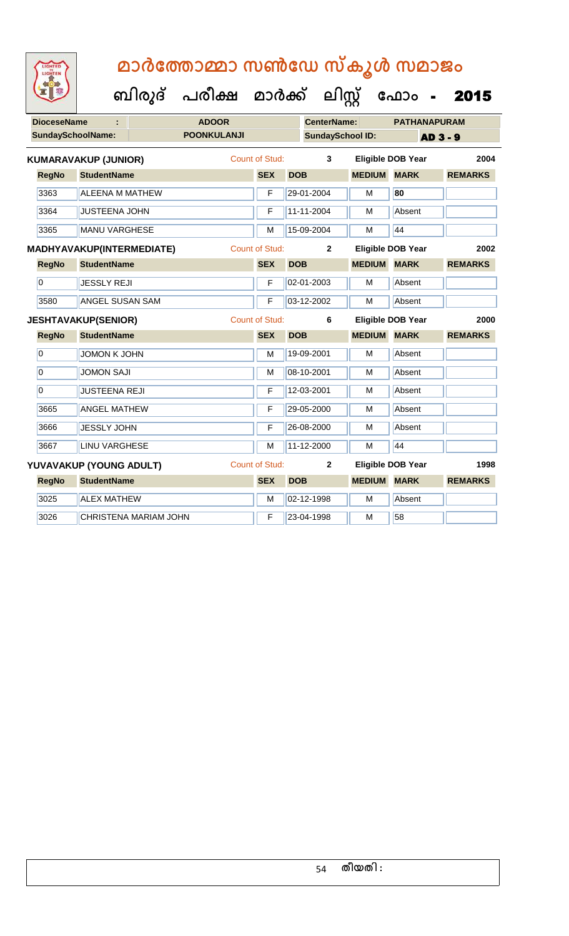| <b>DioceseName</b>       |                             |                       | <b>ADOOR</b>       |                       |            | <b>CenterName:</b>      | <b>PATHANAPURAM</b>      |             |                 |                |      |
|--------------------------|-----------------------------|-----------------------|--------------------|-----------------------|------------|-------------------------|--------------------------|-------------|-----------------|----------------|------|
| <b>SundaySchoolName:</b> |                             |                       | <b>POONKULANJI</b> |                       |            | <b>SundaySchool ID:</b> |                          |             | <b>AD 3 - 9</b> |                |      |
|                          | <b>KUMARAVAKUP (JUNIOR)</b> |                       |                    | <b>Count of Stud:</b> |            | 3                       | <b>Eligible DOB Year</b> |             |                 |                | 2004 |
| <b>RegNo</b>             | <b>StudentName</b>          |                       |                    | <b>SEX</b>            | <b>DOB</b> |                         | <b>MEDIUM</b>            | <b>MARK</b> |                 | <b>REMARKS</b> |      |
| 3363                     | <b>ALEENA M MATHEW</b>      |                       |                    | F                     |            | 29-01-2004              | M                        | 80          |                 |                |      |
| 3364                     | <b>JUSTEENA JOHN</b>        |                       |                    | F                     |            | 11-11-2004              | M                        | Absent      |                 |                |      |
| 3365                     | <b>MANU VARGHESE</b>        |                       |                    | M                     |            | 15-09-2004              | M                        | 44          |                 |                |      |
|                          | MADHYAVAKUP(INTERMEDIATE)   |                       |                    | <b>Count of Stud:</b> |            | $\overline{2}$          | <b>Eligible DOB Year</b> |             |                 |                | 2002 |
| <b>RegNo</b>             | <b>StudentName</b>          |                       |                    | <b>SEX</b>            | <b>DOB</b> |                         | <b>MEDIUM</b>            | <b>MARK</b> |                 | <b>REMARKS</b> |      |
| $\overline{0}$           | <b>JESSLY REJI</b>          |                       |                    | F                     |            | 02-01-2003              | M                        | Absent      |                 |                |      |
| 3580                     | ANGEL SUSAN SAM             |                       |                    | F                     |            | 03-12-2002              | M                        | Absent      |                 |                |      |
|                          | <b>JESHTAVAKUP(SENIOR)</b>  |                       |                    | <b>Count of Stud:</b> |            | 6                       | <b>Eligible DOB Year</b> |             |                 |                | 2000 |
| <b>RegNo</b>             | <b>StudentName</b>          |                       |                    | <b>SEX</b>            | <b>DOB</b> |                         | <b>MEDIUM</b>            | <b>MARK</b> |                 | <b>REMARKS</b> |      |
| $\overline{0}$           | <b>JOMON K JOHN</b>         |                       |                    | M                     |            | 19-09-2001              | M                        | Absent      |                 |                |      |
| 0                        | <b>JOMON SAJI</b>           |                       |                    | M                     |            | 08-10-2001              | M                        | Absent      |                 |                |      |
| $\overline{0}$           | <b>JUSTEENA REJI</b>        |                       |                    | F                     |            | 12-03-2001              | M                        | Absent      |                 |                |      |
| 3665                     | <b>ANGEL MATHEW</b>         |                       |                    | F                     |            | 29-05-2000              | M                        | Absent      |                 |                |      |
| 3666                     | <b>JESSLY JOHN</b>          |                       |                    | F                     |            | 26-08-2000              | M                        | Absent      |                 |                |      |
| 3667                     | <b>LINU VARGHESE</b>        |                       |                    | M                     |            | 11-12-2000              | M                        | 44          |                 |                |      |
|                          | YUVAVAKUP (YOUNG ADULT)     |                       |                    | Count of Stud:        |            | $\mathbf{2}$            | <b>Eligible DOB Year</b> |             |                 |                | 1998 |
| <b>RegNo</b>             | <b>StudentName</b>          |                       |                    | <b>SEX</b>            | <b>DOB</b> |                         | <b>MEDIUM</b>            | <b>MARK</b> |                 | <b>REMARKS</b> |      |
| 3025                     | <b>ALEX MATHEW</b>          |                       |                    | M                     |            | 02-12-1998              | M                        | Absent      |                 |                |      |
| 3026                     |                             | CHRISTENA MARIAM JOHN |                    | F                     |            | 23-04-1998              | M                        | 58          |                 |                |      |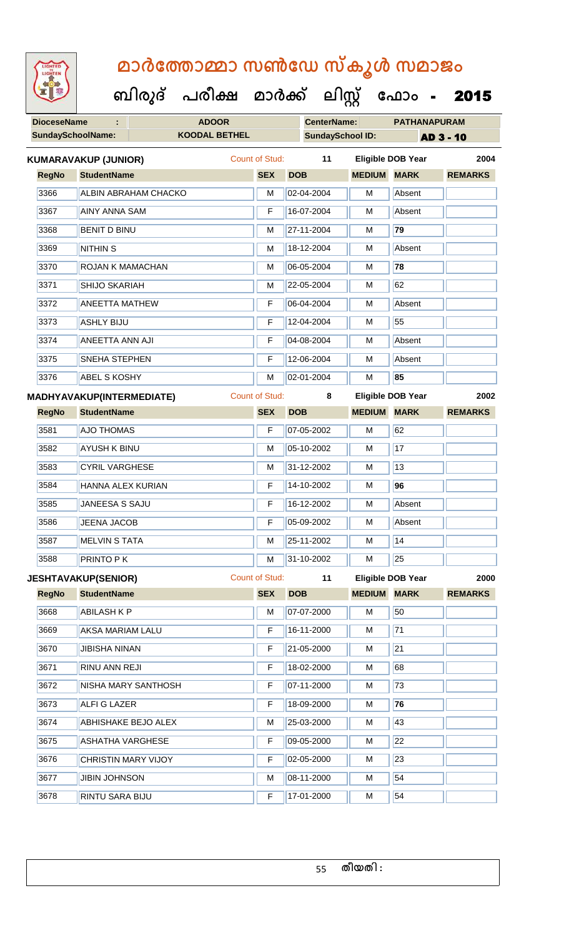| <b>IGHTED</b> |
|---------------|
|               |
|               |
|               |

**DioceseName : ADOOR CenterName: PATHANAPURAM SundaySchoolName: KOODAL BETHEL SundaySchool ID: AD 3 - 10 ബിരുദ് പരീക്ഷ മാര്ക് ക ലിസ്റ്റ ക ഫ ാോം** - 2015 **RegNo StudentName SEX DOB MEDIUM MARK REMARKS KUMARAVAKUP (JUNIOR)** Count of Stud: **11 Eligible DOB Year 2004** 3366 ALBIN ABRAHAM CHACKO M 02-04-2004 M Absent 3367 AINY ANNA SAM F 16-07-2004 M Absent 3368 BENIT D BINU M 27-11-2004 M **79** 3369 NITHIN S M 18-12-2004 M Absent 3370 ROJAN K MAMACHAN M 06-05-2004 M **78** 3371 SHIJO SKARIAH M 22-05-2004 M 62 3372 | ANEETTA MATHEW | F | 06-04-2004 | M | Absent 3373 ASHLY BIJU F 12-04-2004 M 55 3374 ANEETTA ANN AJI F 04-08-2004 M Absent 3375 SNEHA STEPHEN F 12-06-2004 M Absent 3376 ABEL S KOSHY M 02-01-2004 M **85 RegNo StudentName SEX DOB MEDIUM MARK REMARKS MADHYAVAKUP(INTERMEDIATE)** Count of Stud: **8 Eligible DOB Year 2002** 3581 **AJO THOMAS F 07-05-2002 M** 62 3582 AYUSH K BINU M M 05-10-2002 M 17 3583 CYRIL VARGHESE M M 31-12-2002 M 13 3584 HANNA ALEX KURIAN F 14-10-2002 M **96** 3585 JANEESA S SAJU F 16-12-2002 M Absent 3586 JUEENA JACOB **F 05-09-2002** M Absent 3587 MELVIN S TATA M 25-11-2002 M 14 3588 PRINTO P K M 31-10-2002 M 31-10-2002 M **RegNo StudentName SEX DOB MEDIUM MARK REMARKS JESHTAVAKUP(SENIOR)** Count of Stud: **11 Eligible DOB Year 2000** 3668 **ABILASH K P M M 07-07-2000 M** 50 3669 AKSA MARIAM LALU F 16-11-2000 M 71 3670 JIBISHA NINAN F 21-05-2000 M 21 3671 RINU ANN REJI F 18-02-2000 M 68 3672 NISHA MARY SANTHOSH F 07-11-2000 M 73 3673 ALFI G LAZER F 18-09-2000 M **76** 3674 ABHISHAKE BEJO ALEX M 25-03-2000 M 43 3675 ASHATHA VARGHESE **F** 09-05-2000 M 22 3676 CHRISTIN MARY VIJOY **F 02-05-2000 M** 23 3677 JJIBIN JOHNSON M 08-11-2000 M 54 3678 RINTU SARA BIJU F 17-01-2000 M 54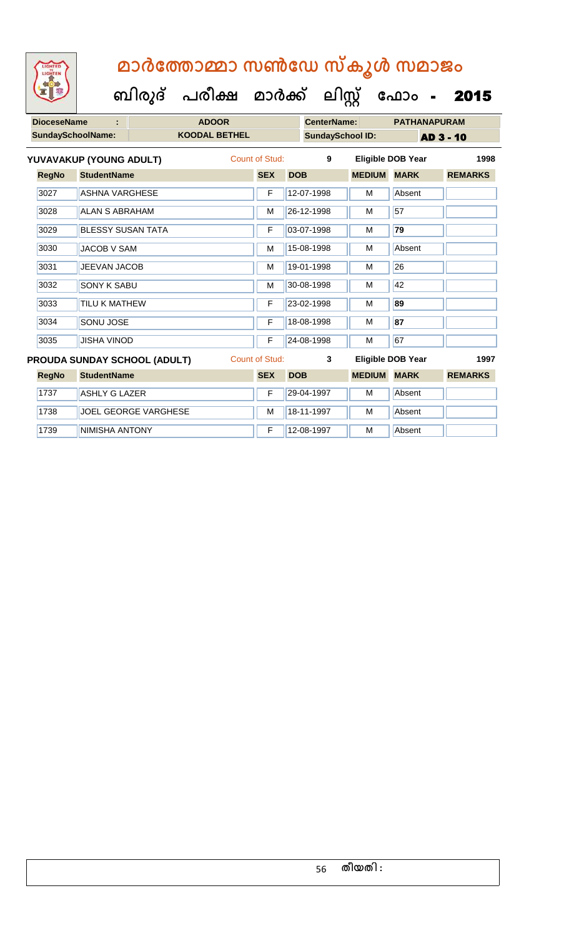| <b>DioceseName</b> |                              | <b>ADOOR</b>         |                         |                       |            | <b>CenterName:</b> |                          |                  | <b>PATHANAPURAM</b> |                |      |
|--------------------|------------------------------|----------------------|-------------------------|-----------------------|------------|--------------------|--------------------------|------------------|---------------------|----------------|------|
| SundaySchoolName:  |                              | <b>KOODAL BETHEL</b> | <b>SundaySchool ID:</b> |                       |            |                    |                          | <b>AD 3 - 10</b> |                     |                |      |
|                    | YUVAVAKUP (YOUNG ADULT)      |                      |                         | Count of Stud:        |            | 9                  | <b>Eligible DOB Year</b> |                  |                     |                | 1998 |
| <b>RegNo</b>       | <b>StudentName</b>           |                      |                         | <b>SEX</b>            | <b>DOB</b> |                    | <b>MEDIUM</b>            | <b>MARK</b>      |                     | <b>REMARKS</b> |      |
| 3027               | <b>ASHNA VARGHESE</b>        |                      |                         | F                     |            | 12-07-1998         | м                        | Absent           |                     |                |      |
| 3028               | <b>ALAN S ABRAHAM</b>        |                      |                         | М                     |            | 26-12-1998         | M                        | 57               |                     |                |      |
| 3029               | <b>BLESSY SUSAN TATA</b>     |                      |                         | F                     |            | 03-07-1998         | M                        | 79               |                     |                |      |
| 3030               | <b>JACOB V SAM</b>           |                      |                         | M                     |            | 15-08-1998         | М                        | Absent           |                     |                |      |
| 3031               | <b>JEEVAN JACOB</b>          |                      |                         | М                     |            | 19-01-1998         | M                        | 26               |                     |                |      |
| 3032               | <b>SONY K SABU</b>           |                      |                         | M                     |            | 30-08-1998         | м                        | 42               |                     |                |      |
| 3033               | TILU K MATHEW                |                      |                         | F                     |            | 23-02-1998         | M                        | 89               |                     |                |      |
| 3034               | SONU JOSE                    |                      |                         | F                     |            | 18-08-1998         | М                        | 87               |                     |                |      |
| 3035               | <b>JISHA VINOD</b>           |                      |                         | F                     |            | 24-08-1998         | M                        | 67               |                     |                |      |
|                    | PROUDA SUNDAY SCHOOL (ADULT) |                      |                         | <b>Count of Stud:</b> |            | 3                  | <b>Eligible DOB Year</b> |                  |                     |                | 1997 |
| <b>RegNo</b>       | <b>StudentName</b>           |                      |                         | <b>SEX</b>            | <b>DOB</b> |                    | <b>MEDIUM</b>            | <b>MARK</b>      |                     | <b>REMARKS</b> |      |
| 1737               | <b>ASHLY G LAZER</b>         |                      |                         | F                     |            | 29-04-1997         | M                        | Absent           |                     |                |      |
| 1738               | <b>JOEL GEORGE VARGHESE</b>  |                      |                         | M                     |            | 18-11-1997         | м                        | Absent           |                     |                |      |
| 1739               | <b>NIMISHA ANTONY</b>        |                      |                         | F                     |            | 12-08-1997         | M                        | Absent           |                     |                |      |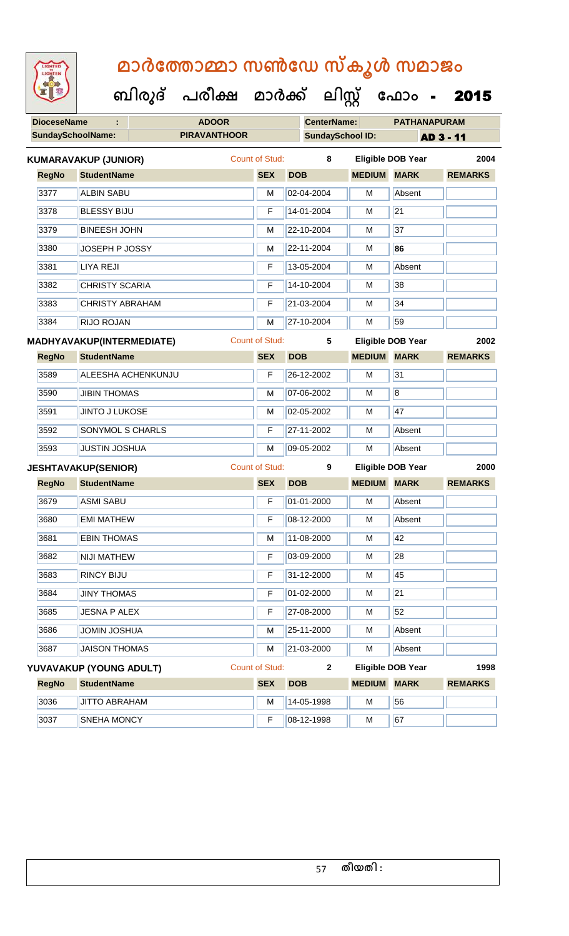| <b>IGHTED</b> |
|---------------|
|               |
|               |
|               |

**DioceseName : ADOOR CenterName: PATHANAPURAM SundaySchoolName: PIRAVANTHOOR SundaySchool ID: AD 3 - 11 ബിരുദ് പരീക്ഷ മാര്ക് ക ലിസ്റ്റ ക ഫ ാോം** - 2015 **RegNo StudentName SEX DOB MEDIUM MARK REMARKS KUMARAVAKUP (JUNIOR)** Count of Stud: **8 Eligible DOB Year 2004** 3377 ALBIN SABU M 02-04-2004 M Absent 3378 BLESSY BIJU F 14-01-2004 M 21 3379 BINEESH JOHN M 22-10-2004 M 37 3380 JOSEPH P JOSSY M 22-11-2004 M **86** 3381 LIYA REJI F 13-05-2004 M Absent 3382 CHRISTY SCARIA F 14-10-2004 M 38 3383 CHRISTY ABRAHAM F 21-03-2004 M 34 3384 RIJO ROJAN M 27-10-2004 M 59 **RegNo StudentName SEX DOB MEDIUM MARK REMARKS MADHYAVAKUP(INTERMEDIATE)** Count of Stud: **5 Eligible DOB Year 2002** 3589 ALEESHA ACHENKUNJU F 26-12-2002 M 31 3590 JJIBIN THOMAS M 27-06-2002 M 8 3591 JINTO J LUKOSE M 102-05-2002 M 47 3592 SONYMOL S CHARLS **F 27-11-2002** M Absent 3593 JUSTIN JOSHUA M 09-05-2002 M Absent **RegNo StudentName SEX DOB MEDIUM MARK REMARKS JESHTAVAKUP(SENIOR)** Count of Stud: **9 Eligible DOB Year 2000** 3679 ASMI SABU **F 01-01-2000** M Absent 3680 EMI MATHEW F 08-12-2000 M Absent 3681 EBIN THOMAS M 11-08-2000 M 13-08-2000 M 3682 NIJI MATHEW F 03-09-2000 M 28 3683 RINCY BIJU F 31-12-2000 M 45 3684 JJINY THOMAS F 01-02-2000 M 21 3685 JJESNA P ALEX F 27-08-2000 M 52 3686 JJOMIN JOSHUA M 25-11-2000 M Absent 3687 JAISON THOMAS M 21-03-2000 M Absent **RegNo StudentName SEX DOB MEDIUM MARK REMARKS YUVAVAKUP (YOUNG ADULT)** Count of Stud: **2 Eligible DOB Year 1998**

3036 JJITTO ABRAHAM M 14-05-1998 M 56 3037 SNEHA MONCY **F 08-12-1998 M** 67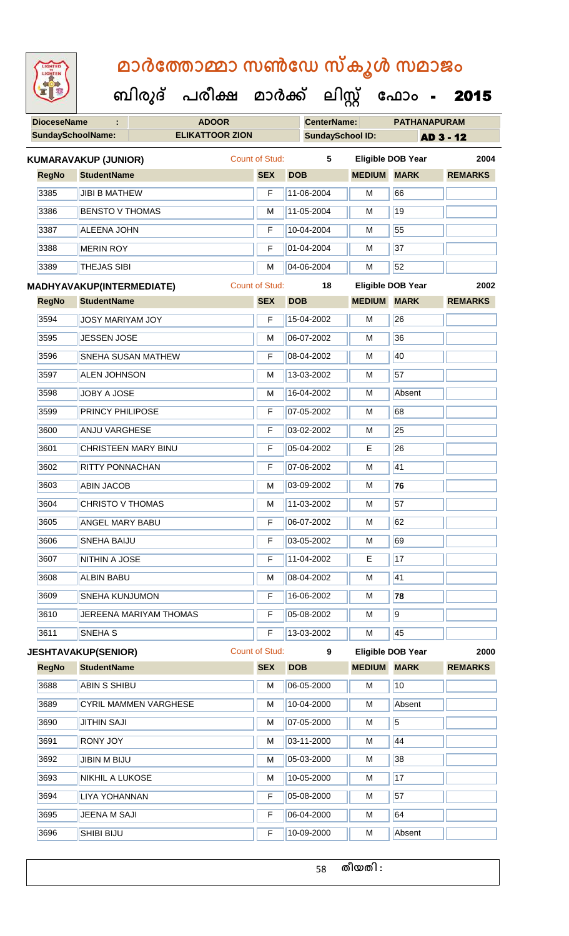| <b>IGHTED</b> |
|---------------|
|               |
|               |
|               |
|               |

**DioceseName : ADOOR CenterName: PATHANAPURAM SundaySchoolName: ELIKATTOOR ZION SundaySchool ID: AD 3 - 12 ബിരുദ് പരീക്ഷ മാര്ക് ക ലിസ്റ്റ ക ഫ ാോം** - 2015 **RegNo StudentName SEX DOB MEDIUM MARK REMARKS KUMARAVAKUP (JUNIOR)** Count of Stud: **5 Eligible DOB Year 2004** 3385 JJIBI B MATHEW **F** 11-06-2004 M 66 3386 BENSTO V THOMAS M 11-05-2004 M 11-05-2004 M 3387 ALEENA JOHN F 10-04-2004 M 55 3388 MERIN ROY **F** 01-04-2004 M 37 3389 THEJAS SIBI M 04-06-2004 M 52 **RegNo StudentName SEX DOB MEDIUM MARK REMARKS MADHYAVAKUP(INTERMEDIATE)** Count of Stud: **18 Eligible DOB Year 2002 3594 JOSY MARIYAM JOY F 15-04-2002 M 26** 3595 JJESSEN JOSE M M 06-07-2002 M 36 3596 SNEHA SUSAN MATHEW F 08-04-2002 M 40 3597 ALEN JOHNSON M M 13-03-2002 M 57 3598 JOBY A JOSE M 16-04-2002 M Absent 3599 **PRINCY PHILIPOSE F 07-05-2002** M 68 3600 ANJU VARGHESE F **F 03-02-2002** M 25 3601 CHRISTEEN MARY BINU F 05-04-2002 E 26 3602 RITTY PONNACHAN F 07-06-2002 M 41 3603 ABIN JACOB M 03-09-2002 M **76** 3604 CHRISTO V THOMAS M 11-03-2002 M 57 3605 ANGEL MARY BABU F 06-07-2002 M 62 3606 SNEHA BAIJU **F 03-05-2002** M 69 3607 NITHIN A JOSE **F 11-04-2002** E 17 3608 ALBIN BABU M 08-04-2002 M 41 3609 SNEHA KUNJUMON F 16-06-2002 M **78** 3610 JEREENA MARIYAM THOMAS F 65-08-2002 M 9 3611 SNEHA S F 13-03-2002 M 45 **RegNo StudentName SEX DOB MEDIUM MARK REMARKS JESHTAVAKUP(SENIOR)** Count of Stud: **9 Eligible DOB Year 2000**

| _____ |                              |   |            |   |                 |  |
|-------|------------------------------|---|------------|---|-----------------|--|
| 3688  | <b>ABIN S SHIBU</b>          | M | 06-05-2000 | M | 10 <sup>°</sup> |  |
| 3689  | <b>CYRIL MAMMEN VARGHESE</b> | M | 10-04-2000 | M | Absent          |  |
| 3690  | <b>JITHIN SAJI</b>           | M | 07-05-2000 | M | 5               |  |
| 3691  | <b>RONY JOY</b>              | M | 03-11-2000 | M | 44              |  |
| 3692  | JIBIN M BIJU                 | M | 05-03-2000 | M | 38              |  |
| 3693  | <b>NIKHIL A LUKOSE</b>       | M | 10-05-2000 | M | 17              |  |
| 3694  | LIYA YOHANNAN                | F | 05-08-2000 | M | 57              |  |
| 3695  | JEENA M SAJI                 | F | 06-04-2000 | M | 64              |  |
| 3696  | <b>SHIBI BIJU</b>            | F | 10-09-2000 | м | Absent          |  |
|       |                              |   |            |   |                 |  |

58 **തീയതി :**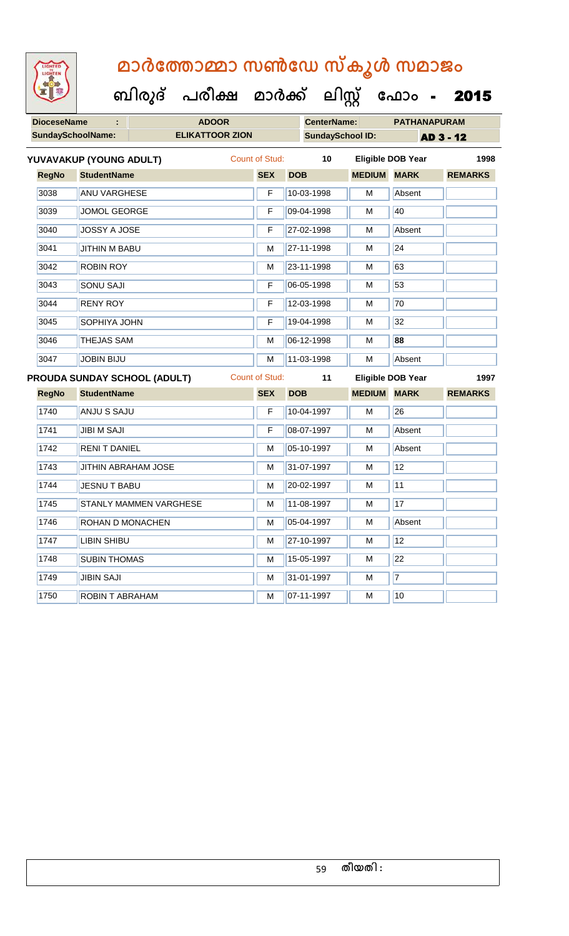| <b>IGHTED</b> |
|---------------|
|               |
|               |
|               |

| <b>DioceseName</b><br>÷ |                          | <b>ADOOR</b>                 |                        |                       |            | <b>CenterName:</b>      |                    | <b>PATHANAPURAM</b>      |                  |  |
|-------------------------|--------------------------|------------------------------|------------------------|-----------------------|------------|-------------------------|--------------------|--------------------------|------------------|--|
|                         | <b>SundaySchoolName:</b> |                              | <b>ELIKATTOOR ZION</b> |                       |            | <b>SundaySchool ID:</b> |                    |                          | <b>AD 3 - 12</b> |  |
|                         | YUVAVAKUP (YOUNG ADULT)  |                              |                        | Count of Stud:        |            | 10                      |                    | <b>Eligible DOB Year</b> | 1998             |  |
| <b>RegNo</b>            | <b>StudentName</b>       |                              |                        | <b>SEX</b>            | <b>DOB</b> |                         | <b>MEDIUM MARK</b> |                          | <b>REMARKS</b>   |  |
| 3038                    | <b>ANU VARGHESE</b>      |                              |                        | F                     |            | 10-03-1998              | M                  | Absent                   |                  |  |
| 3039                    | <b>JOMOL GEORGE</b>      |                              |                        | F                     |            | 09-04-1998              | М                  | 40                       |                  |  |
| 3040                    | JOSSY A JOSE             |                              |                        | F                     |            | 27-02-1998              | м                  | Absent                   |                  |  |
| 3041                    | JITHIN M BABU            |                              |                        | M                     |            | 27-11-1998              | М                  | 24                       |                  |  |
| 3042                    | <b>ROBIN ROY</b>         |                              |                        | М                     |            | 23-11-1998              | м                  | 63                       |                  |  |
| 3043                    | <b>SONU SAJI</b>         |                              |                        | F                     |            | 06-05-1998              | М                  | 53                       |                  |  |
| 3044                    | <b>RENY ROY</b>          |                              |                        | F                     |            | 12-03-1998              | M                  | 70                       |                  |  |
| 3045                    | SOPHIYA JOHN             |                              |                        | F                     |            | 19-04-1998              | M                  | 32                       |                  |  |
| 3046                    | THEJAS SAM               |                              |                        | M                     |            | 06-12-1998              | M                  | 88                       |                  |  |
| 3047                    | <b>JOBIN BIJU</b>        |                              |                        | M                     |            | 11-03-1998              | м                  | Absent                   |                  |  |
|                         |                          | PROUDA SUNDAY SCHOOL (ADULT) |                        | <b>Count of Stud:</b> |            | 11                      |                    | <b>Eligible DOB Year</b> | 1997             |  |
| <b>RegNo</b>            | <b>StudentName</b>       |                              |                        | <b>SEX</b>            | <b>DOB</b> |                         | <b>MEDIUM MARK</b> |                          | <b>REMARKS</b>   |  |
| 1740                    | <b>ANJU S SAJU</b>       |                              |                        | F                     |            | 10-04-1997              | M                  | 26                       |                  |  |
| 1741                    | <b>JIBI M SAJI</b>       |                              |                        | F                     |            | 08-07-1997              | M                  | Absent                   |                  |  |
| 1742                    | <b>RENIT DANIEL</b>      |                              |                        | М                     |            | 05-10-1997              | М                  | Absent                   |                  |  |
| 1743                    |                          | JITHIN ABRAHAM JOSE          |                        | M                     |            | 31-07-1997              | м                  | 12                       |                  |  |
| 1744                    | <b>JESNU T BABU</b>      |                              |                        | M                     |            | 20-02-1997              | М                  | 11                       |                  |  |
| 1745                    |                          | STANLY MAMMEN VARGHESE       |                        | M                     |            | 11-08-1997              | M                  | 17                       |                  |  |
| 1746                    | ROHAN D MONACHEN         |                              |                        | M                     |            | 05-04-1997              | М                  | Absent                   |                  |  |
| 1747                    | <b>LIBIN SHIBU</b>       |                              |                        | M                     |            | 27-10-1997              | M                  | 12                       |                  |  |
| 1748                    | <b>SUBIN THOMAS</b>      |                              |                        | M                     |            | 15-05-1997              | M                  | 22                       |                  |  |
| 1749                    | <b>JIBIN SAJI</b>        |                              |                        | М                     |            | 31-01-1997              | м                  | $\overline{7}$           |                  |  |
| 1750                    | ROBIN T ABRAHAM          |                              |                        | М                     |            | 07-11-1997              | M                  | 10                       |                  |  |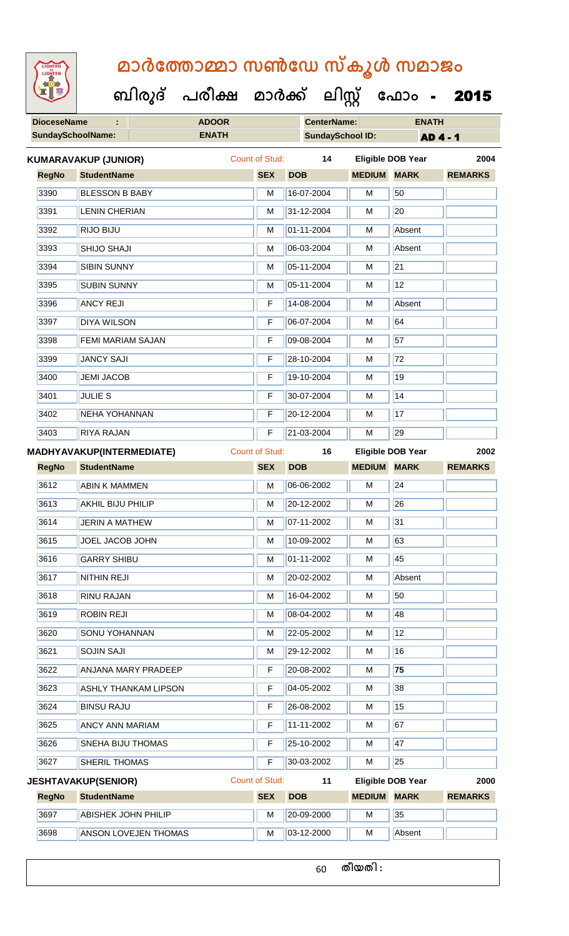|  | <b>IGHTED</b> |  |
|--|---------------|--|
|  |               |  |
|  |               |  |
|  |               |  |
|  |               |  |
|  |               |  |
|  |               |  |
|  |               |  |

 **ബിരുദ് പരീക്ഷ മാര്ക്**

**DioceseName : ADOOR CenterName: ENATH**

**ക ലിസ്റ്റ ക ഫ ാോം** - 2015

| <b>SundaySchoolName:</b> |                                  | <b>ENATH</b> |                       | <b>SundaySchool ID:</b> |                          |                          | <b>AD 4 - 1</b> |  |
|--------------------------|----------------------------------|--------------|-----------------------|-------------------------|--------------------------|--------------------------|-----------------|--|
|                          | KUMARAVAKUP (JUNIOR)             |              | <b>Count of Stud:</b> | 14                      |                          | <b>Eligible DOB Year</b> | 2004            |  |
| <b>RegNo</b>             | <b>StudentName</b>               |              | <b>SEX</b>            | <b>DOB</b>              | <b>MEDIUM</b>            | <b>MARK</b>              | <b>REMARKS</b>  |  |
| 3390                     | <b>BLESSON B BABY</b>            |              | M                     | 16-07-2004              | М                        | 50                       |                 |  |
| 3391                     | <b>LENIN CHERIAN</b>             |              | М                     | 31-12-2004              | М                        | $\overline{20}$          |                 |  |
| 3392                     | RIJO BIJU                        |              | М                     | 01-11-2004              | M                        | Absent                   |                 |  |
| 3393                     | SHIJO SHAJI                      |              | M                     | 06-03-2004              | М                        | Absent                   |                 |  |
| 3394                     | <b>SIBIN SUNNY</b>               |              | M                     | 05-11-2004              | М                        | $\overline{21}$          |                 |  |
| 3395                     | <b>SUBIN SUNNY</b>               |              | M                     | 05-11-2004              | M                        | 12                       |                 |  |
| 3396                     | <b>ANCY REJI</b>                 |              | F                     | 14-08-2004              | М                        | Absent                   |                 |  |
| 3397                     | <b>DIYA WILSON</b>               |              | F                     | 06-07-2004              | М                        | 64                       |                 |  |
| 3398                     | FEMI MARIAM SAJAN                |              | F                     | 09-08-2004              | M                        | $\overline{57}$          |                 |  |
| 3399                     | <b>JANCY SAJI</b>                |              | F                     | 28-10-2004              | M                        | $\overline{72}$          |                 |  |
| 3400                     | <b>JEMI JACOB</b>                |              | F                     | 19-10-2004              | М                        | 19                       |                 |  |
| 3401                     | <b>JULIE S</b>                   |              | F                     | 30-07-2004              | M                        | 14                       |                 |  |
| 3402                     | <b>NEHA YOHANNAN</b>             |              | F                     | 20-12-2004              | М                        | 17                       |                 |  |
| 3403                     | <b>RIYA RAJAN</b>                |              | F                     | 21-03-2004              | М                        | 29                       |                 |  |
|                          | <b>MADHYAVAKUP(INTERMEDIATE)</b> |              | <b>Count of Stud:</b> | 16                      | <b>Eligible DOB Year</b> |                          | 2002            |  |
| <b>RegNo</b>             | <b>StudentName</b>               |              | <b>SEX</b>            | <b>DOB</b>              | <b>MEDIUM</b>            | <b>MARK</b>              | <b>REMARKS</b>  |  |
| 3612                     | <b>ABIN K MAMMEN</b>             |              | M                     | 06-06-2002              | M                        | $\overline{24}$          |                 |  |
| 3613                     | <b>AKHIL BIJU PHILIP</b>         |              | М                     | 20-12-2002              | M                        | 26                       |                 |  |
| 3614                     | <b>JERIN A MATHEW</b>            |              | М                     | 07-11-2002              | М                        | $\overline{31}$          |                 |  |
| 3615                     | JOEL JACOB JOHN                  |              | М                     | 10-09-2002              | М                        | 63                       |                 |  |
| 3616                     | <b>GARRY SHIBU</b>               |              | м                     | 01-11-2002              | м                        | 45                       |                 |  |
| 3617                     | <b>NITHIN REJI</b>               |              | М                     | 20-02-2002              | М                        | Absent                   |                 |  |
| 3618                     | <b>RINU RAJAN</b>                |              | M                     | 16-04-2002              | М                        | 50                       |                 |  |
| 3619                     | <b>ROBIN REJI</b>                |              | М                     | 08-04-2002              | M                        | 48                       |                 |  |
| 3620                     | <b>SONU YOHANNAN</b>             |              | М                     | 22-05-2002              | М                        | 12                       |                 |  |
| 3621                     | <b>SOJIN SAJI</b>                |              | М                     | 29-12-2002              | М                        | 16                       |                 |  |
| 3622                     | <b>ANJANA MARY PRADEEP</b>       |              | F                     | 20-08-2002              | M                        | 75                       |                 |  |
| 3623                     | <b>ASHLY THANKAM LIPSON</b>      |              | F                     | 04-05-2002              | М                        | 38                       |                 |  |
| 3624                     | <b>BINSU RAJU</b>                |              | F                     | 26-08-2002              | М                        | 15                       |                 |  |
| 3625                     | <b>ANCY ANN MARIAM</b>           |              | F                     | 11-11-2002              | M                        | 67                       |                 |  |
| 3626                     | SNEHA BIJU THOMAS                |              | F                     | 25-10-2002              | М                        | 47                       |                 |  |
| 3627                     | SHERIL THOMAS                    |              | F                     | 30-03-2002              | М                        | 25                       |                 |  |
|                          | <b>JESHTAVAKUP(SENIOR)</b>       |              | Count of Stud:        | 11                      |                          | <b>Eligible DOB Year</b> | 2000            |  |
| <b>RegNo</b>             | <b>StudentName</b>               |              | <b>SEX</b>            | <b>DOB</b>              | <b>MEDIUM</b>            | <b>MARK</b>              | <b>REMARKS</b>  |  |
| 3697                     | <b>ABISHEK JOHN PHILIP</b>       |              | М                     | 20-09-2000              | M                        | 35                       |                 |  |
| 3698                     | ANSON LOVEJEN THOMAS             |              | М                     | 03-12-2000              | M                        | Absent                   |                 |  |

**തീയതി :**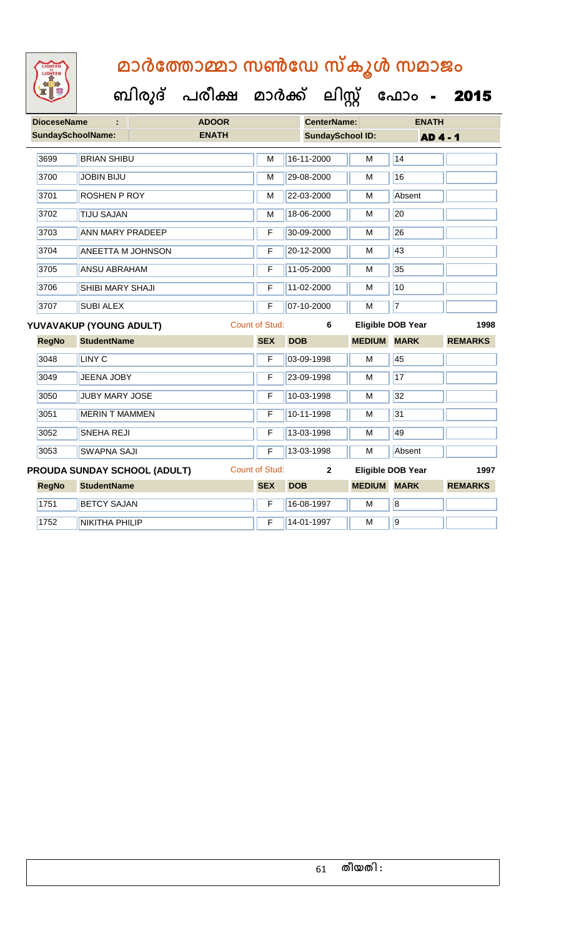

| <b>DioceseName</b><br>÷  |                          | <b>ADOOR</b>                        |              |                       | <b>CenterName:</b>      |               | <b>ENATH</b>             |                |
|--------------------------|--------------------------|-------------------------------------|--------------|-----------------------|-------------------------|---------------|--------------------------|----------------|
| <b>SundaySchoolName:</b> |                          |                                     | <b>ENATH</b> |                       | <b>SundaySchool ID:</b> |               | <b>AD 4 - 1</b>          |                |
| 3699                     | <b>BRIAN SHIBU</b>       |                                     |              | M                     | 16-11-2000              | M             | 14                       |                |
| 3700                     | <b>JOBIN BIJU</b>        |                                     |              | M                     | 29-08-2000              | M             | 16                       |                |
| 3701                     | <b>ROSHEN P ROY</b>      |                                     |              | M                     | 22-03-2000              | M             | Absent                   |                |
| 3702                     | <b>TIJU SAJAN</b>        |                                     |              | M                     | 18-06-2000              | M             | 20                       |                |
| 3703                     | <b>ANN MARY PRADEEP</b>  |                                     |              | F                     | 30-09-2000              | М             | 26                       |                |
| 3704                     | <b>ANEETTA M JOHNSON</b> |                                     |              | F                     | 20-12-2000              | M             | 43                       |                |
| 3705                     | <b>ANSU ABRAHAM</b>      |                                     |              | F                     | 11-05-2000              | M             | 35                       |                |
| 3706                     | SHIBI MARY SHAJI         |                                     |              | F                     | 11-02-2000              | М             | 10                       |                |
| 3707                     | <b>SUBI ALEX</b>         |                                     |              | F                     | 07-10-2000              | M             | $\overline{7}$           |                |
|                          | YUVAVAKUP (YOUNG ADULT)  |                                     |              | <b>Count of Stud:</b> | 6                       |               | <b>Eligible DOB Year</b> | 1998           |
| <b>RegNo</b>             | <b>StudentName</b>       |                                     |              | <b>SEX</b>            | <b>DOB</b>              | <b>MEDIUM</b> | <b>MARK</b>              | <b>REMARKS</b> |
| 3048                     | <b>LINY C</b>            |                                     |              | F                     | 03-09-1998              | M             | 45                       |                |
| 3049                     | JEENA JOBY               |                                     |              | F                     | 23-09-1998              | M             | 17                       |                |
| 3050                     | <b>JUBY MARY JOSE</b>    |                                     |              | F                     | 10-03-1998              | M             | 32                       |                |
| 3051                     | <b>MERIN T MAMMEN</b>    |                                     |              | F                     | 10-11-1998              | М             | 31                       |                |
| 3052                     | <b>SNEHA REJI</b>        |                                     |              | F                     | 13-03-1998              | M             | 49                       |                |
| 3053                     | <b>SWAPNA SAJI</b>       |                                     |              | F                     | 13-03-1998              | M             | Absent                   |                |
|                          |                          | <b>PROUDA SUNDAY SCHOOL (ADULT)</b> |              | <b>Count of Stud:</b> | $\mathbf{2}$            |               | <b>Eligible DOB Year</b> | 1997           |
| <b>RegNo</b>             | <b>StudentName</b>       |                                     |              | <b>SEX</b>            | <b>DOB</b>              | <b>MEDIUM</b> | <b>MARK</b>              | <b>REMARKS</b> |
| 1751                     | <b>BETCY SAJAN</b>       |                                     |              | F                     | 16-08-1997              | M             | $\overline{\mathbf{8}}$  |                |
| 1752                     | <b>NIKITHA PHILIP</b>    |                                     |              | F                     | 14-01-1997              | M             | 9                        |                |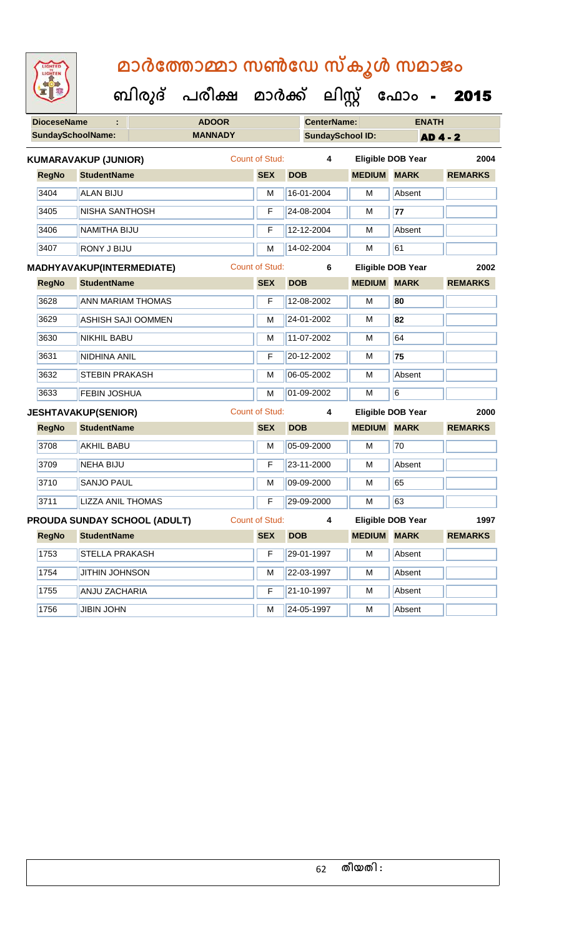| <b>IGHTED</b> |
|---------------|
|               |
|               |
|               |
|               |

**DioceseName : ADOOR CenterName: ENATH** SundaySchoolName: **MANNADY SundaySchool ID: AD 4 - 2 ബിരുദ് പരീക്ഷ മാര്ക് ക ലിസ്റ്റ ക ഫ ാോം** - 2015 **RegNo StudentName SEX DOB MEDIUM MARK REMARKS KUMARAVAKUP (JUNIOR)** Count of Stud: **4 Eligible DOB Year 2004** 3404 ALAN BIJU M 16-01-2004 M Absent 3405 NISHA SANTHOSH F 24-08-2004 M **77** 3406 NAMITHA BIJU F 12-12-2004 M Absent **3407 RONY J BIJU M 14-02-2004 M** 61 **RegNo StudentName SEX DOB MEDIUM MARK REMARKS MADHYAVAKUP(INTERMEDIATE)** Count of Stud: **6 Eligible DOB Year 2002** 3628 ANN MARIAM THOMAS F 12-08-2002 M **80** 3629 ASHISH SAJI OOMMEN M 24-01-2002 M **82** 3630 NIKHIL BABU M 11-07-2002 M 54 3631 NIDHINA ANIL F 20-12-2002 M **75** 3632 STEBIN PRAKASH M 06-05-2002 M Absent 3633 FEBIN JOSHUA M 01-09-2002 M 6 **RegNo StudentName SEX DOB MEDIUM MARK REMARKS JESHTAVAKUP(SENIOR)** Count of Stud: **4 Eligible DOB Year 2000** 3708 AKHIL BABU M 05-09-2000 M 70 3709 NEHA BIJU F 23-11-2000 M Absent 3710 SANJO PAUL M 09-09-2000 M 65 3711 LIZZA ANIL THOMAS F 29-09-2000 M 63 **RegNo StudentName SEX DOB MEDIUM MARK REMARKS PROUDA SUNDAY SCHOOL (ADULT)** Count of Stud: **4 Eligible DOB Year 1997** 1753 STELLA PRAKASH F 29-01-1997 M Absent

1754 JJITHIN JOHNSON M 22-03-1997 M Absent 1755 ANJU ZACHARIA F 21-10-1997 M Absent 1756 JJIBIN JOHN M 24-05-1997 M Absent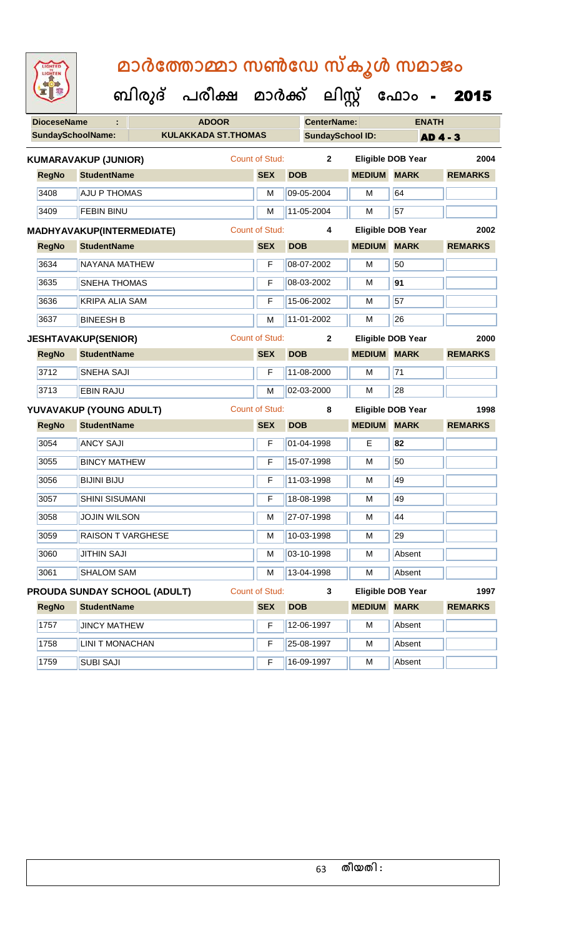| <b>IGHTED</b> |
|---------------|
|               |
|               |
|               |
|               |

| <b>DioceseName</b> |                             | <b>ADOOR</b>                 |                       |            | <b>CenterName:</b>      |                         | <b>ENATH</b>             |                 |
|--------------------|-----------------------------|------------------------------|-----------------------|------------|-------------------------|-------------------------|--------------------------|-----------------|
|                    | <b>SundaySchoolName:</b>    | <b>KULAKKADA ST.THOMAS</b>   |                       |            | <b>SundaySchool ID:</b> |                         |                          | <b>AD 4 - 3</b> |
|                    | <b>KUMARAVAKUP (JUNIOR)</b> |                              | <b>Count of Stud:</b> |            | $\mathbf{2}$            |                         | <b>Eligible DOB Year</b> | 2004            |
| <b>RegNo</b>       | <b>StudentName</b>          |                              | <b>SEX</b>            | <b>DOB</b> |                         | <b>MEDIUM</b>           | <b>MARK</b>              | <b>REMARKS</b>  |
| 3408               | <b>AJU P THOMAS</b>         |                              | M                     |            | 09-05-2004              | M                       | 64                       |                 |
| 3409               | <b>FEBIN BINU</b>           |                              | M                     |            | 11-05-2004              | M                       | 57                       |                 |
|                    | MADHYAVAKUP(INTERMEDIATE)   |                              | Count of Stud:        |            | 4                       |                         | <b>Eligible DOB Year</b> | 2002            |
| <b>RegNo</b>       | <b>StudentName</b>          |                              | <b>SEX</b>            | <b>DOB</b> |                         | <b>MEDIUM</b>           | <b>MARK</b>              | <b>REMARKS</b>  |
| 3634               | NAYANA MATHEW               |                              | F                     |            | 08-07-2002              | M                       | 50                       |                 |
| 3635               | <b>SNEHA THOMAS</b>         |                              | F                     |            | 08-03-2002              | M                       | 91                       |                 |
| 3636               | <b>KRIPA ALIA SAM</b>       |                              | F                     |            | 15-06-2002              | м                       | 57                       |                 |
| 3637               | <b>BINEESH B</b>            |                              | М                     |            | 11-01-2002              | M                       | 26                       |                 |
|                    | <b>JESHTAVAKUP(SENIOR)</b>  |                              | Count of Stud:        |            | $\mathbf{2}$            |                         | Eligible DOB Year        | 2000            |
| <b>RegNo</b>       | <b>StudentName</b>          |                              | <b>SEX</b>            | <b>DOB</b> |                         | <b>MEDIUM MARK</b>      |                          | <b>REMARKS</b>  |
| 3712               | <b>SNEHA SAJI</b>           |                              | F                     |            | 11-08-2000              | M                       | 71                       |                 |
| 3713               | <b>EBIN RAJU</b>            |                              | M                     |            | 02-03-2000              | м                       | 28                       |                 |
|                    | YUVAVAKUP (YOUNG ADULT)     |                              | Count of Stud:        |            | 8                       |                         | <b>Eligible DOB Year</b> | 1998            |
| <b>RegNo</b>       | <b>StudentName</b>          |                              | <b>SEX</b>            | <b>DOB</b> |                         | <b>MEDIUM MARK</b>      |                          | <b>REMARKS</b>  |
| 3054               | <b>ANCY SAJI</b>            |                              | F                     |            | 01-04-1998              | Е                       | 82                       |                 |
| 3055               | <b>BINCY MATHEW</b>         |                              | F                     |            | 15-07-1998              | M                       | 50                       |                 |
| 3056               | <b>BIJINI BIJU</b>          |                              | F                     |            | 11-03-1998              | М                       | 49                       |                 |
| 3057               | <b>SHINI SISUMANI</b>       |                              | F                     |            | 18-08-1998              | М                       | 49                       |                 |
| 3058               | <b>JOJIN WILSON</b>         |                              | M                     |            | 27-07-1998              | M                       | 44                       |                 |
| 3059               | <b>RAISON T VARGHESE</b>    |                              | M                     |            | 10-03-1998              | $\overline{\mathsf{M}}$ | 29                       |                 |
| 3060               | <b>JITHIN SAJI</b>          |                              | М                     |            | 03-10-1998              | М                       | Absent                   |                 |
| 3061               | <b>SHALOM SAM</b>           |                              | М                     |            | 13-04-1998              | М                       | Absent                   |                 |
|                    |                             | PROUDA SUNDAY SCHOOL (ADULT) | Count of Stud:        |            | 3                       |                         | <b>Eligible DOB Year</b> | 1997            |
| <b>RegNo</b>       | <b>StudentName</b>          |                              | <b>SEX</b>            | <b>DOB</b> |                         | <b>MEDIUM</b>           | <b>MARK</b>              | <b>REMARKS</b>  |
| 1757               | <b>JINCY MATHEW</b>         |                              | F                     |            | 12-06-1997              | M                       | Absent                   |                 |
| 1758               | <b>LINI T MONACHAN</b>      |                              | F                     |            | 25-08-1997              | М                       | Absent                   |                 |
| 1759               | <b>SUBI SAJI</b>            |                              | F                     |            | 16-09-1997              | М                       | Absent                   |                 |
|                    |                             |                              |                       |            |                         |                         |                          |                 |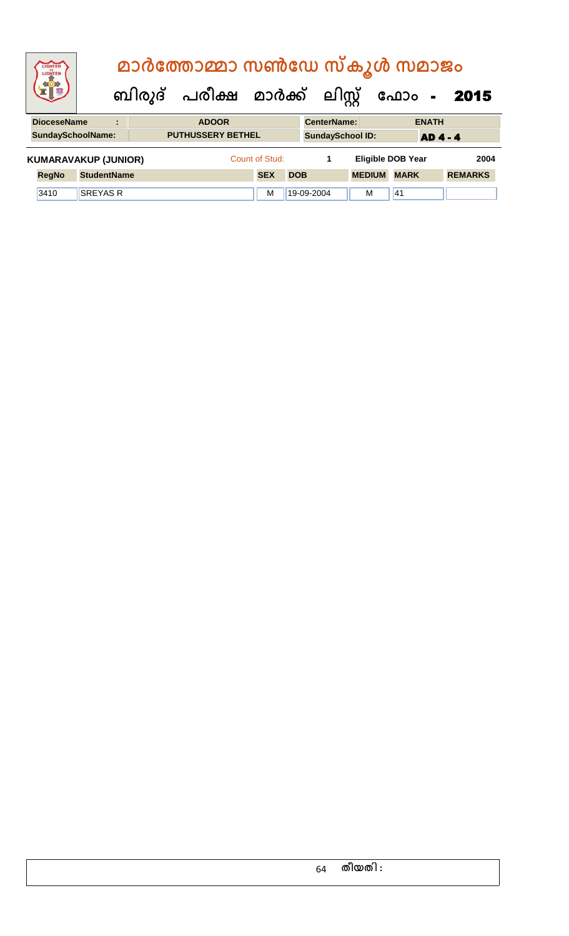| LIGHTED<br>LIGHTEN          |                    |    | മാർത്തോമ്മാ സൺഡേ സ്കൂൾ സമാജം   |                |            |                    |                         |                          |              |                |
|-----------------------------|--------------------|----|--------------------------------|----------------|------------|--------------------|-------------------------|--------------------------|--------------|----------------|
|                             |                    |    | ബിരുദ് പരീക്ഷ മാർക്ക് ലിസ്റ്റ് |                |            |                    |                         |                          |              | ഫോം - 2015     |
| <b>DioceseName</b>          |                    | ÷. | <b>ADOOR</b>                   |                |            | <b>CenterName:</b> |                         |                          | <b>ENATH</b> |                |
| <b>SundaySchoolName:</b>    |                    |    | <b>PUTHUSSERY BETHEL</b>       |                |            |                    | <b>SundaySchool ID:</b> |                          | <b>AD4-4</b> |                |
| <b>KUMARAVAKUP (JUNIOR)</b> |                    |    |                                | Count of Stud: |            | 1                  |                         | <b>Eligible DOB Year</b> |              | 2004           |
| <b>RegNo</b>                | <b>StudentName</b> |    |                                | <b>SEX</b>     | <b>DOB</b> |                    | <b>MEDIUM</b>           | <b>MARK</b>              |              | <b>REMARKS</b> |
| 3410                        | <b>SREYAS R</b>    |    |                                | М              |            | 19-09-2004         | M                       | 41                       |              |                |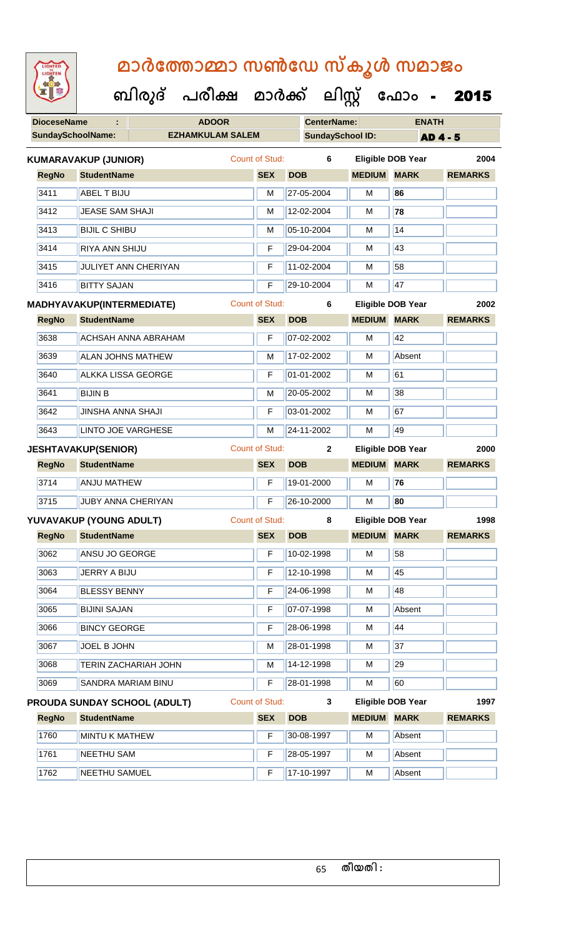| <b>IGHTED</b> |
|---------------|
|               |
|               |
|               |

| 置取                 | ബിരുദ് പരീക്ഷ മാർക്ക്                               |                       | ലിസ്റ്റ്                |                      | ഫോം<br>$\mathbf{m} = 0$  | 2015           |
|--------------------|-----------------------------------------------------|-----------------------|-------------------------|----------------------|--------------------------|----------------|
| <b>DioceseName</b> | <b>ADOOR</b>                                        |                       | <b>CenterName:</b>      |                      | <b>ENATH</b>             |                |
|                    | <b>SundaySchoolName:</b><br><b>EZHAMKULAM SALEM</b> |                       | <b>SundaySchool ID:</b> |                      | <b>AD4-5</b>             |                |
|                    | <b>KUMARAVAKUP (JUNIOR)</b>                         | Count of Stud:        | 6                       |                      | <b>Eligible DOB Year</b> | 2004           |
| <b>RegNo</b>       | <b>StudentName</b>                                  | <b>SEX</b>            | <b>DOB</b>              | <b>MEDIUM</b>        | <b>MARK</b>              | <b>REMARKS</b> |
| 3411               | ABEL T BIJU                                         | м                     | 27-05-2004              | M                    | 86                       |                |
| 3412               | <b>JEASE SAM SHAJI</b>                              | M                     | 12-02-2004              | м                    | 78                       |                |
| 3413               | <b>BIJIL C SHIBU</b>                                | м                     | 05-10-2004              | М                    | 14                       |                |
| 3414               | <b>RIYA ANN SHIJU</b>                               | F                     | 29-04-2004              | м                    | 43                       |                |
| 3415               | JULIYET ANN CHERIYAN                                | F                     | 11-02-2004              | М                    | 58                       |                |
| 3416               | <b>BITTY SAJAN</b>                                  | F                     | 29-10-2004              | М                    | 47                       |                |
|                    | MADHYAVAKUP(INTERMEDIATE)                           | <b>Count of Stud:</b> | 6                       |                      | <b>Eligible DOB Year</b> | 2002           |
| <b>RegNo</b>       | <b>StudentName</b>                                  | <b>SEX</b>            | <b>DOB</b>              | <b>MEDIUM</b>        | <b>MARK</b>              | <b>REMARKS</b> |
| 3638               | <b>ACHSAH ANNA ABRAHAM</b>                          | F                     | 07-02-2002              | M                    | 42                       |                |
| 3639               | <b>ALAN JOHNS MATHEW</b>                            | м                     | 17-02-2002              | М                    | Absent                   |                |
| 3640               | <b>ALKKA LISSA GEORGE</b>                           | F                     | 01-01-2002              | М                    | 61                       |                |
| 3641               | <b>BIJIN B</b>                                      | м                     | 20-05-2002              | м                    | 38                       |                |
| 3642               | <b>JINSHA ANNA SHAJI</b>                            | F                     | 03-01-2002              | М                    | 67                       |                |
| 3643               | <b>LINTO JOE VARGHESE</b>                           | M                     | 24-11-2002              | М                    | 49                       |                |
|                    | <b>JESHTAVAKUP(SENIOR)</b>                          | <b>Count of Stud:</b> | $\mathbf{2}$            |                      | <b>Eligible DOB Year</b> | 2000           |
| <b>RegNo</b>       | <b>StudentName</b>                                  | <b>SEX</b>            | <b>DOB</b>              | <b>MEDIUM</b>        | <b>MARK</b>              | <b>REMARKS</b> |
| 3714               | <b>ANJU MATHEW</b>                                  | F                     | 19-01-2000              | M                    | 76                       |                |
| 3715               | <b>JUBY ANNA CHERIYAN</b>                           |                       | $F$ 26-10-2000          | TГ<br>$\overline{M}$ | 80                       |                |
|                    | YUVAVAKUP (YOUNG ADULT)                             | Count of Stud:        | 8                       |                      | <b>Eligible DOB Year</b> | 1998           |
| <b>RegNo</b>       | <b>StudentName</b>                                  | <b>SEX</b>            | <b>DOB</b>              | <b>MEDIUM</b>        | <b>MARK</b>              | <b>REMARKS</b> |
| 3062               | ANSU JO GEORGE                                      | F                     | 10-02-1998              | M                    | 58                       |                |
| 3063               | JERRY A BIJU                                        | F                     | 12-10-1998              | M                    | 45                       |                |
| 3064               | <b>BLESSY BENNY</b>                                 | F                     | 24-06-1998              | M                    | 48                       |                |
| 3065               | <b>BIJINI SAJAN</b>                                 | F                     | 07-07-1998              | м                    | Absent                   |                |
| 3066               | <b>BINCY GEORGE</b>                                 | F                     | 28-06-1998              | M                    | 44                       |                |
| 3067               | JOEL B JOHN                                         | м                     | 28-01-1998              | M                    | 37                       |                |
| 3068               | TERIN ZACHARIAH JOHN                                | M                     | 14-12-1998              | M                    | 29                       |                |
| 3069               | SANDRA MARIAM BINU                                  | F                     | 28-01-1998              | м                    | 60                       |                |
|                    | <b>PROUDA SUNDAY SCHOOL (ADULT)</b>                 | Count of Stud:        | 3                       |                      | <b>Eligible DOB Year</b> | 1997           |
| <b>RegNo</b>       | <b>StudentName</b>                                  | <b>SEX</b>            | <b>DOB</b>              | <b>MEDIUM</b>        | <b>MARK</b>              | <b>REMARKS</b> |
| 1760               | MINTU K MATHEW                                      | F                     | 30-08-1997              | M                    | Absent                   |                |

1761 NEETHU SAM **F** 28-05-1997 M Absent 1762 NEETHU SAMUEL **F** 17-10-1997 M Absent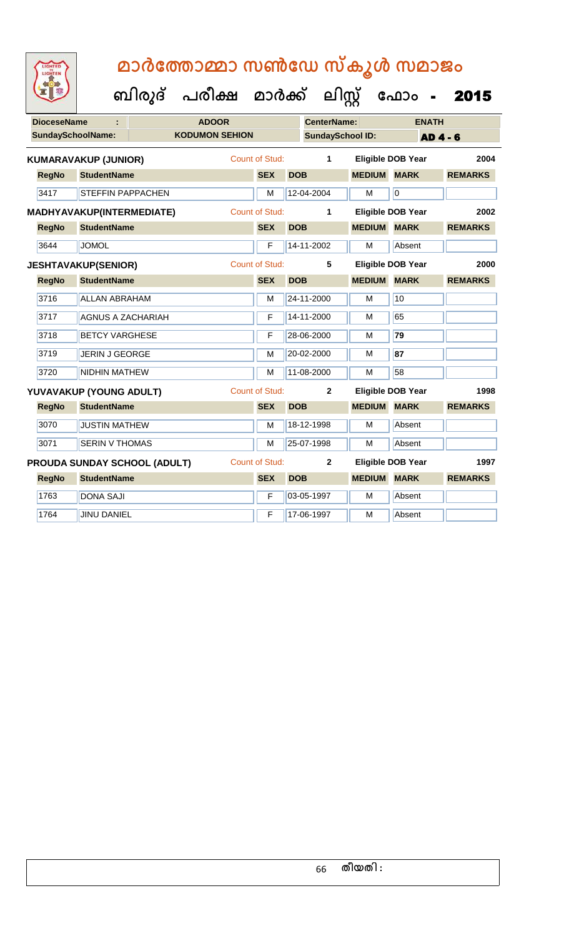| മാർത്തോമ്മാ സൺഡേ സ്കൂൾ സമാജം |  |  |
|------------------------------|--|--|
|                              |  |  |

| LIGHTED<br>LIGHTEN       |                                  | മാർത്തോമ്മാ സൺഡേ സ്കൂൾ സമാജം                |                       |                         |               |                          |                |
|--------------------------|----------------------------------|---------------------------------------------|-----------------------|-------------------------|---------------|--------------------------|----------------|
|                          |                                  | ബിരുദ് പരീക്ഷ മാർക്ക് ലിസ്റ്റ് ഫോം <b>-</b> |                       |                         |               |                          | 2015           |
| <b>DioceseName</b>       |                                  | <b>ADOOR</b>                                |                       | <b>CenterName:</b>      |               | <b>ENATH</b>             |                |
| <b>SundaySchoolName:</b> |                                  | <b>KODUMON SEHION</b>                       |                       | <b>SundaySchool ID:</b> |               |                          | <b>AD4-6</b>   |
|                          | <b>KUMARAVAKUP (JUNIOR)</b>      |                                             | Count of Stud:        | 1                       |               | <b>Eligible DOB Year</b> | 2004           |
| <b>RegNo</b>             | <b>StudentName</b>               |                                             | <b>SEX</b>            | <b>DOB</b>              | <b>MEDIUM</b> | <b>MARK</b>              | <b>REMARKS</b> |
| 3417                     | STEFFIN PAPPACHEN                |                                             | M                     | 12-04-2004              | M             | $\overline{0}$           |                |
|                          | <b>MADHYAVAKUP(INTERMEDIATE)</b> |                                             | <b>Count of Stud:</b> | 1                       |               | <b>Eligible DOB Year</b> | 2002           |
| <b>RegNo</b>             | <b>StudentName</b>               |                                             | <b>SEX</b>            | <b>DOB</b>              | <b>MEDIUM</b> | <b>MARK</b>              | <b>REMARKS</b> |
| 3644                     | <b>JOMOL</b>                     |                                             | F                     | 14-11-2002              | М             | Absent                   |                |
|                          | <b>JESHTAVAKUP(SENIOR)</b>       |                                             | <b>Count of Stud:</b> | 5                       |               | <b>Eligible DOB Year</b> | 2000           |
| <b>RegNo</b>             | <b>StudentName</b>               |                                             | <b>SEX</b>            | <b>DOB</b>              | <b>MEDIUM</b> | <b>MARK</b>              | <b>REMARKS</b> |
| 3716                     | <b>ALLAN ABRAHAM</b>             |                                             | M                     | 24-11-2000              | М             | 10                       |                |
| 3717                     | <b>AGNUS A ZACHARIAH</b>         |                                             | F                     | 14-11-2000              | M             | 65                       |                |
| 3718                     | <b>BETCY VARGHESE</b>            |                                             | F                     | 28-06-2000              | м             | 79                       |                |
| 3719                     | <b>JERIN J GEORGE</b>            |                                             | M                     | 20-02-2000              | м             | 87                       |                |
| 3720                     | <b>NIDHIN MATHEW</b>             |                                             | М                     | 11-08-2000              | M             | 58                       |                |
|                          | YUVAVAKUP (YOUNG ADULT)          |                                             | Count of Stud:        | $\mathbf{2}$            |               | <b>Eligible DOB Year</b> | 1998           |
| <b>RegNo</b>             | <b>StudentName</b>               |                                             | <b>SEX</b>            | <b>DOB</b>              | <b>MEDIUM</b> | <b>MARK</b>              | <b>REMARKS</b> |
| 3070                     | <b>JUSTIN MATHEW</b>             |                                             | М                     | 18-12-1998              | М             | Absent                   |                |
| 3071                     | <b>SERIN V THOMAS</b>            |                                             | М                     | 25-07-1998              | М             | Absent                   |                |
|                          | PROUDA SUNDAY SCHOOL (ADULT)     |                                             | <b>Count of Stud:</b> | $\mathbf{2}$            |               | <b>Eligible DOB Year</b> | 1997           |
| <b>RegNo</b>             | <b>StudentName</b>               |                                             | <b>SEX</b>            | <b>DOB</b>              | <b>MEDIUM</b> | <b>MARK</b>              | <b>REMARKS</b> |
| 1763                     | <b>DONA SAJI</b>                 |                                             | F                     | 03-05-1997              | М             | Absent                   |                |
| 1764                     | <b>JINU DANIEL</b>               |                                             | F                     | 17-06-1997              | м             | Absent                   |                |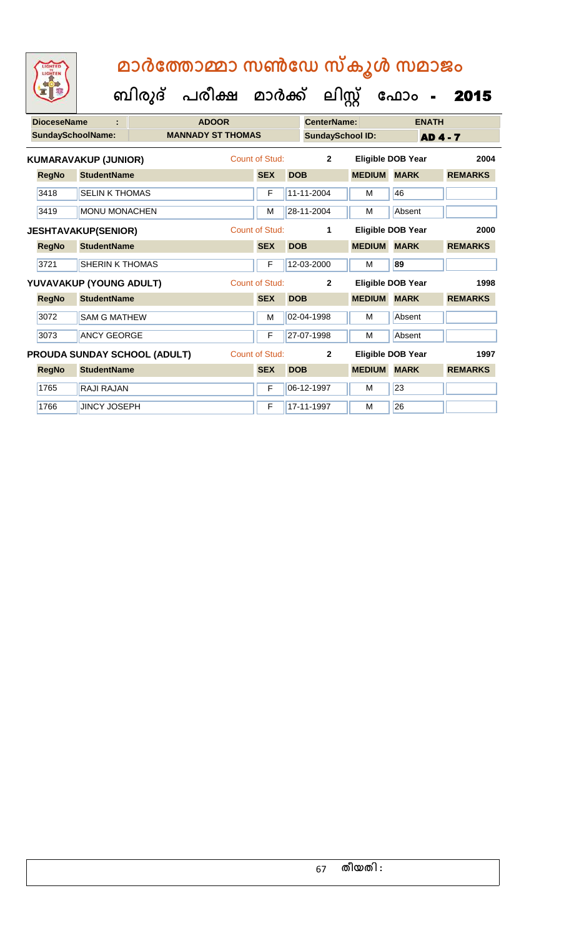| <b>DioceseName</b> |                              | <b>ADOOR</b>             |                       |            | <b>CenterName:</b>      |               |                          | <b>ENATH</b>    |      |
|--------------------|------------------------------|--------------------------|-----------------------|------------|-------------------------|---------------|--------------------------|-----------------|------|
|                    | <b>SundaySchoolName:</b>     | <b>MANNADY ST THOMAS</b> |                       |            | <b>SundaySchool ID:</b> |               |                          | <b>AD 4 - 7</b> |      |
|                    | <b>KUMARAVAKUP (JUNIOR)</b>  |                          | Count of Stud:        |            | $\mathbf{2}$            |               | <b>Eligible DOB Year</b> |                 | 2004 |
| <b>RegNo</b>       | <b>StudentName</b>           |                          | <b>SEX</b>            | <b>DOB</b> |                         | <b>MEDIUM</b> | <b>MARK</b>              | <b>REMARKS</b>  |      |
| 3418               | <b>SELIN K THOMAS</b>        |                          | F                     |            | 11-11-2004              | M             | 46                       |                 |      |
| 3419               | <b>MONU MONACHEN</b>         |                          | M                     |            | 28-11-2004              | M             | Absent                   |                 |      |
|                    | <b>JESHTAVAKUP(SENIOR)</b>   |                          | <b>Count of Stud:</b> |            | 1                       |               | Eligible DOB Year        |                 | 2000 |
| <b>RegNo</b>       | <b>StudentName</b>           |                          | <b>SEX</b>            | <b>DOB</b> |                         | <b>MEDIUM</b> | <b>MARK</b>              | <b>REMARKS</b>  |      |
| 3721               | <b>SHERIN K THOMAS</b>       |                          | F                     |            | 12-03-2000              | м             | 89                       |                 |      |
|                    | YUVAVAKUP (YOUNG ADULT)      |                          | <b>Count of Stud:</b> |            | $\mathbf{2}$            |               | <b>Eligible DOB Year</b> |                 | 1998 |
| <b>RegNo</b>       | <b>StudentName</b>           |                          | <b>SEX</b>            | <b>DOB</b> |                         | <b>MEDIUM</b> | <b>MARK</b>              | <b>REMARKS</b>  |      |
| 3072               | <b>SAM G MATHEW</b>          |                          | M                     |            | 02-04-1998              | М             | Absent                   |                 |      |
| 3073               | <b>ANCY GEORGE</b>           |                          | F                     |            | 27-07-1998              | М             | Absent                   |                 |      |
|                    | PROUDA SUNDAY SCHOOL (ADULT) |                          | <b>Count of Stud:</b> |            | $\overline{2}$          |               | Eligible DOB Year        |                 | 1997 |
| <b>RegNo</b>       | <b>StudentName</b>           |                          | <b>SEX</b>            | <b>DOB</b> |                         | <b>MEDIUM</b> | <b>MARK</b>              | <b>REMARKS</b>  |      |
| 1765               | <b>RAJI RAJAN</b>            |                          | F                     |            | 06-12-1997              | M             | 23                       |                 |      |
| 1766               | <b>JINCY JOSEPH</b>          |                          | F                     |            | 17-11-1997              | M             | 26                       |                 |      |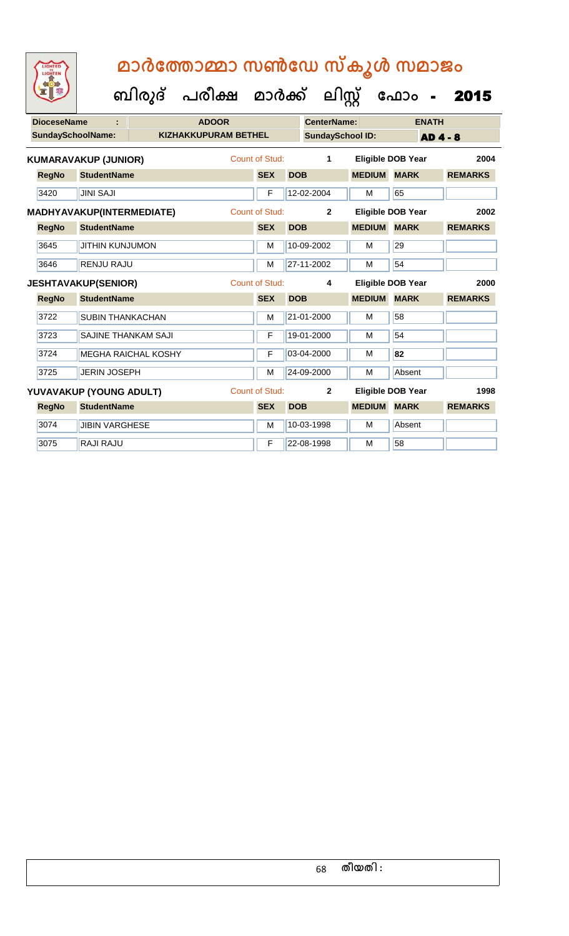|  | <b>IGHTED</b> |  |
|--|---------------|--|
|  |               |  |
|  |               |  |
|  |               |  |
|  |               |  |

 **ബിരുദ് പരീക്ഷ മാര്ക് ക ലിസ്റ്റ ക ഫ ാോം** - 2015

| <b>DioceseName</b> |                             |                            | <b>ADOOR</b>                |                       |            | <b>CenterName:</b>      |               | <b>ENATH</b>             |                |
|--------------------|-----------------------------|----------------------------|-----------------------------|-----------------------|------------|-------------------------|---------------|--------------------------|----------------|
|                    | <b>SundaySchoolName:</b>    |                            | <b>KIZHAKKUPURAM BETHEL</b> |                       |            | <b>SundaySchool ID:</b> |               | <b>AD 4 - 8</b>          |                |
|                    | <b>KUMARAVAKUP (JUNIOR)</b> |                            |                             | <b>Count of Stud:</b> |            | 1                       |               | <b>Eligible DOB Year</b> | 2004           |
| <b>RegNo</b>       | <b>StudentName</b>          |                            |                             | <b>SEX</b>            | <b>DOB</b> |                         | <b>MEDIUM</b> | <b>MARK</b>              | <b>REMARKS</b> |
| 3420               | <b>JINI SAJI</b>            |                            |                             | F                     |            | 12-02-2004              | M             | 65                       |                |
|                    | MADHYAVAKUP(INTERMEDIATE)   |                            |                             | Count of Stud:        |            | $\overline{2}$          |               | <b>Eligible DOB Year</b> | 2002           |
| <b>RegNo</b>       | <b>StudentName</b>          |                            |                             | <b>SEX</b>            | <b>DOB</b> |                         | <b>MEDIUM</b> | <b>MARK</b>              | <b>REMARKS</b> |
| 3645               | <b>JITHIN KUNJUMON</b>      |                            |                             | М                     |            | 10-09-2002              | М             | 29                       |                |
| 3646               | <b>RENJU RAJU</b>           |                            |                             | M                     |            | 27-11-2002              | M             | 54                       |                |
|                    | <b>JESHTAVAKUP(SENIOR)</b>  |                            |                             | Count of Stud:        |            | 4                       |               | <b>Eligible DOB Year</b> | 2000           |
| <b>RegNo</b>       | <b>StudentName</b>          |                            |                             | <b>SEX</b>            | <b>DOB</b> |                         | <b>MEDIUM</b> | <b>MARK</b>              | <b>REMARKS</b> |
| 3722               | <b>SUBIN THANKACHAN</b>     |                            |                             | M                     |            | 21-01-2000              | M             | 58                       |                |
| 3723               | <b>SAJINE THANKAM SAJI</b>  |                            |                             | F                     |            | 19-01-2000              | M             | 54                       |                |
| 3724               |                             | <b>MEGHA RAICHAL KOSHY</b> |                             | F                     |            | 03-04-2000              | M             | 82                       |                |
| 3725               | <b>JERIN JOSEPH</b>         |                            |                             | М                     |            | 24-09-2000              | M             | Absent                   |                |
|                    | YUVAVAKUP (YOUNG ADULT)     |                            |                             | Count of Stud:        |            | $\overline{2}$          |               | <b>Eligible DOB Year</b> | 1998           |
| <b>RegNo</b>       | <b>StudentName</b>          |                            |                             | <b>SEX</b>            | <b>DOB</b> |                         | <b>MEDIUM</b> | <b>MARK</b>              | <b>REMARKS</b> |
| 3074               | <b>JIBIN VARGHESE</b>       |                            |                             | M                     |            | 10-03-1998              | M             | Absent                   |                |
| 3075               | RAJI RAJU                   |                            |                             | F                     |            | 22-08-1998              | М             | 58                       |                |

68 **തീയതി :**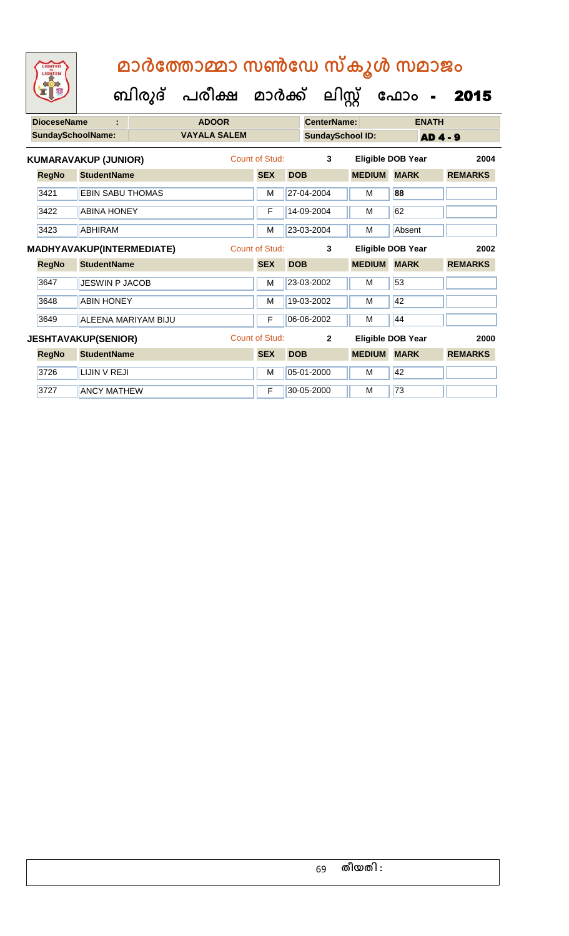| <b>DioceseName</b> |                             | <b>ADOOR</b>        |                |            | <b>CenterName:</b>      |               |                          | <b>ENATH</b>    |                |
|--------------------|-----------------------------|---------------------|----------------|------------|-------------------------|---------------|--------------------------|-----------------|----------------|
|                    | <b>SundaySchoolName:</b>    | <b>VAYALA SALEM</b> |                |            | <b>SundaySchool ID:</b> |               |                          | <b>AD 4 - 9</b> |                |
|                    | <b>KUMARAVAKUP (JUNIOR)</b> |                     | Count of Stud: |            | 3                       |               | <b>Eligible DOB Year</b> |                 | 2004           |
| <b>RegNo</b>       | <b>StudentName</b>          |                     | <b>SEX</b>     | <b>DOB</b> |                         | <b>MEDIUM</b> | <b>MARK</b>              |                 | <b>REMARKS</b> |
| 3421               | <b>EBIN SABU THOMAS</b>     |                     | M              |            | 27-04-2004              | М             | 88                       |                 |                |
| 3422               | <b>ABINA HONEY</b>          |                     | F              |            | 14-09-2004              | M             | 62                       |                 |                |
| 3423               | <b>ABHIRAM</b>              |                     | M              |            | 23-03-2004              | M             | Absent                   |                 |                |
|                    | MADHYAVAKUP(INTERMEDIATE)   |                     | Count of Stud: |            | 3                       |               | <b>Eligible DOB Year</b> |                 | 2002           |
| <b>RegNo</b>       | <b>StudentName</b>          |                     | <b>SEX</b>     | <b>DOB</b> |                         | <b>MEDIUM</b> | <b>MARK</b>              |                 | <b>REMARKS</b> |
| 3647               | <b>JESWIN P JACOB</b>       |                     | M              |            | 23-03-2002              | M             | 53                       |                 |                |
| 3648               | <b>ABIN HONEY</b>           |                     | M              |            | 19-03-2002              | M             | 42                       |                 |                |
| 3649               | ALEENA MARIYAM BIJU         |                     | F              |            | 06-06-2002              | м             | 44                       |                 |                |
|                    | <b>JESHTAVAKUP(SENIOR)</b>  |                     | Count of Stud: |            | $\overline{2}$          |               | Eligible DOB Year        |                 | 2000           |
| <b>RegNo</b>       | <b>StudentName</b>          |                     | <b>SEX</b>     | <b>DOB</b> |                         | <b>MEDIUM</b> | <b>MARK</b>              |                 | <b>REMARKS</b> |
| 3726               | LIJIN V REJI                |                     | M              |            | 05-01-2000              | M             | 42                       |                 |                |
| 3727               | <b>ANCY MATHEW</b>          |                     | F              |            | 30-05-2000              | M             | 73                       |                 |                |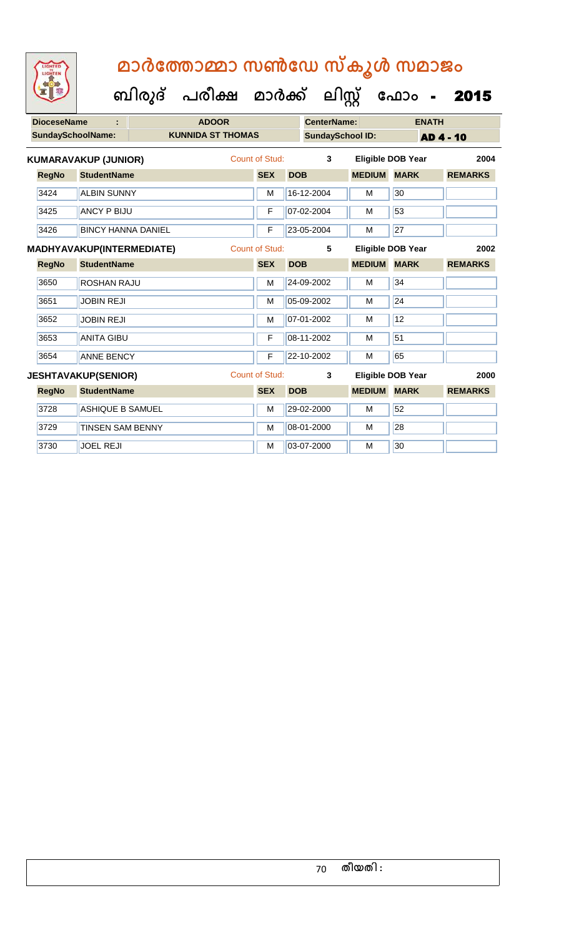**ബിരുദ് പരീക്ഷ മാര്ക്**

3729 TINSEN SAM BENNY M M 08-01-2000 M 28 3730 JOEL REJI M 03-07-2000 M 30

**ക ലിസ്റ്റ**

**ക ഫ ാോം** - 2015

**DioceseName : ADOOR CenterName: ENATH SundaySchoolName: KUNNIDA ST THOMAS SundaySchool ID: AD 4 - 10 RegNo StudentName SEX DOB MEDIUM MARK REMARKS KUMARAVAKUP (JUNIOR)** Count of Stud: **3 Eligible DOB Year 2004** 3424 ALBIN SUNNY M M 16-12-2004 M 30 3425 ANCY P BIJU F 07-02-2004 M 53 3426 BINCY HANNA DANIEL F 23-05-2004 M 27 **RegNo StudentName SEX DOB MEDIUM MARK REMARKS MADHYAVAKUP(INTERMEDIATE)** Count of Stud: **5 Eligible DOB Year 2002** 3650 ROSHAN RAJU M 24-09-2002 M 34 3651 JOBIN REJI M 05-09-2002 M 24 3652 JOBIN REJI M 07-01-2002 M 12 3653 ANITA GIBU F 08-11-2002 M 51 3654 ANNE BENCY F 22-10-2002 M 65 **RegNo StudentName SEX DOB MEDIUM MARK REMARKS JESHTAVAKUP(SENIOR)** Count of Stud: **3 Eligible DOB Year 2000** 3728 ASHIQUE B SAMUEL M M 29-02-2000 M 52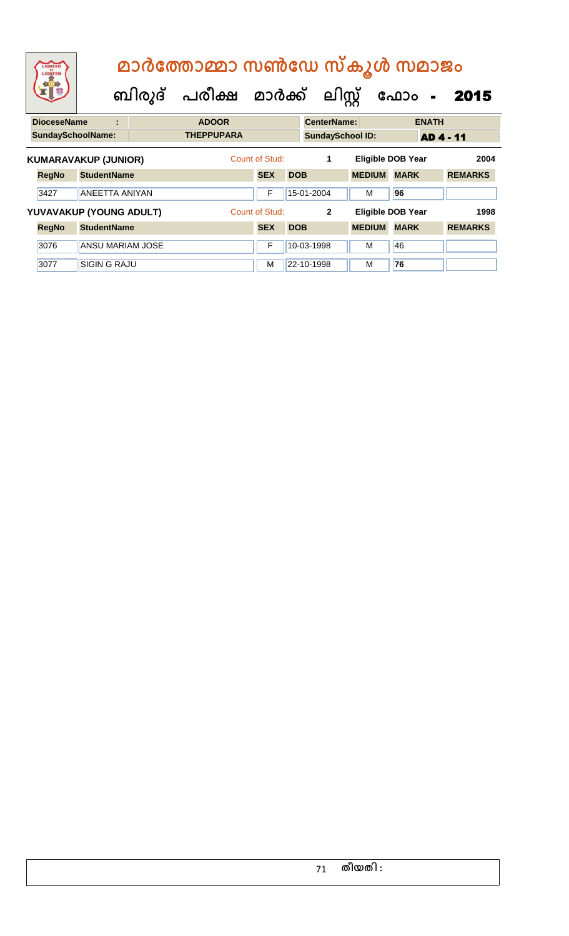| LIGHTED<br>LIGHTEN |                             |                         | മാർത്തോമ്മാ സൺഡേ സ്കൂൾ സമാജം |                |            |                         |               |                          |                |
|--------------------|-----------------------------|-------------------------|------------------------------|----------------|------------|-------------------------|---------------|--------------------------|----------------|
|                    |                             |                         | ബിരുദ് പരീക്ഷ മാർക്ക്        |                |            | ലിസ്റ്റ്                |               | ഫോം<br>$\sim$ $\sim$     | 2015           |
| <b>DioceseName</b> |                             | ÷                       | <b>ADOOR</b>                 |                |            | <b>CenterName:</b>      |               | <b>ENATH</b>             |                |
|                    | <b>SundaySchoolName:</b>    |                         | <b>THEPPUPARA</b>            |                |            | <b>SundaySchool ID:</b> |               |                          | AD 4 - 11      |
|                    | <b>KUMARAVAKUP (JUNIOR)</b> |                         |                              | Count of Stud: |            | 1                       |               | <b>Eligible DOB Year</b> | 2004           |
| <b>RegNo</b>       | <b>StudentName</b>          |                         |                              | <b>SEX</b>     | <b>DOB</b> |                         | <b>MEDIUM</b> | <b>MARK</b>              | <b>REMARKS</b> |
| 3427               |                             | <b>ANEETTA ANIYAN</b>   |                              | F              |            | 15-01-2004              | м             | 96                       |                |
|                    |                             | YUVAVAKUP (YOUNG ADULT) |                              | Count of Stud: |            | $\mathbf{z}$            |               | <b>Eligible DOB Year</b> | 1998           |
| <b>RegNo</b>       | <b>StudentName</b>          |                         |                              | <b>SEX</b>     | <b>DOB</b> |                         | <b>MEDIUM</b> | <b>MARK</b>              | <b>REMARKS</b> |
| 3076               |                             | <b>ANSU MARIAM JOSE</b> |                              | F              |            | 10-03-1998              | м             | 46                       |                |
| 3077               | <b>SIGIN G RAJU</b>         |                         |                              | м              |            | 22-10-1998              | м             | 76                       |                |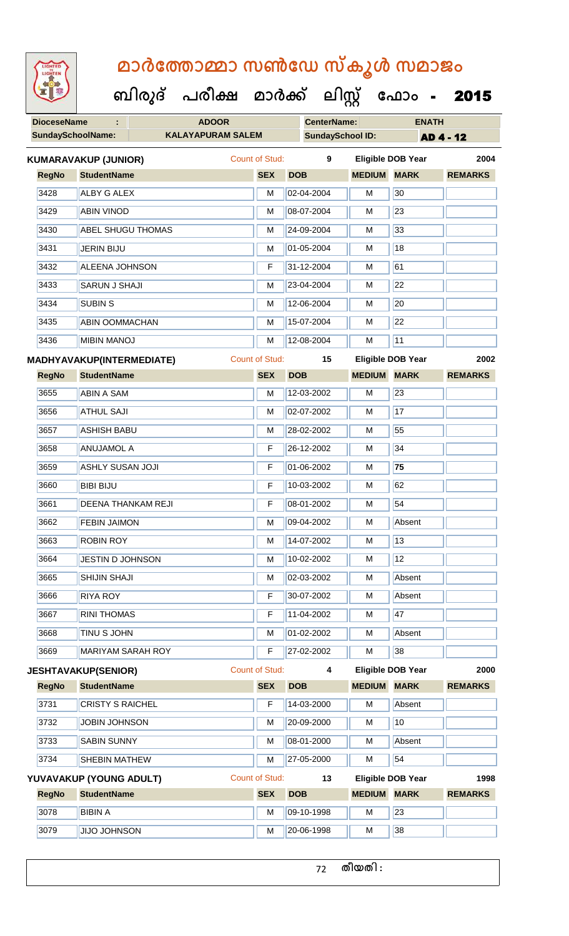| <b>IGHTED</b> |
|---------------|
|               |
|               |
|               |

 **ബിരുദ് പരീക്ഷ മാര്ക്**

**ക ലിസ്റ്റ ക ഫ ാോം** - 2015

|                             | <b>DioceseName</b>       | ÷.                        | <b>ADOOR</b> |   |                       |                         | <b>CenterName:</b> |                          | <b>ENATH</b>   |  |
|-----------------------------|--------------------------|---------------------------|--------------|---|-----------------------|-------------------------|--------------------|--------------------------|----------------|--|
|                             | <b>SundaySchoolName:</b> | <b>KALAYAPURAM SALEM</b>  |              |   |                       | <b>SundaySchool ID:</b> | <b>AD 4 - 12</b>   |                          |                |  |
| <b>KUMARAVAKUP (JUNIOR)</b> |                          |                           |              |   | Count of Stud:        | 9                       |                    | <b>Eligible DOB Year</b> | 2004           |  |
|                             | <b>RegNo</b>             | <b>StudentName</b>        |              |   | <b>SEX</b>            | <b>DOB</b>              | <b>MEDIUM</b>      | <b>MARK</b>              | <b>REMARKS</b> |  |
|                             | 3428                     | <b>ALBY G ALEX</b>        |              |   | M                     | 02-04-2004              | M                  | 30                       |                |  |
|                             | 3429                     | <b>ABIN VINOD</b>         |              |   | M                     | 08-07-2004              | M                  | 23                       |                |  |
|                             | 3430                     | <b>ABEL SHUGU THOMAS</b>  |              | M | 24-09-2004            | м                       | 33                 |                          |                |  |
|                             | 3431                     | <b>JERIN BIJU</b>         |              |   | M                     | 01-05-2004              | M                  | 18                       |                |  |
|                             | 3432                     | <b>ALEENA JOHNSON</b>     |              |   | F                     | 31-12-2004              | M                  | 61                       |                |  |
|                             | 3433                     | <b>SARUN J SHAJI</b>      |              |   | M                     | 23-04-2004              | М                  | 22                       |                |  |
|                             | 3434                     | <b>SUBIN S</b>            |              |   | M                     | 12-06-2004              | M                  | 20                       |                |  |
|                             | 3435                     | <b>ABIN OOMMACHAN</b>     |              |   | M                     | 15-07-2004              | М                  | 22                       |                |  |
|                             | 3436                     | <b>MIBIN MANOJ</b>        |              |   | M                     | 12-08-2004              | М                  | 11                       |                |  |
|                             |                          | MADHYAVAKUP(INTERMEDIATE) |              |   | Count of Stud:        | 15                      |                    | <b>Eligible DOB Year</b> | 2002           |  |
|                             | <b>RegNo</b>             | <b>StudentName</b>        |              |   | <b>SEX</b>            | <b>DOB</b>              | <b>MEDIUM</b>      | <b>MARK</b>              | <b>REMARKS</b> |  |
|                             | 3655                     | <b>ABIN A SAM</b>         |              |   | M                     | 12-03-2002              | M                  | 23                       |                |  |
|                             | 3656                     | <b>ATHUL SAJI</b>         |              |   | M                     | 02-07-2002              | M                  | 17                       |                |  |
|                             | 3657                     | <b>ASHISH BABU</b>        |              |   | M                     | 28-02-2002              | М                  | 55                       |                |  |
|                             | 3658                     | <b>ANUJAMOL A</b>         |              |   | F                     | 26-12-2002              | M                  | $\overline{34}$          |                |  |
|                             | 3659                     | <b>ASHLY SUSAN JOJI</b>   |              |   | F                     | 01-06-2002              | M                  | 75                       |                |  |
|                             | 3660                     | <b>BIBI BIJU</b>          |              |   | F                     | 10-03-2002              | M                  | 62                       |                |  |
|                             | 3661                     | <b>DEENA THANKAM REJI</b> |              |   | F                     | $08-01-2002$            | M                  | 54                       |                |  |
|                             | 3662                     | <b>FEBIN JAIMON</b>       |              |   | M                     | 09-04-2002              | М                  | Absent                   |                |  |
|                             | 3663                     | <b>ROBIN ROY</b>          |              |   | M                     | 14-07-2002              | М                  | 13                       |                |  |
|                             | 3664                     | <b>JESTIN D JOHNSON</b>   |              |   | M                     | 10-02-2002              | M                  | $\overline{12}$          |                |  |
|                             | 3665                     | <b>SHIJIN SHAJI</b>       |              |   | M                     | 02-03-2002              | M                  | Absent                   |                |  |
|                             | 3666                     | <b>RIYA ROY</b>           |              |   | F                     | 30-07-2002              | M                  | Absent                   |                |  |
|                             | 3667                     | <b>RINI THOMAS</b>        |              |   | F                     | 11-04-2002              | М                  | 47                       |                |  |
|                             | 3668                     | <b>TINU S JOHN</b>        |              |   | M                     | 01-02-2002              | М                  | Absent                   |                |  |
|                             | 3669                     | <b>MARIYAM SARAH ROY</b>  |              |   | F                     | 27-02-2002              | М                  | 38                       |                |  |
| <b>JESHTAVAKUP(SENIOR)</b>  |                          |                           |              |   | <b>Count of Stud:</b> | 4                       |                    | <b>Eligible DOB Year</b> | 2000           |  |
|                             | <b>RegNo</b>             | <b>StudentName</b>        |              |   | <b>SEX</b>            | <b>DOB</b>              | <b>MEDIUM</b>      | <b>MARK</b>              | <b>REMARKS</b> |  |
|                             | 3731                     | <b>CRISTY S RAICHEL</b>   |              |   | F                     | 14-03-2000              | M                  | Absent                   |                |  |
|                             | 3732                     | <b>JOBIN JOHNSON</b>      |              |   | м                     | 20-09-2000              | M                  | 10                       |                |  |
|                             | 3733                     | <b>SABIN SUNNY</b>        |              |   | M                     | 08-01-2000              | М                  | Absent                   |                |  |
|                             | 3734                     | SHEBIN MATHEW             |              | M | 27-05-2000            | м                       | 54                 |                          |                |  |
| YUVAVAKUP (YOUNG ADULT)     |                          |                           |              |   | Count of Stud:        | 13                      |                    | <b>Eligible DOB Year</b> | 1998           |  |
|                             | <b>RegNo</b>             | <b>StudentName</b>        |              |   | <b>SEX</b>            | <b>DOB</b>              | <b>MEDIUM</b>      | <b>MARK</b>              | <b>REMARKS</b> |  |
|                             | 3078                     | <b>BIBIN A</b>            |              |   | M                     | 09-10-1998              | M                  | 23                       |                |  |
|                             | 3079                     | <b>JIJO JOHNSON</b>       |              |   | M                     | 20-06-1998              | М                  | 38                       |                |  |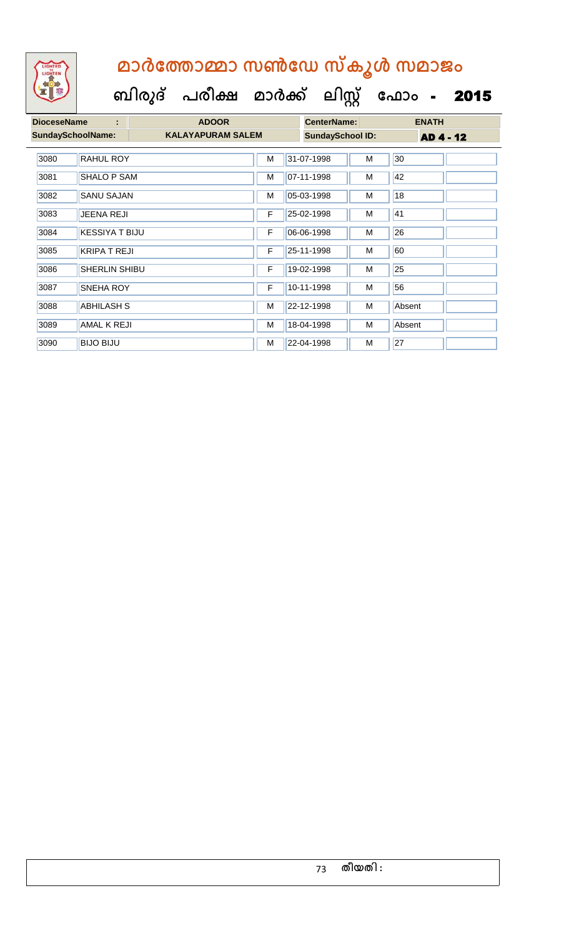| <b>DioceseName</b><br>÷ |                          | <b>ADOOR</b>             |   |            | <b>CenterName:</b>      |   | <b>ENATH</b>     |  |  |
|-------------------------|--------------------------|--------------------------|---|------------|-------------------------|---|------------------|--|--|
|                         | <b>SundaySchoolName:</b> | <b>KALAYAPURAM SALEM</b> |   |            | <b>SundaySchool ID:</b> |   | <b>AD 4 - 12</b> |  |  |
| 3080                    | <b>RAHUL ROY</b>         |                          | M | 31-07-1998 |                         | M | 30               |  |  |
| 3081                    | <b>SHALO P SAM</b>       |                          | M | 07-11-1998 |                         | M | 42               |  |  |
| 3082                    | <b>SANU SAJAN</b>        |                          | M | 05-03-1998 |                         | M | 18               |  |  |
| 3083                    | <b>JEENA REJI</b>        |                          | F | 25-02-1998 |                         | M | 41               |  |  |
| 3084                    | <b>KESSIYA T BIJU</b>    |                          | F | 06-06-1998 |                         | M | 26               |  |  |
| 3085                    | <b>KRIPA T REJI</b>      |                          | F | 25-11-1998 |                         | M | 60               |  |  |
| 3086                    | <b>SHERLIN SHIBU</b>     |                          | F | 19-02-1998 |                         | M | 25               |  |  |
| 3087                    | <b>SNEHA ROY</b>         |                          | F | 10-11-1998 |                         | M | 56               |  |  |
| 3088                    | <b>ABHILASH S</b>        |                          | M | 22-12-1998 |                         | M | Absent           |  |  |
| 3089                    | <b>AMAL K REJI</b>       |                          | M | 18-04-1998 |                         | M | Absent           |  |  |
| 3090                    | <b>BIJO BIJU</b>         |                          | м | 22-04-1998 |                         | M | 27               |  |  |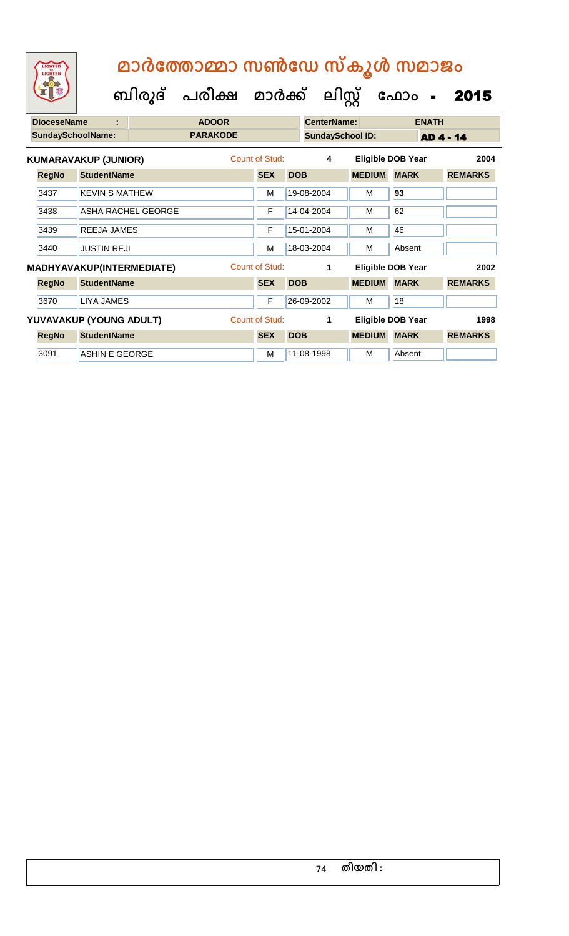| LIGHTED<br>LIGHTEN       |                             |                           |                         |                       |            |                         |               | മാർത്തോമ്മാ സൺഡേ സ്കൂൾ സമാജം |                  |
|--------------------------|-----------------------------|---------------------------|-------------------------|-----------------------|------------|-------------------------|---------------|------------------------------|------------------|
|                          |                             | ബിരുദ്                    | പരീക്ഷ മാർക്ക് ലിസ്റ്റ് |                       |            |                         |               | ഫോം -                        | 2015             |
| <b>DioceseName</b>       | ٠                           |                           | <b>ADOOR</b>            |                       |            | <b>CenterName:</b>      |               | <b>ENATH</b>                 |                  |
| <b>SundaySchoolName:</b> |                             |                           | <b>PARAKODE</b>         |                       |            | <b>SundaySchool ID:</b> |               |                              | <b>AD 4 - 14</b> |
|                          | <b>KUMARAVAKUP (JUNIOR)</b> |                           |                         | Count of Stud:        |            | 4                       |               | <b>Eligible DOB Year</b>     | 2004             |
| <b>RegNo</b>             | <b>StudentName</b>          |                           |                         | <b>SEX</b>            | <b>DOB</b> |                         | <b>MEDIUM</b> | <b>MARK</b>                  | <b>REMARKS</b>   |
| 3437                     | <b>KEVIN S MATHEW</b>       |                           |                         | M                     |            | 19-08-2004              | м             | 93                           |                  |
| 3438                     |                             | <b>ASHA RACHEL GEORGE</b> |                         | F                     |            | 14-04-2004              | м             | 62                           |                  |
| 3439                     | <b>REEJA JAMES</b>          |                           |                         | F                     |            | 15-01-2004              | м             | 46                           |                  |
| 3440                     | <b>JUSTIN REJI</b>          |                           |                         | M                     |            | 18-03-2004              | м             | Absent                       |                  |
|                          |                             | MADHYAVAKUP(INTERMEDIATE) |                         | <b>Count of Stud:</b> |            | 1                       |               | Eligible DOB Year            | 2002             |
| <b>RegNo</b>             | <b>StudentName</b>          |                           |                         | <b>SEX</b>            | <b>DOB</b> |                         | <b>MEDIUM</b> | <b>MARK</b>                  | <b>REMARKS</b>   |
| 3670                     | <b>LIYA JAMES</b>           |                           |                         | F                     |            | 26-09-2002              | м             | 18                           |                  |
|                          |                             | YUVAVAKUP (YOUNG ADULT)   |                         | Count of Stud:        |            | 1                       |               | <b>Eligible DOB Year</b>     | 1998             |
| <b>RegNo</b>             | <b>StudentName</b>          |                           |                         | <b>SEX</b>            | <b>DOB</b> |                         | <b>MEDIUM</b> | <b>MARK</b>                  | <b>REMARKS</b>   |
| 3091                     | <b>ASHIN E GEORGE</b>       |                           |                         | M                     |            | 11-08-1998              | м             | Absent                       |                  |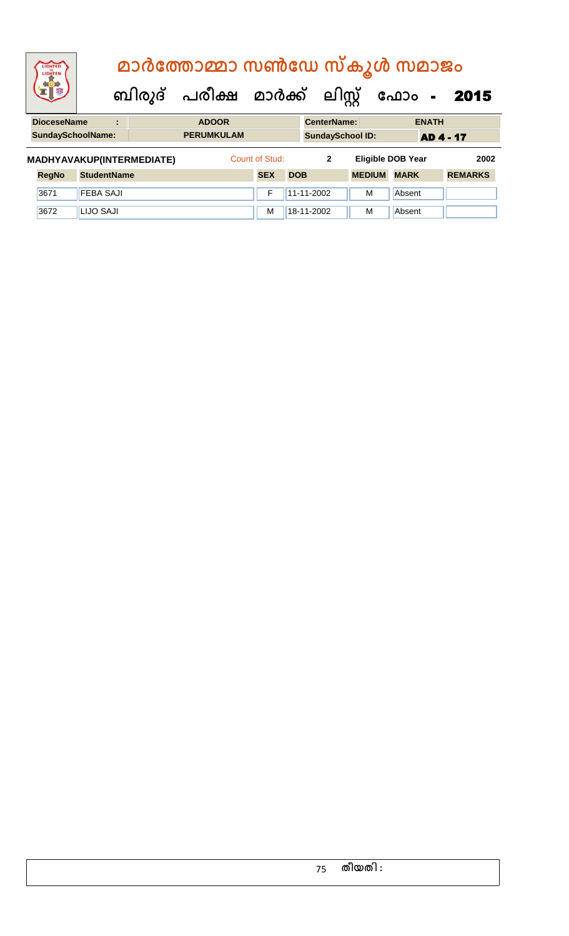| LIGHTED<br>LIGHTEN       | മാർത്തോമ്മാ സൺഡേ സ്കൂൾ സമാജം |                                |                           |                   |  |                |            |                    |                          |             |                  |                |  |
|--------------------------|------------------------------|--------------------------------|---------------------------|-------------------|--|----------------|------------|--------------------|--------------------------|-------------|------------------|----------------|--|
|                          |                              | ബിരുദ് പരീക്ഷ മാർക്ക് ലിസ്റ്റ് |                           |                   |  |                | ഫോം        |                    | $\sim$ $\sim$            | 2015        |                  |                |  |
| <b>DioceseName</b>       |                              | ٠<br>$\overline{a}$            |                           | <b>ADOOR</b>      |  |                |            | <b>CenterName:</b> |                          |             | <b>ENATH</b>     |                |  |
| <b>SundaySchoolName:</b> |                              |                                |                           | <b>PERUMKULAM</b> |  |                |            |                    | <b>SundaySchool ID:</b>  |             | <b>AD 4 - 17</b> |                |  |
|                          |                              |                                | MADHYAVAKUP(INTERMEDIATE) |                   |  | Count of Stud: |            | $\mathbf{2}$       | <b>Eligible DOB Year</b> |             |                  | 2002           |  |
| <b>RegNo</b>             | <b>StudentName</b>           |                                |                           |                   |  | <b>SEX</b>     | <b>DOB</b> |                    | <b>MEDIUM</b>            | <b>MARK</b> |                  | <b>REMARKS</b> |  |
| 3671                     | <b>FEBA SAJI</b>             |                                |                           |                   |  | F              |            | 11-11-2002         | м                        | Absent      |                  |                |  |
| 3672                     | LIJO SAJI                    |                                |                           |                   |  | м              |            | 18-11-2002         | м                        | Absent      |                  |                |  |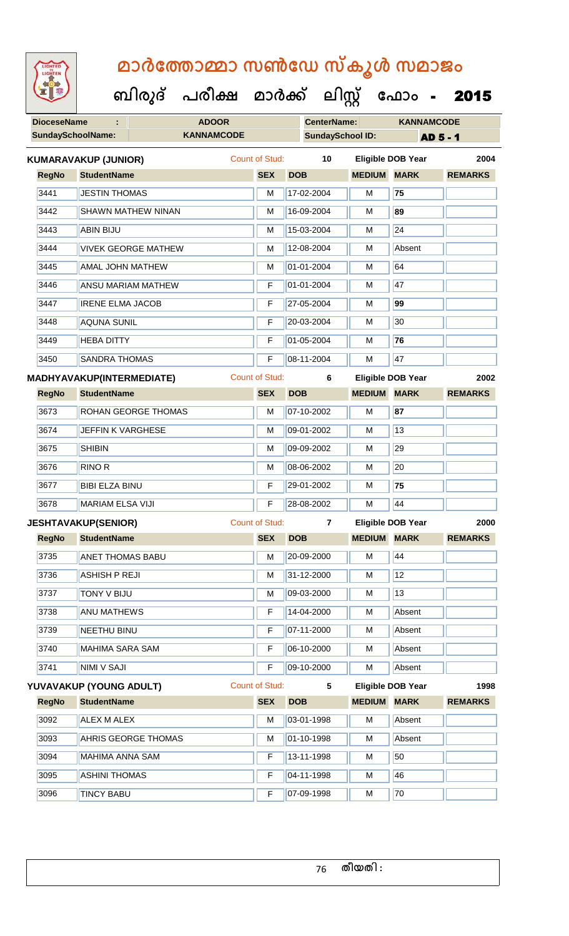| <b>IGHTED</b> |
|---------------|
|               |
|               |
|               |

| <b>DioceseName</b>       | <b>ADOOR</b>                |                       | <b>CenterName:</b>          |                    | <b>KANNAMCODE</b>        |                 |
|--------------------------|-----------------------------|-----------------------|-----------------------------|--------------------|--------------------------|-----------------|
| <b>SundaySchoolName:</b> | <b>KANNAMCODE</b>           |                       | <b>SundaySchool ID:</b>     |                    |                          | <b>AD 5 - 1</b> |
|                          | <b>KUMARAVAKUP (JUNIOR)</b> | Count of Stud:        | 10                          |                    | <b>Eligible DOB Year</b> | 2004            |
| <b>RegNo</b>             | <b>StudentName</b>          | <b>SEX</b>            | <b>DOB</b>                  | <b>MEDIUM MARK</b> |                          | <b>REMARKS</b>  |
| 3441                     | <b>JESTIN THOMAS</b>        | M                     | 17-02-2004                  | M                  | 75                       |                 |
| 3442                     | <b>SHAWN MATHEW NINAN</b>   | M                     | 16-09-2004                  | м                  | 89                       |                 |
| 3443                     | <b>ABIN BIJU</b>            | M                     | 15-03-2004                  | M                  | 24                       |                 |
| 3444                     | <b>VIVEK GEORGE MATHEW</b>  | M                     | 12-08-2004                  | М                  | Absent                   |                 |
| 3445                     | <b>AMAL JOHN MATHEW</b>     | M                     | 01-01-2004                  | М                  | 64                       |                 |
| 3446                     | <b>ANSU MARIAM MATHEW</b>   | F                     | 01-01-2004                  | M                  | 47                       |                 |
| 3447                     | <b>IRENE ELMA JACOB</b>     | F                     | 27-05-2004                  | М                  | 99                       |                 |
| 3448                     | <b>AQUNA SUNIL</b>          | F                     | 20-03-2004                  | м                  | 30                       |                 |
| 3449                     | <b>HEBA DITTY</b>           | F                     | 01-05-2004                  | M                  | 76                       |                 |
| 3450                     | <b>SANDRA THOMAS</b>        | F                     | 08-11-2004                  | M                  | 47                       |                 |
|                          | MADHYAVAKUP(INTERMEDIATE)   | <b>Count of Stud:</b> | 6                           |                    | <b>Eligible DOB Year</b> | 2002            |
| <b>RegNo</b>             | <b>StudentName</b>          | <b>SEX</b>            | <b>DOB</b>                  | <b>MEDIUM MARK</b> |                          | <b>REMARKS</b>  |
| 3673                     | ROHAN GEORGE THOMAS         | M                     | 07-10-2002                  | М                  | 87                       |                 |
| 3674                     | JEFFIN K VARGHESE           | M                     | 09-01-2002                  | M                  | 13                       |                 |
| 3675                     | <b>SHIBIN</b>               | M                     | 09-09-2002                  | М                  | 29                       |                 |
| 3676                     | <b>RINO R</b>               | м                     | 08-06-2002                  | М                  | 20                       |                 |
| 3677                     | <b>BIBI ELZA BINU</b>       | F                     | 29-01-2002                  | M                  | 75                       |                 |
| 3678                     | <b>MARIAM ELSA VIJI</b>     | F                     | 28-08-2002                  | M                  | 44                       |                 |
|                          | <b>JESHTAVAKUP(SENIOR)</b>  | <b>Count of Stud:</b> | $\overline{7}$              |                    | <b>Eligible DOB Year</b> | 2000            |
|                          | RegNo StudentName           |                       | SEX DOB MEDIUM MARK REMARKS |                    |                          |                 |
| 3735                     | <b>ANET THOMAS BABU</b>     | M                     | 20-09-2000                  | M                  | 44                       |                 |
| 3736                     | <b>ASHISH P REJI</b>        | М                     | 31-12-2000                  | М                  | 12                       |                 |
| 3737                     | <b>TONY V BIJU</b>          | м                     | 09-03-2000                  | M                  | 13                       |                 |
| 3738                     | <b>ANU MATHEWS</b>          | F                     | 14-04-2000                  | М                  | Absent                   |                 |
| 3739                     | NEETHU BINU                 | F                     | 07-11-2000                  | M                  | Absent                   |                 |
| 3740                     | <b>MAHIMA SARA SAM</b>      | F                     | 06-10-2000                  | M                  | Absent                   |                 |
| 3741                     | <b>NIMI V SAJI</b>          | F                     | 09-10-2000                  | м                  | Absent                   |                 |
|                          | YUVAVAKUP (YOUNG ADULT)     | Count of Stud:        | $5\phantom{.0}$             |                    | <b>Eligible DOB Year</b> | 1998            |
| <b>RegNo</b>             | <b>StudentName</b>          | <b>SEX</b>            | <b>DOB</b>                  | <b>MEDIUM MARK</b> |                          | <b>REMARKS</b>  |
| 3092                     | ALEX M ALEX                 | M                     | 03-01-1998                  | М                  | Absent                   |                 |
| 3093                     | AHRIS GEORGE THOMAS         | М                     | 01-10-1998                  | M                  | Absent                   |                 |
| 3094                     | MAHIMA ANNA SAM             | F                     | 13-11-1998                  | М                  | 50                       |                 |
| 3095                     | <b>ASHINI THOMAS</b>        | F                     | 04-11-1998                  | М                  | 46                       |                 |
| 3096                     | <b>TINCY BABU</b>           | F                     | 07-09-1998                  | M                  | 70                       |                 |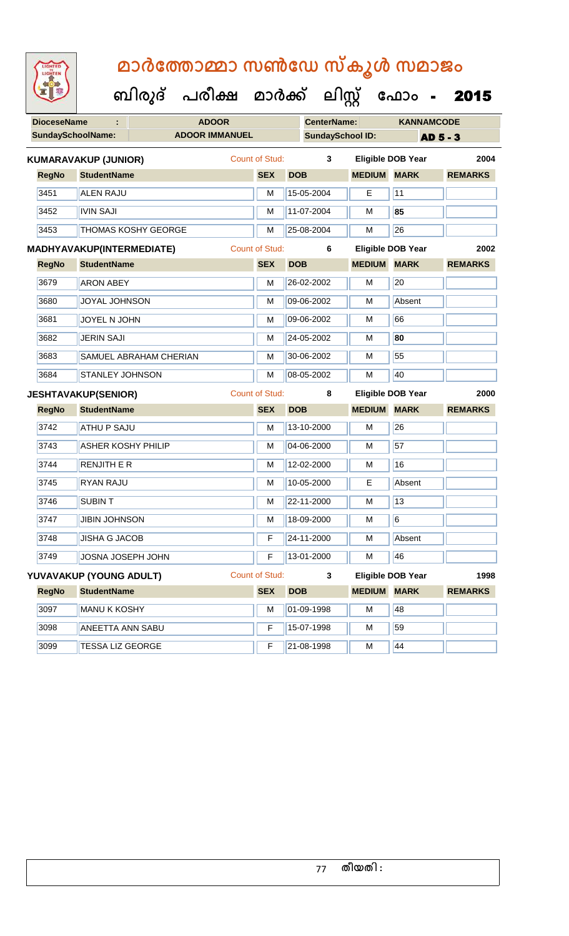| <b>DioceseName</b><br>÷ |                                  | <b>ADOOR</b>               |                       | <b>CenterName:</b> |                         | <b>KANNAMCODE</b>        |                 |  |
|-------------------------|----------------------------------|----------------------------|-----------------------|--------------------|-------------------------|--------------------------|-----------------|--|
|                         | <b>SundaySchoolName:</b>         | <b>ADOOR IMMANUEL</b>      |                       |                    | <b>SundaySchool ID:</b> |                          | <b>AD 5 - 3</b> |  |
|                         | <b>KUMARAVAKUP (JUNIOR)</b>      |                            | Count of Stud:        |                    | $\mathbf{3}$            | <b>Eligible DOB Year</b> | 2004            |  |
| <b>RegNo</b>            | <b>StudentName</b>               |                            | <b>SEX</b>            | <b>DOB</b>         | <b>MEDIUM</b>           | <b>MARK</b>              | <b>REMARKS</b>  |  |
| 3451                    | <b>ALEN RAJU</b>                 |                            | M                     | 15-05-2004         | E                       | 11                       |                 |  |
| 3452                    | <b>IVIN SAJI</b>                 |                            | M                     | 11-07-2004         | M                       | 85                       |                 |  |
| 3453                    |                                  | <b>THOMAS KOSHY GEORGE</b> | M                     | 25-08-2004         | M                       | 26                       |                 |  |
|                         | <b>MADHYAVAKUP(INTERMEDIATE)</b> |                            | <b>Count of Stud:</b> |                    | 6                       | <b>Eligible DOB Year</b> | 2002            |  |
| <b>RegNo</b>            | <b>StudentName</b>               |                            | <b>SEX</b>            | <b>DOB</b>         |                         | <b>MEDIUM MARK</b>       | <b>REMARKS</b>  |  |
| 3679                    | <b>ARON ABEY</b>                 |                            | M                     | 26-02-2002         | М                       | 20                       |                 |  |
| 3680                    | <b>JOYAL JOHNSON</b>             |                            | M                     | 09-06-2002         | M                       | Absent                   |                 |  |
| 3681                    | JOYEL N JOHN                     |                            | M                     | 09-06-2002         | м                       | 66                       |                 |  |
| 3682                    | <b>JERIN SAJI</b>                |                            | M                     | 24-05-2002         | М                       | 80                       |                 |  |
| 3683                    |                                  | SAMUEL ABRAHAM CHERIAN     | M                     | 30-06-2002         | M                       | 55                       |                 |  |
| 3684                    | <b>STANLEY JOHNSON</b>           |                            | M                     | 08-05-2002         | M                       | 40                       |                 |  |
|                         |                                  |                            |                       |                    |                         |                          |                 |  |
|                         | <b>JESHTAVAKUP(SENIOR)</b>       |                            | <b>Count of Stud:</b> |                    | 8                       | <b>Eligible DOB Year</b> | 2000            |  |
| <b>RegNo</b>            | <b>StudentName</b>               |                            | <b>SEX</b>            | <b>DOB</b>         |                         | <b>MEDIUM MARK</b>       | <b>REMARKS</b>  |  |
| 3742                    | <b>ATHU P SAJU</b>               |                            | M                     | 13-10-2000         | M                       | 26                       |                 |  |
| 3743                    | <b>ASHER KOSHY PHILIP</b>        |                            | M                     | 04-06-2000         | M                       | 57                       |                 |  |
| 3744                    | <b>RENJITH E R</b>               |                            | M                     | 12-02-2000         | М                       | 16                       |                 |  |
| 3745                    | <b>RYAN RAJU</b>                 |                            | M                     | 10-05-2000         | Е                       | Absent                   |                 |  |
| 3746                    | <b>SUBINT</b>                    |                            | M                     | 22-11-2000         | M                       | 13                       |                 |  |
| 3747                    | <b>JIBIN JOHNSON</b>             |                            | M                     | 18-09-2000         | M                       | 6                        |                 |  |
| 3748                    | <b>JISHA G JACOB</b>             |                            | F                     | 24-11-2000         | M                       | Absent                   |                 |  |
| 3749                    | JOSNA JOSEPH JOHN                |                            | F                     | 13-01-2000         | M                       | 46                       |                 |  |
|                         | YUVAVAKUP (YOUNG ADULT)          |                            | <b>Count of Stud:</b> |                    | 3                       | <b>Eligible DOB Year</b> | 1998            |  |
| <b>RegNo</b>            | <b>StudentName</b>               |                            | <b>SEX</b>            | <b>DOB</b>         | <b>MEDIUM</b>           | <b>MARK</b>              | <b>REMARKS</b>  |  |
| 3097                    | <b>MANU K KOSHY</b>              |                            | M                     | 01-09-1998         | M                       | 48                       |                 |  |
| 3098                    | <b>ANEETTA ANN SABU</b>          |                            | F                     | 15-07-1998         | М                       | 59                       |                 |  |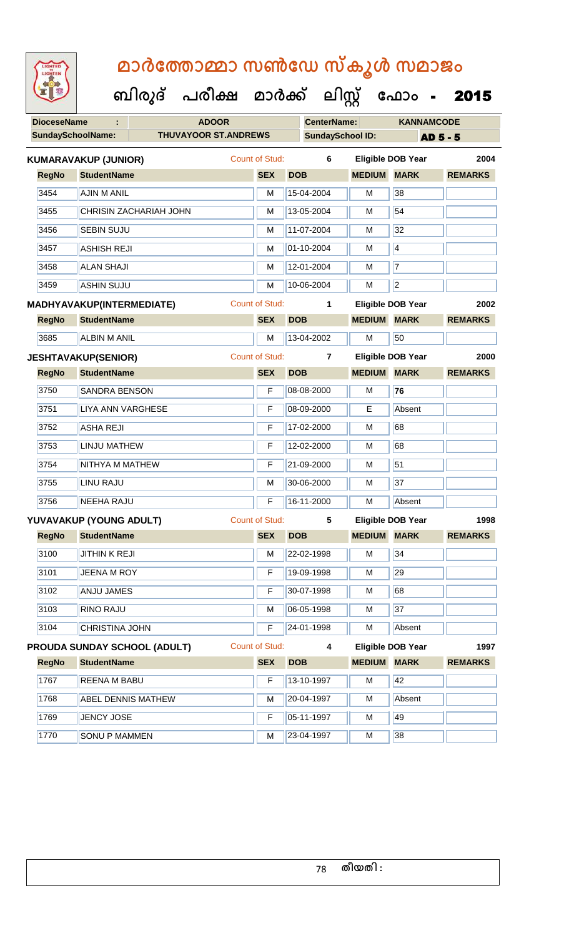| <b>IGHTED</b> |
|---------------|
|               |
|               |
|               |

| <b>DioceseName</b><br><b>ADOOR</b><br>÷ |                             |                                     | <b>CenterName:</b>    |            | <b>KANNAMCODE</b>       |                    |                          |                |  |
|-----------------------------------------|-----------------------------|-------------------------------------|-----------------------|------------|-------------------------|--------------------|--------------------------|----------------|--|
|                                         | <b>SundaySchoolName:</b>    | <b>THUVAYOOR ST.ANDREWS</b>         |                       |            | <b>SundaySchool ID:</b> |                    | <b>AD 5 - 5</b>          |                |  |
|                                         | <b>KUMARAVAKUP (JUNIOR)</b> |                                     | Count of Stud:        |            | 6                       |                    | <b>Eligible DOB Year</b> | 2004           |  |
| <b>RegNo</b>                            | <b>StudentName</b>          |                                     | <b>SEX</b>            | <b>DOB</b> |                         | <b>MEDIUM</b>      | <b>MARK</b>              | <b>REMARKS</b> |  |
| 3454                                    | <b>AJIN M ANIL</b>          |                                     | M                     |            | 15-04-2004              | M                  | 38                       |                |  |
| 3455                                    |                             | <b>CHRISIN ZACHARIAH JOHN</b>       | M                     |            | 13-05-2004              | M                  | 54                       |                |  |
| 3456                                    | <b>SEBIN SUJU</b>           |                                     | M                     |            | 11-07-2004              | M                  | 32                       |                |  |
| 3457                                    | <b>ASHISH REJI</b>          |                                     | M                     |            | 01-10-2004              | M                  | $\overline{4}$           |                |  |
| 3458                                    | <b>ALAN SHAJI</b>           |                                     | M                     |            | 12-01-2004              | M                  | 7                        |                |  |
| 3459                                    | <b>ASHIN SUJU</b>           |                                     | M                     |            | 10-06-2004              | м                  | $\overline{2}$           |                |  |
|                                         | MADHYAVAKUP(INTERMEDIATE)   |                                     | Count of Stud:        |            | 1                       |                    | <b>Eligible DOB Year</b> | 2002           |  |
| <b>RegNo</b>                            | <b>StudentName</b>          |                                     | <b>SEX</b>            | <b>DOB</b> |                         | <b>MEDIUM</b>      | <b>MARK</b>              | <b>REMARKS</b> |  |
| 3685                                    | <b>ALBIN M ANIL</b>         |                                     | M                     |            | 13-04-2002              | M                  | 50                       |                |  |
|                                         | <b>JESHTAVAKUP(SENIOR)</b>  |                                     | <b>Count of Stud:</b> |            | $\overline{7}$          |                    | <b>Eligible DOB Year</b> | 2000           |  |
| <b>RegNo</b>                            | <b>StudentName</b>          |                                     | <b>SEX</b>            | <b>DOB</b> |                         | <b>MEDIUM</b>      | <b>MARK</b>              | <b>REMARKS</b> |  |
| 3750                                    | <b>SANDRA BENSON</b>        |                                     | F                     |            | 08-08-2000              | м                  | 76                       |                |  |
| 3751                                    | LIYA ANN VARGHESE           |                                     | F                     |            | 08-09-2000              | Е                  | Absent                   |                |  |
| 3752                                    | <b>ASHA REJI</b>            |                                     | F                     |            | 17-02-2000              | M                  | 68                       |                |  |
| 3753                                    | <b>LINJU MATHEW</b>         |                                     | F                     |            | 12-02-2000              | M                  | 68                       |                |  |
| 3754                                    | NITHYA M MATHEW             |                                     | F                     |            | 21-09-2000              | M                  | 51                       |                |  |
| 3755                                    | LINU RAJU                   |                                     | M                     |            | 30-06-2000              | M                  | 37                       |                |  |
| 3756                                    | <b>NEEHA RAJU</b>           |                                     | F                     |            | 16-11-2000              | M                  | Absent                   |                |  |
|                                         | YUVAVAKUP (YOUNG ADULT)     |                                     | <b>Count of Stud:</b> |            | 5                       |                    | <b>Eligible DOB Year</b> | 1998           |  |
| <b>RegNo</b>                            | <b>StudentName</b>          |                                     | <b>SEX</b>            | <b>DOB</b> |                         | <b>MEDIUM</b>      | <b>MARK</b>              | <b>REMARKS</b> |  |
| 3100                                    | <b>JITHINK REJI</b>         |                                     | M                     |            | 22-02-1998              | м                  | 34                       |                |  |
| 3101                                    | <b>JEENA M ROY</b>          |                                     | F                     |            | 19-09-1998              | M                  | 29                       |                |  |
| 3102                                    | ANJU JAMES                  |                                     | F                     |            | 30-07-1998              | M                  | 68                       |                |  |
| 3103                                    | <b>RINO RAJU</b>            |                                     | м                     |            | 06-05-1998              | M                  | 37                       |                |  |
| 3104                                    | CHRISTINA JOHN              |                                     | F                     |            | 24-01-1998              | м                  | Absent                   |                |  |
|                                         |                             | <b>PROUDA SUNDAY SCHOOL (ADULT)</b> | <b>Count of Stud:</b> |            | 4                       |                    | <b>Eligible DOB Year</b> | 1997           |  |
| <b>RegNo</b>                            | <b>StudentName</b>          |                                     | <b>SEX</b>            | <b>DOB</b> |                         | <b>MEDIUM MARK</b> |                          | <b>REMARKS</b> |  |
| 1767                                    | REENA M BABU                |                                     | F                     |            | 13-10-1997              | M                  | 42                       |                |  |
| 1768                                    |                             | ABEL DENNIS MATHEW                  | М                     |            | 20-04-1997              | M                  | Absent                   |                |  |
| 1769                                    | <b>JENCY JOSE</b>           |                                     | F                     |            | 05-11-1997              | M                  | 49                       |                |  |
| 1770                                    | <b>SONU P MAMMEN</b>        |                                     | M                     |            | 23-04-1997              | M                  | 38                       |                |  |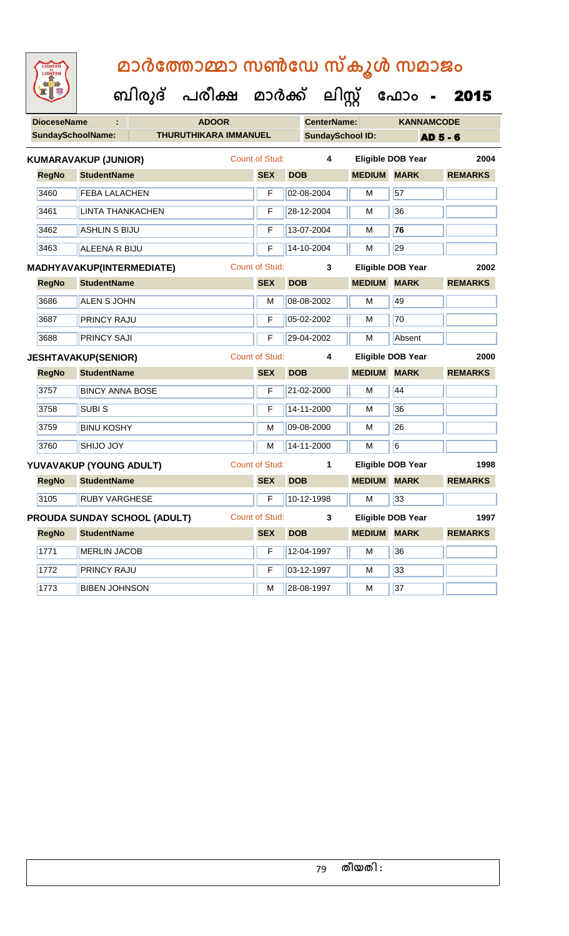| <b>IGHTED</b><br>HTE |
|----------------------|
|                      |
|                      |
|                      |

|                          |                                  | ബിരുദ് | പരീക്ഷ                       | മാർക്ക്               |                  | ലിസ്റ്റ്                |               | ഫോം                      | 2015            |      |
|--------------------------|----------------------------------|--------|------------------------------|-----------------------|------------------|-------------------------|---------------|--------------------------|-----------------|------|
| <b>DioceseName</b>       |                                  |        | <b>ADOOR</b>                 |                       |                  | <b>CenterName:</b>      |               | <b>KANNAMCODE</b>        |                 |      |
| <b>SundaySchoolName:</b> |                                  |        | <b>THURUTHIKARA IMMANUEL</b> |                       |                  | <b>SundaySchool ID:</b> |               |                          | <b>AD 5 - 6</b> |      |
|                          | <b>KUMARAVAKUP (JUNIOR)</b>      |        |                              | <b>Count of Stud:</b> |                  | 4                       |               | <b>Eligible DOB Year</b> |                 | 2004 |
| <b>RegNo</b>             | <b>StudentName</b>               |        |                              | <b>SEX</b>            | <b>DOB</b>       |                         | <b>MEDIUM</b> | <b>MARK</b>              | <b>REMARKS</b>  |      |
| 3460                     | <b>FEBA LALACHEN</b>             |        |                              | F                     | 02-08-2004       |                         | M             | 57                       |                 |      |
| 3461                     | <b>LINTA THANKACHEN</b>          |        |                              | F                     | 28-12-2004       |                         | M             | 36                       |                 |      |
| 3462                     | <b>ASHLIN S BIJU</b>             |        |                              | F                     | 13-07-2004       |                         | м             | 76                       |                 |      |
| 3463                     | ALEENA R BIJU                    |        |                              | F                     | 14-10-2004       |                         | М             | 29                       |                 |      |
|                          | <b>MADHYAVAKUP(INTERMEDIATE)</b> |        |                              | <b>Count of Stud:</b> |                  | 3                       |               | Eligible DOB Year        |                 | 2002 |
| <b>RegNo</b>             | <b>StudentName</b>               |        |                              | <b>SEX</b>            | <b>DOB</b>       |                         | <b>MEDIUM</b> | <b>MARK</b>              | <b>REMARKS</b>  |      |
| 3686                     | <b>ALEN S JOHN</b>               |        |                              | M                     | 08-08-2002       |                         | M             | 49                       |                 |      |
| 3687                     | <b>PRINCY RAJU</b>               |        |                              | F                     | 05-02-2002       |                         | M             | 70                       |                 |      |
| 3688                     | <b>PRINCY SAJI</b>               |        |                              | F                     | 29-04-2002       |                         | M             | Absent                   |                 |      |
|                          | <b>JESHTAVAKUP(SENIOR)</b>       |        |                              | <b>Count of Stud:</b> |                  | 4                       |               | <b>Eligible DOB Year</b> |                 | 2000 |
| <b>RegNo</b>             | <b>StudentName</b>               |        |                              | <b>SEX</b>            | <b>DOB</b>       |                         | <b>MEDIUM</b> | <b>MARK</b>              | <b>REMARKS</b>  |      |
| 3757                     | <b>BINCY ANNA BOSE</b>           |        |                              | F                     | 21-02-2000       |                         | M             | 44                       |                 |      |
| 3758                     | <b>SUBIS</b>                     |        |                              | F                     | 14-11-2000       |                         | M             | 36                       |                 |      |
| 3759                     | <b>BINU KOSHY</b>                |        |                              | M                     | 09-08-2000       |                         | М             | 26                       |                 |      |
| 3760                     | <b>SHIJO JOY</b>                 |        |                              | М                     | 14-11-2000       |                         | м             | 6                        |                 |      |
|                          | YUVAVAKUP (YOUNG ADULT)          |        |                              | <b>Count of Stud:</b> |                  | 1                       |               | Eligible DOB Year        |                 | 1998 |
| <b>RegNo</b>             | <b>StudentName</b>               |        |                              | <b>SEX</b>            | <b>DOB</b>       |                         | <b>MEDIUM</b> | <b>MARK</b>              | <b>REMARKS</b>  |      |
| 3105                     | <b>RUBY VARGHESE</b>             |        |                              | F                     | $10 - 12 - 1998$ |                         | M             | 33                       |                 |      |

| 3105         | IRUBY VARGHESE                      |                | 10-12-1998    | M             | 133.                     |                |
|--------------|-------------------------------------|----------------|---------------|---------------|--------------------------|----------------|
|              | <b>PROUDA SUNDAY SCHOOL (ADULT)</b> | Count of Stud: | 3             |               | <b>Eligible DOB Year</b> | 1997           |
| <b>RegNo</b> | <b>StudentName</b>                  | <b>SEX</b>     | <b>DOB</b>    | <b>MEDIUM</b> | <b>MARK</b>              | <b>REMARKS</b> |
| 1771         | <b>MERLIN JACOB</b>                 | F              | 12-04-1997    | M             | 36                       |                |
| 1772         | <b>PRINCY RAJU</b>                  | F              | $ 03-12-1997$ | M             | 133                      |                |
| 1773         | <b>BIBEN JOHNSON</b>                | м              | 28-08-1997    | M             | 37                       |                |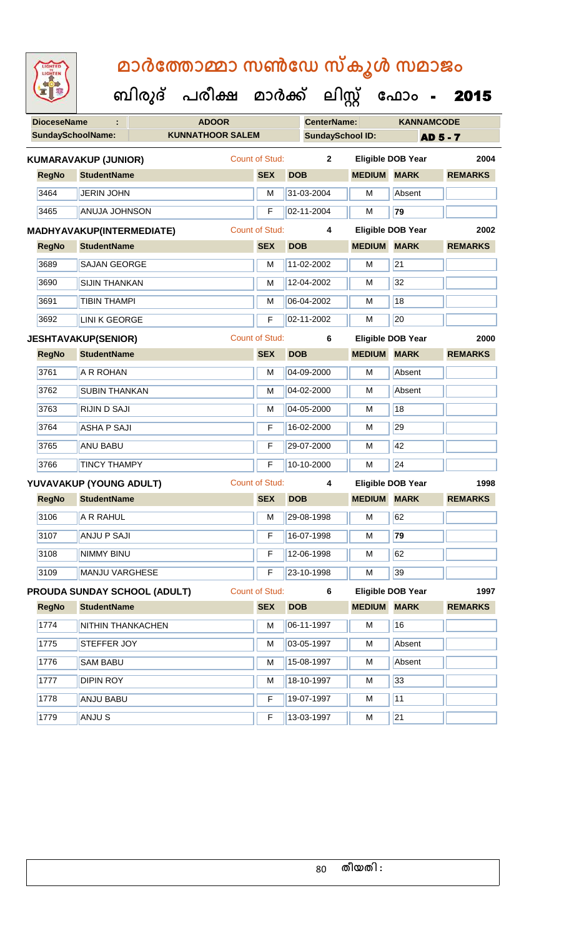| <b>IGHTED</b> |
|---------------|
|               |
|               |
|               |
|               |

| <b>DioceseName</b> |                             | <b>ADOOR</b>                 |                       | <b>CenterName:</b>      |                    | <b>KANNAMCODE</b>        |                |
|--------------------|-----------------------------|------------------------------|-----------------------|-------------------------|--------------------|--------------------------|----------------|
|                    | SundaySchoolName:           | <b>KUNNATHOOR SALEM</b>      |                       | <b>SundaySchool ID:</b> |                    | <b>AD 5 - 7</b>          |                |
|                    | <b>KUMARAVAKUP (JUNIOR)</b> |                              | <b>Count of Stud:</b> | $\mathbf{2}$            |                    | <b>Eligible DOB Year</b> | 2004           |
| <b>RegNo</b>       | <b>StudentName</b>          |                              | <b>SEX</b>            | <b>DOB</b>              | <b>MEDIUM MARK</b> |                          | <b>REMARKS</b> |
| 3464               | JERIN JOHN                  |                              | M                     | 31-03-2004              | M                  | Absent                   |                |
| 3465               | <b>ANUJA JOHNSON</b>        |                              | F                     | 02-11-2004              | M                  | 79                       |                |
|                    | MADHYAVAKUP(INTERMEDIATE)   |                              | <b>Count of Stud:</b> | 4                       |                    | <b>Eligible DOB Year</b> | 2002           |
| <b>RegNo</b>       | <b>StudentName</b>          |                              | <b>SEX</b>            | <b>DOB</b>              | <b>MEDIUM MARK</b> |                          | <b>REMARKS</b> |
| 3689               | <b>SAJAN GEORGE</b>         |                              | M                     | 11-02-2002              | M                  | 21                       |                |
| 3690               | <b>SIJIN THANKAN</b>        |                              | M                     | 12-04-2002              | м                  | 32                       |                |
| 3691               | <b>TIBIN THAMPI</b>         |                              | M                     | 06-04-2002              | M                  | $\overline{18}$          |                |
| 3692               | <b>LINI K GEORGE</b>        |                              | F                     | 02-11-2002              | M                  | 20                       |                |
|                    | <b>JESHTAVAKUP(SENIOR)</b>  |                              | <b>Count of Stud:</b> | 6                       |                    | <b>Eligible DOB Year</b> | 2000           |
| <b>RegNo</b>       | <b>StudentName</b>          |                              | <b>SEX</b>            | <b>DOB</b>              | <b>MEDIUM MARK</b> |                          | <b>REMARKS</b> |
| 3761               | A R ROHAN                   |                              | M                     | 04-09-2000              | M                  | Absent                   |                |
| 3762               | <b>SUBIN THANKAN</b>        |                              | M                     | 04-02-2000              | M                  | Absent                   |                |
| 3763               | <b>RIJIN D SAJI</b>         |                              | м                     | 04-05-2000              | M                  | 18                       |                |
| 3764               | <b>ASHA P SAJI</b>          |                              | F                     | 16-02-2000              | м                  | 29                       |                |
| 3765               | <b>ANU BABU</b>             |                              | F                     | 29-07-2000              | M                  | 42                       |                |
| 3766               | <b>TINCY THAMPY</b>         |                              | F                     | 10-10-2000              | M                  | 24                       |                |
|                    | YUVAVAKUP (YOUNG ADULT)     |                              | <b>Count of Stud:</b> | 4                       |                    | <b>Eligible DOB Year</b> | 1998           |
| <b>RegNo</b>       | <b>StudentName</b>          |                              | <b>SEX</b>            | <b>DOB</b>              | <b>MEDIUM MARK</b> |                          | <b>REMARKS</b> |
| 3106               | A R RAHUL                   |                              | M                     | 29-08-1998              | M                  | 62                       |                |
| 3107               | <b>ANJU P SAJI</b>          |                              | $F -$                 | 16-07-1998              | M                  | 79                       |                |
| 3108               | <b>NIMMY BINU</b>           |                              | F                     | 12-06-1998              | M                  | 62                       |                |
| 3109               | <b>MANJU VARGHESE</b>       |                              | F                     | 23-10-1998              | м                  | 39                       |                |
|                    |                             | PROUDA SUNDAY SCHOOL (ADULT) | Count of Stud:        | 6                       |                    | <b>Eligible DOB Year</b> | 1997           |
| <b>RegNo</b>       | <b>StudentName</b>          |                              | <b>SEX</b>            | <b>DOB</b>              | <b>MEDIUM MARK</b> |                          | <b>REMARKS</b> |
| 1774               | NITHIN THANKACHEN           |                              | M                     | 06-11-1997              | м                  | 16                       |                |
| 1775               | STEFFER JOY                 |                              | М                     | 03-05-1997              | M                  | Absent                   |                |
| 1776               | <b>SAM BABU</b>             |                              | M                     | 15-08-1997              | M                  | Absent                   |                |
| 1777               | <b>DIPIN ROY</b>            |                              | M                     | 18-10-1997              | M                  | 33                       |                |
| 1778               | <b>ANJU BABU</b>            |                              | F                     | 19-07-1997              | M                  | 11                       |                |
| 1779               | ANJU S                      |                              | F                     | 13-03-1997              | м                  | 21                       |                |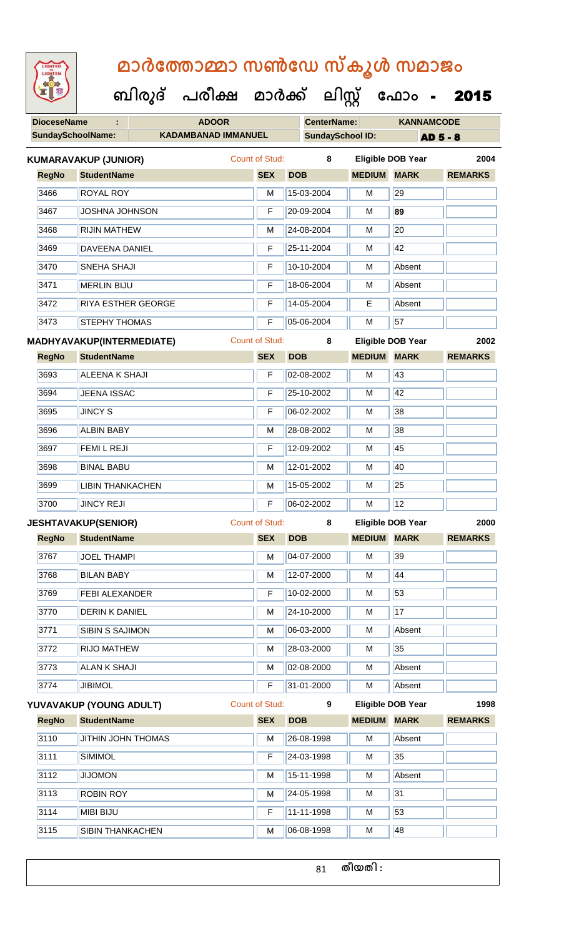| <b>IGHTED</b> |
|---------------|
|               |
|               |
|               |
|               |

 **ബിരുദ് പരീക്ഷ മാര്ക് ക ലിസ്റ്റ ക ഫ ാോം** - 2015

| <b>DioceseName</b><br>÷ |                          |                                  | <b>ADOOR</b>               | <b>CenterName:</b> |                       | <b>KANNAMCODE</b>       |               |                          |                |
|-------------------------|--------------------------|----------------------------------|----------------------------|--------------------|-----------------------|-------------------------|---------------|--------------------------|----------------|
|                         | <b>SundaySchoolName:</b> |                                  | <b>KADAMBANAD IMMANUEL</b> |                    |                       | <b>SundaySchool ID:</b> |               | <b>AD 5 - 8</b>          |                |
|                         |                          | <b>KUMARAVAKUP (JUNIOR)</b>      |                            |                    | Count of Stud:        | 8                       |               | <b>Eligible DOB Year</b> | 2004           |
|                         | <b>RegNo</b>             | <b>StudentName</b>               |                            |                    | <b>SEX</b>            | <b>DOB</b>              | <b>MEDIUM</b> | <b>MARK</b>              | <b>REMARKS</b> |
|                         | 3466                     | ROYAL ROY                        |                            |                    | M                     | 15-03-2004              | M             | 29                       |                |
|                         | 3467                     | <b>JOSHNA JOHNSON</b>            |                            |                    | F                     | 20-09-2004              | M             | 89                       |                |
|                         | 3468                     | <b>RIJIN MATHEW</b>              |                            |                    | M                     | 24-08-2004              | M             | 20                       |                |
|                         | 3469                     | DAVEENA DANIEL                   |                            |                    | F                     | 25-11-2004              | М             | 42                       |                |
|                         | 3470                     | <b>SNEHA SHAJI</b>               |                            |                    | F                     | 10-10-2004              | M             | Absent                   |                |
|                         | 3471                     | <b>MERLIN BIJU</b>               |                            |                    | F                     | 18-06-2004              | M             | Absent                   |                |
|                         | 3472                     | <b>RIYA ESTHER GEORGE</b>        |                            |                    | F                     | 14-05-2004              | Е             | Absent                   |                |
|                         | 3473                     | <b>STEPHY THOMAS</b>             |                            |                    | F                     | 05-06-2004              | M             | 57                       |                |
|                         |                          | <b>MADHYAVAKUP(INTERMEDIATE)</b> |                            |                    | <b>Count of Stud:</b> | 8                       |               | <b>Eligible DOB Year</b> | 2002           |
|                         | <b>RegNo</b>             | <b>StudentName</b>               |                            |                    | <b>SEX</b>            | <b>DOB</b>              | <b>MEDIUM</b> | <b>MARK</b>              | <b>REMARKS</b> |
|                         | 3693                     | <b>ALEENA K SHAJI</b>            |                            |                    | F                     | 02-08-2002              | M             | 43                       |                |
|                         | 3694                     | <b>JEENA ISSAC</b>               |                            |                    | F                     | 25-10-2002              | М             | 42                       |                |
|                         | 3695                     | <b>JINCY S</b>                   |                            |                    | F                     | 06-02-2002              | M             | 38                       |                |
|                         | 3696                     | <b>ALBIN BABY</b>                |                            |                    | M                     | 28-08-2002              | M             | 38                       |                |
|                         | 3697                     | FEMI L REJI                      |                            |                    | F                     | 12-09-2002              | M             | 45                       |                |
|                         | 3698                     | <b>BINAL BABU</b>                |                            |                    | M                     | 12-01-2002              | M             | 40                       |                |
|                         | 3699                     | <b>LIBIN THANKACHEN</b>          |                            |                    | M                     | 15-05-2002              | M             | $\overline{25}$          |                |
|                         | 3700                     | <b>JINCY REJI</b>                |                            |                    | F                     | 06-02-2002              | M             | 12                       |                |
|                         |                          | <b>JESHTAVAKUP(SENIOR)</b>       |                            |                    | <b>Count of Stud:</b> | 8                       |               | Eligible DOB Year        | 2000           |
|                         | <b>RegNo</b>             | <b>StudentName</b>               |                            |                    | <b>SEX</b>            | <b>DOB</b>              | <b>MEDIUM</b> | <b>MARK</b>              | <b>REMARKS</b> |
|                         | 3767                     | <b>JOEL THAMPI</b>               |                            |                    | M                     | 04-07-2000              | M             | 39                       |                |
|                         | 3768                     | <b>BILAN BABY</b>                |                            |                    | M                     | 12-07-2000              | M             | 44                       |                |
|                         | 3769                     | <b>FEBI ALEXANDER</b>            |                            |                    | F                     | 10-02-2000              | М             | 53                       |                |
|                         | 3770                     | <b>DERIN K DANIEL</b>            |                            |                    | M                     | 24-10-2000              | М             | 17                       |                |
|                         | 3771                     | <b>SIBIN S SAJIMON</b>           |                            |                    | M                     | 06-03-2000              | M             | Absent                   |                |
|                         | 3772                     | <b>RIJO MATHEW</b>               |                            |                    | M                     | 28-03-2000              | М             | 35                       |                |
|                         | 3773                     | <b>ALAN K SHAJI</b>              |                            |                    | М                     | 02-08-2000              | М             | Absent                   |                |
|                         | 3774                     | <b>JIBIMOL</b>                   |                            |                    | F                     | 31-01-2000              | M             | Absent                   |                |
|                         |                          | YUVAVAKUP (YOUNG ADULT)          |                            |                    | <b>Count of Stud:</b> | 9                       |               | <b>Eligible DOB Year</b> | 1998           |
|                         | <b>RegNo</b>             | <b>StudentName</b>               |                            |                    | <b>SEX</b>            | <b>DOB</b>              | <b>MEDIUM</b> | <b>MARK</b>              | <b>REMARKS</b> |
|                         | 3110                     | JITHIN JOHN THOMAS               |                            |                    | M                     | 26-08-1998              | M             | Absent                   |                |
|                         | 3111                     | <b>SIMIMOL</b>                   |                            |                    | F                     | 24-03-1998              | M             | 35                       |                |
|                         | 3112                     | <b>JIJOMON</b>                   |                            |                    | M                     | 15-11-1998              | M             | Absent                   |                |
|                         | 3113                     | <b>ROBIN ROY</b>                 |                            |                    | M                     | 24-05-1998              | M             | 31                       |                |
|                         | 3114                     | <b>MIBI BIJU</b>                 |                            |                    | F                     | 11-11-1998              | М             | 53                       |                |
|                         | 3115                     | SIBIN THANKACHEN                 |                            |                    | M                     | 06-08-1998              | М             | 48                       |                |

**തീയതി :**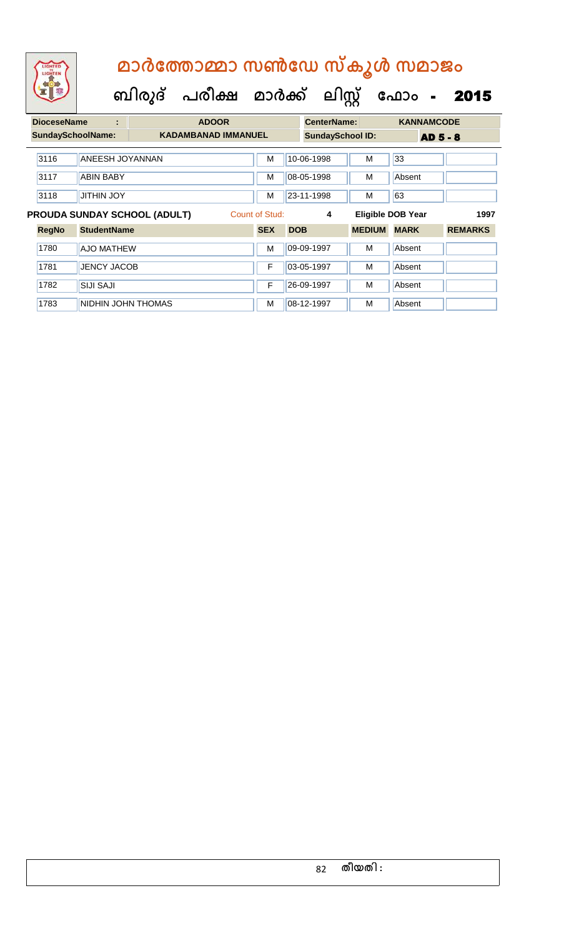| <b>DioceseName</b> |                                                       |                    | <b>ADOOR</b> |                            |            | <b>CenterName:</b> |                         | <b>KANNAMCODE</b>        |                |
|--------------------|-------------------------------------------------------|--------------------|--------------|----------------------------|------------|--------------------|-------------------------|--------------------------|----------------|
|                    | <b>SundaySchoolName:</b>                              |                    |              | <b>KADAMBANAD IMMANUEL</b> |            |                    | <b>SundaySchool ID:</b> | <b>AD 5 - 8</b>          |                |
|                    | 3116                                                  | ANEESH JOYANNAN    |              | M                          | 10-06-1998 |                    | М                       | 33                       |                |
|                    | 3117                                                  | <b>ABIN BABY</b>   |              | M                          | 08-05-1998 |                    | м                       | Absent                   |                |
|                    | 3118                                                  | <b>JITHIN JOY</b>  |              | M                          | 23-11-1998 |                    | м                       | 63                       |                |
|                    | Count of Stud:<br><b>PROUDA SUNDAY SCHOOL (ADULT)</b> |                    |              |                            |            | 4                  |                         | <b>Eligible DOB Year</b> | 1997           |
|                    | <b>RegNo</b>                                          | <b>StudentName</b> |              | <b>SEX</b>                 | <b>DOB</b> |                    | <b>MEDIUM</b>           | <b>MARK</b>              | <b>REMARKS</b> |
|                    | 1780                                                  | <b>AJO MATHEW</b>  |              | M                          | 09-09-1997 |                    | м                       | Absent                   |                |
|                    | 1781                                                  | <b>JENCY JACOB</b> |              | F                          | 03-05-1997 |                    | м                       | Absent                   |                |
|                    | 1782                                                  | <b>SIJI SAJI</b>   |              | F                          | 26-09-1997 |                    | M                       | Absent                   |                |
|                    | 1783                                                  | NIDHIN JOHN THOMAS |              | м                          | 08-12-1997 |                    | м                       | Absent                   |                |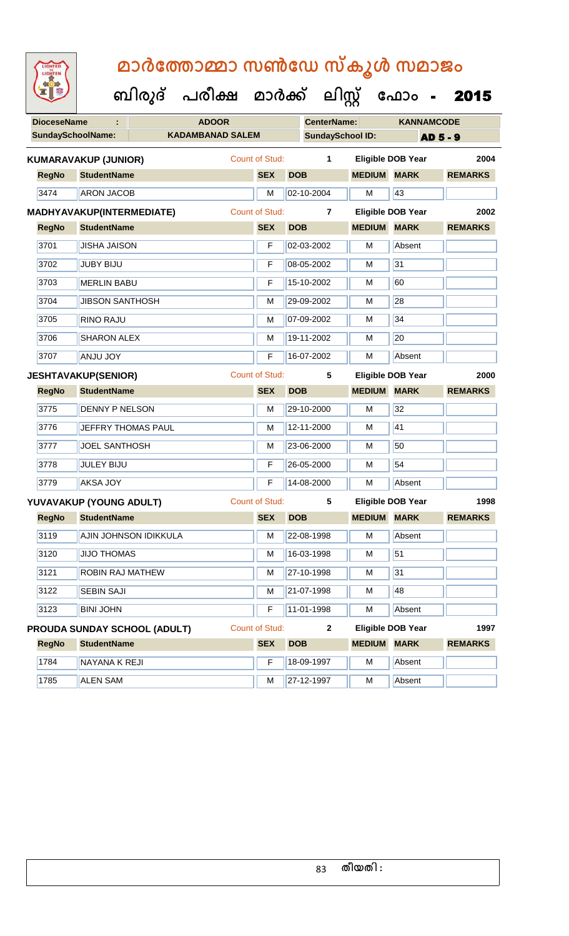| <b>IGHTED</b><br><b>CHTEN</b> |
|-------------------------------|
|-------------------------------|

 **ബിരുദ് പരീക്ഷ മാര്ക് ക ലിസ്റ്റ ക ഫ ാോം** - 2015

|                              |                        |                         |                       |                    | ,,,,                    |                          |                 |
|------------------------------|------------------------|-------------------------|-----------------------|--------------------|-------------------------|--------------------------|-----------------|
| <b>DioceseName</b>           |                        | <b>ADOOR</b>            |                       | <b>CenterName:</b> |                         | <b>KANNAMCODE</b>        |                 |
| <b>SundaySchoolName:</b>     |                        | <b>KADAMBANAD SALEM</b> |                       |                    | <b>SundaySchool ID:</b> |                          | <b>AD 5 - 9</b> |
| <b>KUMARAVAKUP (JUNIOR)</b>  |                        |                         | <b>Count of Stud:</b> | 1                  |                         | <b>Eligible DOB Year</b> | 2004            |
| <b>RegNo</b>                 | <b>StudentName</b>     |                         | <b>SEX</b>            | <b>DOB</b>         | <b>MEDIUM</b>           | <b>MARK</b>              | <b>REMARKS</b>  |
| 3474                         | <b>ARON JACOB</b>      |                         | M                     | 02-10-2004         | м                       | 43                       |                 |
| MADHYAVAKUP(INTERMEDIATE)    |                        |                         | <b>Count of Stud:</b> | $\overline{7}$     |                         | <b>Eligible DOB Year</b> | 2002            |
| <b>RegNo</b>                 | <b>StudentName</b>     |                         | <b>SEX</b>            | <b>DOB</b>         | <b>MEDIUM</b>           | <b>MARK</b>              | <b>REMARKS</b>  |
| 3701                         | <b>JISHA JAISON</b>    |                         | F                     | 02-03-2002         | M                       | Absent                   |                 |
| 3702                         | <b>JUBY BIJU</b>       |                         | F                     | 08-05-2002         | M                       | 31                       |                 |
| 3703                         | <b>MERLIN BABU</b>     |                         | F                     | 15-10-2002         | м                       | 60                       |                 |
| 3704                         | <b>JIBSON SANTHOSH</b> |                         | M                     | 29-09-2002         | M                       | 28                       |                 |
| 3705                         | <b>RINO RAJU</b>       |                         | M                     | 07-09-2002         | M                       | 34                       |                 |
| 3706                         | <b>SHARON ALEX</b>     |                         | M                     | 19-11-2002         | M                       | 20                       |                 |
| 3707                         | <b>ANJU JOY</b>        |                         | F                     | 16-07-2002         | м                       | Absent                   |                 |
| <b>JESHTAVAKUP(SENIOR)</b>   |                        |                         | <b>Count of Stud:</b> | 5                  |                         | <b>Eligible DOB Year</b> | 2000            |
| <b>RegNo</b>                 | <b>StudentName</b>     |                         | <b>SEX</b>            | <b>DOB</b>         | <b>MEDIUM</b>           | <b>MARK</b>              | <b>REMARKS</b>  |
| 3775                         | <b>DENNY P NELSON</b>  |                         | M                     | 29-10-2000         | M                       | 32                       |                 |
| 3776                         |                        | JEFFRY THOMAS PAUL      | M                     | 12-11-2000         | м                       | 41                       |                 |
| 3777                         | <b>JOEL SANTHOSH</b>   |                         | M                     | 23-06-2000         | M                       | 50                       |                 |
| 3778                         | <b>JULEY BIJU</b>      |                         | F                     | 26-05-2000         | M                       | 54                       |                 |
| 3779                         | <b>AKSA JOY</b>        |                         | F                     | 14-08-2000         | м                       | Absent                   |                 |
| YUVAVAKUP (YOUNG ADULT)      |                        |                         | <b>Count of Stud:</b> | 5                  |                         | <b>Eligible DOB Year</b> | 1998            |
| <b>RegNo</b>                 | <b>StudentName</b>     |                         | <b>SEX</b>            | <b>DOB</b>         | <b>MEDIUM MARK</b>      |                          | <b>REMARKS</b>  |
| 3119                         |                        | AJIN JOHNSON IDIKKULA   | M                     | 22-08-1998         | M                       | Absent                   |                 |
| 3120                         | <b>JIJO THOMAS</b>     |                         | M                     | 16-03-1998         | M                       | 51                       |                 |
| 3121                         |                        | ROBIN RAJ MATHEW        | М                     | 27-10-1998         | M                       | 31                       |                 |
| 3122                         | <b>SEBIN SAJI</b>      |                         | М                     | 21-07-1998         | M                       | 48                       |                 |
| 3123                         | <b>BINI JOHN</b>       |                         | F                     | 11-01-1998         | M                       | Absent                   |                 |
| PROUDA SUNDAY SCHOOL (ADULT) |                        |                         | Count of Stud:        | $\mathbf{2}$       |                         | <b>Eligible DOB Year</b> | 1997            |
| <b>RegNo</b>                 | <b>StudentName</b>     |                         | <b>SEX</b>            | <b>DOB</b>         | <b>MEDIUM</b>           | <b>MARK</b>              | <b>REMARKS</b>  |
| 1784                         | NAYANA K REJI          |                         | F                     | 18-09-1997         | M                       | Absent                   |                 |

1785 ALEN SAM M 27-12-1997 M Absent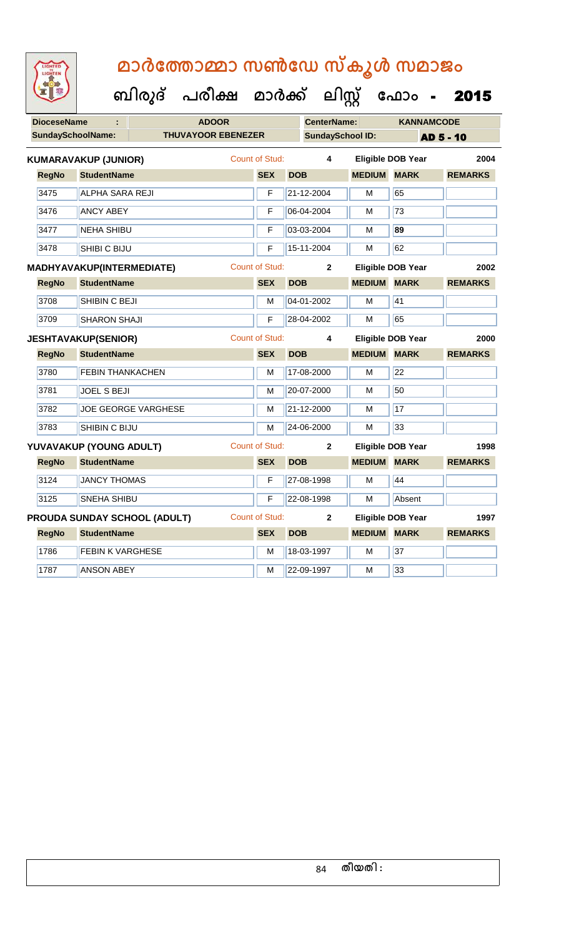| LIGHTED |
|---------|
|         |
|         |
|         |

|              | ÷                       |                                                |                                                                                                                                                                                                                                                                                                                                                                                                                                                                                                                          |              |                           |                                                                                                  | <b>KANNAMCODE</b>                                                                                                                                                                                                                                                               |                                                                                                                                                                                                                                            |  |
|--------------|-------------------------|------------------------------------------------|--------------------------------------------------------------------------------------------------------------------------------------------------------------------------------------------------------------------------------------------------------------------------------------------------------------------------------------------------------------------------------------------------------------------------------------------------------------------------------------------------------------------------|--------------|---------------------------|--------------------------------------------------------------------------------------------------|---------------------------------------------------------------------------------------------------------------------------------------------------------------------------------------------------------------------------------------------------------------------------------|--------------------------------------------------------------------------------------------------------------------------------------------------------------------------------------------------------------------------------------------|--|
|              |                         |                                                |                                                                                                                                                                                                                                                                                                                                                                                                                                                                                                                          |              |                           |                                                                                                  |                                                                                                                                                                                                                                                                                 | <b>AD 5 - 10</b>                                                                                                                                                                                                                           |  |
|              |                         |                                                |                                                                                                                                                                                                                                                                                                                                                                                                                                                                                                                          |              |                           |                                                                                                  |                                                                                                                                                                                                                                                                                 | 2004                                                                                                                                                                                                                                       |  |
| <b>RegNo</b> |                         |                                                |                                                                                                                                                                                                                                                                                                                                                                                                                                                                                                                          | <b>SEX</b>   | <b>DOB</b>                |                                                                                                  |                                                                                                                                                                                                                                                                                 | <b>REMARKS</b>                                                                                                                                                                                                                             |  |
| 3475         |                         |                                                |                                                                                                                                                                                                                                                                                                                                                                                                                                                                                                                          | F            |                           | М                                                                                                | 65                                                                                                                                                                                                                                                                              |                                                                                                                                                                                                                                            |  |
| 3476         |                         |                                                |                                                                                                                                                                                                                                                                                                                                                                                                                                                                                                                          | F            |                           | М                                                                                                | $\overline{73}$                                                                                                                                                                                                                                                                 |                                                                                                                                                                                                                                            |  |
| 3477         |                         |                                                |                                                                                                                                                                                                                                                                                                                                                                                                                                                                                                                          | F            |                           | М                                                                                                | 89                                                                                                                                                                                                                                                                              |                                                                                                                                                                                                                                            |  |
| 3478         |                         |                                                |                                                                                                                                                                                                                                                                                                                                                                                                                                                                                                                          | F            |                           | м                                                                                                | 62                                                                                                                                                                                                                                                                              |                                                                                                                                                                                                                                            |  |
|              |                         |                                                | <b>Count of Stud:</b>                                                                                                                                                                                                                                                                                                                                                                                                                                                                                                    |              |                           |                                                                                                  |                                                                                                                                                                                                                                                                                 | 2002                                                                                                                                                                                                                                       |  |
| <b>RegNo</b> |                         |                                                |                                                                                                                                                                                                                                                                                                                                                                                                                                                                                                                          | <b>SEX</b>   | <b>DOB</b>                |                                                                                                  | <b>MARK</b>                                                                                                                                                                                                                                                                     | <b>REMARKS</b>                                                                                                                                                                                                                             |  |
| 3708         |                         |                                                |                                                                                                                                                                                                                                                                                                                                                                                                                                                                                                                          | м            |                           | м                                                                                                | 41                                                                                                                                                                                                                                                                              |                                                                                                                                                                                                                                            |  |
| 3709         |                         |                                                |                                                                                                                                                                                                                                                                                                                                                                                                                                                                                                                          | F            |                           | М                                                                                                | 65                                                                                                                                                                                                                                                                              |                                                                                                                                                                                                                                            |  |
|              |                         |                                                |                                                                                                                                                                                                                                                                                                                                                                                                                                                                                                                          |              |                           |                                                                                                  |                                                                                                                                                                                                                                                                                 | 2000                                                                                                                                                                                                                                       |  |
| <b>RegNo</b> |                         |                                                |                                                                                                                                                                                                                                                                                                                                                                                                                                                                                                                          | <b>SEX</b>   | <b>DOB</b>                |                                                                                                  |                                                                                                                                                                                                                                                                                 | <b>REMARKS</b>                                                                                                                                                                                                                             |  |
| 3780         |                         |                                                |                                                                                                                                                                                                                                                                                                                                                                                                                                                                                                                          | M            |                           | М                                                                                                | 22                                                                                                                                                                                                                                                                              |                                                                                                                                                                                                                                            |  |
| 3781         |                         |                                                |                                                                                                                                                                                                                                                                                                                                                                                                                                                                                                                          | М            |                           | М                                                                                                | 50                                                                                                                                                                                                                                                                              |                                                                                                                                                                                                                                            |  |
| 3782         |                         |                                                |                                                                                                                                                                                                                                                                                                                                                                                                                                                                                                                          | м            |                           | м                                                                                                | 17                                                                                                                                                                                                                                                                              |                                                                                                                                                                                                                                            |  |
| 3783         |                         |                                                |                                                                                                                                                                                                                                                                                                                                                                                                                                                                                                                          | м            |                           | М                                                                                                | 33                                                                                                                                                                                                                                                                              |                                                                                                                                                                                                                                            |  |
|              |                         |                                                |                                                                                                                                                                                                                                                                                                                                                                                                                                                                                                                          |              |                           |                                                                                                  |                                                                                                                                                                                                                                                                                 | 1998                                                                                                                                                                                                                                       |  |
| <b>RegNo</b> |                         |                                                |                                                                                                                                                                                                                                                                                                                                                                                                                                                                                                                          | <b>SEX</b>   | <b>DOB</b>                |                                                                                                  |                                                                                                                                                                                                                                                                                 | <b>REMARKS</b>                                                                                                                                                                                                                             |  |
| 3124         |                         |                                                |                                                                                                                                                                                                                                                                                                                                                                                                                                                                                                                          | F            |                           | м                                                                                                | 44                                                                                                                                                                                                                                                                              |                                                                                                                                                                                                                                            |  |
| 3125         |                         |                                                |                                                                                                                                                                                                                                                                                                                                                                                                                                                                                                                          | F            |                           | М                                                                                                | Absent                                                                                                                                                                                                                                                                          |                                                                                                                                                                                                                                            |  |
|              |                         |                                                |                                                                                                                                                                                                                                                                                                                                                                                                                                                                                                                          |              |                           |                                                                                                  |                                                                                                                                                                                                                                                                                 | 1997                                                                                                                                                                                                                                       |  |
|              |                         |                                                |                                                                                                                                                                                                                                                                                                                                                                                                                                                                                                                          |              |                           |                                                                                                  |                                                                                                                                                                                                                                                                                 | <b>REMARKS</b>                                                                                                                                                                                                                             |  |
| <b>RegNo</b> | <b>StudentName</b>      |                                                |                                                                                                                                                                                                                                                                                                                                                                                                                                                                                                                          | <b>SEX</b>   | <b>DOB</b>                |                                                                                                  |                                                                                                                                                                                                                                                                                 |                                                                                                                                                                                                                                            |  |
| 1786         | <b>FEBIN K VARGHESE</b> |                                                |                                                                                                                                                                                                                                                                                                                                                                                                                                                                                                                          | M            | 18-03-1997                | М                                                                                                | 37                                                                                                                                                                                                                                                                              |                                                                                                                                                                                                                                            |  |
|              |                         | <b>DioceseName</b><br><b>SundaySchoolName:</b> | <b>KUMARAVAKUP (JUNIOR)</b><br><b>StudentName</b><br><b>ALPHA SARA REJI</b><br><b>ANCY ABEY</b><br><b>NEHA SHIBU</b><br>SHIBI C BIJU<br><b>MADHYAVAKUP(INTERMEDIATE)</b><br><b>StudentName</b><br>SHIBIN C BEJI<br><b>SHARON SHAJI</b><br><b>JESHTAVAKUP(SENIOR)</b><br><b>StudentName</b><br><b>FEBIN THANKACHEN</b><br>JOEL S BEJI<br><b>JOE GEORGE VARGHESE</b><br>SHIBIN C BIJU<br>YUVAVAKUP (YOUNG ADULT)<br><b>StudentName</b><br><b>JANCY THOMAS</b><br><b>SNEHA SHIBU</b><br><b>PROUDA SUNDAY SCHOOL (ADULT)</b> | <b>ADOOR</b> | <b>THUVAYOOR EBENEZER</b> | <b>Count of Stud:</b><br><b>Count of Stud:</b><br><b>Count of Stud:</b><br><b>Count of Stud:</b> | <b>CenterName:</b><br><b>SundaySchool ID:</b><br>4<br>21-12-2004<br>06-04-2004<br>03-03-2004<br>15-11-2004<br>$\mathbf{2}$<br>04-01-2002<br>28-04-2002<br>4<br>17-08-2000<br>20-07-2000<br>21-12-2000<br>24-06-2000<br>$\mathbf{2}$<br>27-08-1998<br>22-08-1998<br>$\mathbf{2}$ | <b>Eligible DOB Year</b><br><b>MEDIUM MARK</b><br><b>Eligible DOB Year</b><br><b>MEDIUM</b><br><b>Eligible DOB Year</b><br><b>MEDIUM MARK</b><br>Eligible DOB Year<br><b>MEDIUM MARK</b><br><b>Eligible DOB Year</b><br><b>MEDIUM MARK</b> |  |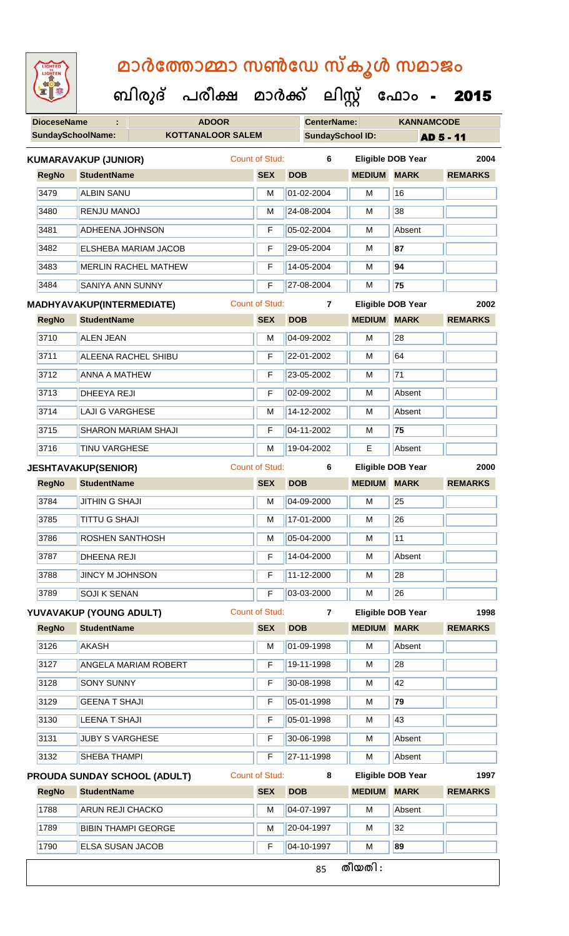**DioceseName : ADOOR CenterName: KANNAMCODE SundaySchoolName: KOTTANALOOR SALEM SundaySchool ID: AD 5 - 11 ബിരുദ് പരീക്ഷ മാര്ക് ക ലിസ്റ്റ ക ഫ ാോം** - 2015 **RegNo StudentName SEX DOB MEDIUM MARK REMARKS KUMARAVAKUP (JUNIOR)** Count of Stud: **6 Eligible DOB Year 2004** 3479 ALBIN SANU M 01-02-2004 M 16 3480 RENJU MANOJ M 24-08-2004 M 38 3481 ADHEENA JOHNSON F 05-02-2004 M Absent 3482 ELSHEBA MARIAM JACOB F 29-05-2004 M **87** 3483 MERLIN RACHEL MATHEW F 14-05-2004 M **94** 3484 SANIYA ANN SUNNY F 27-08-2004 M **75 RegNo StudentName SEX DOB MEDIUM MARK REMARKS MADHYAVAKUP(INTERMEDIATE)** Count of Stud: **7 Eligible DOB Year 2002** 3710 ALEN JEAN M 04-09-2002 M 28 3711 ALEENA RACHEL SHIBU F 22-01-2002 M 64 3712 ANNA A MATHEW F 23-05-2002 M 71 3713 DHEEYA REJI F 02-09-2002 M Absent 3714 LAJI G VARGHESE M M 14-12-2002 M Absent 3715 SHARON MARIAM SHAJI F 04-11-2002 M **75** 3716 TINU VARGHESE M 19-04-2002 E Absent **RegNo StudentName SEX DOB MEDIUM MARK REMARKS JESHTAVAKUP(SENIOR)** Count of Stud: **6 Eligible DOB Year 2000** 3784 JITHIN G SHAJI M 04-09-2000 M 25 3785 TITTU G SHAJI M 17-01-2000 M 26 3786 **ROSHEN SANTHOSH** M 05-04-2000 M 11 3787 DHEENA REJI F 14-04-2000 M Absent 3788 JUNCY M JOHNSON F 11-12-2000 M 28 3789 SOJI K SENAN F 03-03-2000 M 26 **RegNo StudentName SEX DOB MEDIUM MARK REMARKS YUVAVAKUP (YOUNG ADULT)** Count of Stud: **7 Eligible DOB Year 1998** 3126 AKASH M 01-09-1998 M Absent 3127 | ANGELA MARIAM ROBERT | F | 19-11-1998 | M | 28 3128 SONY SUNNY F 30-08-1998 M 42 3129 GEENA T SHAJI F 05-01-1998 M **79** 3130 LEENA T SHAJI F 05-01-1998 M 43 3131 JUBY S VARGHESE **F 30-06-1998** M Absent 3132 SHEBA THAMPI **F 27-11-1998** M Absent **RegNo StudentName SEX DOB MEDIUM MARK REMARKS PROUDA SUNDAY SCHOOL (ADULT)** Count of Stud: **8 Eligible DOB Year 1997** 1788 ARUN REJI CHACKO M 1788 M 204-07-1997 M Absent 1789 BIBIN THAMPI GEORGE M M 20-04-1997 M 32

1790 ELSA SUSAN JACOB F 04-10-1997 M **89**

85 **തീയതി :**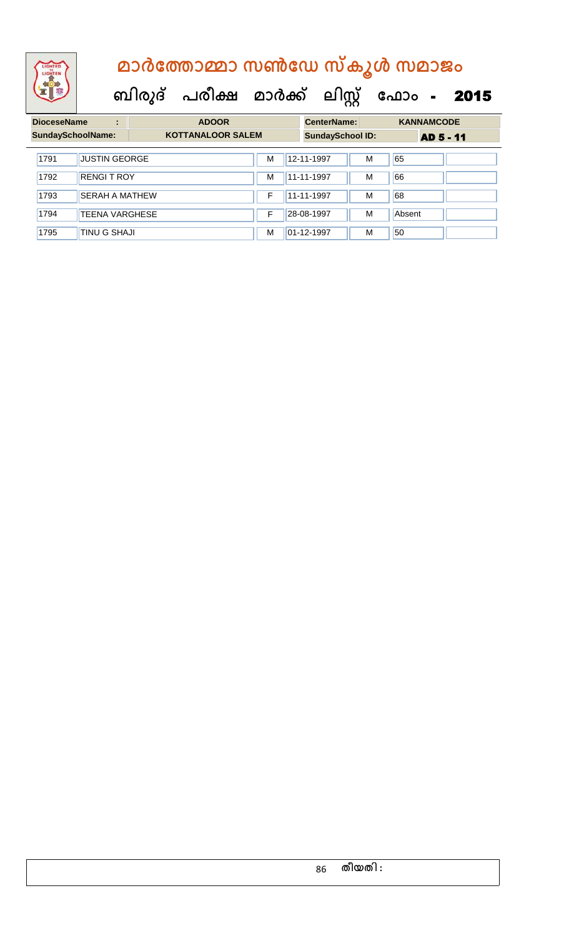

| <b>DioceseName</b><br>÷ |                          | <b>ADOOR</b>             |  |   |  | <b>CenterName:</b>      |   | <b>KANNAMCODE</b> |  |
|-------------------------|--------------------------|--------------------------|--|---|--|-------------------------|---|-------------------|--|
|                         | <b>SundaySchoolName:</b> | <b>KOTTANALOOR SALEM</b> |  |   |  | <b>SundaySchool ID:</b> |   | <b>AD 5 - 11</b>  |  |
| 1791                    | <b>JUSTIN GEORGE</b>     |                          |  | M |  | 12-11-1997              | M | 65                |  |
| 1792                    | <b>RENGIT ROY</b>        |                          |  | М |  | 11-11-1997              | M | 66                |  |
| 1793                    | <b>SERAH A MATHEW</b>    |                          |  | F |  | 11-11-1997              | M | 68                |  |
| 1794                    | <b>TEENA VARGHESE</b>    |                          |  | F |  | 28-08-1997              | M | Absent            |  |
| 1795                    | <b>TINU G SHAJI</b>      |                          |  | M |  | 01-12-1997              | M | 50                |  |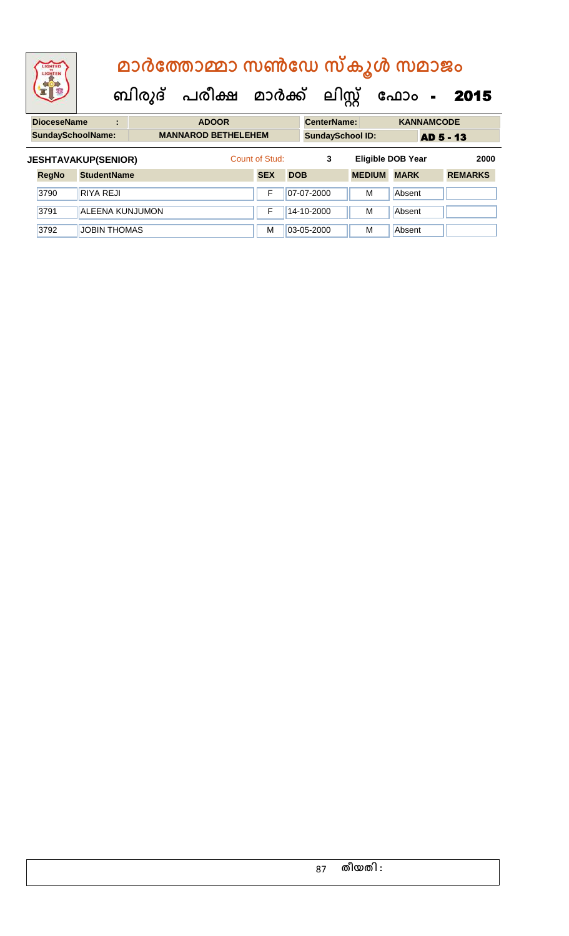#### **മാര്കഫതാമ്മാ സണ്ഫേ സ്കൂള് സമാജോം ബിരുദ് പരീക്ഷ മാര്ക് ക ലിസ്റ്റ ക ഫ ാോം** - 2015 **DioceseName : ADOOR CenterName: KANNAMCODE** an a

| <b>Diocesename</b><br>ADOOR |                            |  |  |                         |            | CenterName:      |               | <b>KANNAMUUDE</b>        |                |  |
|-----------------------------|----------------------------|--|--|-------------------------|------------|------------------|---------------|--------------------------|----------------|--|
| <b>SundaySchoolName:</b>    | <b>MANNAROD BETHELEHEM</b> |  |  | <b>SundaySchool ID:</b> |            | <b>AD 5 - 13</b> |               |                          |                |  |
|                             | <b>JESHTAVAKUP(SENIOR)</b> |  |  | Count of Stud:          |            | 3                |               | <b>Eligible DOB Year</b> | 2000           |  |
| <b>RegNo</b>                | <b>StudentName</b>         |  |  | <b>SEX</b>              | <b>DOB</b> |                  | <b>MEDIUM</b> | <b>MARK</b>              | <b>REMARKS</b> |  |
| 3790                        | <b>RIYA REJI</b>           |  |  | F                       |            | 07-07-2000       | м             | Absent                   |                |  |
| 3791                        | <b>ALEENA KUNJUMON</b>     |  |  | F                       |            | 14-10-2000       | м             | Absent                   |                |  |
| 3792                        | <b>JOBIN THOMAS</b>        |  |  | M                       |            | 03-05-2000       | M             | Absent                   |                |  |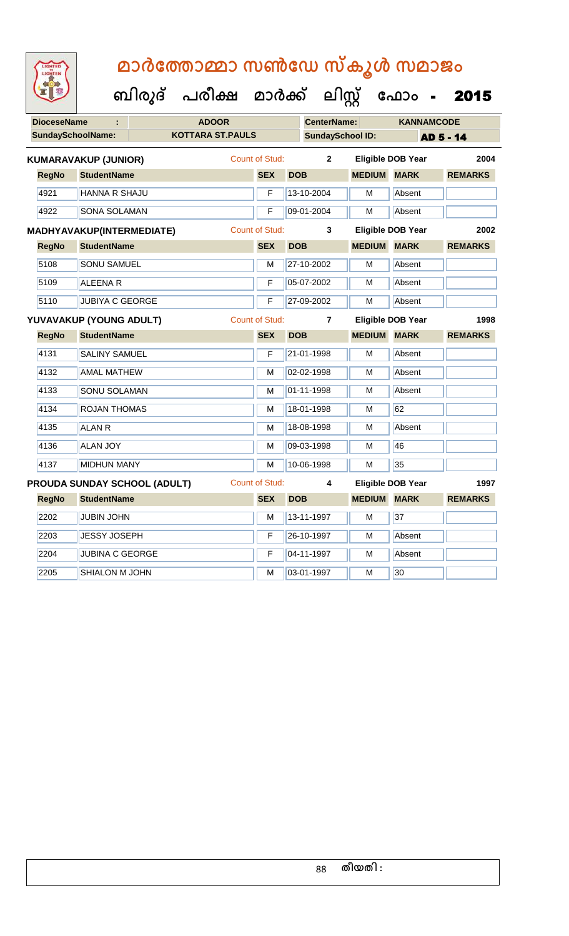| <b>DioceseName</b><br>÷ |                          |                                  | <b>ADOOR</b>            |                       |            | <b>CenterName:</b>      |                    | <b>KANNAMCODE</b>        |                |
|-------------------------|--------------------------|----------------------------------|-------------------------|-----------------------|------------|-------------------------|--------------------|--------------------------|----------------|
|                         | <b>SundaySchoolName:</b> |                                  | <b>KOTTARA ST.PAULS</b> |                       |            | <b>SundaySchool ID:</b> |                    |                          | AD 5 - 14      |
|                         |                          | <b>KUMARAVAKUP (JUNIOR)</b>      |                         | Count of Stud:        |            | $\mathbf{2}$            |                    | <b>Eligible DOB Year</b> | 2004           |
|                         | <b>RegNo</b>             | <b>StudentName</b>               |                         | <b>SEX</b>            | <b>DOB</b> |                         | <b>MEDIUM</b>      | <b>MARK</b>              | <b>REMARKS</b> |
|                         | 4921                     | <b>HANNA R SHAJU</b>             |                         | F                     |            | 13-10-2004              | М                  | Absent                   |                |
|                         | 4922                     | <b>SONA SOLAMAN</b>              |                         | F                     |            | 09-01-2004              | м                  | Absent                   |                |
|                         |                          | <b>MADHYAVAKUP(INTERMEDIATE)</b> |                         | <b>Count of Stud:</b> |            | 3                       |                    | <b>Eligible DOB Year</b> | 2002           |
|                         | <b>RegNo</b>             | <b>StudentName</b>               |                         | <b>SEX</b>            | <b>DOB</b> |                         | <b>MEDIUM MARK</b> |                          | <b>REMARKS</b> |
|                         | 5108                     | <b>SONU SAMUEL</b>               |                         | М                     |            | 27-10-2002              | М                  | Absent                   |                |
|                         | 5109                     | <b>ALEENAR</b>                   |                         | F                     |            | 05-07-2002              | М                  | Absent                   |                |
|                         | 5110                     | <b>JUBIYA C GEORGE</b>           |                         | F                     |            | 27-09-2002              | М                  | Absent                   |                |
|                         |                          | YUVAVAKUP (YOUNG ADULT)          |                         | Count of Stud:        |            | $\overline{7}$          |                    | <b>Eligible DOB Year</b> | 1998           |
|                         | <b>RegNo</b>             | <b>StudentName</b>               |                         | <b>SEX</b>            | <b>DOB</b> |                         | <b>MEDIUM</b>      | <b>MARK</b>              | <b>REMARKS</b> |
|                         | 4131                     | <b>SALINY SAMUEL</b>             |                         | F                     |            | 21-01-1998              | м                  | Absent                   |                |
|                         | 4132                     | <b>AMAL MATHEW</b>               |                         | М                     |            | 02-02-1998              | М                  | Absent                   |                |
|                         | 4133                     | <b>SONU SOLAMAN</b>              |                         | M                     |            | 01-11-1998              | М                  | Absent                   |                |
|                         | 4134                     | <b>ROJAN THOMAS</b>              |                         | М                     |            | 18-01-1998              | м                  | 62                       |                |
|                         | 4135                     | <b>ALAN R</b>                    |                         | M                     |            | 18-08-1998              | М                  | Absent                   |                |
|                         | 4136                     | <b>ALAN JOY</b>                  |                         | $\overline{M}$        |            | 09-03-1998              | М                  | 46                       |                |
|                         | 4137                     | <b>MIDHUN MANY</b>               |                         | M                     |            | 10-06-1998              | М                  | 35                       |                |
|                         |                          | PROUDA SUNDAY SCHOOL (ADULT)     |                         | <b>Count of Stud:</b> |            | 4                       |                    | <b>Eligible DOB Year</b> | 1997           |
|                         | <b>RegNo</b>             | <b>StudentName</b>               |                         | <b>SEX</b>            | <b>DOB</b> |                         | <b>MEDIUM</b>      | <b>MARK</b>              | <b>REMARKS</b> |
|                         | 2202                     | <b>JUBIN JOHN</b>                |                         | M                     |            | 13-11-1997              | M                  | 37                       |                |
|                         | 2203                     | <b>JESSY JOSEPH</b>              |                         | F                     |            | 26-10-1997              | M                  | Absent                   |                |
|                         | 2204                     | <b>JUBINA C GEORGE</b>           |                         | F                     |            | 04-11-1997              | М                  | Absent                   |                |
|                         | 2205                     | <b>SHIALON M JOHN</b>            |                         | M                     |            | 03-01-1997              | м                  | 30                       |                |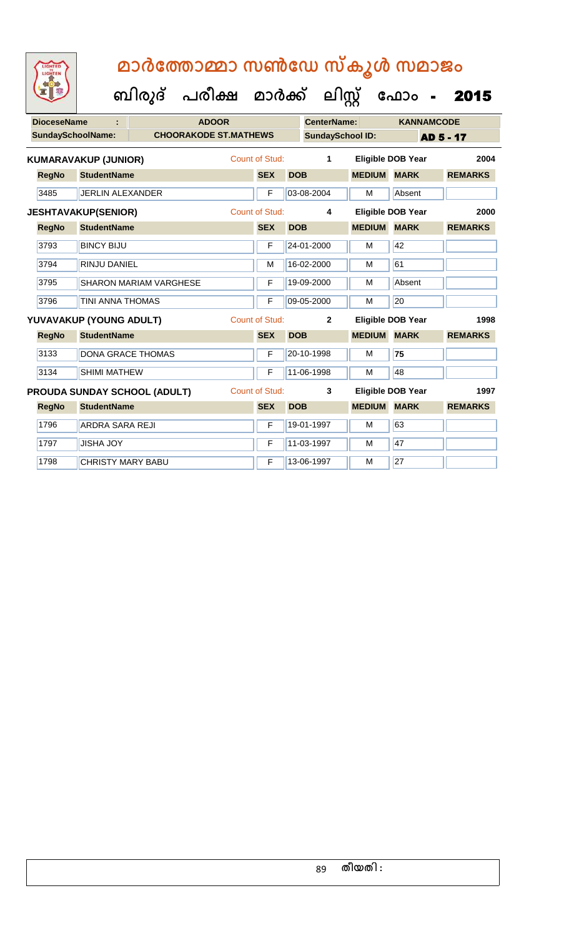| LIGHTED<br>LIGHTEN                                    |                                                     |  | മാർത്തോമ്മാ സൺഡേ സ്കൂൾ സമാജം<br>ബിരുദ് പരീക്ഷ മാർക്ക് ലിസ്റ്റ് ഫോം |  |                                         |                 |                    |                         |                          | 2015             |
|-------------------------------------------------------|-----------------------------------------------------|--|--------------------------------------------------------------------|--|-----------------------------------------|-----------------|--------------------|-------------------------|--------------------------|------------------|
| <b>DioceseName</b>                                    |                                                     |  | <b>ADOOR</b>                                                       |  |                                         |                 | <b>CenterName:</b> |                         | <b>KANNAMCODE</b>        |                  |
| <b>SundaySchoolName:</b>                              |                                                     |  | <b>CHOORAKODE ST.MATHEWS</b>                                       |  |                                         |                 |                    | <b>SundaySchool ID:</b> |                          | <b>AD 5 - 17</b> |
|                                                       | <b>KUMARAVAKUP (JUNIOR)</b>                         |  |                                                                    |  | Count of Stud:                          |                 | 1                  |                         | <b>Eligible DOB Year</b> | 2004             |
| <b>RegNo</b>                                          | <b>StudentName</b>                                  |  |                                                                    |  | <b>SEX</b>                              | <b>DOB</b>      |                    | <b>MEDIUM</b>           | <b>MARK</b>              | <b>REMARKS</b>   |
| 3485                                                  | <b>JERLIN ALEXANDER</b>                             |  |                                                                    |  | F                                       | 03-08-2004      |                    | M                       | Absent                   |                  |
|                                                       | <b>Count of Stud:</b><br><b>JESHTAVAKUP(SENIOR)</b> |  |                                                                    |  |                                         |                 | 4                  |                         | <b>Eligible DOB Year</b> | 2000             |
| <b>RegNo</b>                                          | <b>StudentName</b>                                  |  |                                                                    |  | <b>SEX</b>                              | <b>DOB</b>      |                    | <b>MEDIUM</b>           | <b>MARK</b>              | <b>REMARKS</b>   |
| 3793                                                  | <b>BINCY BIJU</b>                                   |  |                                                                    |  | F                                       | 24-01-2000      |                    | м                       | 42                       |                  |
| 3794                                                  | <b>RINJU DANIEL</b>                                 |  |                                                                    |  | м                                       | 16-02-2000      |                    | м                       | 61                       |                  |
| 3795                                                  | <b>SHARON MARIAM VARGHESE</b>                       |  |                                                                    |  | F                                       | 19-09-2000      |                    | M                       | Absent                   |                  |
| 3796                                                  | <b>TINI ANNA THOMAS</b>                             |  |                                                                    |  | F                                       | 09-05-2000<br>м |                    |                         | 20                       |                  |
|                                                       | YUVAVAKUP (YOUNG ADULT)                             |  |                                                                    |  | <b>Count of Stud:</b><br>$\overline{2}$ |                 |                    |                         | <b>Eligible DOB Year</b> | 1998             |
| <b>RegNo</b>                                          | <b>StudentName</b>                                  |  |                                                                    |  | <b>SEX</b>                              | <b>DOB</b>      |                    | <b>MEDIUM</b>           | <b>MARK</b>              | <b>REMARKS</b>   |
| 3133                                                  | <b>DONA GRACE THOMAS</b>                            |  |                                                                    |  | F                                       | 20-10-1998      |                    | м                       | 75                       |                  |
| 3134                                                  | <b>SHIMI MATHEW</b>                                 |  |                                                                    |  | F                                       | 11-06-1998      |                    | м                       | 48                       |                  |
| <b>Count of Stud:</b><br>PROUDA SUNDAY SCHOOL (ADULT) |                                                     |  |                                                                    |  |                                         |                 | 3                  |                         | <b>Eligible DOB Year</b> | 1997             |
| <b>RegNo</b>                                          | <b>StudentName</b>                                  |  |                                                                    |  | <b>SEX</b>                              | <b>DOB</b>      |                    | <b>MEDIUM</b>           | <b>MARK</b>              | <b>REMARKS</b>   |
| 1796                                                  | ARDRA SARA REJI                                     |  |                                                                    |  | F                                       | 19-01-1997      |                    | м                       | 63                       |                  |
| 1797                                                  | <b>JISHA JOY</b>                                    |  |                                                                    |  | F                                       | 11-03-1997      |                    | M                       | 47                       |                  |
| 1798                                                  | <b>CHRISTY MARY BABU</b>                            |  |                                                                    |  | F                                       | 13-06-1997      |                    | M                       | 27                       |                  |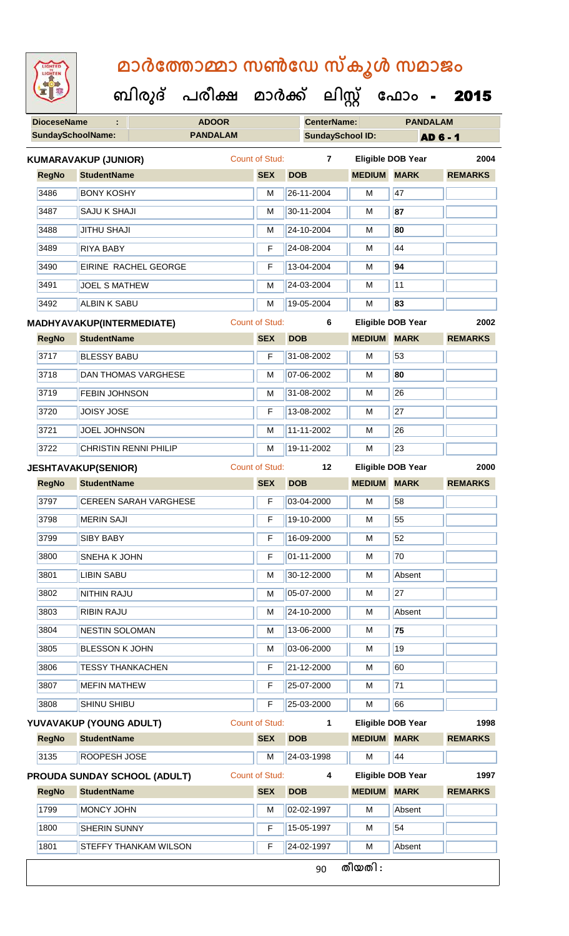| <b>IGHTED</b> |
|---------------|
|               |
|               |
|               |
|               |

 **ബിരുദ് പരീക്ഷ മാര്ക് ക ലിസ്റ്റ ക ഫ ാോം** - 2015

**DioceseName : ADOOR CenterName: PANDALAM**

|              | <b>SundaySchoolName:</b><br><b>PANDALAM</b> |                       | <b>SundaySchool ID:</b> |                    |                          | <b>AD 6 - 1</b> |
|--------------|---------------------------------------------|-----------------------|-------------------------|--------------------|--------------------------|-----------------|
|              | <b>KUMARAVAKUP (JUNIOR)</b>                 | <b>Count of Stud:</b> | $\overline{7}$          |                    | <b>Eligible DOB Year</b> | 2004            |
| <b>RegNo</b> | <b>StudentName</b>                          | <b>SEX</b>            | <b>DOB</b>              | <b>MEDIUM MARK</b> |                          | <b>REMARKS</b>  |
| 3486         | <b>BONY KOSHY</b>                           | M                     | 26-11-2004              | M                  | 47                       |                 |
| 3487         | <b>SAJU K SHAJI</b>                         | M                     | 30-11-2004              | M                  | 87                       |                 |
| 3488         | <b>JITHU SHAJI</b>                          | M                     | 24-10-2004              | M                  | 80                       |                 |
| 3489         | <b>RIYA BABY</b>                            | F                     | 24-08-2004              | M                  | 44                       |                 |
| 3490         | EIRINE RACHEL GEORGE                        | F                     | 13-04-2004              | M                  | 94                       |                 |
| 3491         | <b>JOEL S MATHEW</b>                        | M                     | 24-03-2004              | M                  | 11                       |                 |
| 3492         | <b>ALBIN K SABU</b>                         | M                     | 19-05-2004              | M                  | 83                       |                 |
|              | <b>MADHYAVAKUP(INTERMEDIATE)</b>            | <b>Count of Stud:</b> | 6                       |                    | <b>Eligible DOB Year</b> | 2002            |
| <b>RegNo</b> | <b>StudentName</b>                          | <b>SEX</b>            | <b>DOB</b>              | <b>MEDIUM</b>      | <b>MARK</b>              | <b>REMARKS</b>  |
| 3717         | <b>BLESSY BABU</b>                          | F                     | 31-08-2002              | M                  | 53                       |                 |
| 3718         | <b>DAN THOMAS VARGHESE</b>                  | M                     | 07-06-2002              | M                  | 80                       |                 |
| 3719         | <b>FEBIN JOHNSON</b>                        | M                     | 31-08-2002              | M                  | 26                       |                 |
| 3720         | <b>JOISY JOSE</b>                           | F                     | 13-08-2002              | M                  | 27                       |                 |
| 3721         | <b>JOEL JOHNSON</b>                         | M                     | 11-11-2002              | M                  | 26                       |                 |
| 3722         | <b>CHRISTIN RENNI PHILIP</b>                | M                     | 19-11-2002              | M                  | 23                       |                 |
|              | <b>JESHTAVAKUP(SENIOR)</b>                  | <b>Count of Stud:</b> | 12                      |                    | <b>Eligible DOB Year</b> | 2000            |
| <b>RegNo</b> | <b>StudentName</b>                          | <b>SEX</b>            | <b>DOB</b>              | <b>MEDIUM</b>      | <b>MARK</b>              | <b>REMARKS</b>  |
| 3797         | <b>CEREEN SARAH VARGHESE</b>                | F                     | 03-04-2000              | M                  | 58                       |                 |
| 3798         | <b>MERIN SAJI</b>                           | F                     | 19-10-2000              | M                  | 55                       |                 |
| 3799         | <b>SIBY BABY</b>                            | F                     | 16-09-2000              | M                  | 52                       |                 |
| 3800         | <b>SNEHA K JOHN</b>                         | F                     | 01-11-2000              | M                  | 70                       |                 |
| 3801         | <b>LIBIN SABU</b>                           | M                     | 30-12-2000              | M                  | Absent                   |                 |
| 3802         | <b>NITHIN RAJU</b>                          | M                     | 05-07-2000              | M                  | 27                       |                 |
| 3803         | <b>RIBIN RAJU</b>                           | M                     | 24-10-2000              | M                  | Absent                   |                 |
| 3804         | <b>NESTIN SOLOMAN</b>                       | M                     | 13-06-2000              | M                  | 75                       |                 |
| 3805         | <b>BLESSON K JOHN</b>                       | M                     | 03-06-2000              | M                  | 19                       |                 |
| 3806         | <b>TESSY THANKACHEN</b>                     | F                     | 21-12-2000              | M                  | 60                       |                 |
| 3807         | <b>MEFIN MATHEW</b>                         | F                     | 25-07-2000              | М                  | $\overline{71}$          |                 |
| 3808         | SHINU SHIBU                                 | F                     | 25-03-2000              | M                  | 66                       |                 |
|              | YUVAVAKUP (YOUNG ADULT)                     | <b>Count of Stud:</b> | 1                       |                    | Eligible DOB Year        | 1998            |
| <b>RegNo</b> | <b>StudentName</b>                          | <b>SEX</b>            | <b>DOB</b>              | <b>MEDIUM</b>      | <b>MARK</b>              | <b>REMARKS</b>  |
| 3135         | ROOPESH JOSE                                | M                     | 24-03-1998              | M                  | 44                       |                 |
|              | <b>PROUDA SUNDAY SCHOOL (ADULT)</b>         | <b>Count of Stud:</b> | 4                       |                    | <b>Eligible DOB Year</b> | 1997            |
| <b>RegNo</b> | <b>StudentName</b>                          | <b>SEX</b>            | <b>DOB</b>              | <b>MEDIUM MARK</b> |                          | <b>REMARKS</b>  |
| 1799         | MONCY JOHN                                  | M                     | 02-02-1997              | М                  | Absent                   |                 |
| 1800         | SHERIN SUNNY                                | F                     | 15-05-1997              | M                  | 54                       |                 |
| 1801         | STEFFY THANKAM WILSON                       | F                     | 24-02-1997              | М                  | Absent                   |                 |
|              |                                             |                       | 90                      | തീയതി :            |                          |                 |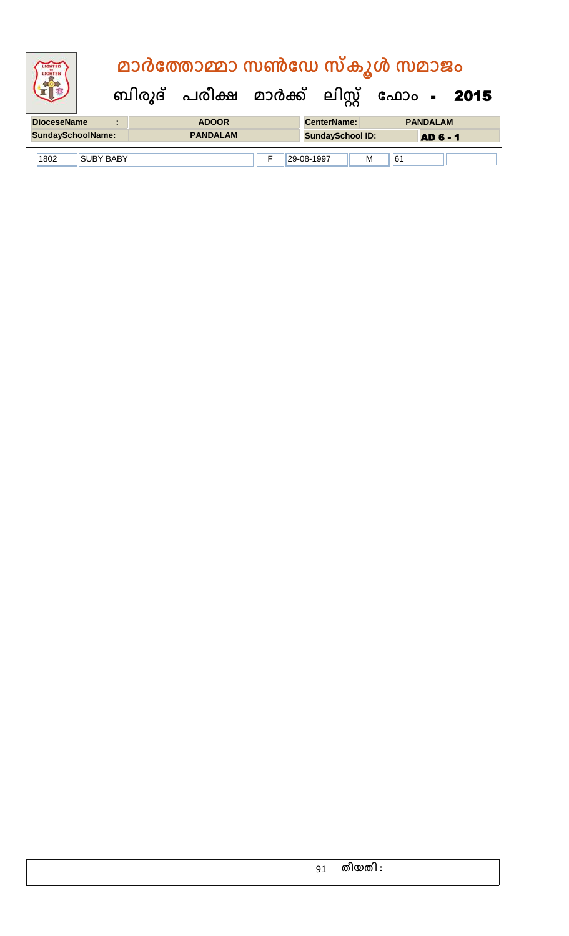| LIGHTED<br>LIGHTER       |                  | മാർത്തോമ്മാ സൺഡേ സ്കൂൾ സമാജം |                         |         |                                           |
|--------------------------|------------------|------------------------------|-------------------------|---------|-------------------------------------------|
|                          |                  |                              |                         |         | ബിരുദ് പരീക്ഷ മാർക്ക് ലിസ്റ്റ് ഫോം - 2015 |
| <b>DioceseName</b>       | ٠                | <b>ADOOR</b>                 | <b>CenterName:</b>      |         | <b>PANDALAM</b>                           |
| <b>SundaySchoolName:</b> |                  | <b>PANDALAM</b>              | <b>SundaySchool ID:</b> |         | <b>AD 6 - 1</b>                           |
| 1802                     | <b>SUBY BABY</b> |                              | 29-08-1997              | 61<br>M |                                           |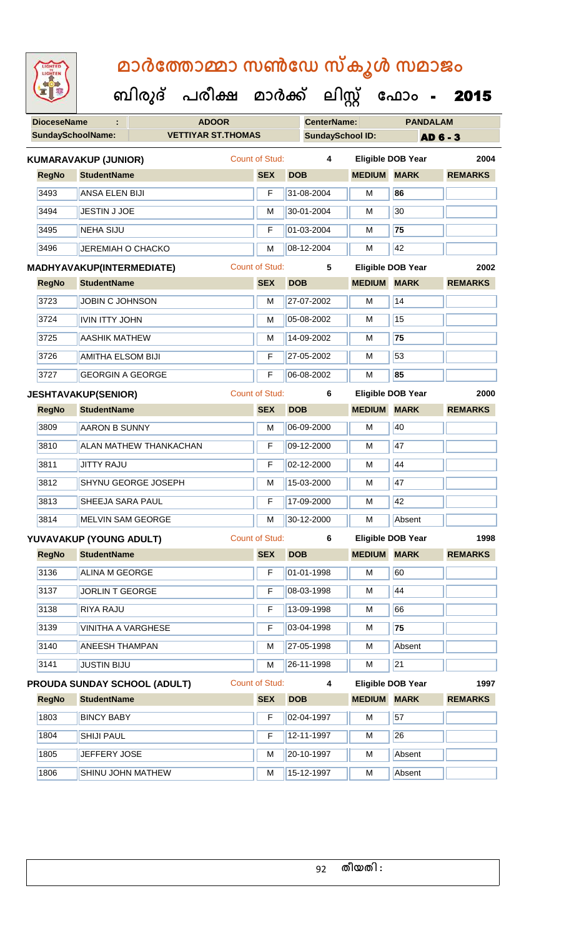| <b>IGHTED</b> |
|---------------|
|               |
|               |
|               |
|               |

| <b>DioceseName</b> |                                | <b>ADOOR</b>                        |  |                       | <b>CenterName:</b>      |                    | <b>PANDALAM</b>          |                |  |
|--------------------|--------------------------------|-------------------------------------|--|-----------------------|-------------------------|--------------------|--------------------------|----------------|--|
|                    | <b>SundaySchoolName:</b>       | <b>VETTIYAR ST.THOMAS</b>           |  |                       | <b>SundaySchool ID:</b> |                    |                          | AD 6 - 3       |  |
|                    | <b>KUMARAVAKUP (JUNIOR)</b>    |                                     |  | <b>Count of Stud:</b> | 4                       |                    | <b>Eligible DOB Year</b> | 2004           |  |
| <b>RegNo</b>       | <b>StudentName</b>             |                                     |  | <b>SEX</b>            | <b>DOB</b>              | <b>MEDIUM MARK</b> |                          | <b>REMARKS</b> |  |
| 3493               | ANSA ELEN BIJI                 |                                     |  | F                     | 31-08-2004              | M                  | 86                       |                |  |
| 3494               | JESTIN J JOE                   |                                     |  | M                     | 30-01-2004              | M                  | 30                       |                |  |
| 3495               | <b>NEHA SIJU</b>               |                                     |  | F                     | 01-03-2004              | M                  | 75                       |                |  |
| 3496               | <b>JEREMIAH O CHACKO</b>       |                                     |  | M                     | 08-12-2004              | M                  | 42                       |                |  |
|                    | MADHYAVAKUP(INTERMEDIATE)      |                                     |  | <b>Count of Stud:</b> | 5                       |                    | <b>Eligible DOB Year</b> | 2002           |  |
| <b>RegNo</b>       | <b>StudentName</b>             |                                     |  | <b>SEX</b>            | <b>DOB</b>              | <b>MEDIUM MARK</b> |                          | <b>REMARKS</b> |  |
| 3723               | <b>JOBIN C JOHNSON</b>         |                                     |  | M                     | 27-07-2002              | M                  | 14                       |                |  |
| 3724               | <b>IVIN ITTY JOHN</b>          |                                     |  | M                     | 05-08-2002              | м                  | 15                       |                |  |
| 3725               | <b>AASHIK MATHEW</b>           |                                     |  | M                     | 14-09-2002              | M                  | 75                       |                |  |
| 3726               | <b>AMITHA ELSOM BIJI</b>       |                                     |  | F                     | 27-05-2002              | M                  | 53                       |                |  |
| 3727               | <b>GEORGIN A GEORGE</b>        |                                     |  | F                     | 06-08-2002              | M                  | 85                       |                |  |
|                    | <b>JESHTAVAKUP(SENIOR)</b>     |                                     |  | <b>Count of Stud:</b> | 6                       |                    | <b>Eligible DOB Year</b> | 2000           |  |
| <b>RegNo</b>       | <b>StudentName</b>             |                                     |  | <b>SEX</b>            | <b>DOB</b>              | <b>MEDIUM</b>      | <b>MARK</b>              | <b>REMARKS</b> |  |
| 3809               | <b>AARON B SUNNY</b>           |                                     |  | M                     | 06-09-2000              | M                  | 40                       |                |  |
| 3810               |                                | <b>ALAN MATHEW THANKACHAN</b>       |  | F                     | 09-12-2000              | M                  | 47                       |                |  |
| 3811               | <b>JITTY RAJU</b>              |                                     |  | F                     | 02-12-2000              | M                  | 44                       |                |  |
| 3812               |                                | SHYNU GEORGE JOSEPH                 |  | M                     | 15-03-2000              | M                  | 47                       |                |  |
| 3813               | SHEEJA SARA PAUL               |                                     |  | F                     | 17-09-2000              | м                  | 42                       |                |  |
| 3814               | MELVIN SAM GEORGE              |                                     |  | M                     | 30-12-2000              | м                  | Absent                   |                |  |
|                    | <b>YUVAVAKUP (YOUNG ADULT)</b> |                                     |  | <b>Count of Stud:</b> | 6                       |                    | <b>Eligible DOB Year</b> | 1998           |  |
| <b>RegNo</b>       | <b>StudentName</b>             |                                     |  | <b>SEX</b>            | <b>DOB</b>              | <b>MEDIUM</b>      | <b>MARK</b>              | <b>REMARKS</b> |  |
| 3136               | ALINA M GEORGE                 |                                     |  | F                     | 01-01-1998              | M                  | 60                       |                |  |
| 3137               | JORLIN T GEORGE                |                                     |  | F                     | 08-03-1998              | M                  | 44                       |                |  |
| 3138               | RIYA RAJU                      |                                     |  | F                     | 13-09-1998              | M                  | 66                       |                |  |
| 3139               | <b>VINITHA A VARGHESE</b>      |                                     |  | F                     | 03-04-1998              | M                  | 75                       |                |  |
| 3140               | <b>ANEESH THAMPAN</b>          |                                     |  | M                     | 27-05-1998              | M                  | Absent                   |                |  |
| 3141               | <b>JUSTIN BIJU</b>             |                                     |  | M                     | 26-11-1998              | M                  | $\overline{21}$          |                |  |
|                    |                                | <b>PROUDA SUNDAY SCHOOL (ADULT)</b> |  | <b>Count of Stud:</b> | 4                       |                    | <b>Eligible DOB Year</b> | 1997           |  |
| <b>RegNo</b>       | <b>StudentName</b>             |                                     |  | <b>SEX</b>            | <b>DOB</b>              | <b>MEDIUM MARK</b> |                          | <b>REMARKS</b> |  |
| 1803               | <b>BINCY BABY</b>              |                                     |  | F                     | 02-04-1997              | M                  | 57                       |                |  |
| 1804               | <b>SHIJI PAUL</b>              |                                     |  | F                     | 12-11-1997              | M                  | 26                       |                |  |
| 1805               | JEFFERY JOSE                   |                                     |  | М                     | 20-10-1997              | M                  | Absent                   |                |  |
| 1806               | SHINU JOHN MATHEW              |                                     |  | M                     | 15-12-1997              | M                  | Absent                   |                |  |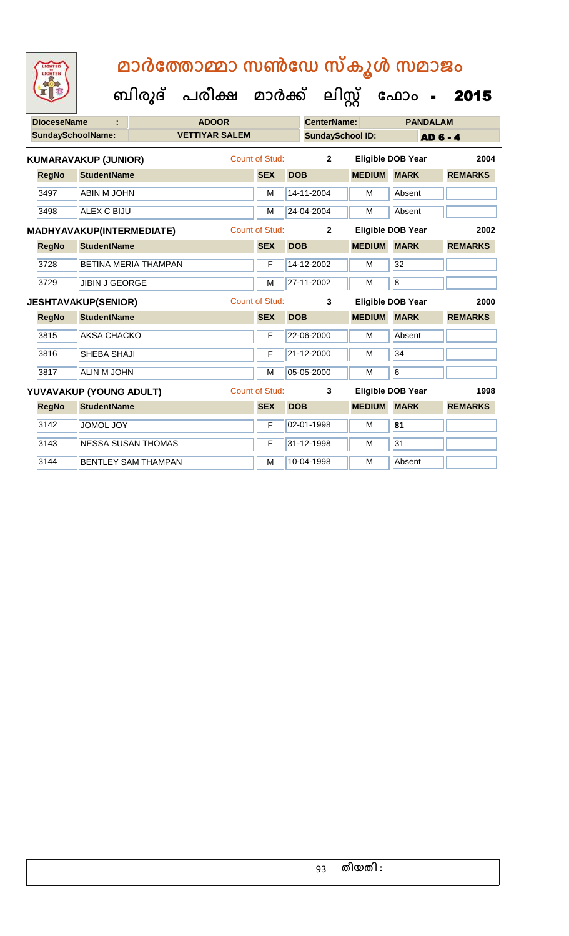| <b>DioceseName</b><br>÷ |                          |                                  |                             | <b>ADOOR</b>          |                       |            | <b>CenterName:</b>      | <b>PANDALAM</b>          |                |                 |                |      |
|-------------------------|--------------------------|----------------------------------|-----------------------------|-----------------------|-----------------------|------------|-------------------------|--------------------------|----------------|-----------------|----------------|------|
|                         | <b>SundaySchoolName:</b> |                                  |                             | <b>VETTIYAR SALEM</b> |                       |            | <b>SundaySchool ID:</b> |                          |                | <b>AD 6 - 4</b> |                |      |
|                         |                          | <b>KUMARAVAKUP (JUNIOR)</b>      |                             |                       | <b>Count of Stud:</b> |            | $\overline{2}$          | <b>Eligible DOB Year</b> |                |                 |                | 2004 |
|                         | <b>RegNo</b>             | <b>StudentName</b>               |                             |                       | <b>SEX</b>            | <b>DOB</b> |                         | <b>MEDIUM</b>            | <b>MARK</b>    |                 | <b>REMARKS</b> |      |
|                         | 3497                     | <b>ABIN M JOHN</b>               |                             |                       | M                     |            | 14-11-2004              | M                        | Absent         |                 |                |      |
|                         | 3498                     | <b>ALEX C BIJU</b>               |                             |                       | M                     |            | 24-04-2004              | M                        | Absent         |                 |                |      |
|                         |                          | <b>MADHYAVAKUP(INTERMEDIATE)</b> |                             |                       | <b>Count of Stud:</b> |            | $\mathbf{2}$            | <b>Eligible DOB Year</b> |                |                 |                | 2002 |
|                         | <b>RegNo</b>             | <b>StudentName</b>               |                             |                       | <b>SEX</b>            | <b>DOB</b> |                         | <b>MEDIUM</b>            | <b>MARK</b>    |                 | <b>REMARKS</b> |      |
|                         | 3728                     |                                  | <b>BETINA MERIA THAMPAN</b> |                       | F                     |            | 14-12-2002              | М                        | 32             |                 |                |      |
|                         | 3729                     | <b>JIBIN J GEORGE</b>            |                             |                       | M                     |            | 27-11-2002              | M                        | $\overline{8}$ |                 |                |      |
|                         |                          | <b>JESHTAVAKUP(SENIOR)</b>       |                             |                       | <b>Count of Stud:</b> |            | 3                       | <b>Eligible DOB Year</b> |                |                 |                | 2000 |
|                         | <b>RegNo</b>             | <b>StudentName</b>               |                             |                       | <b>SEX</b>            | <b>DOB</b> |                         | <b>MEDIUM</b>            | <b>MARK</b>    |                 | <b>REMARKS</b> |      |
|                         | 3815                     | <b>AKSA CHACKO</b>               |                             |                       | F                     |            | 22-06-2000              | M                        | Absent         |                 |                |      |
|                         | 3816                     | SHEBA SHAJI                      |                             |                       | F                     |            | 21-12-2000              | M                        | 34             |                 |                |      |
|                         | 3817                     | <b>ALIN M JOHN</b>               |                             |                       | M                     |            | 05-05-2000              | M                        | 6              |                 |                |      |
|                         |                          | YUVAVAKUP (YOUNG ADULT)          |                             |                       | Count of Stud:        |            | 3                       | <b>Eligible DOB Year</b> |                |                 |                | 1998 |
|                         | <b>RegNo</b>             | <b>StudentName</b>               |                             |                       | <b>SEX</b>            | <b>DOB</b> |                         | <b>MEDIUM</b>            | <b>MARK</b>    |                 | <b>REMARKS</b> |      |
|                         | 3142                     | <b>JOMOL JOY</b>                 |                             |                       | F                     |            | 02-01-1998              | M                        | 81             |                 |                |      |
|                         | 3143                     |                                  | <b>NESSA SUSAN THOMAS</b>   |                       | F                     |            | 31-12-1998              | M                        | 31             |                 |                |      |
|                         | 3144                     |                                  | <b>BENTLEY SAM THAMPAN</b>  |                       | M                     |            | 10-04-1998              | M                        | Absent         |                 |                |      |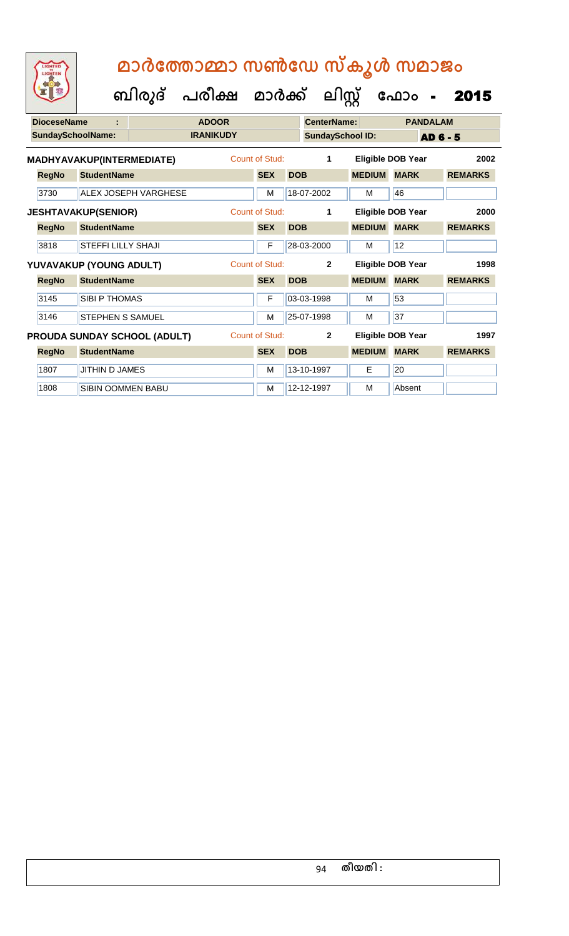| <b>DioceseName</b> | ÷                                |                                     | <b>ADOOR</b>     |                |            | CenterName:             |               | <b>PANDALAM</b>          |                |
|--------------------|----------------------------------|-------------------------------------|------------------|----------------|------------|-------------------------|---------------|--------------------------|----------------|
|                    | <b>SundaySchoolName:</b>         |                                     | <b>IRANIKUDY</b> |                |            | <b>SundaySchool ID:</b> |               |                          | AD 6 - 5       |
|                    | <b>MADHYAVAKUP(INTERMEDIATE)</b> |                                     |                  | Count of Stud: |            | 1                       |               | <b>Eligible DOB Year</b> | 2002           |
| <b>RegNo</b>       | <b>StudentName</b>               |                                     |                  | <b>SEX</b>     | <b>DOB</b> |                         | <b>MEDIUM</b> | <b>MARK</b>              | <b>REMARKS</b> |
| 3730               |                                  | <b>ALEX JOSEPH VARGHESE</b>         |                  | M              |            | 18-07-2002              | м             | 46                       |                |
|                    | <b>JESHTAVAKUP(SENIOR)</b>       |                                     |                  | Count of Stud: |            | 1                       |               | Eligible DOB Year        | 2000           |
| <b>RegNo</b>       | <b>StudentName</b>               |                                     |                  | <b>SEX</b>     | <b>DOB</b> |                         | <b>MEDIUM</b> | <b>MARK</b>              | <b>REMARKS</b> |
| 3818               | <b>STEFFI LILLY SHAJI</b>        |                                     |                  | F              |            | 28-03-2000              | м             | 12                       |                |
|                    | YUVAVAKUP (YOUNG ADULT)          |                                     |                  | Count of Stud: |            | $\mathbf{2}$            |               | Eligible DOB Year        | 1998           |
| <b>RegNo</b>       | <b>StudentName</b>               |                                     |                  | <b>SEX</b>     | <b>DOB</b> |                         | <b>MEDIUM</b> | <b>MARK</b>              | <b>REMARKS</b> |
| 3145               | <b>SIBI P THOMAS</b>             |                                     |                  | F              |            | 03-03-1998              | M             | 53                       |                |
| 3146               | <b>STEPHEN S SAMUEL</b>          |                                     |                  | M              |            | 25-07-1998              | M             | 37                       |                |
|                    |                                  | <b>PROUDA SUNDAY SCHOOL (ADULT)</b> |                  | Count of Stud: |            | $\overline{2}$          |               | Eligible DOB Year        | 1997           |
| <b>RegNo</b>       | <b>StudentName</b>               |                                     |                  | <b>SEX</b>     | <b>DOB</b> |                         | <b>MEDIUM</b> | <b>MARK</b>              | <b>REMARKS</b> |
| 1807               | <b>JITHIN D JAMES</b>            |                                     |                  | M              |            | 13-10-1997              | Е             | 20                       |                |
| 1808               | <b>SIBIN OOMMEN BABU</b>         |                                     |                  | M              |            | 12-12-1997              | м             | Absent                   |                |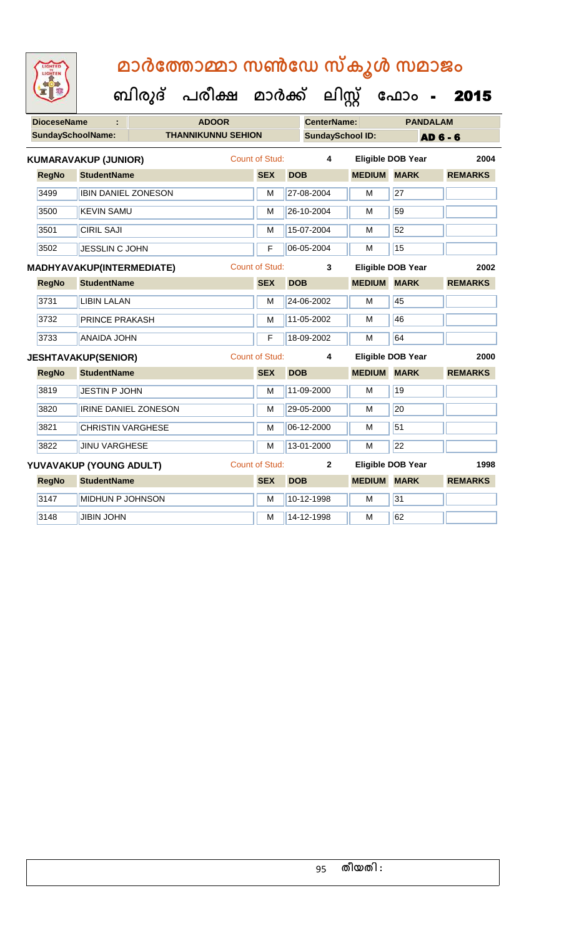| <b>IGHTED</b><br>HTE |
|----------------------|
|                      |
|                      |
|                      |

| <b>DioceseName</b> |                             |                           | <b>ADOOR</b>          |            |                         |                          |                 | <b>PANDALAM</b> |                |  |
|--------------------|-----------------------------|---------------------------|-----------------------|------------|-------------------------|--------------------------|-----------------|-----------------|----------------|--|
|                    | <b>SundaySchoolName:</b>    | <b>THANNIKUNNU SEHION</b> |                       |            | <b>SundaySchool ID:</b> |                          |                 | <b>AD 6 - 6</b> |                |  |
|                    | <b>KUMARAVAKUP (JUNIOR)</b> |                           | Count of Stud:        |            | 4                       | <b>Eligible DOB Year</b> |                 |                 | 2004           |  |
| <b>RegNo</b>       | <b>StudentName</b>          |                           | <b>SEX</b>            | <b>DOB</b> |                         | <b>MEDIUM MARK</b>       |                 |                 | <b>REMARKS</b> |  |
| 3499               | <b>IBIN DANIEL ZONESON</b>  |                           | M                     |            | 27-08-2004              | м                        | 27              |                 |                |  |
| 3500               | <b>KEVIN SAMU</b>           |                           | M                     |            | 26-10-2004              | M                        | 59              |                 |                |  |
| 3501               | <b>CIRIL SAJI</b>           |                           | M                     |            | 15-07-2004              | M                        | 52              |                 |                |  |
| 3502               | <b>JESSLIN C JOHN</b>       |                           | F                     |            | 06-05-2004              | M                        | 15              |                 |                |  |
|                    | MADHYAVAKUP(INTERMEDIATE)   |                           | <b>Count of Stud:</b> |            | 3                       | <b>Eligible DOB Year</b> |                 |                 | 2002           |  |
| <b>RegNo</b>       | <b>StudentName</b>          |                           | <b>SEX</b>            | <b>DOB</b> |                         | <b>MEDIUM MARK</b>       |                 |                 | <b>REMARKS</b> |  |
| 3731               | <b>LIBIN LALAN</b>          |                           | M                     |            | 24-06-2002              | M                        | 45              |                 |                |  |
| 3732               | <b>PRINCE PRAKASH</b>       |                           | M                     |            | 11-05-2002              | M                        | 46              |                 |                |  |
| 3733               | <b>ANAIDA JOHN</b>          |                           | F                     |            | 18-09-2002              | M                        | 64              |                 |                |  |
|                    | <b>JESHTAVAKUP(SENIOR)</b>  |                           | Count of Stud:        |            | 4                       | <b>Eligible DOB Year</b> |                 |                 | 2000           |  |
| <b>RegNo</b>       | <b>StudentName</b>          |                           | <b>SEX</b>            | <b>DOB</b> |                         | <b>MEDIUM MARK</b>       |                 |                 | <b>REMARKS</b> |  |
| 3819               | JESTIN P JOHN               |                           | M                     |            | 11-09-2000              | M                        | 19              |                 |                |  |
| 3820               |                             | IRINE DANIEL ZONESON      | M                     |            | 29-05-2000              | м                        | 20              |                 |                |  |
| 3821               | <b>CHRISTIN VARGHESE</b>    |                           | M                     |            | 06-12-2000              | M                        | 51              |                 |                |  |
| 3822               | <b>JINU VARGHESE</b>        |                           | M                     |            | 13-01-2000              | M                        | $\overline{22}$ |                 |                |  |
|                    | YUVAVAKUP (YOUNG ADULT)     |                           | <b>Count of Stud:</b> |            | $\mathbf{2}$            | <b>Eligible DOB Year</b> |                 |                 | 1998           |  |
| <b>RegNo</b>       | <b>StudentName</b>          |                           | <b>SEX</b>            | <b>DOB</b> |                         | <b>MEDIUM MARK</b>       |                 |                 | <b>REMARKS</b> |  |
| 3147               | MIDHUN P JOHNSON            |                           | M                     |            | 10-12-1998              | M                        | 31              |                 |                |  |
| 3148               | <b>JIBIN JOHN</b>           |                           | M                     |            | 14-12-1998              | M                        | 62              |                 |                |  |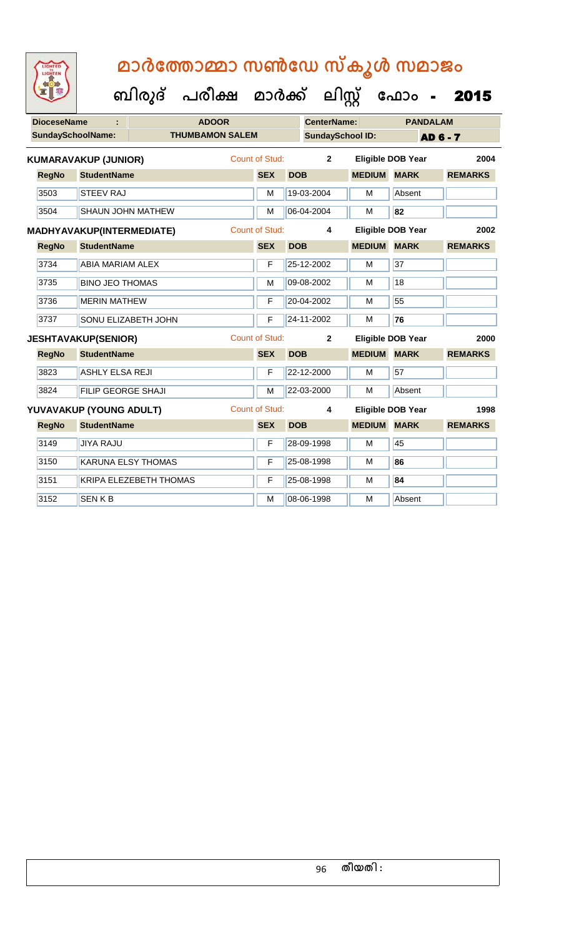| <b>DioceseName</b>       |                                  | <b>ADOOR</b>              |                       |            | <b>CenterName:</b>      |               | <b>PANDALAM</b>          |                 |  |  |
|--------------------------|----------------------------------|---------------------------|-----------------------|------------|-------------------------|---------------|--------------------------|-----------------|--|--|
| <b>SundaySchoolName:</b> |                                  | <b>THUMBAMON SALEM</b>    |                       |            | <b>SundaySchool ID:</b> |               |                          | <b>AD 6 - 7</b> |  |  |
|                          | <b>KUMARAVAKUP (JUNIOR)</b>      |                           | <b>Count of Stud:</b> |            | $\overline{2}$          |               | <b>Eligible DOB Year</b> | 2004            |  |  |
| <b>RegNo</b>             | <b>StudentName</b>               |                           | <b>SEX</b>            | <b>DOB</b> |                         | <b>MEDIUM</b> | <b>MARK</b>              | <b>REMARKS</b>  |  |  |
| 3503                     | <b>STEEV RAJ</b>                 |                           | M                     |            | 19-03-2004              | M             | Absent                   |                 |  |  |
| 3504                     |                                  | <b>SHAUN JOHN MATHEW</b>  | M                     |            | 06-04-2004              | M             | 82                       |                 |  |  |
|                          | <b>MADHYAVAKUP(INTERMEDIATE)</b> |                           | <b>Count of Stud:</b> |            | 4                       |               | <b>Eligible DOB Year</b> | 2002            |  |  |
| <b>RegNo</b>             | <b>StudentName</b>               |                           | <b>SEX</b>            | <b>DOB</b> |                         | <b>MEDIUM</b> | <b>MARK</b>              | <b>REMARKS</b>  |  |  |
| 3734                     | <b>ABIA MARIAM ALEX</b>          |                           | F                     |            | 25-12-2002              | M             | 37                       |                 |  |  |
| 3735                     | <b>BINO JEO THOMAS</b>           |                           | M                     |            | 09-08-2002              | M             | 18                       |                 |  |  |
| 3736                     | <b>MERIN MATHEW</b>              |                           | F                     |            | 20-04-2002              | M             | 55                       |                 |  |  |
| 3737                     |                                  | SONU ELIZABETH JOHN       | F                     |            | 24-11-2002              | M             | 76                       |                 |  |  |
|                          | <b>JESHTAVAKUP(SENIOR)</b>       |                           | <b>Count of Stud:</b> |            | $\overline{2}$          |               | <b>Eligible DOB Year</b> | 2000            |  |  |
| <b>RegNo</b>             | <b>StudentName</b>               |                           | <b>SEX</b>            | <b>DOB</b> |                         | <b>MEDIUM</b> | <b>MARK</b>              | <b>REMARKS</b>  |  |  |
| 3823                     | <b>ASHLY ELSA REJI</b>           |                           | F                     |            | 22-12-2000              | м             | 57                       |                 |  |  |
| 3824                     | FILIP GEORGE SHAJI               |                           | M                     |            | 22-03-2000              | M             | Absent                   |                 |  |  |
|                          | YUVAVAKUP (YOUNG ADULT)          |                           | <b>Count of Stud:</b> |            | 4                       |               | <b>Eligible DOB Year</b> | 1998            |  |  |
| <b>RegNo</b>             | <b>StudentName</b>               |                           | <b>SEX</b>            | <b>DOB</b> |                         | <b>MEDIUM</b> | <b>MARK</b>              | <b>REMARKS</b>  |  |  |
| 3149                     | <b>JIYA RAJU</b>                 |                           | F                     |            | 28-09-1998              | M             | 45                       |                 |  |  |
| 3150                     |                                  | <b>KARUNA ELSY THOMAS</b> | F                     |            | 25-08-1998              | M             | 86                       |                 |  |  |
| 3151                     |                                  | KRIPA ELEZEBETH THOMAS    | F                     |            | 25-08-1998              | M             | 84                       |                 |  |  |
| 3152                     | <b>SENKB</b>                     |                           | M                     |            | 08-06-1998              | M             | Absent                   |                 |  |  |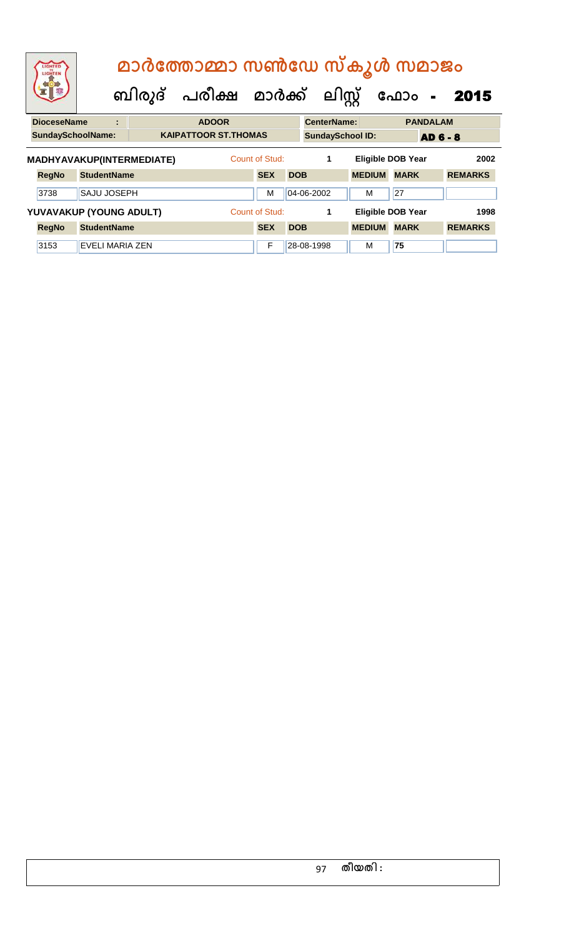| LIGHTED<br>LIGHTEN        |                    | മാർത്തോമ്മാ സൺഡേ സ്കൂൾ സമാജം |  |  |                             |                                |                |                         |                    |  |               |                          |                 |                |      |
|---------------------------|--------------------|------------------------------|--|--|-----------------------------|--------------------------------|----------------|-------------------------|--------------------|--|---------------|--------------------------|-----------------|----------------|------|
|                           |                    |                              |  |  |                             | ബിരുദ് പരീക്ഷ മാർക്ക് ലിസ്റ്റ് |                |                         |                    |  | ഫോം -         |                          | 2015            |                |      |
| <b>DioceseName</b>        |                    | ÷                            |  |  | <b>ADOOR</b>                |                                |                |                         | <b>CenterName:</b> |  |               |                          | <b>PANDALAM</b> |                |      |
| <b>SundaySchoolName:</b>  |                    |                              |  |  | <b>KAIPATTOOR ST.THOMAS</b> |                                |                | <b>SundaySchool ID:</b> |                    |  |               | <b>AD 6 - 8</b>          |                 |                |      |
| MADHYAVAKUP(INTERMEDIATE) |                    |                              |  |  |                             |                                | Count of Stud: |                         | 1                  |  |               | <b>Eligible DOB Year</b> |                 |                | 2002 |
| <b>RegNo</b>              | <b>StudentName</b> |                              |  |  |                             |                                | <b>SEX</b>     | <b>DOB</b>              |                    |  | <b>MEDIUM</b> | <b>MARK</b>              |                 | <b>REMARKS</b> |      |
| 3738                      | <b>SAJU JOSEPH</b> |                              |  |  |                             |                                | M              |                         | 04-06-2002         |  | м             | 27                       |                 |                |      |
| YUVAVAKUP (YOUNG ADULT)   |                    |                              |  |  |                             |                                | Count of Stud: |                         | 1                  |  |               | <b>Eligible DOB Year</b> |                 |                | 1998 |
| <b>RegNo</b>              | <b>StudentName</b> |                              |  |  |                             |                                | <b>SEX</b>     | <b>DOB</b>              |                    |  | <b>MEDIUM</b> | <b>MARK</b>              |                 | <b>REMARKS</b> |      |
| 3153                      | EVELI MARIA ZEN    |                              |  |  |                             |                                | F              |                         | 28-08-1998         |  | M             | 75                       |                 |                |      |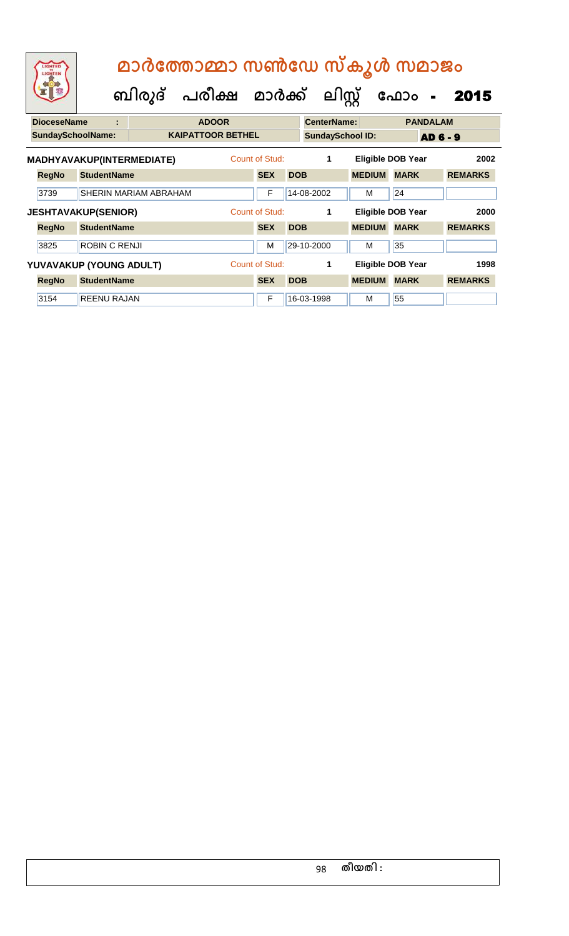| LIGHTED<br>LIGHTEN       |                                                 |                       | മാർത്തോമ്മാ സൺഡേ സ്കൂൾ സമാജം<br>ബിരുദ് പരീക്ഷ മാർക്ക് |                                   |            | ലിസ്റ്റ്                |                    | ഫോം<br>$\blacksquare$                         | 2015                   |
|--------------------------|-------------------------------------------------|-----------------------|-------------------------------------------------------|-----------------------------------|------------|-------------------------|--------------------|-----------------------------------------------|------------------------|
| <b>DioceseName</b>       | ÷                                               |                       | <b>ADOOR</b>                                          |                                   |            | <b>CenterName:</b>      |                    | <b>PANDALAM</b>                               |                        |
| <b>SundaySchoolName:</b> |                                                 |                       | <b>KAIPATTOOR BETHEL</b>                              |                                   |            | <b>SundaySchool ID:</b> |                    |                                               | <b>AD 6 - 9</b>        |
| <b>RegNo</b><br>3739     | MADHYAVAKUP(INTERMEDIATE)<br><b>StudentName</b> | SHERIN MARIAM ABRAHAM |                                                       | Count of Stud:<br><b>SEX</b><br>F | <b>DOB</b> | 1<br>14-08-2002         | <b>MEDIUM</b><br>м | <b>Eligible DOB Year</b><br><b>MARK</b><br>24 | 2002<br><b>REMARKS</b> |
|                          | <b>JESHTAVAKUP(SENIOR)</b>                      |                       |                                                       | Count of Stud:                    |            | 1                       |                    | Eligible DOB Year                             | 2000                   |
| <b>RegNo</b>             | <b>StudentName</b>                              |                       |                                                       | <b>SEX</b>                        | <b>DOB</b> |                         | <b>MEDIUM</b>      | <b>MARK</b>                                   | <b>REMARKS</b>         |
| 3825                     | ROBIN C RENJI                                   |                       |                                                       | м                                 |            | 29-10-2000              | м                  | 35                                            |                        |
|                          | YUVAVAKUP (YOUNG ADULT)                         |                       |                                                       | Count of Stud:                    |            | 1                       |                    | <b>Eligible DOB Year</b>                      | 1998                   |
| <b>RegNo</b>             | <b>StudentName</b>                              |                       |                                                       | <b>SEX</b>                        | <b>DOB</b> |                         | <b>MEDIUM</b>      | <b>MARK</b>                                   | <b>REMARKS</b>         |
| 3154                     | <b>REENU RAJAN</b>                              |                       |                                                       | F                                 |            | 16-03-1998              | M                  | 55                                            |                        |